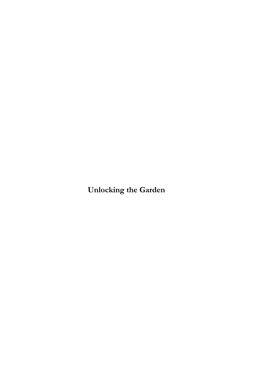**Unlocking the Garden**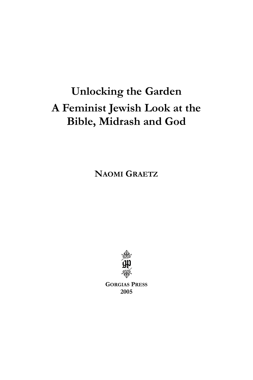# **Unlocking the Garden A Feminist Jewish Look at the Bible, Midrash and God**

**NAOMI GRAETZ**



**GORGIAS PRESS 2005**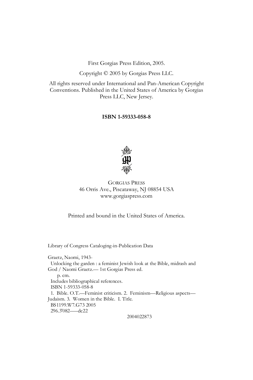First Gorgias Press Edition, 2005.

Copyright © 2005 by Gorgias Press LLC.

All rights reserved under International and Pan-American Copyright Conventions. Published in the United States of America by Gorgias Press LLC, New Jersey.

#### **ISBN 1-59333-058-8**



GORGIAS PRESS 46 Orris Ave., Piscataway, NJ 08854 USA www.gorgiaspress.com

Printed and bound in the United States of America.

Library of Congress Cataloging-in-Publication Data

Graetz, Naomi, 1943- Unlocking the garden : a feminist Jewish look at the Bible, midrash and God / Naomi Graetz.— 1st Gorgias Press ed. p. cm. Includes bibliographical references. ISBN 1-59333-058-8 1. Bible. O.T.—Feminist criticism. 2. Feminism—Religious aspects— Judaism. 3. Women in the Bible. I. Title. BS1199.W7.G73 2005 296.3'082—–dc22

2004022873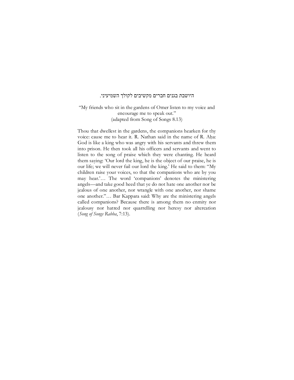## היושבת בגנים חברים מקשיבים לקולך השמיעיני.

## "My friends who sit in the gardens of Omer listen to my voice and encourage me to speak out." (adapted from Song of Songs 8.13)

Thou that dwellest in the gardens, the companions hearken for thy voice: cause me to hear it. R. Nathan said in the name of R. Aḥa: God is like a king who was angry with his servants and threw them into prison. He then took all his officers and servants and went to listen to the song of praise which they were chanting. He heard them saying: 'Our lord the king, he is the object of our praise, he is our life; we will never fail our lord the king.' He said to them: "My children raise your voices, so that the companions who are by you may hear.'… The word 'companions' denotes the ministering angels—and take good heed that ye do not hate one another nor be jealous of one another, nor wrangle with one another, nor shame one another."… Bar Kappara said: Why are the ministering angels called companions? Because there is among them no enmity nor jealousy nor hatred nor quarrelling nor heresy nor altercation (*Song of Songs Rabba*, 7:13).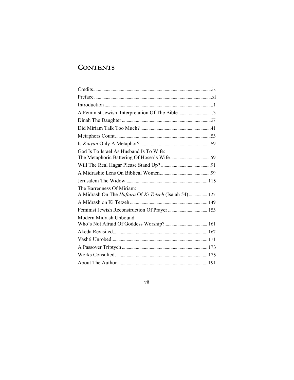# **CONTENTS**

| A Feminist Jewish Interpretation Of The Bible 3                                    |
|------------------------------------------------------------------------------------|
|                                                                                    |
|                                                                                    |
|                                                                                    |
|                                                                                    |
| God Is To Israel As Husband Is To Wife:                                            |
|                                                                                    |
|                                                                                    |
|                                                                                    |
| The Barrenness Of Miriam:<br>A Midrash On The Haftara Of Ki Tetzeh (Isaiah 54) 127 |
|                                                                                    |
|                                                                                    |
| Modern Midrash Unbound:                                                            |
|                                                                                    |
|                                                                                    |
|                                                                                    |
|                                                                                    |
|                                                                                    |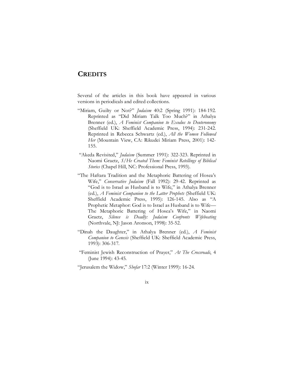# **CREDITS**

Several of the articles in this book have appeared in various versions in periodicals and edited collections.

- "Miriam, Guilty or Not?" *Judaism* 40:2 (Spring 1991): 184-192. Reprinted as "Did Miriam Talk Too Much?" in Athalya Brenner (ed.), *A Feminist Companion to Exodus to Deuteronomy* (Sheffield UK: Sheffield Academic Press, 1994): 231-242. Reprinted in Rebecca Schwartz (ed.), *All the Women Followed Her* (Mountain View, CA: Rikudei Miriam Press, 2001): 142- 155.
- "Akeda Revisited," *Judaism* (Summer 1991): 322-323. Reprinted in Naomi Graetz, *S/He Created Them: Feminist Retellings of Biblical Stories* (Chapel Hill, NC: Professional Press, 1993).
- "The Haftara Tradition and the Metaphoric Battering of Hosea's Wife," *Conservative Judaism* (Fall 1992): 29-42. Reprinted as "God is to Israel as Husband is to Wife," in Athalya Brenner (ed.), *A Feminist Companion to the Latter Prophets* (Sheffield UK: Sheffield Academic Press, 1995): 126-145. Also as "A Prophetic Metaphor: God is to Israel as Husband is to Wife— The Metaphoric Battering of Hosea's Wife," in Naomi Graetz, *Silence is Deadly: Judaism Confronts Wifebeating* (Northvale, NJ: Jason Aronson, 1998): 35-52.
- "Dinah the Daughter," in Athalya Brenner (ed.), *A Feminist Companion to Genesis* (Sheffield UK: Sheffield Academic Press, 1993): 306-317.
- "Feminist Jewish Reconstruction of Prayer," *At The Crossroads*, 4 (June 1994): 43-45.

<sup>&</sup>quot;Jerusalem the Widow," *Shofar* 17:2 (Winter 1999): 16-24.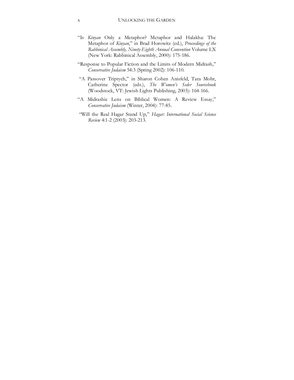- "Is *Kinyan* Only a Metaphor? Metaphor and Halakha: The Metaphor of *Kinyan*," in Brad Horowitz (ed.), *Proceedings of the Rabbinical Assembly, Ninety-Eighth Annual Convention* Volume LX (New York: Rabbinical Assembly, 2000): 175-186.
- "Response to Popular Fiction and the Limits of Modern Midrash," *Conservative Judaism* 54:3 (Spring 2002): 106-110.
- "A Passover Triptych," in Sharon Cohen Anisfeld, Tara Mohr, Catherine Spector (eds.), *The Women's Seder Sourcebook* (Woodstock, VT: Jewish Lights Publishing, 2003): 164-166.
- "A Midrashic Lens on Biblical Women: A Review Essay," *Conservative Judaism* (Winter, 2004): 77-85.
- "Will the Real Hagar Stand Up," *Hagar: International Social Science Review* 4:1-2 (2003): 203-213.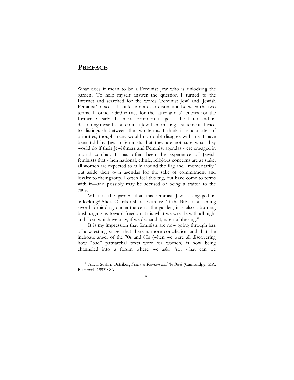# **PREFACE**

 $\overline{a}$ 

What does it mean to be a Feminist Jew who is unlocking the garden? To help myself answer the question I turned to the Internet and searched for the words 'Feminist Jew' and 'Jewish Feminist' to see if I could find a clear distinction between the two terms. I found 7,360 entries for the latter and 51 entries for the former. Clearly the more common usage is the latter and in describing myself as a feminist Jew I am making a statement. I tried to distinguish between the two terms. I think it is a matter of priorities, though many would no doubt disagree with me. I have been told by Jewish feminists that they are not sure what they would do if their Jewishness and Feminist agendas were engaged in mortal combat. It has often been the experience of Jewish feminists that when national, ethnic, religious concerns are at stake, all women are expected to rally around the flag and "momentarily" put aside their own agendas for the sake of commitment and loyalty to their group. I often feel this tug, but have come to terms with it—and possibly may be accused of being a traitor to the cause.

What is the garden that this feminist Jew is engaged in unlocking? Alicia Ostriker shares with us: "If the Bible is a flaming sword forbidding our entrance to the garden, it is also a burning bush urging us toward freedom. It is what we wrestle with all night and from which we may, if we demand it, wrest a blessing."1

It is my impression that feminists are now going through less of a wrestling stage―that there is more conciliation and that the inchoate anger of the 70s and 80s (when we were all discovering how "bad" patriarchal texts were for women) is now being channeled into a forum where we ask: "so…what can we

<sup>1</sup> Alicia Suskin Ostriker, *Feminist Revision and the Bible* (Cambridge, MA: Blackwell 1993): 86.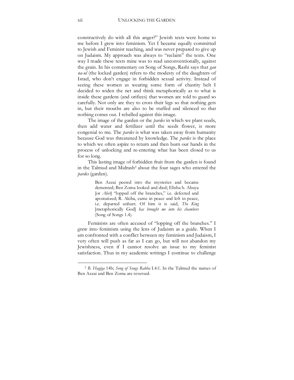constructively do with all this anger?" Jewish texts were home to me before I grew into feminism. Yet I became equally committed to Jewish and Feminist teaching, and was never prepared to give up on Judaism. My approach was always to "reclaim" the texts. One way I made these texts mine was to read unconventionally, against the grain. In his commentary on Song of Songs, Rashi says that *gan na-ul* (the locked garden) refers to the modesty of the daughters of Israel, who don't engage in forbidden sexual activity. Instead of seeing these women as wearing some form of chastity belt I decided to widen the net and think metaphorically as to what is inside these gardens (and orifices) that women are told to guard so carefully. Not only are they to cross their legs so that nothing gets in, but their mouths are also to be stuffed and silenced so that nothing comes out. I rebelled against this image.

The image of the garden or the *pardes* in which we plant seeds, then add water and fertilizer until the seeds flower, is more congenial to me. The *pardes* is what was taken away from humanity because God was threatened by knowledge. The *pardes* is the place to which we often aspire to return and then burn our hands in the process of unlocking and re-entering what has been closed to us for so long.

This lasting image of forbidden fruit from the garden is found in the Talmud and Midrash2 about the four sages who entered the *pardes* (garden).

> Ben Azzai peered into the mysteries and became demented; Ben Zoma looked and died; Elisha b. Abuya [or *Aḥer*] "lopped off the branches," i.e. defected and apostatized; R. Akiba, came in peace and left in peace, i.e. departed unhurt. Of him it is said, *The King*  [metaphorically God] *has brought me into his chambers* (Song of Songs 1.4).

Feminists are often accused of "lopping off the branches." I grew into feminism using the lens of Judaism as a guide. When I am confronted with a conflict between my feminism and Judaism, I very often will push as far as I can go, but will not abandon my Jewishness, even if I cannot resolve an issue to my feminist satisfaction. Thus in my academic writings I continue to challenge

<sup>2</sup> *B. Hagiga* 14b; *Song of Songs Rabba* I.4:1. In the Talmud the names of Ben Azzai and Ben Zoma are reversed.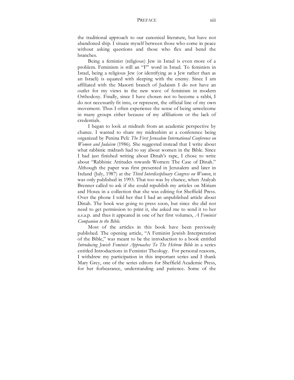#### PREFACE xiii

the traditional approach to our canonical literature, but have not abandoned ship. I situate myself between those who come in peace without asking questions and those who flex and bend the branches.

Being a feminist (religious) Jew in Israel is even more of a problem. Feminism is still an "F" word in Israel. To feminists in Israel, being a religious Jew (or identifying as a Jew rather than as an Israeli) is equated with sleeping with the enemy. Since I am affiliated with the Masorti branch of Judaism I do not have an outlet for my views in the new wave of feminism in modern Orthodoxy. Finally, since I have chosen not to become a rabbi, I do not necessarily fit into, or represent, the official line of my own movement. Thus I often experience the sense of being unwelcome in many groups either because of my affiliations or the lack of credentials.

I began to look at midrash from an academic perspective by chance. I wanted to share my midrashim at a conference being organized by Penina Peli: *The First Jerusalem International Conference on Women and Judaism* (1986). She suggested instead that I write about what rabbinic midrash had to say about women in the Bible. Since I had just finished writing about Dinah's rape, I chose to write about "Rabbinic Attitudes towards Women: The Case of Dinah." Although the paper was first presented in Jerusalem and later in Ireland (July, 1987) at the *Third Interdisciplinary Congress on Women*, it was only published in 1993. That too was by chance, when Atalyah Brenner called to ask if she could republish my articles on Miriam and Hosea in a collection that she was editing for Sheffield Press. Over the phone I told her that I had an unpublished article about Dinah. The book was going to press soon, but since she did not need to get permission to print it, she asked me to send it to her a.s.a.p. and thus it appeared in one of her first volumes, *A Feminist Companion to the Bible*.

Most of the articles in this book have been previously published. The opening article, "A Feminist Jewish Interpretation of the Bible," was meant to be the introduction to a book entitled *Introducing Jewish Feminist Approaches To The Hebrew Bible* in a series entitled Introductions in Feminist Theology. For personal reasons, I withdrew my participation in this important series and I thank Mary Grey, one of the series editors for Sheffield Academic Press, for her forbearance, understanding and patience. Some of the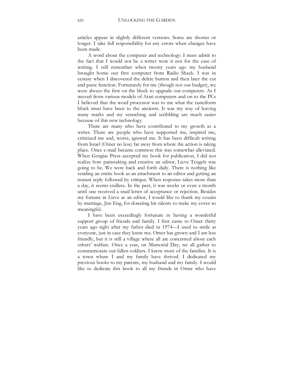articles appear in slightly different versions. Some are shorter or longer. I take full responsibility for any errors when changes have been made.

A word about the computer and technology: I must admit to the fact that I would not be a writer were it not for the ease of writing. I still remember when twenty years ago my husband brought home our first computer from Radio Shack. I was in ecstasy when I discovered the delete button and then later the cut and paste function. Fortunately for me (though not our budget), we were always the first on the block to upgrade our computers. As I moved from various models of Atari computers and on to the PCs I believed that the word processor was to me what the cuneiform block must have been to the ancients. It was my way of leaving many marks and my scratching and scribbling are much easier because of this new technology.

There are many who have contributed to my growth as a writer. There are people who have supported me, inspired me, criticized me and, worse, ignored me. It has been difficult writing from Israel (Omer no less) far away from where the action is taking place. Once e-mail became common this was somewhat alleviated. When Gorgias Press accepted my book for publication, I did not realize how painstaking and creative an editor, Lieve Teugels was going to be. We were back and forth daily. There is nothing like sending an entire book as an attachment to an editor and getting an instant reply followed by critique. When response takes more than a day, it seems endless. In the past, it was weeks or even a month until one received a snail letter of acceptance or rejection. Besides my fortune in Lieve as an editor, I would like to thank my cousin by marriage, Jim Eng, for donating his talents to make my cover so meaningful.

I have been exceedingly fortunate in having a wonderful support group of friends and family. I first came to Omer thirty years ago right after my father died in 1974—I used to smile at everyone, just in case they knew me. Omer has grown and I am less friendly, but it is still a village where all are concerned about each others' welfare. Once a year, on Memorial Day, we all gather to commemorate our fallen soldiers. I know most of the families. It is a town where I and my family have thrived. I dedicated my previous books to my parents, my husband and my family. I would like to dedicate this book to all my friends in Omer who have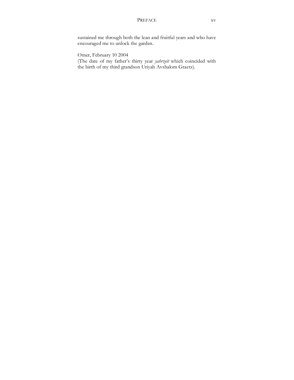sustained me through both the lean and fruitful years and who have encouraged me to unlock the garden.

Omer, February 10 2004

(The date of my father's thirty year *yahrzeit* which coincided with the birth of my third grandson Uriyah Avshalom Graetz).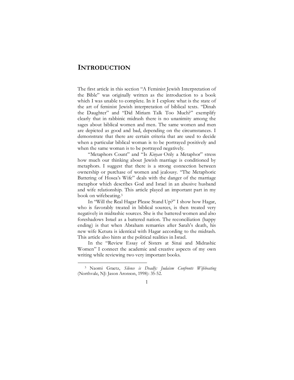# **INTRODUCTION**

 $\overline{a}$ 

The first article in this section "A Feminist Jewish Interpretation of the Bible" was originally written as the introduction to a book which I was unable to complete. In it I explore what is the state of the art of feminist Jewish interpretation of biblical texts. "Dinah the Daughter" and "Did Miriam Talk Too Much?" exemplify clearly that in rabbinic midrash there is no unanimity among the sages about biblical women and men. The same women and men are depicted as good and bad, depending on the circumstances. I demonstrate that there are certain criteria that are used to decide when a particular biblical woman is to be portrayed positively and when the same woman is to be portrayed negatively.

"Metaphors Count" and "Is *Kinyan* Only a Metaphor" stress how much our thinking about Jewish marriage is conditioned by metaphors. I suggest that there is a strong connection between ownership or purchase of women and jealousy. "The Metaphoric Battering of Hosea's Wife" deals with the danger of the marriage metaphor which describes God and Israel in an abusive husband and wife relationship. This article played an important part in my book on wifebeating.3

In "Will the Real Hagar Please Stand Up?" I show how Hagar, who is favorably treated in biblical sources, is then treated very negatively in midrashic sources. She is the battered women and also foreshadows Israel as a battered nation. The reconciliation (happy ending) is that when Abraham remarries after Sarah's death, his new wife Ketura is identical with Hagar according to the midrash. This article also hints at the political realities in Israel.

In the "Review Essay of Sisters at Sinai and Midrashic Women" I connect the academic and creative aspects of my own writing while reviewing two very important books.

<sup>3</sup> Naomi Graetz, *Silence is Deadly: Judaism Confronts Wifebeating* (Northvale, NJ: Jason Aronson, 1998): 35-52.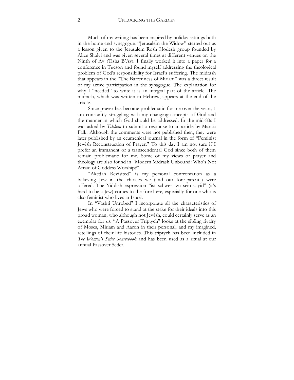Much of my writing has been inspired by holiday settings both in the home and synagogue. "Jerusalem the Widow" started out as a lesson given to the Jerusalem Rosh Ḥodesh group founded by Alice Shalvi and was given several times at different venues on the Ninth of Av (Tisha B'Av). I finally worked it into a paper for a conference in Tucson and found myself addressing the theological problem of God's responsibility for Israel's suffering. The midrash that appears in the "The Barrenness of Miriam" was a direct result of my active participation in the synagogue. The explanation for why I "needed" to write it is an integral part of the article. The midrash, which was written in Hebrew, appears at the end of the article.

Since prayer has become problematic for me over the years, I am constantly struggling with my changing concepts of God and the manner in which God should be addressed. In the mid-80s I was asked by *Tikkun* to submit a response to an article by Marcia Falk. Although the comments were not published then, they were later published by an ecumenical journal in the form of "Feminist Jewish Reconstruction of Prayer." To this day I am not sure if I prefer an immanent or a transcendental God since both of them remain problematic for me. Some of my views of prayer and theology are also found in "Modern Midrash Unbound: Who's Not Afraid of Goddess Worship?"

"Akedah Revisited" is my personal confrontation as a believing Jew in the choices we (and our fore-parents) were offered. The Yiddish expression "ist schwer tzu sein a yid" (it's hard to be a Jew) comes to the fore here, especially for one who is also feminist who lives in Israel.

In "Vashti Unrobed" I incorporate all the characteristics of Jews who were forced to stand at the stake for their ideals into this proud woman, who although not Jewish, could certainly serve as an exemplar for us. "A Passover Triptych" looks at the sibling rivalry of Moses, Miriam and Aaron in their personal, and my imagined, retellings of their life histories. This triptych has been included in *The Women's Seder Sourcebook* and has been used as a ritual at our annual Passover Seder.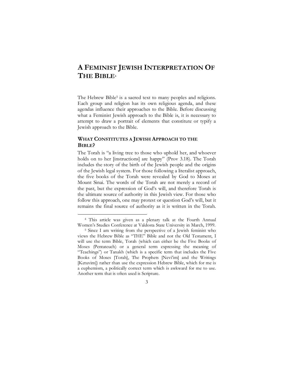# **A FEMINIST JEWISH INTERPRETATION OF THE BIBLE**<sup>4</sup>

The Hebrew Bible<sup>5</sup> is a sacred text to many peoples and religions. Each group and religion has its own religious agenda, and these agendas influence their approaches to the Bible. Before discussing what a Feminist Jewish approach to the Bible is, it is necessary to attempt to draw a portrait of elements that constitute or typify a Jewish approach to the Bible.

# **WHAT CONSTITUTES A JEWISH APPROACH TO THE BIBLE?**

The Torah is "a living tree to those who uphold her, and whoever holds on to her [instructions] are happy" (Prov 3.18). The Torah includes the story of the birth of the Jewish people and the origins of the Jewish legal system. For those following a literalist approach, the five books of the Torah were revealed by God to Moses at Mount Sinai. The words of the Torah are not merely a record of the past, but the expression of God's will, and therefore Torah is the ultimate source of authority in this Jewish view. For those who follow this approach, one may protest or question God's will, but it remains the final source of authority as it is written in the Torah.

<sup>4</sup> This article was given as a plenary talk at the Fourth Annual Women's Studies Conference at Valdosta State University in March, 1999. 5 Since I am writing from the perspective of a Jewish feminist who

views the Hebrew Bible as "THE" Bible and not the Old Testament, I will use the term Bible, Torah (which can either be the Five Books of Moses (Pentateuch) or a general term expressing the meaning of "Teachings") or Tanakh (which is a specific term that includes the Five Books of Moses [Torah], The Prophets [Nevi'im] and the Writings [Ketuvim]) rather than use the expression Hebrew Bible, which for me is a euphemism, a politically correct term which is awkward for me to use. Another term that is often used is Scripture.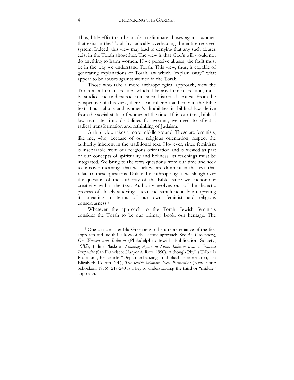Thus, little effort can be made to eliminate abuses against women that exist in the Torah by radically overhauling the entire received system. Indeed, this view may lead to denying that any such abuses exist in the Torah altogether. The view is that God's will would not do anything to harm women. If we perceive abuses, the fault must be in the way we understand Torah. This view, thus, is capable of generating explanations of Torah law which "explain away" what appear to be abuses against women in the Torah.

Those who take a more anthropological approach, view the Torah as a human creation which, like any human creation, must be studied and understood in its socio-historical context. From the perspective of this view, there is no inherent authority in the Bible text. Thus, abuse and women's disabilities in biblical law derive from the social status of women at the time. If, in our time, biblical law translates into disabilities for women, we need to effect a radical transformation and rethinking of Judaism.

A third view takes a more middle ground. These are feminists, like me, who, because of our religious orientation, respect the authority inherent in the traditional text. However, since feminism is inseparable from our religious orientation and is viewed as part of our concepts of spirituality and holiness, its teachings must be integrated. We bring to the texts questions from our time and seek to uncover meanings that we believe are dormant in the text, that relate to these questions. Unlike the anthropologist, we slough over the question of the authority of the Bible, since we anchor our creativity within the text. Authority evolves out of the dialectic process of closely studying a text and simultaneously interpreting its meaning in terms of our own feminist and religious consciousness.6

Whatever the approach to the Torah, Jewish feminists consider the Torah to be our primary book, our heritage. The

<sup>6</sup> One can consider Blu Greenberg to be a representative of the first approach and Judith Plaskow of the second approach. See Blu Greenberg, *On Women and Judaism* (Philadelphia: Jewish Publication Society, 1982); Judith Plaskow, *Standing Again at Sinai: Judaism from a Feminist Perspective* (San Francisco: Harper & Row, 1990). Although Phyllis Trible is Protestant, her article "Depatriarchalizing in Biblical Interpretation," in Elizabeth Koltun (ed.), *The Jewish Woman: New Perspectives* (New York: Schocken, 1976): 217-240 is a key to understanding the third or "middle" approach.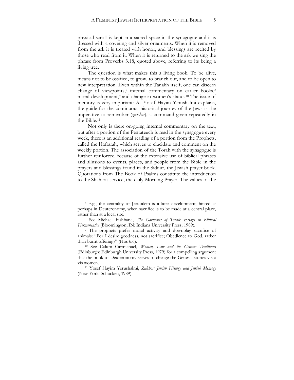physical scroll is kept in a sacred space in the synagogue and it is dressed with a covering and silver ornaments. When it is removed from the ark it is treated with honor, and blessings are recited by those who read from it. When it is returned to the ark we sing the phrase from Proverbs 3.18, quoted above, referring to its being a living tree.

The question is what makes this a living book. To be alive, means not to be ossified, to grow, to branch out, and to be open to new interpretation. Even within the Tanakh itself, one can discern change of viewpoints,7 internal commentary on earlier books,8 moral development,9 and change in women's status.10 The issue of memory is very important: As Yosef Hayim Yerushalmi explains, the guide for the continuous historical journey of the Jews is the imperative to remember (*zakhor*), a command given repeatedly in the Bible.11

Not only is there on-going internal commentary on the text, but after a portion of the Pentateuch is read in the synagogue every week, there is an additional reading of a portion from the Prophets, called the Haftarah, which serves to elucidate and comment on the weekly portion. The association of the Torah with the synagogue is further reinforced because of the extensive use of biblical phrases and allusions to events, places, and people from the Bible in the prayers and blessings found in the Siddur, the Jewish prayer book. Quotations from The Book of Psalms constitute the introduction to the Shaharit service, the daily Morning Prayer. The values of the

<sup>7</sup> E.g., the centrality of Jerusalem is a later development; hinted at perhaps in Deuteronomy, when sacrifice is to be made at a central place, rather than at a local site. 8 See Michael Fishbane, *The Garments of Torah: Essays in Biblical* 

*Hermeneutics* (Bloomington, IN: Indiana University Press, 1989).<br><sup>9</sup> The prophets prefer moral activity and downplay sacrifice of

animals: "For I desire goodness, not sacrifice; Obedience to God, rather than burnt offerings" (Hos 6.6). 10 See Calum Carmichael, *Women, Law and the Genesis Traditions* 

<sup>(</sup>Edinburgh: Edinburgh University Press, 1979) for a compelling argument that the book of Deuteronomy serves to change the Genesis stories vis à vis women. 11 Yosef Hayim Yerushalmi, *Zakhor: Jewish History and Jewish Memory* 

<sup>(</sup>New York: Schocken, 1989).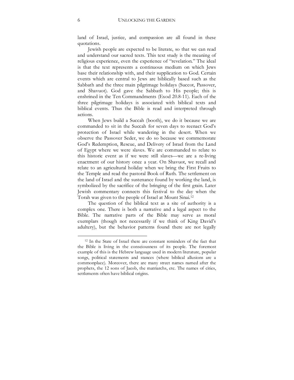land of Israel, justice, and compassion are all found in these quotations.

Jewish people are expected to be literate, so that we can read and understand our sacred texts. This text study is the meaning of religious experience, even the experience of "revelation." The ideal is that the text represents a continuous medium on which Jews base their relationship with, and their supplication to God. Certain events which are central to Jews are biblically based such as the Sabbath and the three main pilgrimage holidays (Succot, Passover, and Shavuot). God gave the Sabbath to His people; this is enshrined in the Ten Commandments (Exod 20.8-11). Each of the three pilgrimage holidays is associated with biblical texts and biblical events. Thus the Bible is read and interpreted through actions.

When Jews build a Succah (booth), we do it because we are commanded to sit in the Succah for seven days to reenact God's protection of Israel while wandering in the desert. When we observe the Passover Seder, we do so because we commemorate God's Redemption, Rescue, and Delivery of Israel from the Land of Egypt where we were slaves. We are commanded to relate to this historic event as if we were still slaves—we are a re-living enactment of our history once a year. On Shavuot, we recall and relate to an agricultural holiday when we bring the First Fruits to the Temple and read the pastoral Book of Ruth. The settlement on the land of Israel and the sustenance found by working the land, is symbolized by the sacrifice of the bringing of the first grain. Later Jewish commentary connects this festival to the day when the Torah was given to the people of Israel at Mount Sinai.12

The question of the biblical text as a site of authority is a complex one. There is both a narrative and a legal aspect to the Bible. The narrative parts of the Bible may serve as moral exemplars (though not necessarily if we think of King David's adultery), but the behavior patterns found there are not legally

<sup>12</sup> In the State of Israel there are constant reminders of the fact that the Bible is living in the consciousness of its people. The foremost example of this is the Hebrew language used in modern literature, popular songs, political statements and stances (where biblical allusions are a commonplace). Moreover, there are many street names named after the prophets, the 12 sons of Jacob, the matriarchs, etc. The names of cities, settlements often have biblical origins.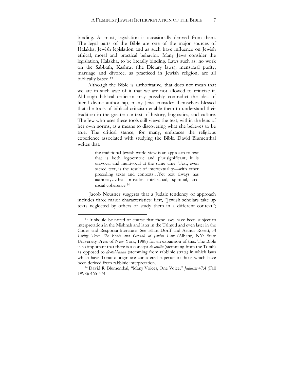binding. At most, legislation is occasionally derived from them. The legal parts of the Bible are one of the major sources of Halakha, Jewish legislation and as such have influence on Jewish ethical, moral and practical behavior. Many Jews consider the legislation, Halakha, to be literally binding. Laws such as: no work on the Sabbath, Kashrut (the Dietary laws), menstrual purity, marriage and divorce, as practiced in Jewish religion, are all biblically based.13

Although the Bible is authoritative, that does not mean that we are in such awe of it that we are not allowed to criticize it. Although biblical criticism may possibly contradict the idea of literal divine authorship, many Jews consider themselves blessed that the tools of biblical criticism enable them to understand their tradition in the greater context of history, linguistics, and culture. The Jew who uses these tools still views the text, within the lens of her own norms, as a means to discovering what she believes to be true. The critical stance, for many, embraces the religious experience associated with studying the Bible. David Blumenthal writes that:

> the traditional Jewish world view is an approach to text that is both logocentric and plurisignificant; it is univocal and multivocal at the same time. Text, even sacred text, is the result of intertextuality—with other preceding texts and contexts…Yet text always has authority…that provides intellectual, spiritual, and social coherence.14

 Jacob Neusner suggests that a Judaic tendency or approach includes three major characteristics: first, "Jewish scholars take up texts neglected by others or study them in a different context";

<sup>&</sup>lt;sup>13</sup> It should be noted of course that these laws have been subject to interpretation in the Mishnah and later in the Talmud and even later in the Codes and Responsa literature. See Elliot Dorff and Arthur Rosett, *A Living Tree: The Roots and Growth of Jewish Law* (Albany, NY: State University Press of New York, 1988) for an expansion of this. The Bible is so important that there is a concept *de-oraita* (stemming from the Torah) as opposed to *de-rabbanan* (stemming from rabbinic strata) in which laws which have Toraitic origin are considered superior to those which have been derived from rabbinic interpretation. 14 David R. Blumenthal, "Many Voices, One Voice," *Judaism* 47:4 (Fall

<sup>1998): 465-474.</sup>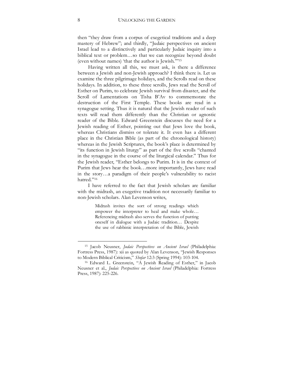then "they draw from a corpus of exegetical traditions and a deep mastery of Hebrew"; and thirdly, "Judaic perspectives on ancient Israel lead to a distinctively and particularly Judaic inquiry into a biblical text or problem…so that we can recognize beyond doubt (even without names) 'that the author is Jewish.'"15

Having written all this, we must ask, is there a difference between a Jewish and non-Jewish approach? I think there is. Let us examine the three pilgrimage holidays, and the Scrolls read on these holidays. In addition, to these three scrolls, Jews read the Scroll of Esther on Purim, to celebrate Jewish survival from disaster, and the Scroll of Lamentations on Tisha B'Av to commemorate the destruction of the First Temple. These books are read in a synagogue setting. Thus it is natural that the Jewish reader of such texts will read them differently than the Christian or agnostic reader of the Bible. Edward Greenstein discusses the need for a Jewish reading of Esther, pointing out that Jews love the book, whereas Christians dismiss or tolerate it. It even has a different place in the Christian Bible (as part of the chronological history) whereas in the Jewish Scriptures, the book's place is determined by "its function in Jewish liturgy" as part of the five scrolls "chanted in the synagogue in the course of the liturgical calendar." Thus for the Jewish reader, "Esther belongs to Purim. It is in the context of Purim that Jews hear the book…more importantly, Jews have read in the story…a paradigm of their people's vulnerability to racist hatred."<sup>16</sup>

I have referred to the fact that Jewish scholars are familiar with the midrash, an exegetive tradition not necessarily familiar to non-Jewish scholars. Alan Levenson writes,

> Midrash invites the sort of strong readings which empower the interpreter to heal and make whole… Referencing midrash also serves the function of putting oneself in dialogue with a Judaic tradition… Despite the use of rabbinic interpretation of the Bible, Jewish

<sup>15</sup> Jacob Neusner, *Judaic Perspectives on Ancient Israel* (Philadelphia: Fortress Press, 1987): xii as quoted by Alan Levenson, "Jewish Responses to Modern Biblical Criticism," *Shofar* 12:3 (Spring 1994): 103-104. 16 Edward L. Greenstein, "A Jewish Reading of Esther," in Jacob

Neusner et al., *Judaic Perspectives on Ancient Israel* (Philadelphia: Fortress Press, 1987): 225-226.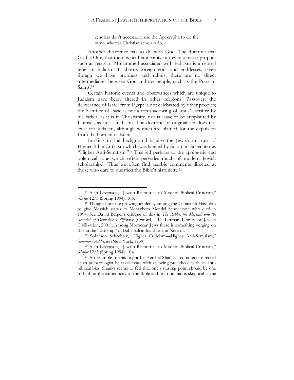scholars don't necessarily use the Apocrypha to do the same, whereas Christian scholars do.<sup>17</sup>

Another difference has to do with God. The doctrine that God is One, that there is neither a trinity nor even a major prophet such as Jesus or Mohammed associated with Judaism is a central tenet in Judaism. It abhors foreign gods and goddesses. Even though we have prophets and rabbis, there are no direct intermediaries between God and the people, such as the Pope or Saints.18

Certain historic events and observances which are unique to Judaism have been altered in other religions. Passover, the deliverance of Israel from Egypt is not celebrated by other peoples; the Sacrifice of Isaac is not a foreshadowing of Jesus' sacrifice by his father, as it is in Christianity, nor is Isaac to be supplanted by Ishmael, as he is in Islam. The doctrine of original sin does not exist for Judaism, although women are blamed for the expulsion from the Garden of Eden.

Lurking in the background is also the Jewish mistrust of Higher Bible Criticism which was labeled by Solomon Schechter as "Higher Anti-Semitism."19 This led perhaps to the apologetic and polemical tone which often pervades much of modern Jewish scholarship.20 Thus we often find acerbic comments directed at those who dare to question the Bible's historicity.21

<sup>17</sup> Alan Levenson, "Jewish Responses to Modern Biblical Criticism," *Shofar* 12/3 (Spring 1994): 106.

<sup>&</sup>lt;sup>18</sup> Though note the growing tendency among the Lubavitch Hassidim to give Messiah status to Menachem Mendel Schneerson who died in 1994. See David Berger's critique of this in *The Rebbe, the Messiah and the Scandal of Orthodox Indifference* (Oxford, UK: Littman Library of Jewish Civilization, 2001). Among Moroccan Jews there is something verging on this in the "worship" of Baba Sali at his shrine in Netivot. 19 Solomon Schechter, "Higher Criticism—Higher Anti-Semitism,"

*Seminary Addresses* (New York, 1959). 20 Alan Levenson, "Jewish Responses to Modern Biblical Criticism,"

*Shofar* 12/3 (Spring 1994): 104.

<sup>21</sup> An example of this might be Hershel Shanks's comments directed at an archaeologist he takes issue with as being prejudiced with an antibiblical bias. Shanks seems to feel that one's starting point should be one of faith in the authenticity of the Bible and not one that is skeptical at the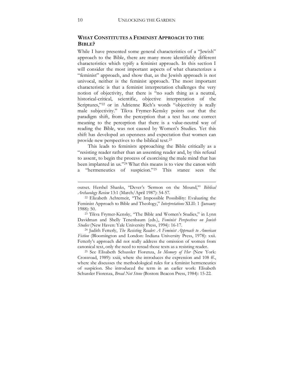# **WHAT CONSTITUTES A FEMINIST APPROACH TO THE BIBLE?**

While I have presented some general characteristics of a "Jewish" approach to the Bible, there are many more identifiably different characteristics which typify a feminist approach. In this section I will consider the most important aspects of what characterizes a "feminist" approach, and show that, as the Jewish approach is not univocal, neither is the feminist approach. The most important characteristic is that a feminist interpretation challenges the very notion of objectivity, that there is  $\alpha$  io such thing as a neutral, historical-critical, scientific, objective interpretation of the Scriptures,"<sup>22</sup> or in Adrienne Rich's words "objectivity is really male subjectivity." Tikva Frymer-Kensky points out that the paradigm shift, from the perception that a text has one correct meaning to the perception that there is a value-neutral way of reading the Bible, was not caused by Women's Studies. Yet this shift has developed an openness and expectation that women can provide new perspectives to the biblical text.23

This leads to feminists approaching the Bible critically as a "resisting reader rather than an assenting reader and, by this refusal to assent, to begin the process of exorcising the male mind that has been implanted in us."24 What this means is to view the canon with a "hermeneutics of suspicion."25 This stance sees the

outset. Hershel Shanks, "Dever's 'Sermon on the Mound,'" *Biblical Archaeology Review* 13:1 (March/April 1987): 54-57. 22 Elizabeth Achtemeir, "The Impossible Possibility: Evaluating the

Davidman and Shelly Tenenbaum (eds.), *Feminist Perspectives on Jewish Studies* (New Haven: Yale University Press, 1994): 16-17. 24 Judith Fetterly, *The Resisting Reader: A Feminist Approach to American* 

*Fiction* (Bloomington and London: Indiana University Press, 1978): xxii. Fetterly's approach did not really address the omission of women from canonical text, only the need to reread those texts as a resisting reader. 25 See Elisabeth Schussler Fiorenza, *In Memory of Her* (New York:

Crossroad, 1989): xxiii, where she introduces the expression and 108 ff., where she discusses the methodological rules for a feminist hermeneutics of suspicion. She introduced the term in an earlier work: Elisabeth Schussler Fiorenza, *Bread Not Stone* (Boston: Beacon Press, 1984): 15-22.

Feminist Approach to Bible and Theology," *Interpretations* XLII: 1 (January 1988): 50. 23 Tikva Frymer-Kensky, "The Bible and Women's Studies," in Lynn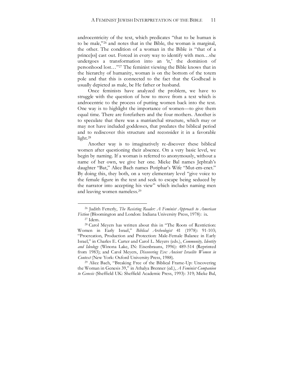androcentricity of the text, which predicates "that to be human is to be male,"26 and notes that in the Bible, the woman is marginal, the other. The condition of a woman in the Bible is "that of a prince[ss] cast out. Forced in every way to identify with men…she undergoes a transformation into an 'it,' the dominion of personhood lost…"27 The feminist viewing the Bible knows that in the hierarchy of humanity, woman is on the bottom of the totem pole and that this is connected to the fact that the Godhead is usually depicted as male, be He father or husband.

Once feminists have analyzed the problem, we have to struggle with the question of how to move from a text which is androcentric to the process of putting women back into the text. One way is to highlight the importance of women—to give them equal time. There are forefathers and the four mothers. Another is to speculate that there was a matriarchal structure, which may or may not have included goddesses, that predates the biblical period and to rediscover this structure and reconsider it in a favorable light.28

Another way is to imaginatively re-discover these biblical women after questioning their absence. On a very basic level, we begin by naming. If a woman is referred to anonymously, without a name of her own, we give her one. Mieke Bal names Jephtah's daughter "Bat," Alice Bach names Potiphar's Wife "Mut-em-enet." By doing this, they both, on a very elementary level "give voice to the female figure in the text and seek to escape being seduced by the narrator into accepting his view" which includes naming men and leaving women nameless.29

<sup>26</sup> Judith Fetterly, *The Resisting Reader: A Feminist Approach to American Fiction* (Bloomington and London: Indiana University Press, 1978): ix. <sup>27</sup> Idem.

<sup>28</sup> Carol Meyers has written about this in "The Roots of Restriction: Women in Early Israel," *Biblical Archeologist* 41 (1978): 91-103; "Procreation, Production and Protection: Male-Female Balance in Early Israel," in Charles E. Carter and Carol L. Meyers (eds.), *Community, Identity and Ideology* (Winona Lake, IN: Eisenbrauns, 1996): 489-514 (Reprinted from 1983); and Carol Meyers, *Discovering Eve: Ancient Israelite Women in Context* (New York: Oxford University Press, 1988). 29 Alice Bach, "Breaking Free of the Biblical Frame-Up: Uncovering

the Woman in Genesis 39," in Athalya Brenner (ed.), *A Feminist Companion to Genesis* (Sheffield UK: Sheffield Academic Press, 1993): 319; Mieke Bal,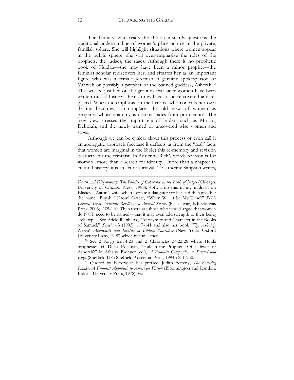The feminist who reads the Bible constantly questions the traditional understanding of women's place or role in the private, familial, sphere. She will highlight situations where women appear in the public sphere: she will over-emphasize the roles of the prophets, the judges, the sages. Although there is no prophetic book of Huldah—she may have been a minor prophet—the feminist scholar rediscovers her, and situates her as an important figure who was a female Jeremiah, a genuine spokesperson of Yahweh or possibly a prophet of the banned goddess, Asherah.<sup>30</sup> This will be justified on the grounds that since women have been written out of history, their stories have to be re-covered and replaced. When the emphasis on the heroine who controls her own destiny becomes commonplace, the old view of women as property, whose anatomy is destiny, fades from prominence. The new view stresses the importance of leaders such as Miriam, Deborah, and the newly named or uncovered wise women and sages.

Although we can be cynical about this process or even call it an apologetic approach (because it deflects us from the "real" facts that women are marginal in the Bible) this re-memory and revision is crucial for the feminist. In Adrienne Rich's words revision is for women "more than a search for identity…more than a chapter in cultural history; it is an act of survival."31 Catherine Simpson writes,

*Death and Dissymmetry: The Politics of Coherence in the Book of Judges* (Chicago: University of Chicago Press, 1988): 43ff. I do this in my midrash on Elisheva, Aaron's wife, when I create a daughter for her and then give her the name "Bityah." Naomi Graetz, "When Will it be My Time?" *S/He Created Them: Feminist Retellings of Biblical Stories* (Piscataway, NJ: Gorgias Press, 2003): 105-110. Then there are those who would argue that women do NOT need to be named—that it may even add strength to their being archetypes. See Adele Reinhartz, "Anonymity and Character in the Books of Samuel," *Semeia* 63 (1993): 117-141 and also her book *Why Ask My Name?: Anonymity and Identity in Biblical Narrative* (New York: Oxford University Press, 1998) which includes men. 30 See 2 Kings 22.14-20 and 2 Chronicles 34.22-28 where Hulda

prophesies. cf. Diana Edelman, "Huldah the Prophet—Of Yahweh or Asherah?" in Athalya Brenner (ed.), *A Feminist Companion to Samuel and Kings* (Sheffield UK: Sheffield Academic Press, 1994): 231-250.

31 Quoted by Fetterly in her preface, Judith Fetterly, *The Resisting Reader: A Feminist Approach to American Fiction* (Bloomington and London: Indiana University Press, 1978): viii.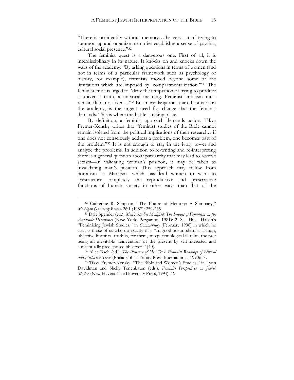"There is no identity without memory…the very act of trying to summon up and organize memories establishes a sense of psychic, cultural social presence."32

The feminist quest is a dangerous one. First of all, it is interdisciplinary in its nature. It knocks on and knocks down the walls of the academy: "By asking questions in terms of women (and not in terms of a particular framework such as psychology or history, for example), feminists moved beyond some of the limitations which are imposed by 'compartmentalization.'"33 The feminist critic is urged to "deny the temptation of trying to produce a universal truth, a univocal meaning. Feminist criticism must remain fluid, not fixed…"34 But more dangerous than the attack on the academy, is the urgent need for change that the feminist demands. This is where the battle is taking place.

By definition, a feminist approach demands action. Tikva Frymer-Kensky writes that "feminist studies of the Bible cannot remain isolated from the political implications of their research…if one does not consciously address a problem, one becomes part of the problem."35 It is not enough to stay in the ivory tower and analyze the problems. In addition to re-writing and re-interpreting there is a general question about patriarchy that may lead to reverse sexism—in validating woman's position, it may be taken as invalidating man's position. This approach may follow from Socialism or Marxism—which has lead women to want to "restructure completely the reproductive and preservative functions of human society in other ways than that of the

<sup>32</sup> Catherine R. Simpson, "The Future of Memory: A Summary," *Michigan Quarterly Review* 26:1 (1987): 259-265. 33 Dale Spender (ed.), *Men's Studies Modified: The Impact of Feminism on the* 

*Academic Disciplines* (New York: Pergamon, 1981): 2. See Hillel Halkin's "Feminizing Jewish Studies," in *Commentary* (February 1998) in which he attacks those of us who do exactly this: "In good postmodernist fashion, objective historical truth is, for them, an epistemological illusion, the past being an inevitable 'reinvention' of the present by self-interested and conceptually predisposed observers" (40). 34 Alice Bach (ed.), *The Pleasure of Her Text: Feminist Readings of Biblical* 

*and Historical Texts* (Philadelphia: Trinity Press International, 1990): ix. 35 Tikva Frymer-Kensky, "The Bible and Women's Studies," in Lynn

Davidman and Shelly Tenenbaum (eds.), *Feminist Perspectives on Jewish Studies* (New Haven: Yale University Press, 1994): 19.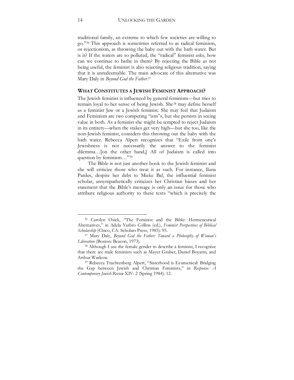traditional family, an extreme to which few societies are willing to go."36 This approach is sometimes referred to as radical feminism, or rejectionism, as throwing the baby out with the bath water. But is it? If the waters are so polluted, the "radical" feminist asks, how can we continue to bathe in them? By rejecting the Bible as not being useful, the feminist is also rejecting religious tradition, saying that it is unredeemable. The main advocate of this alternative was Mary Daly in *Beyond God the Father*. 37

### **WHAT CONSTITUTES A JEWISH FEMINIST APPROACH?**

The Jewish feminist is influenced by general feminism—but tries to remain loyal to her sense of being Jewish. She38 may define herself as a feminist Jew or a Jewish feminist. She may feel that Judaism and Feminism are two competing "ism"s, but she persists in seeing value in both. As a feminist she might be tempted to reject Judaism in its entirety—when the stakes get very high—but she too, like the non-Jewish feminist, considers this throwing out the baby with the bath water. Rebecca Alpert recognizes that "Exile from one's Jewishness is not necessarily the answer to the feminist dilemma…[on the other hand,] All of Judaism is called into question by feminism…"39

The Bible is not just another book to the Jewish feminist and she will criticize those who treat it as such. For instance, Ilana Pardes, despite her debt to Mieke Bal, the influential feminist scholar, unsympathetically criticizes her Christian biases and her statement that the Bible's message is only an issue for those who attribute religious authority to these texts "which is precisely the

<sup>36</sup> Carolyn Osiek, "The Feminist and the Bible: Hermeneutical Alternatives," in Adela Yarbro Collins (ed.), *Feminist Perspectives of Biblical Scholarship* (Chico, CA: Scholars Press, 1985): 95. 37 Mary Daly, *Beyond God the Father: Toward a Philosophy of Woman's* 

*Liberation* (Boston: Beacon, 1973).<br><sup>38</sup> Although I use the female gender to describe a feminist, I recognize

that there are male feminists such as Mayer Gruber, Daniel Boyarin, and Arthur Waskow.<br><sup>39</sup> Rebecca Trachtenberg Alpert, "Sisterhood is Ecumenical: Bridging

the Gap between Jewish and Christian Feminists," in *Response: A Contemporary Jewish Review* XIV: 2 (Spring 1984): 12.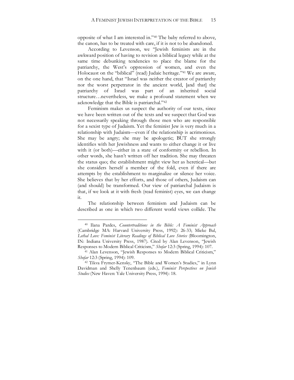opposite of what I am interested in."40 The baby referred to above, the canon, has to be treated with care, if it is not to be abandoned.

According to Levenson, we "Jewish feminists are in the awkward position of having to revision a biblical legacy while at the same time debunking tendencies to place the blame for the patriarchy, the West's oppression of women, and even the Holocaust on the "biblical" (read) Judaic heritage."<sup>41</sup> We are aware, on the one hand, that "Israel was neither the creator of patriarchy nor the worst perpetrator in the ancient world, [and that] the patriarchy of Israel was part of an inherited social structure…nevertheless, we make a profound statement when we acknowledge that the Bible is patriarchal."42

Feminism makes us suspect the authority of our texts, since we have been written out of the texts and we suspect that God was not necessarily speaking through those men who are responsible for a sexist type of Judaism. Yet the feminist Jew is very much in a relationship with Judaism—even if the relationship is acrimonious. She may be angry; she may be apologetic; BUT she strongly identifies with her Jewishness and wants to either change it or live with it (or both)—either in a state of conformity or rebellion. In other words, she hasn't written off her tradition. She may threaten the status quo; the establishment might view her as heretical—but she considers herself a member of the fold, even if there are attempts by the establishment to marginalize or silence her voice. She believes that by her efforts, and those of others, Judaism can (and should) be transformed. Our view of patriarchal Judaism is that, if we look at it with fresh (read feminist) eyes, we can change it.

The relationship between feminism and Judaism can be described as one in which two different world views collide. The

<sup>40</sup> Ilana Pardes, *Countertraditions in the Bible: A Feminist Approach*  (Cambridge MA: Harvard University Press, 1992): 26-33; Mieke Bal, Lethal Love: Feminist Literary Readings of Biblical Love Stories (Bloomington, IN: Indiana University Press, 1987). Cited by Alan Levenson, "Jewish Responses to Modern Biblical Criticism," *Shofar* 12:3 (Spring, 1994): 107. 41 Alan Levenson, "Jewish Responses to Modern Biblical Criticism,"

*Shofar* 12:3 (Spring, 1994): 109. 42 Tikva Frymer-Kensky, "The Bible and Women's Studies," in Lynn

Davidman and Shelly Tenenbaum (eds.), *Feminist Perspectives on Jewish Studies* (New Haven: Yale University Press, 1994): 18.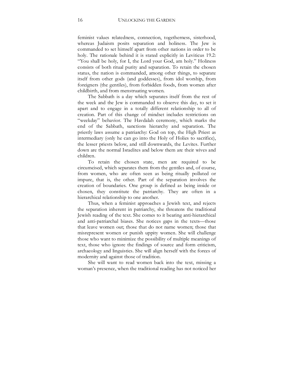feminist values relatedness, connection, togetherness, sisterhood, whereas Judaism posits separation and holiness. The Jew is commanded to set himself apart from other nations in order to be holy. The rationale behind it is stated explicitly in Leviticus 19.2: "You shall be holy, for I, the Lord your God, am holy." Holiness consists of both ritual purity and separation. To retain the chosen status, the nation is commanded, among other things, to separate itself from other gods (and goddesses), from idol worship, from foreigners (the gentiles), from forbidden foods, from women after childbirth, and from menstruating women.

The Sabbath is a day which separates itself from the rest of the week and the Jew is commanded to observe this day, to set it apart and to engage in a totally different relationship to all of creation. Part of this change of mindset includes restrictions on "weekday" behavior. The Havdalah ceremony, which marks the end of the Sabbath, sanctions hierarchy and separation. The priestly laws assume a patriarchy: God on top, the High Priest as intermediary (only he can go into the Holy of Holies to sacrifice), the lesser priests below, and still downwards, the Levites. Further down are the normal Israelites and below them are their wives and children.

To retain the chosen state, men are required to be circumcised, which separates them from the gentiles and, of course, from women, who are often seen as being ritually polluted or impure, that is, the other. Part of the separation involves the creation of boundaries. One group is defined as being inside or chosen, they constitute the patriarchy. They are often in a hierarchical relationship to one another.

Thus, when a feminist approaches a Jewish text, and rejects the separation inherent in patriarchy, she threatens the traditional Jewish reading of the text. She comes to it bearing anti-hierarchical and anti-patriarchal biases. She notices gaps in the texts—those that leave women out; those that do not name women; those that misrepresent women or punish uppity women. She will challenge those who want to minimize the possibility of multiple meanings of text, those who ignore the findings of source and form criticism, archaeology and linguistics. She will align herself with the forces of modernity and against those of tradition.

She will want to read women back into the text, missing a woman's presence, when the traditional reading has not noticed her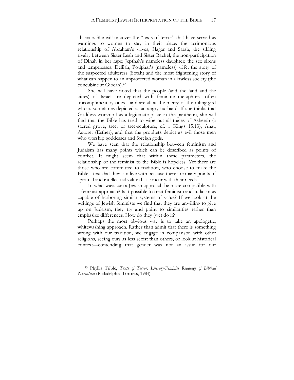absence. She will uncover the "texts of terror" that have served as warnings to women to stay in their place: the acrimonious relationship of Abraham's wives, Hagar and Sarah; the sibling rivalry between Sister Leah and Sister Rachel; the non-participation of Dinah in her rape; Jepthah's nameless daughter; the sex sirens and temptresses: Delilah, Potiphar's (nameless) wife; the story of the suspected adulteress (Sotah) and the most frightening story of what can happen to an unprotected woman in a lawless society (the concubine at Gibeah).43

She will have noted that the people (and the land and the cities) of Israel are depicted with feminine metaphors—often uncomplimentary ones—and are all at the mercy of the ruling god who is sometimes depicted as an angry husband. If she thinks that Goddess worship has a legitimate place in the pantheon, she will find that the Bible has tried to wipe out all traces of Asherah (a sacred grove, tree, or tree-sculpture, cf. 1 Kings 15.13), Anat, Astoret (Esther), and that the prophets depict as evil those men who worship goddesses and foreign gods.

We have seen that the relationship between feminism and Judaism has many points which can be described as points of conflict. It might seem that within these parameters, the relationship of the feminist to the Bible is hopeless. Yet there are those who are committed to tradition, who choose to make the Bible a text that they can live with because there are many points of spiritual and intellectual value that concur with their needs.

In what ways can a Jewish approach be more compatible with a feminist approach? Is it possible to treat feminism and Judaism as capable of harboring similar systems of value? If we look at the writings of Jewish feminists we find that they are unwilling to give up on Judaism; they try and point to similarities rather than emphasize differences. How do they (we) do it?

Perhaps the most obvious way is to take an apologetic, whitewashing approach. Rather than admit that there is something wrong with our tradition, we engage in comparison with other religions, seeing ours as less sexist than others, or look at historical context—contending that gender was not an issue for our

<sup>43</sup> Phyllis Trible, *Texts of Terror: Literary-Feminist Readings of Biblical Narratives* (Philadelphia: Fortress, 1984).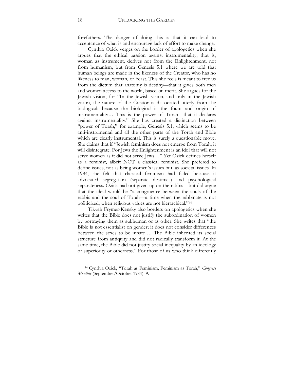forefathers. The danger of doing this is that it can lead to acceptance of what is and encourage lack of effort to make change.

Cynthia Ozick verges on the border of apologetics when she argues that the ethical passion against instrumentality, that is, woman as instrument, derives not from the Enlightenment, not from humanism, but from Genesis 5.1 where we are told that human beings are made in the likeness of the Creator, who has no likeness to man, woman, or beast. This she feels is meant to free us from the dictum that anatomy is destiny—that it gives both men and women access to the world, based on merit. She argues for the Jewish vision, for "In the Jewish vision, and only in the Jewish vision, the nature of the Creator is dissociated utterly from the biological: because the biological is the fount and origin of instrumentality… This is the power of Torah—that it declares against instrumentality." She has created a distinction between "power of Torah," for example, Genesis 5.1, which seems to be anti-instrumental and all the other parts of the Torah and Bible which are clearly instrumental. This is surely a questionable move. She claims that if "Jewish feminism does not emerge from Torah, it will disintegrate. For Jews the Enlightenment is an idol that will not serve women as it did not serve Jews…" Yet Ozick defines herself as a feminist, albeit NOT a classical feminist. She prefered to define issues, not as being women's issues but, as societal issues. In 1984, she felt that classical feminism had failed because it advocated segregation (separate destinies) and psychological separateness. Ozick had not given up on the rabbis—but did argue that the ideal would be "a congruence between the souls of the rabbis and the soul of Torah—a time when the rabbinate is not politicized, when religious values are not hierarchical."44

Tikvah Frymer-Kensky also borders on apologetics when she writes that the Bible does not justify the subordination of women by portraying them as subhuman or as other. She writes that "the Bible is not essentialist on gender; it does not consider differences between the sexes to be innate…. The Bible inherited its social structure from antiquity and did not radically transform it. At the same time, the Bible did not justify social inequality by an ideology of superiority or otherness." For those of us who think differently

<sup>44</sup> Cynthia Ozick, "Torah as Feminism, Feminism as Torah," *Congress Monthly* (September/October 1984): 9.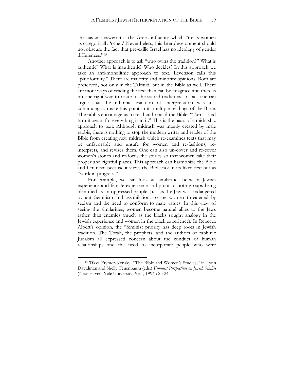she has an answer: it is the Greek influence which "treats women as categorically 'other.' Nevertheless, this later development should not obscure the fact that pre-exilic Israel has no ideology of gender differences."45

Another approach is to ask "who owns the tradition?" What is authentic? What is inauthentic? Who decides? In this approach we take an anti-monolithic approach to text. Levenson calls this "pluriformity." There are majority and minority opinions. Both are preserved, not only in the Talmud, but in the Bible as well. There are more ways of reading the text than can be imagined and there is no one right way to relate to the sacred traditions. In fact one can argue that the rabbinic tradition of interpretation was just continuing to make this point in its multiple readings of the Bible. The rabbis encourage us to read and reread the Bible: "Turn it and turn it again, for everything is in it." This is the basis of a midrashic approach to text. Although midrash was mostly created by male rabbis, there is nothing to stop the modern writer and reader of the Bible from creating new midrash which re-examines texts that may be unfavorable and unsafe for women and re-fashions, reinterprets, and revises them. One can also un-cover and re-cover women's stories and re-focus the stories so that women take their proper and rightful places. This approach can harmonize the Bible and feminism because it views the Bible not in its fixed text but as "work in progress."

For example, we can look at similarities between Jewish experience and female experience and point to both groups being identified as an oppressed people. Just as the Jew was endangered by anti-Semitism and assimilation; so are women threatened by sexism and the need to conform to male values. In this view of seeing the similarities, women become natural allies to the Jews rather than enemies (much as the blacks sought analogy in the Jewish experience and women in the black experience). In Rebecca Alpert's opinion, the "feminist priority has deep roots in Jewish tradition. The Torah, the prophets, and the authors of rabbinic Judaism all expressed concern about the conduct of human relationships and the need to incorporate people who were

<sup>45</sup> Tikva Frymer-Kensky, "The Bible and Women's Studies," in Lynn Davidman and Shelly Tenenbaum (eds.) *Feminist Perspectives on Jewish Studies* (New Haven: Yale University Press, 1994): 23-24.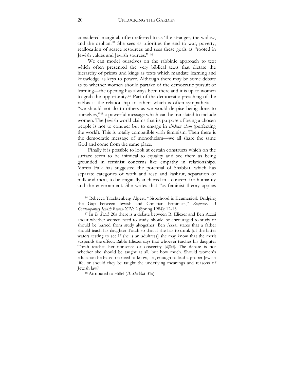considered marginal, often referred to as 'the stranger, the widow, and the orphan.'" She sees as priorities the end to war, poverty, reallocation of scarce resources and sees these goals as "rooted in Jewish values and Jewish sources." 46

We can model ourselves on the rabbinic approach to text which often presented the very biblical texts that dictate the hierarchy of priests and kings as texts which mandate learning and knowledge as keys to power. Although there may be some debate as to whether women should partake of the democratic pursuit of learning—the opening has always been there and it is up to women to grab the opportunity.47 Part of the democratic preaching of the rabbis is the relationship to others which is often sympathetic— "we should not do to others as we would despise being done to ourselves,"48 a powerful message which can be translated to include women. The Jewish world claims that its purpose of being a chosen people is not to conquer but to engage in *tikkun olam* (perfecting the world). This is totally compatible with feminism. Then there is the democratic message of monotheism—we all share the same God and come from the same place.

Finally it is possible to look at certain constructs which on the surface seem to be inimical to equality and see them as being grounded in feminist concerns like empathy in relationships. Marcia Falk has suggested the potential of Shabbat, which has separate categories of work and rest; and kashrut, separation of milk and meat, to be originally anchored in a concern for humanity and the environment. She writes that "as feminist theory applies

<sup>46</sup> Rebecca Trachtenberg Alpert, "Sisterhood is Ecumenical: Bridging the Gap between Jewish and Christian Feminists," *Response: A Contemporary Jewish Review* XIV: 2 (Spring 1984): 12-13. 47 In *B. Sotah* 20a there is a debate between R. Eliezer and Ben Azzai

about whether women need to study, should be encouraged to study or should be barred from study altogether. Ben Azzai states that a father should teach his daughter Torah so that if she has to drink [of the bitter waters testing to see if she is an adultress] she may know that the merit suspends the effect. Rabbi Eliezer says that whoever teaches his daughter Torah teaches her nonsense or obscenity [*tiflut*]. The debate is not whether she should be taught at all, but how much. Should women's education be based on need to know, i.e., enough to lead a proper Jewish life, or should they be taught the underlying meanings and reasons of Jewish law? 48 Attributed to Hillel (*B. Shabba*t 31a).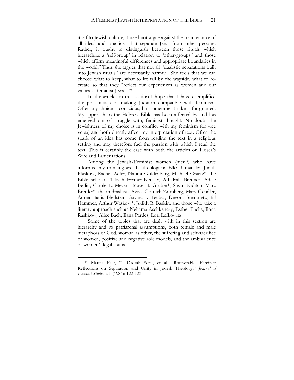itself to Jewish culture, it need not argue against the maintenance of all ideas and practices that separate Jews from other peoples. Rather, it ought to distinguish between those rituals which hierarchize a 'self-group' in relation to 'other-groups,' and those which affirm meaningful differences and appropriate boundaries in the world." Thus she argues that not all "dualistic separations built into Jewish rituals" are necessarily harmful. She feels that we can choose what to keep, what to let fall by the wayside, what to recreate so that they "reflect our experiences as women and our values as feminist Jews." 49

In the articles in this section I hope that I have exemplified the possibilities of making Judaism compatible with feminism. Often my choice is conscious, but sometimes I take it for granted. My approach to the Hebrew Bible has been affected by and has emerged out of struggle with, feminist thought. No doubt the Jewishness of my choice is in conflict with my feminism (or vice versa) and both directly affect my interpretation of text. Often the spark of an idea has come from reading the text in a religious setting and may therefore fuel the passion with which I read the text. This is certainly the case with both the articles on Hosea's Wife and Lamentations.

Among the Jewish/Feminist women (men\*) who have informed my thinking are the theologians Ellen Umansky, Judith Plaskow, Rachel Adler, Naomi Goldenberg, Michael Graetz\*; the Bible scholars Tikvah Frymer-Kensky, Athalyah Brenner, Adele Berlin, Carole L. Meyers, Mayer I. Gruber\*, Susan Niditch, Marc Brettler\*; the midrashists Aviva Gottlieb Zornberg, Mary Gendler, Adrien Janis Bledstein, Savina J. Teubal, Devora Steinmetz, Jill Hammer, Arthur Waskow\*, Judith R. Baskin; and those who take a literary approach such as Nehama Aschkenazy, Esther Fuchs, Ilona Rashkow, Alice Bach, Ilana Pardes, Lori Lefkowitz.

Some of the topics that are dealt with in this section are hierarchy and its patriarchal assumptions, both female and male metaphors of God, woman as other, the suffering and self-sacrifice of women, positive and negative role models, and the ambivalence of women's legal status.

<sup>49</sup> Marcia Falk, T. Drorah Setel, et al, "Roundtable: Feminist Reflections on Separation and Unity in Jewish Theology," *Journal of Feminist Studies* 2:1 (1986): 122-123.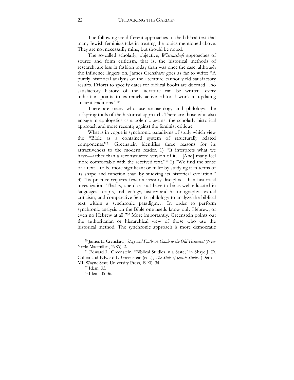The following are different approaches to the biblical text that many Jewish feminists take in treating the topics mentioned above. They are not necessarily mine, but should be noted.

The so-called scholarly, objective, *Wissenschaft* approaches of source and form criticism, that is, the historical methods of research, are less in fashion today than was once the case, although the influence lingers on. James Crenshaw goes as far to write: "A purely historical analysis of the literature cannot yield satisfactory results. Efforts to specify dates for biblical books are doomed…no satisfactory history of the literature can be written…every indication points to extremely active editorial work in updating ancient traditions."50

There are many who use archaeology and philology, the offspring tools of the historical approach. There are those who also engage in apologetics as a polemic against the scholarly historical approach and more recently against the feminist critique.

What is in vogue is synchronic paradigms of study which view the "Bible as a contained system of structurally related components."51 Greenstein identifies three reasons for its attractiveness to the modern reader. 1) "It interprets what we have—rather than a reconstructed version of it... [And] many feel more comfortable with the received text."52 2) "We find the sense of a text…to be more significant or fuller by studying it in terms of its shape and function than by studying its historical evolution." 3) "Its practice requires fewer accessory disciplines than historical investigation. That is, one does not have to be as well educated in languages, scripts, archaeology, history and historiography, textual criticism, and comparative Semitic philology to analyze the biblical text within a synchronic paradigm… In order to perform synchronic analysis on the Bible one needs know only Hebrew, or even no Hebrew at all."53 More importantly, Greenstein points out the authoritarian or hierarchical view of those who use the historical method. The synchronic approach is more democratic

<sup>50</sup> James L. Crenshaw, *Story and Faith: A Guide to the Old Testament* (New

York: Macmillan, 1986): 2. 51 Edward L. Greenstein, "Biblical Studies in a State," in Shaye J. D. Cohen and Edward L. Greenstein (eds.), *The State of Jewish Studies* (Detroit MI: Wayne State University Press, 1990): 34. 52 Idem: 35.

<sup>53</sup> Idem: 35-36.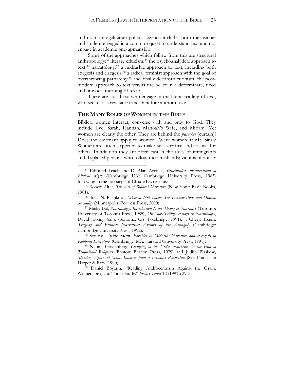and its more egalitarian political agenda includes both the teacher and student engaged in a common quest to understand text and not engage in academic one-upmanship.

Some of the approaches which follow from this are structural anthropology;54 literary criticism;55 the psychoanalytical approach to text;56 narratology;57 a midrashic approach to text, including both exegesis and eisegesis;<sup>58</sup> a radical feminist approach with the goal of overthrowing patriarchy;59 and finally deconstructionism, the postmodern approach to text versus the belief in a determinate, fixed and univocal meaning of text.60

There are still those who engage in the literal reading of text, who see text as revelation and therefore authoritative.

#### **THE MANY ROLES OF WOMEN IN THE BIBLE**

 $\overline{a}$ 

Biblical women interact, converse with and pray to God. They include Eve, Sarah, Hannah, Manoah's Wife, and Miriam. Yet women are clearly the other. They are behind the *parochet* (curtain)! Does the covenant apply to women? Were women at Mt. Sinai? Women are often expected to make self-sacrifice and to live for others. In addition they are often cast in the roles of immigrants and displaced persons who follow their husbands; victims of abuse:

*Rabbinic Literature.* (Cambridge, MA: Harvard University Press, 1991). 59 Naomi Goldenberg, *Changing of the Gods: Feminism*  $\mathcal{O}^*$  *the End of* 

*Traditional Religions* (Boston: Beacon Press, 1979) and Judith Plaskow, *Standing Again at Sinai: Judaism from a Feminist Perspective* (San Francisco: Harper & Row, 1990).<br><sup>60</sup> Daniel Boyarin, "Reading Androcentrism Against the Grain:

Women, Sex, and Torah-Study." *Poetics Today* 12 (1991): 29-53.

<sup>54</sup> Edmund Leach and D. Alan Aycock, *Structuralist Interpretations of Biblical Myth* (Cambridge UK: Cambridge University Press, 1983) following in the footsteps of Claude Levi-Strauss. 55 Robert Alter, *The Art of Biblical Narrative* (New York: Basic Books,

<sup>1981). 56</sup> Ilona N. Rashkow, *Taboo or Not Taboo: The Hebrew Bible and Human* 

*Sexuality* (Minneapolis: Fortress Press, 2000). 57 Mieke Bal, *Narratology: Introduction to the Theory of Narrative* (Toronto:

University of Toronto Press, 1985), *On Story-Telling: Essays in Narratology*, David Jobling (ed.), (Sonoma, CA: Polebridge, 1991); J. Cheryl Exum, *Tragedy and Biblical Narrative: Arrows of the Almighty* (Cambridge: Cambridge University Press, 1992). 58 See e.g., David Stern, *Parables in Midrash: Narrative and Exegesis in*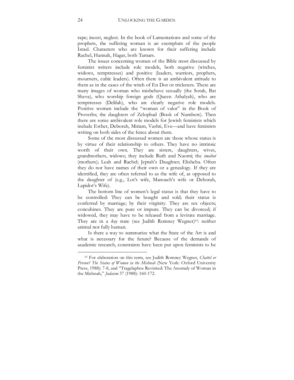rape; incest, neglect. In the book of Lamentations and some of the prophets, the suffering woman is an exemplum of the people Israel. Characters who are known for their suffering include Rachel, Hannah, Hagar, both Tamars.

The issues concerning women of the Bible most discussed by feminist writers include role models, both negative (witches, widows, temptresses) and positive (leaders, warriors, prophets, mourners, cultic leaders). Often there is an ambivalent attitude to them as in the cases of the witch of En Dor or tricksters. There are many images of woman who misbehave sexually (the Sotah, Bat Sheva), who worship foreign gods (Queen Athalyah), who are temptresses (Delilah), who are clearly negative role models. Positive women include the "woman of valor" in the Book of Proverbs; the daughters of Zelophad (Book of Numbers). Then there are some ambivalent role models for Jewish feminists which include Esther, Deborah, Miriam, Vashti, Eve—and have feminists writing on both sides of the fence about them.

Some of the most discussed women are those whose status is by virtue of their relationship to others. They have no intrinsic worth of their own. They are sisters, daughters, wives, grandmothers, widows; they include Ruth and Naomi; the *imahot* (mothers); Leah and Rachel; Jeptah's Daughter; Elisheba. Often they do not have names of their own or a genealogy. If they are identified, they are often referred to as the wife of, as opposed to the daughter of (e.g., Lot's wife, Manoach's wife or Deborah, Lapidot's Wife).

The bottom line of women's legal status is that they have to be controlled: They can be bought and sold; their status is conferred by marriage; by their virginity. They are sex objects; concubines. They are pure or impure. They can be divorced; if widowed, they may have to be released from a levirate marriage. They are in a *koy* state (see Judith Romney Wegner)<sup>61</sup>: neither animal nor fully human.

Is there a way to summarize what the State of the Art is and what is necessary for the future? Because of the demands of academic research, constraints have been put upon feminists to be

<sup>61</sup> For elaboration on this term, see Judith Romney Wegner, *Chattel or Person? The Status of Women in the Mishnah* (New York: Oxford University Press, 1988): 7-8, and "Tragelaphos Revisited: The Anomaly of Woman in the Mishnah," *Judaism* 37 (1988): 160-172.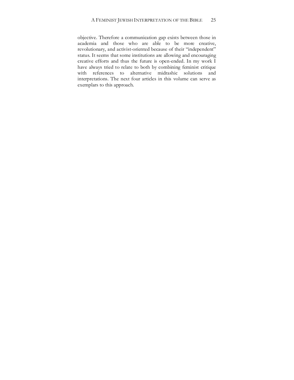objective. Therefore a communication gap exists between those in academia and those who are able to be more creative, revolutionary, and activist-oriented because of their "independent" status. It seems that some institutions are allowing and encouraging creative efforts and thus the future is open-ended. In my work I have always tried to relate to both by combining feminist critique with references to alternative midrashic solutions and interpretations. The next four articles in this volume can serve as exemplars to this approach.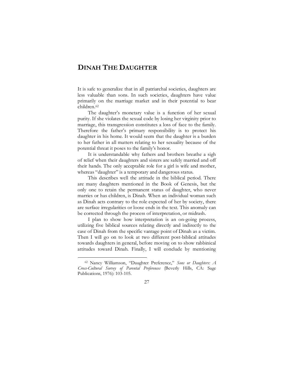# **DINAH THE DAUGHTER**

It is safe to generalize that in all patriarchal societies, daughters are less valuable than sons. In such societies, daughters have value primarily on the marriage market and in their potential to bear children.62

The daughter's monetary value is a function of her sexual purity. If she violates the sexual code by losing her virginity prior to marriage, this transgression constitutes a loss of face to the family. Therefore the father's primary responsibility is to protect his daughter in his home. It would seem that the daughter is a burden to her father in all matters relating to her sexuality because of the potential threat it poses to the family's honor.

It is understandable why fathers and brothers breathe a sigh of relief when their daughters and sisters are safely married and off their hands. The only acceptable role for a girl is wife and mother, whereas "daughter" is a temporary and dangerous status.

This describes well the attitude in the biblical period. There are many daughters mentioned in the Book of Genesis, but the only one to retain the permanent status of daughter, who never marries or has children, is Dinah. When an individual woman such as Dinah acts contrary to the role expected of her by society, there are surface irregularities or loose ends in the text. This anomaly can be corrected through the process of interpretation, or midrash.

I plan to show how interpretation is an on-going process, utilizing five biblical sources relating directly and indirectly to the case of Dinah from the specific vantage point of Dinah as a victim. Then I will go on to look at two different post-biblical attitudes towards daughters in general, before moving on to show rabbinical attitudes toward Dinah. Finally, I will conclude by mentioning

<sup>62</sup> Nancy Williamson, "Daughter Preference," *Sons or Daughters: A Cross-Cultural Survey of Parental Preferences* (Beverly Hills, CA: Sage Publications, 1976): 103-105.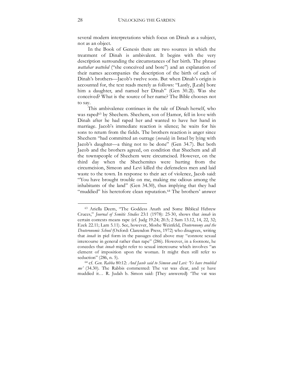several modern interpretations which focus on Dinah as a subject, not as an object.

In the Book of Genesis there are two sources in which the treatment of Dinah is ambivalent. It begins with the very description surrounding the circumstances of her birth. The phrase *wattahar watteled* ("she conceived and bore") and an explanation of their names accompanies the description of the birth of each of Dinah's brothers—Jacob's twelve sons. But when Dinah's origin is accounted for, the text reads merely as follows: "Lastly, [Leah] bore him a daughter, and named her Dinah" (Gen 30.2l). Was she conceived? What is the source of her name? The Bible chooses not to say.

This ambivalence continues in the tale of Dinah herself, who was raped<sup>63</sup> by Shechem. Shechem, son of Hamor, fell in love with Dinah after he had raped her and wanted to have her hand in marriage. Jacob's immediate reaction is silence; he waits for his sons to return from the fields. The brothers reaction is anger since Shechem "had committed an outrage (*nevala*) in Israel by lying with Jacob's daughter—a thing not to be done" (Gen 34.7). But both Jacob and the brothers agreed, on condition that Shechem and all the townspeople of Shechem were circumcised. However, on the third day when the Shechemites were hurting from the circumcision, Simeon and Levi killed the defenseless men and laid waste to the town. In response to their act of violence, Jacob said: "You have brought trouble on me, making me odious among the inhabitants of the land" (Gen 34.30), thus implying that they had "muddied" his heretofore clean reputation.<sup>64</sup> The brothers' answer

<sup>63</sup> Ariella Deem, "The Goddess Anath and Some Biblical Hebrew Cruces," *Journal of Semitic Studies* 23:1 (1978): 25-30, shows that *innah* in certain contexts means rape (cf. Judg 19.24; 20.5; 2 Sam 13.12, 14, 22, 32; Ezek 22.11; Lam 5.11). See, however, Moshe Weinfeld, *Deuteronomy and the Deuteronomic School* (Oxford: Clarendon Press, 1972) who disagrees, writing that *innah* in piel form in the passages cited above may "connote sexual intercourse in general rather than rape" (286). However, in a footnote, he concedes that *innah* might refer to sexual intercourse which involves "an element of imposition upon the woman. It might then still refer to seduction" (286, n. 5).

<sup>64</sup> cf. *Gen. Rabba* 80:12: *And Jacob said to Simeon and Levi: 'Ye have troubled me'* (34.30). The Rabbis commented: The vat was clear, and ye have muddied it… R. Judah b. Simon said: [They answered]: 'The vat was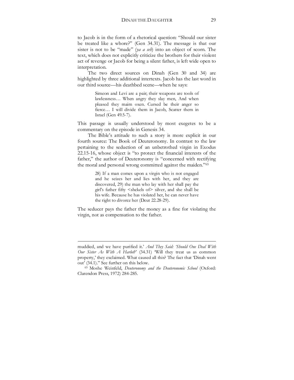to Jacob is in the form of a rhetorical question: "Should our sister be treated like a whore?" (Gen 34.31). The message is that our sister is not to be "made" (*ya a seh*) into an object of scorn. The text, which does not explicitly criticize the brothers for their violent act of revenge or Jacob for being a silent father, is left wide open to interpretation.

The two direct sources on Dinah (Gen 30 and 34) are highlighted by three additional intertexts. Jacob has the last word in our third source—his deathbed scene—when he says:

> Simeon and Levi are a pair; their weapons are tools of lawlessness… When angry they slay men, And when pleased they maim oxen. Cursed be their anger so fierce… I will divide them in Jacob, Scatter them in Israel (Gen 49.5-7).

This passage is usually understood by most exegetes to be a commentary on the episode in Genesis 34.

The Bible's attitude to such a story is more explicit in our fourth source: The Book of Deuteronomy. In contrast to the law pertaining to the seduction of an unbetrothed virgin in Exodus 22.15-16, whose object is "to protect the financial interests of the father," the author of Deuteronomy is "concerned with rectifying the moral and personal wrong committed against the maiden."65

> 28) If a man comes upon a virgin who is not engaged and he seizes her and lies with her, and they are discovered, 29) the man who lay with her shall pay the girl's father fifty <shekels of> silver, and she shall be his wife. Because he has violated her, he can never have the right to divorce her (Deut 22.28-29).

The seducer pays the father the money as a fine for violating the virgin, not as compensation to the father.

muddied, and we have purified it.' *And They Said: 'Should One Deal With Our Sister As With A Harlot*?' (34.31) 'Will they treat us as common property,' they exclaimed. What caused all this? The fact that 'Dinah went out' (34.1)." See further on this below. 65 Moshe Weinfeld, *Deuteronomy and the Deuteronomic School* (Oxford:

Clarendon Press, 1972) 284-285.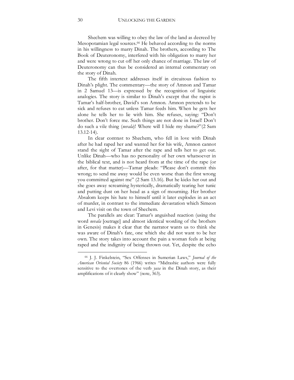Shechem was willing to obey the law of the land as decreed by Mesopotamian legal sources.<sup>66</sup> He behaved according to the norms in his willingness to marry Dinah. The brothers, according to The Book of Deuteronomy, interfered with his obligation to marry her and were wrong to cut off her only chance of marriage. The law of Deuteronomy can thus be considered an internal commentary on the story of Dinah.

The fifth intertext addresses itself in circuitous fashion to Dinah's plight. The commentary—the story of Amnon and Tamar in 2 Samuel 13—is expressed by the recognition of linguistic analogies. The story is similar to Dinah's except that the rapist is Tamar's half-brother, David's son Amnon. Amnon pretends to be sick and refuses to eat unless Tamar feeds him. When he gets her alone he tells her to lie with him. She refuses, saying: "Don't brother. Don't force me. Such things are not done in Israel! Don't do such a vile thing (*nevala*)! Where will I hide my shame?"(2 Sam 13.12-14).

In clear contrast to Shechem, who fell in love with Dinah after he had raped her and wanted her for his wife, Amnon cannot stand the sight of Tamar after the rape and tells her to get out. Unlike Dinah—who has no personality of her own whatsoever in the biblical text, and is not heard from at the time of the rape (or after, for that matter)—Tamar pleads: "Please don't commit this wrong; to send me away would be even worse than the first wrong you committed against me" (2 Sam 13.16). But he kicks her out and she goes away screaming hysterically, dramatically tearing her tunic and putting dust on her head as a sign of mourning. Her brother Absalom keeps his hate to himself until it later explodes in an act of murder, in contrast to the immediate devastation which Simeon and Levi visit on the town of Shechem.

The parallels are clear: Tamar's anguished reaction (using the word *nevala* [outrage] and almost identical wording of the brothers in Genesis) makes it clear that the narrator wants us to think she was aware of Dinah's fate, one which she did not want to be her own. The story takes into account the pain a woman feels at being raped and the indignity of being thrown out. Yet, despite the echo

<sup>66</sup> J. J. Finkelstein, "Sex Offenses in Sumerian Laws," *Journal of the American Oriental Society* 86 (1966) writes "Midrashic authors were fully sensitive to the overtones of the verb *yasa* in the Dinah story, as their amplifications of it clearly show" (note, 363).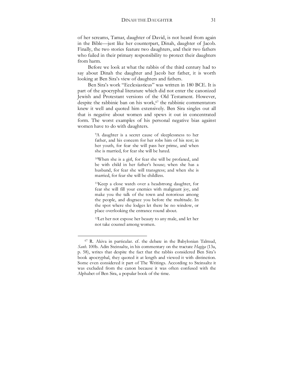of her screams, Tamar, daughter of David, is not heard from again in the Bible—just like her counterpart, Dinah, daughter of Jacob. Finally, the two stories feature two daughters, and their two fathers who failed in their primary responsibility to protect their daughters from harm.

Before we look at what the rabbis of the third century had to say about Dinah the daughter and Jacob her father, it is worth looking at Ben Sira's view of daughters and fathers.

Ben Sira's work "Ecclesiasticus" was written in 180 BCE. It is part of the apocryphal literature which did not enter the canonized Jewish and Protestant versions of the Old Testament. However, despite the rabbinic ban on his work, $67$  the rabbinic commentators knew it well and quoted him extensively. Ben Sira singles out all that is negative about women and spews it out in concentrated form. The worst examples of his personal negative bias against women have to do with daughters.

> 9A daughter is a secret cause of sleeplessness to her father, and his concern for her robs him of his rest; in her youth, for fear she will pass her prime, and when she is married, for fear she will be hated.

> 10When she is a girl, for fear she will be profaned, and be with child in her father's house; when she has a husband, for fear she will transgress; and when she is married, for fear she will be childless.

> 11Keep a close watch over a headstrong daughter, for fear she will fill your enemies with malignant joy, and make you the talk of the town and notorious among the people, and disgrace you before the multitude. In the spot where she lodges let there be no window, or place overlooking the entrance round about.

> 12Let her not expose her beauty to any male, and let her not take counsel among women.

<sup>67</sup> R. Akiva in particular. cf. the debate in the Babylonian Talmud, *Sanh*. 100b. Adin Steinsaltz, in his commentary on the tractate *Hagiga* (13a, p. 58), writes that despite the fact that the rabbis considered Ben Sira's book apocryphal, they quoted it at length and viewed it with distinction. Some even considered it part of The Writings. According to Steinsaltz it was excluded from the canon because it was often confused with the Alphabet of Ben Sira, a popular book of the time.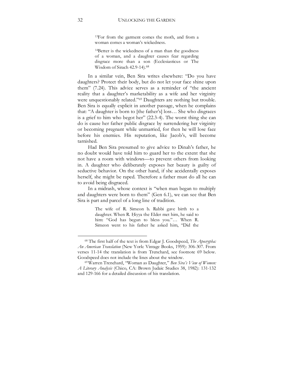13For from the garment comes the moth, and from a woman comes a woman's wickedness.

14Better is the wickedness of a man than the goodness of a woman, and a daughter causes fear regarding disgrace more than a son (Ecclesiasticus or The Wisdom of Sirach 42.9-14).<sup>68</sup>

In a similar vein, Ben Sira writes elsewhere: "Do you have daughters? Protect their body, but do not let your face shine upon them" (7.24). This advice serves as a reminder of "the ancient reality that a daughter's marketability as a wife and her virginity were unquestionably related."69 Daughters are nothing but trouble. Ben Sira is equally explicit in another passage, when he complains that: "A daughter is born to [the father's] loss… She who disgraces is a grief to him who begot her" (22.3-4). The worst thing she can do is cause her father public disgrace by surrendering her virginity or becoming pregnant while unmarried, for then he will lose face before his enemies. His reputation, like Jacob's, will become tarnished.

Had Ben Sira presumed to give advice to Dinah's father, he no doubt would have told him to guard her to the extent that she not have a room with windows—to prevent others from looking in. A daughter who deliberately exposes her beauty is guilty of seductive behavior. On the other hand, if she accidentally exposes herself, she might be raped. Therefore a father must do all he can to avoid being disgraced.

In a midrash, whose context is "when man began to multiply and daughters were born to them" (Gen 6.1), we can see that Ben Sira is part and parcel of a long line of tradition.

> The wife of R. Simeon b. Rabbi gave birth to a daughter. When R. Ḥiyya the Elder met him, he said to him: "God has begun to bless you."... When R. Simeon went to his father he asked him, "Did the

<sup>68</sup> The first half of the text is from Edgar J. Goodspeed, *The Apocrypha: An American Translation* (New York: Vintage Books, 1959): 306-307. From verses 11-14 the translation is from Trenchard, see footnote 69 below. Goodspeed does not include the lines about the window. 69 Warren Trenchard, "Woman as Daughter," *Ben Sira's View of Women:* 

*A Literary Analysis* (Chico, CA: Brown Judaic Studies 38, 1982): 131-132 and 129-166 for a detailed discussion of his translation.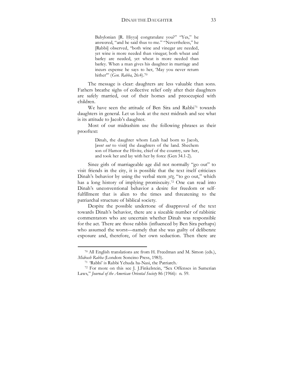Babylonian [R. Ḥiyya] congratulate you?" "Yes," he answered, "and he said thus to me." "Nevertheless," he [Rabbi] observed, "both wine and vinegar are needed, yet wine is more needed than vinegar; both wheat and barley are needed, yet wheat is more needed than barley. When a man gives his daughter in marriage and incurs expense he says to her, 'May you never return hither'" (*Gen. Rabba*, 26:4).70

The message is clear: daughters are less valuable than sons. Fathers breathe sighs of collective relief only after their daughters are safely married, out of their homes and preoccupied with children.

We have seen the attitude of Ben Sira and Rabbi71 towards daughters in general. Let us look at the next midrash and see what is its attitude to Jacob's daughter.

Most of our midrashim use the following phrases as their prooftext:

> Dinah, the daughter whom Leah had born to Jacob, [*went out* to visit] the daughters of the land. Shechem son of Hamor the Hivite, chief of the country, saw her, and took her and lay with her by force (Gen 34.1-2).

Since girls of marriageable age did not normally "go out" to visit friends in the city, it is possible that the text itself criticizes Dinah's behavior by using the verbal stem *ytz*, "to go out," which has a long history of implying promiscuity.72 One can read into Dinah's unconventional behavior a desire for freedom or selffulfillment that is alien to the times and threatening to the patriarchal structure of biblical society.

Despite the possible undertone of disapproval of the text towards Dinah's behavior, there are a sizeable number of rabbinic commentators who are uncertain whether Dinah was responsible for the act. There are those rabbis (influenced by Ben Sira perhaps) who assumed the worst—namely that she was guilty of deliberate exposure and, therefore, of her own seduction. Then there are

<sup>70</sup> All English translations are from H. Freedman and M. Simon (eds.), *Midrash Rabba* (London: Soncino Press, 1983). 71 'Rabbi' is Rabbi Yehuda ha-Nasi, the Patriarch..

<sup>72</sup> For more on this see J. J.Finkelstein, "Sex Offenses in Sumerian Laws," *Journal of the American Oriental Society* 86 (1966): n. 59.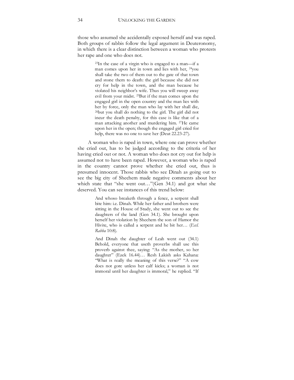those who assumed she accidentally exposed herself and was raped. Both groups of rabbis follow the legal argument in Deuteronomy, in which there is a clear distinction between a woman who protests her rape and one who does not.

> 23In the case of a virgin who is engaged to a man—if a man comes upon her in town and lies with her, 24you shall take the two of them out to the gate of that town and stone them to death: the girl because she did not cry for help in the town, and the man because he violated his neighbor's wife. Thus you will sweep away evil from your midst. 25But if the man comes upon the engaged girl in the open country and the man lies with her by force, only the man who lay with her shall die, 26but you shall do nothing to the girl. The girl did not incur the death penalty, for this case is like that of a man attacking another and murdering him. 27He came upon her in the open; though the engaged girl cried for help, there was no one to save her (Deut 22.23-27).

A woman who is raped in town, where one can prove whether she cried out, has to be judged according to the criteria of her having cried out or not. A woman who does not cry out for help is assumed not to have been raped. However, a woman who is raped in the country cannot prove whether she cried out, thus is presumed innocent. Those rabbis who see Dinah as going out to see the big city of Shechem made negative comments about her which state that "she went out…"(Gen 34.1) and got what she deserved. You can see instances of this trend below:

> And whoso breaketh through a fence, a serpent shall bite him: i.e. Dinah. While her father and brothers were sitting in the House of Study, she went out to see the daughters of the land (Gen 34.1). She brought upon herself her violation by Shechem the son of Hamor the Hivite, who is called a serpent and he bit her… (*Eccl. Rabba* 10:8).

> And Dinah the daughter of Leah went out (34.1) Behold, everyone that useth proverbs shall use this proverb against thee, saying: "As the mother, so her daughter" (Ezek 16.44)… Resh Lakish asks Kahana: "What is really the meaning of this verse?" "A cow does not gore unless her calf kicks; a woman is not immoral until her daughter is immoral," he replied. "If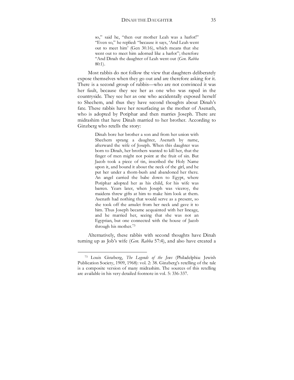so," said he, "then our mother Leah was a harlot!" "Even so," he replied: "because it says, 'And Leah went out to meet him' (Gen 30.16), which means that she went out to meet him adorned like a harlot"; therefore "And Dinah the daughter of Leah went out (*Gen. Rabba* 80:1).

Most rabbis do not follow the view that daughters deliberately expose themselves when they go out and are therefore asking for it. There is a second group of rabbis—who are not convinced it was her fault, because they see her as one who was raped in the countryside. They see her as one who accidentally exposed herself to Shechem, and thus they have second thoughts about Dinah's fate. These rabbis have her resurfacing as the mother of Asenath, who is adopted by Potiphar and then marries Joseph. There are midrashim that have Dinah married to her brother. According to Ginzberg who retells the story:

> Dinah bore her brother a son and from her union with Shechem sprang a daughter, Asenath by name, afterward the wife of Joseph. When this daughter was born to Dinah, her brothers wanted to kill her, that the finger of men might not point at the fruit of sin. But Jacob took a piece of tin, inscribed the Holy Name upon it, and bound it about the neck of the girl, and he put her under a thorn-bush and abandoned her there. An angel carried the babe down to Egypt, where Potiphar adopted her as his child, for his wife was barren. Years later, when Joseph was viceroy, the maidens threw gifts at him to make him look at them. Asenath had nothing that would serve as a present, so she took off the amulet from her neck and gave it to him. Thus Joseph became acquainted with her lineage, and he married her, seeing that she was not an Egyptian, but one connected with the house of Jacob through his mother.73

Alternatively, these rabbis with second thoughts have Dinah turning up as Job's wife (*Gen. Rabba* 57:4), and also have created a

<sup>73</sup> Louis Ginzberg, *The Legends of the Jews* (Philadelphia: Jewish Publication Society, 1909, 1968): vol. 2: 38. Ginzberg's retelling of the tale is a composite version of many midrashim. The sources of this retelling are available in his very detailed footnote in vol. 5: 336-337.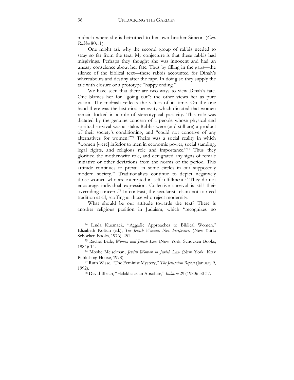midrash where she is betrothed to her own brother Simeon (*Gen. Rabba* 80:11).

One might ask why the second group of rabbis needed to stray so far from the text. My conjecture is that these rabbis had misgivings. Perhaps they thought she was innocent and had an uneasy conscience about her fate. Thus by filling in the gaps—the silence of the biblical text—these rabbis accounted for Dinah's whereabouts and destiny after the rape. In doing so they supply the tale with closure or a prototype "happy ending."

We have seen that there are two ways to view Dinah's fate. One blames her for "going out"; the other views her as pure victim. The midrash reflects the values of its time. On the one hand there was the historical necessity which dictated that women remain locked in a role of stereotypical passivity. This role was dictated by the genuine concern of a people whose physical and spiritual survival was at stake. Rabbis were (and still are) a product of their society's conditioning, and "could not conceive of any alternatives for women."74 Theirs was a social reality in which "women [were] inferior to men in economic power, social standing, legal rights, and religious role and importance."75 Thus they glorified the mother-wife role, and denigrated any signs of female initiative or other deviations from the norms of the period. This attitude continues to prevail in some circles in our supposedly modern society.76 Traditionalists continue to depict negatively those women who are interested in self-fulfillment.77 They do not encourage individual expression. Collective survival is still their overriding concern.78 In contrast, the secularists claim not to need tradition at all, scoffing at those who reject modernity.

What should be our attitude towards the text? There is another religious position in Judaism, which "recognizes no

<sup>74</sup> Linda Kuzmack, "Aggadic Approaches to Biblical Women," Elizabeth Koltun (ed.), *The Jewish Woman: New Perspectives* (New York: Schocken Books, 1976): 251. 75 Rachel Biale, *Women and Jewish Law* (New York: Schocken Books,

<sup>1984): 14. 76</sup> Moshe Meiselman, *Jewish Woman in Jewish Law* (New York: Ktav

Publishing House, 1978). 77 Ruth Wisse, "The Feminist Mystery," *The Jerusalem Report* (January 9,

<sup>1992). 78</sup> David Bleich, "Halakha as an Absolute," *Judaism* 29 (1980): 30-37.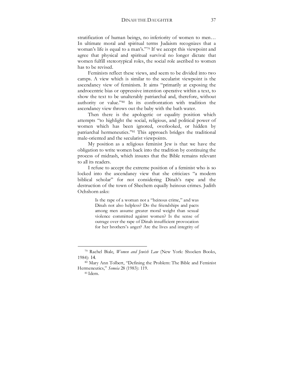stratification of human beings, no inferiority of women to men… In ultimate moral and spiritual terms Judaism recognizes that a woman's life is equal to a man's."79 If we accept this viewpoint and agree that physical and spiritual survival no longer dictate that women fulfill stereotypical roles, the social role ascribed to women has to be revised.

Feminists reflect these views, and seem to be divided into two camps. A view which is similar to the secularist viewpoint is the ascendancy view of feminism. It aims "primarily at exposing the androcentric bias or oppressive intention operative within a text, to show the text to be unalterably patriarchal and, therefore, without authority or value."80 In its confrontation with tradition the ascendancy view throws out the baby with the bath water.

Then there is the apologetic or equality position which attempts "to highlight the social, religious, and political power of women which has been ignored, overlooked, or hidden by patriarchal hermeneutics."81 This approach bridges the traditional male-oriented and the secularist viewpoints.

My position as a religious feminist Jew is that we have the obligation to write women back into the tradition by continuing the process of midrash, which insures that the Bible remains relevant to all its readers.

I refuse to accept the extreme position of a feminist who is so locked into the ascendancy view that she criticizes "a modern biblical scholar" for not considering Dinah's rape and the destruction of the town of Shechem equally heinous crimes. Judith Ochshorn asks:

> Is the rape of a woman not a "heinous crime," and was Dinah not also helpless? Do the friendships and pacts among men assume greater moral weight than sexual violence committed against women? Is the sense of outrage over the rape of Dinah insufficient provocation for her brothers's anger? Are the lives and integrity of

<sup>79</sup> Rachel Biale, *Women and Jewish Law* (New York: Shocken Books, 1984): <sup>14</sup>. 80 Mary Ann Tolbert, "Defining the Problem: The Bible and Feminist

Hermeneutics," *Semeia* 28 (1983): 119. 81 Idem.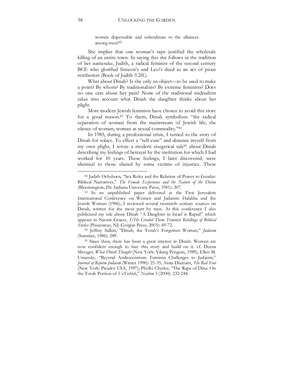women dispensable and subordinate to the alliances among men?82

She implies that one woman's rape justified the wholesale killing of an entire town. In saying this she follows in the tradition of her namesake, Judith, a radical feminist of the second century BCE who glorified Simeon's and Levi's deed as an act of pious retribution (Book of Judith 9.2ff.).

What about Dinah? Is she only an object—to be used to make a point? By whom? By traditionalists? By extreme feminists? Does no one care about her pain? None of the traditional midrashim takes into account what Dinah the daughter thinks about her plight.

Most modern Jewish feminists have chosen to avoid this story for a good reason.83 To them, Dinah symbolizes "the radical separation of women from the mainstream of Jewish life; the silence of women; woman as sexual commodity."84

In 1985, during a professional crisis, I turned to the story of Dinah for solace. To effect a "self-cure" and distance myself from my own plight, I wrote a modern eisegetical tale85 about Dinah describing my feelings of betrayal by the institution for which I had worked for 10 years. These feelings, I later discovered, were identical to those shared by some victims of injustice. These

(Summer, 1986): 289.  $85$  Since then, there has been a great interest in Dinah. Women are

<sup>82</sup> Judith Ochshorn, "Sex Roles and the Relation of Power to Gender: Biblical Narratives," *The Female Experience and the Nature of the Divine*  (Bloomington, IN: Indiana University Press, 1981): 207. 83 In an unpublished paper delivered at the First Jerusalem

International Conference on Women and Judaism: Halakha and the Jewish Woman (1986), I reviewed several twentieth century sources on Dinah, written for the most part by men. At this conference I also publicized my tale about Dinah "A Daughter in Israel is Raped" which appears in Naomi Graetz, *S/He Created Them: Feminist Retellings of Biblical Stories* (Piscataway, NJ: Gorgias Press, 2003): 69-72. 84 Jeffrey Salkin, "Dinah, the Torah's Forgotten Woman," *Judaism*

now confident enough to face this story and build on it. cf. Deena Metzger, *What Dinah Thought* (New York: Viking Penguin, 1989); Ellen M. Umansky, "Beyond Androcentrism: Feminist Challenges to Judaism," *Journal of Reform Judaism* (Winter 1990): 25-35; Anita Diamant, *The Red Tent* (New York: Picador USA, 1997); Phyllis Chesler, "The Rape of Dina: On the Torah Portion of *VaYishlah*," *Nashim* 3 (2000): 232-248.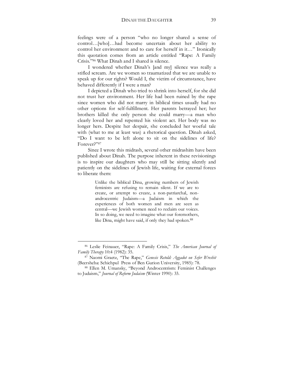feelings were of a person "who no longer shared a sense of control…[who]…had become uncertain about her ability to control her environment and to care for herself in it…" Ironically this quotation comes from an article entitled "Rape: A Family Crisis."86 What Dinah and I shared is silence.

I wondered whether Dinah's [and my] silence was really a stifled scream. Are we women so traumatized that we are unable to speak up for our rights? Would I, the victim of circumstance, have behaved differently if I were a man?

I depicted a Dinah who tried to shrink into herself, for she did not trust her environment. Her life had been ruined by the rape since women who did not marry in biblical times usually had no other options for self-fulfillment. Her parents betrayed her; her brothers killed the only person she could marry—a man who clearly loved her and repented his violent act. Her body was no longer hers. Despite her despair, she concluded her woeful tale with (what to me at least was) a rhetorical question. Dinah asked, "Do I want to be left alone to sit on the sidelines of life? Forever?"87

Since I wrote this midrash, several other midrashim have been published about Dinah. The purpose inherent in these revisionings is to inspire our daughters who may still be sitting silently and patiently on the sidelines of Jewish life, waiting for external forces to liberate them:

> Unlike the biblical Dina, growing numbers of Jewish feminists are refusing to remain silent. If we are to create, or attempt to create, a non-patriarchal, nonandrocentric Judaism—a Judaism in which the experiences of both women and men are seen as central—we Jewish women need to reclaim our voices. In so doing, we need to imagine what our foremothers, like Dina, might have said, if only they had spoken.<sup>88</sup>

<sup>86</sup> Leslie Feinauer, "Rape: A Family Crisis," *The American Journal of Family Therapy* 10:4 (1982): 35. 87 Naomi Graetz, "The Rape," *Genesis Retold: Aggadot on Sefer B'reshit*

<sup>(</sup>Beersheba: Schichpul Press of Ben Gurion University, 1985): 78. 88 Ellen M. Umansky, "Beyond Androcentrism: Feminist Challenges

to Judaism," *Journal of Reform Judaism* (Winter 1990): 33.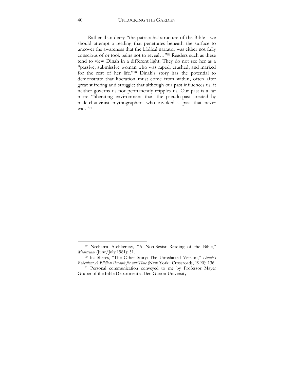Rather than decry "the patriarchal structure of the Bible—we should attempt a reading that penetrates beneath the surface to uncover the awareness that the biblical narrator was either not fully conscious of or took pains not to reveal..."89 Readers such as these tend to view Dinah in a different light. They do not see her as a "passive, submissive woman who was raped, crushed, and marked for the rest of her life."90 Dinah's story has the potential to demonstrate that liberation must come from within, often after great suffering and struggle; that although our past influences us, it neither governs us nor permanently cripples us. Our past is a far more "liberating environment than the pseudo-past created by male-chauvinist mythographers who invoked a past that never was."91

<sup>89</sup> Nechama Aschkenasy, "A Non-Sexist Reading of the Bible," *Midstream* (June/July 1981): 51. 90 Ita Sheres, "The Other Story: The Unredacted Version," *Dinah's* 

*Rebellion: A Biblical Parable for our Time* (New York:: Crossroads, 1990): 136. <sup>91</sup> Personal communication conveyed to me by Professor Mayer

Gruber of the Bible Department at Ben Gurion University.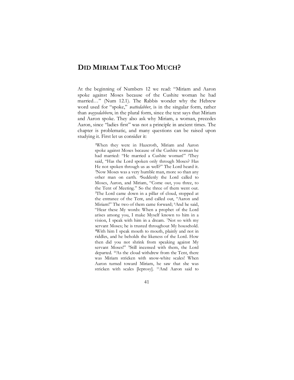## **DID MIRIAM TALK TOO MUCH?**

At the beginning of Numbers 12 we read: "Miriam and Aaron spoke against Moses because of the Cushite woman he had married…" (Num 12.1). The Rabbis wonder why the Hebrew word used for "spoke," *wattedabber*, is in the singular form, rather than *wayyedabberu*, in the plural form, since the text says that Miriam and Aaron spoke. They also ask why Miriam, a woman, precedes Aaron, since "ladies first" was not a principle in ancient times. The chapter is problematic, and many questions can be raised upon studying it. First let us consider it:

> 1When they were in Hazeroth, Miriam and Aaron spoke against Moses because of the Cushite woman he had married: "He married a Cushite woman!" <sup>2</sup>They said, "Has the Lord spoken only through Moses? Has He not spoken through us as well?" The Lord heard it. 3Now Moses was a very humble man, more so than any other man on earth. 4Suddenly the Lord called to Moses, Aaron, and Miriam, "Come out, you three, to the Tent of Meeting." So the three of them went out. 5The Lord came down in a pillar of cloud, stopped at the entrance of the Tent, and called out, "Aaron and Miriam!" The two of them came forward; <sup>6</sup>And he said, "Hear these My words: When a prophet of the Lord arises among you, I make Myself known to him in a vision, I speak with him in a dream. 7Not so with my servant Moses; he is trusted throughout My household. 8With him I speak mouth to mouth, plainly and not in riddles, and he beholds the likeness of the Lord. How then did you not shrink from speaking against My servant Moses!" <sup>9</sup>Still incensed with them, the Lord departed. 10As the cloud withdrew from the Tent, there was Miriam stricken with snow-white scales! When Aaron turned toward Miriam, he saw that she was stricken with scales [leprosy]. <sup>11</sup>And Aaron said to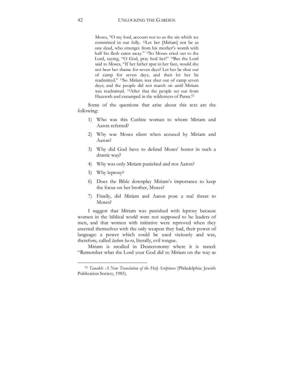Moses, "O my lord, account not to us the sin which we committed in our folly. 12Let her [Miriam] not be as one dead, who emerges from his mother's womb with half his flesh eaten away." 13So Moses cried out to the Lord, saying, "O God, pray heal her!" 14But the Lord said to Moses, "If her father spat in her face, would she not bear her shame for seven days? Let her be shut out of camp for seven days, and then let her be readmitted." 15So Miriam was shut out of camp seven days; and the people did not march on until Miriam was readmitted. 16After that the people set out from Hazeroth and encamped in the wilderness of Paran.<sup>92</sup>

Some of the questions that arise about this text are the following:

- 1) Who was this Cushite woman to whom Miriam and Aaron referred?
- 2) Why was Moses silent when accused by Miriam and Aaron?
- 3) Why did God have to defend Moses' honor in such a drastic way?
- 4) Why was only Miriam punished and not Aaron?
- 5) Why leprosy?

 $\overline{a}$ 

- 6) Does the Bible downplay Miriam's importance to keep the focus on her brother, Moses?
- 7) Finally, did Miriam and Aaron pose a real threat to Moses?

I suggest that Miriam was punished with leprosy because women in the biblical world were not supposed to be leaders of men, and that women with initiative were reproved when they asserted themselves with the only weapon they had, their power of language: a power which could be used viciously and was, therefore, called *lashon ha-ra*, literally, evil tongue.

Miriam is recalled in Deuteronomy where it is stated: "Remember what the Lord your God did to Miriam on the way as

<sup>92</sup> *Tanakh: A New Translation of the Holy Scriptures* (Philadelphia: Jewish Publication Society, 1985).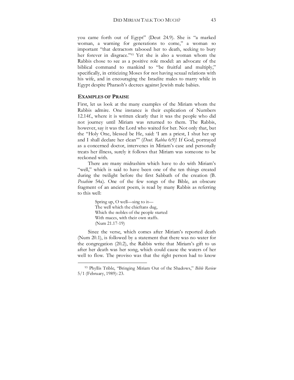you came forth out of Egypt" (Deut 24.9). She is "a marked woman, a warning for generations to come," a woman so important "that detractors tabooed her to death, seeking to bury her forever in disgrace."93 Yet she is also a woman whom the Rabbis chose to see as a positive role model: an advocate of the biblical command to mankind to "be fruitful and multiply," specifically, in criticizing Moses for not having sexual relations with his wife, and in encouraging the Israelite males to marry while in Egypt despite Pharaoh's decrees against Jewish male babies.

#### **EXAMPLES OF PRAISE**

 $\overline{a}$ 

First, let us look at the many examples of the Miriam whom the Rabbis admire. One instance is their explication of Numbers 12.14f., where it is written clearly that it was the people who did not journey until Miriam was returned to them. The Rabbis, however, say it was the Lord who waited for her. Not only that, but the "Holy One, blessed be He, said: 'I am a priest, I shut her up and I shall declare her clean'" (*Deut. Rabba* 6:9)! If God, portrayed as a concerned doctor, intervenes in Miriam's case and personally treats her illness, surely it follows that Miriam was someone to be reckoned with.

There are many midrashim which have to do with Miriam's "well," which is said to have been one of the ten things created during the twilight before the first Sabbath of the creation (B. *Pesahim* 54a). One of the few songs of the Bible, an obscure fragment of an ancient poem, is read by many Rabbis as referring to this well:

> Spring up, O well—sing to it— The well which the chieftans dug, Which the nobles of the people started With maces, with their own staffs. (Num 21.17-19)

Since the verse, which comes after Miriam's reported death (Num 20.1), is followed by a statement that there was no water for the congregation (20.2), the Rabbis write that Miriam's gift to us after her death was her song, which could cause the waters of her well to flow. The proviso was that the right person had to know

<sup>93</sup> Phyllis Trible, "Bringing Miriam Out of the Shadows," *Bible Review* 5/1 (February, 1989): 23.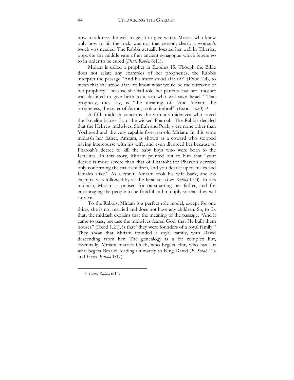how to address the well to get it to give water. Moses, who knew only how to hit the rock, was not that person; clearly a woman's touch was needed. The Rabbis actually located her well in Tiberias, opposite the middle gate of an ancient synagogue which lepers go to in order to be cured (*Deut. Rabba* 6:11).

Miriam is called a prophet in Exodus 15. Though the Bible does not relate any examples of her prophesies, the Rabbis interpret the passage "And his sister stood afar off" (Exod 2.4), to mean that she stood afar "to know what would be the outcome of her prophecy," because she had told her parents that her "mother was destined to give birth to a son who will save Israel." That prophecy, they say, is "the meaning of: 'And Miriam the prophetess, the sister of Aaron, took a timbrel" (Exod 15.20).<sup>94</sup>

A fifth midrash concerns the virtuous midwives who saved the Israelite babies from the wicked Pharoah. The Rabbis decided that the Hebrew midwives, Shifrah and Puah, were none other than Yocheved and the very capable five-year-old Miriam. In this same midrash her father, Amram, is shown as a coward who stopped having intercourse with his wife, and even divorced her because of Pharoah's decree to kill the baby boys who were born to the Israelites. In this story, Miriam pointed out to him that "your decree is more severe than that of Pharaoh; for Pharaoh decreed only concerning the male children, and you decree upon males and females alike." As a result, Amram took his wife back, and his example was followed by all the Israelites (*Lev. Rabba* 17:3). In this midrash, Miriam is praised for outsmarting her father, and for encouraging the people to be fruitful and multiply so that they will survive.

To the Rabbis, Miriam is a perfect role model, except for one thing; she is not married and does not have any children. So, to fix that, the midrash explains that the meaning of the passage, "And it came to pass, because the midwives feared God, that He built them houses" (Exod 1.21), is that "they were founders of a royal family." They show that Miriam founded a royal family, with David descending from her. The genealogy is a bit complex but, essentially, Miriam marries Caleb, who begets Hur, who has Uri who begets Bezalel, leading ultimately to King David (*B. Sotah* 12a and *Exod. Rabba* 1:17).

<sup>94</sup> *Deut. Rabba* 6:14.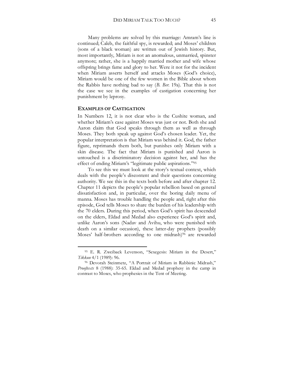Many problems are solved by this marriage: Amram's line is continued; Caleb, the faithful spy, is rewarded; and Moses' children (sons of a black woman) are written out of Jewish history. But, most importantly, Miriam is not an anomalous, unmarried, spinster anymore; rather, she is a happily married mother and wife whose offspring brings fame and glory to her. Were it not for the incident when Miriam asserts herself and attacks Moses (God's choice), Miriam would be one of the few women in the Bible about whom the Rabbis have nothing bad to say (*B. Ber*. 19a). That this is not the case we see in the examples of castigation concerning her punishment by leprosy.

#### **EXAMPLES OF CASTIGATION**

 $\overline{a}$ 

In Numbers 12, it is not clear who is the Cushite woman, and whether Miriam's case against Moses was just or not. Both she and Aaron claim that God speaks through them as well as through Moses. They both speak up against God's chosen leader. Yet, the popular interpretation is that Miriam was behind it. God, the father figure, reprimands them both, but punishes only Miriam with a skin disease. The fact that Miriam is punished and Aaron is untouched is a discriminatory decision against her, and has the effect of ending Miriam's "legitimate public aspirations."95

To see this we must look at the story's textual context, which deals with the people's discontent and their questions concerning authority. We see this in the texts both before and after chapter 12. Chapter 11 depicts the people's popular rebellion based on general dissatisfaction and, in particular, over the boring daily menu of manna. Moses has trouble handling the people and, right after this episode, God tells Moses to share the burden of his leadership with the 70 elders. During this period, when God's spirit has descended on the elders, Eldad and Medad also experience God's spirit and, unlike Aaron's sons (Nadav and Avihu, who were punished with death on a similar occasion), these latter-day prophets (possibly Moses' half-brothers according to one midrash)<sup>96</sup> are rewarded

<sup>95</sup> E. R. Zweiback Levenson, "Sexegesis: Miriam in the Desert," *Tikkun* 4/1 (1989): 96. 96 Devorah Steinmetz, "A Portrait of Miriam in Rabbinic Midrash,"

*Prooftexts* 8 (1988): 35-65. Eldad and Medad prophesy in the camp in contrast to Moses, who prophesies in the Tent of Meeting.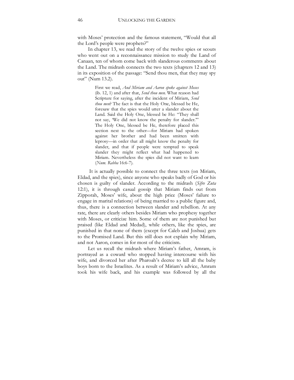with Moses' protection and the famous statement, "Would that all the Lord's people were prophets?"

In chapter 13, we read the story of the twelve spies or scouts who went out on a reconnaissance mission to study the Land of Canaan, ten of whom come back with slanderous comments about the Land. The midrash connects the two texts (chapters 12 and 13) in its exposition of the passage: "Send thou men, that they may spy out" (Num 13.2).

> First we read, *And Miriam and Aaron spoke against Moses* (ib. 12, 1) and after that, *Send thou men*. What reason had Scripture for saying, after the incident of Miriam, *Send thou men*? The fact is that the Holy One, blessed be He, foresaw that the spies would utter a slander about the Land. Said the Holy One, blessed be He: "They shall not say, 'We did not know the penalty for slander.'" The Holy One, blessed be He, therefore placed this section next to the other—for Miriam had spoken against her brother and had been smitten with leprosy—in order that all might know the penalty for slander, and that if people were tempted to speak slander they might reflect what had happened to Miriam. Nevertheless the spies did not want to learn (*Num. Rabba* 16:6-7).

 It is actually possible to connect the three texts (on Miriam, Eldad, and the spies), since anyone who speaks badly of God or his chosen is guilty of slander. According to the midrash (*Sifre Zuta* 12:1), it is through casual gossip that Miriam finds out from Zipporah, Moses' wife, about the high price (Moses' failure to engage in marital relations) of being married to a public figure and, thus, there is a connection between slander and rebellion. At any rate, there are clearly others besides Miriam who prophesy together with Moses, or criticize him. Some of them are not punished but praised (like Eldad and Medad), while others, like the spies, are punished in that none of them (except for Caleb and Joshua) gets to the Promised Land. But this still does not explain why Miriam, and not Aaron, comes in for most of the criticism.

Let us recall the midrash where Miriam's father, Amram, is portrayed as a coward who stopped having intercourse with his wife, and divorced her after Pharoah's decree to kill all the baby boys born to the Israelites. As a result of Miriam's advice, Amram took his wife back, and his example was followed by all the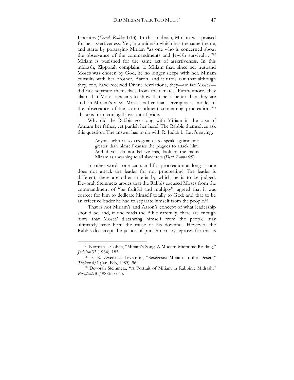Israelites (*Exod. Rabba* 1:13). In this midrash, Miriam was praised for her assertiveness. Yet, in a midrash which has the same theme, and starts by portraying Miriam "as one who is concerned about the observance of the commandments and Jewish survival…,"97 Miriam is punished for the same act of assertiveness. In this midrash, Zipporah complains to Miriam that, since her husband Moses was chosen by God, he no longer sleeps with her. Miriam consults with her brother, Aaron, and it turns out that although they, too, have received Divine revelations, they—unlike Moses did not separate themselves from their mates. Furthermore, they claim that Moses abstains to show that he is better than they are and, in Miriam's view, Moses, rather than serving as a "model of the observance of the commandment concerning procreation,"98 abstains from conjugal joys out of pride.

Why did the Rabbis go along with Miriam in the case of Amram her father, yet punish her here? The Rabbis themselves ask this question. The answer has to do with R. Judah b. Levi's saying:

> Anyone who is so arrogant as to speak against one greater than himself causes the plagues to attack him. And if you do not believe this, look to the pious Miriam as a warning to all slanderers (*Deut. Rabba* 6:9).

In other words, one can stand for procreation as long as one does not attack the leader for not procreating! The leader is different; there are other criteria by which he is to be judged. Devorah Steinmetz argues that the Rabbis excused Moses from the commandment of "be fruitful and multiply"; agreed that it was correct for him to dedicate himself totally to God; and that to be an effective leader he had to separate himself from the people.<sup>99</sup>

That is not Miriam's and Aaron's concept of what leadership should be, and, if one reads the Bible carefully, there are enough hints that Moses' distancing himself from the people may ultimately have been the cause of his downfall. However, the Rabbis do accept the justice of punishment by leprosy, for that is

<sup>97</sup> Norman J. Cohen, "Miriam's Song: A Modern Midrashic Reading,"

*Judaism* 33 (1984): 185. 98 E. R. Zweiback Levenson, "Sexegesis: Miriam in the Desert," *Tikkun* 4/1 (Jan. Feb, 1989): 96. 99 Devorah Steinmetz, "A Portrait of Miriam in Rabbinic Midrash,"

*Prooftexts* 8 (1988): 35-65.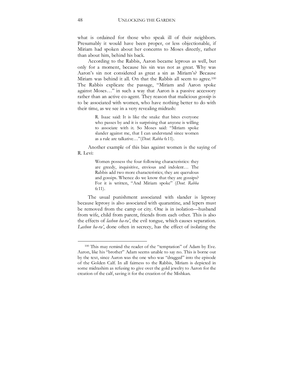what is ordained for those who speak ill of their neighbors. Presumably it would have been proper, or less objectionable, if Miriam had spoken about her concerns to Moses directly, rather than about him, behind his back.

According to the Rabbis, Aaron became leprous as well, but only for a moment, because his sin was not as great. Why was Aaron's sin not considered as great a sin as Miriam's? Because Miriam was behind it all. On that the Rabbis all seem to agree.<sup>100</sup> The Rabbis explicate the passage, "Miriam and Aaron spoke against Moses…" in such a way that Aaron is a passive accessory rather than an active co-agent. They reason that malicious gossip is to be associated with women, who have nothing better to do with their time, as we see in a very revealing midrash:

> R. Isaac said: It is like the snake that bites everyone who passes by and it is surprising that anyone is willing to associate with it. So Moses said: "Miriam spoke slander against me, that I can understand since women as a rule are talkative…"(*Deut. Rabba* 6:11).

Another example of this bias against women is the saying of R. Levi:

> Women possess the four following characteristics: they are greedy, inquisitive, envious and indolent… The Rabbis add two more characteristics; they are querulous and gossips. Whence do we know that they are gossips? For it is written, "And Miriam spoke" (*Deut. Rabba*  6:11).

The usual punishment associated with slander is leprosy because leprosy is also associated with quarantine, and lepers must be removed from the camp or city. One is in isolation—husband from wife, child from parent, friends from each other. This is also the effects of *lashon ha-ra'*, the evil tongue, which causes separation. *Lashon ha-ra'*, done often in secrecy, has the effect of isolating the

<sup>100</sup> This may remind the reader of the "temptation" of Adam by Eve. Aaron, like his "brother" Adam seems unable to say no. This is borne out by the text, since Aaron was the one who was "dragged" into the episode of the Golden Calf. In all fairness to the Rabbis, Miriam is depicted in some midrashim as refusing to give over the gold jewelry to Aaron for the creation of the calf, saving it for the creation of the Mishkan.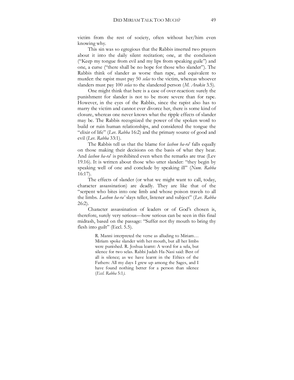victim from the rest of society, often without her/him even knowing why.

This sin was so egregious that the Rabbis inserted two prayers about it into the daily silent recitation; one, at the conclusion ("Keep my tongue from evil and my lips from speaking guile") and one, a curse ("there shall be no hope for those who slander"). The Rabbis think of slander as worse than rape, and equivalent to murder: the rapist must pay 50 *selas* to the victim, whereas whoever slanders must pay 100 *selas* to the slandered person (*M. Arakin* 3.5).

One might think that here is a case of over-reaction: surely the punishment for slander is not to be more severe than for rape. However, in the eyes of the Rabbis, since the rapist also has to marry the victim and cannot ever divorce her, there is some kind of closure, whereas one never knows what the ripple effects of slander may be. The Rabbis recognized the power of the spoken word to build or ruin human relationships, and considered the tongue the "elixir of life" (*Lev. Rabba* 16:2) and the primary source of good and evil (*Lev. Rabba* 33:1).

The Rabbis tell us that the blame for *lashon ha-ra*' falls equally on those making their decisions on the basis of what they hear. And *lashon ha-ra*' is prohibited even when the remarks are true (Lev 19.16). It is written about those who utter slander: "they begin by speaking well of one and conclude by speaking ill" (*Num. Rabba* 16:17).

The effects of slander (or what we might want to call, today, character assassination) are deadly. They are like that of the "serpent who bites into one limb and whose poison travels to all the limbs. *Lashon ha-ra'* slays teller, listener and subject" (*Lev. Rabba*  26:2).

Character assassination of leaders or of God's chosen is, therefore, surely very serious—how serious can be seen in this final midrash, based on the passage: "Suffer not thy mouth to bring thy flesh into guilt" (Eccl. 5.5).

> R. Manni interpreted the verse as alluding to Miriam… Miriam spoke slander with her mouth, but all her limbs were punished. R. Joshua learnt: A word for a sela, but silence for two selas. Rabbi Judah Ha-Nasi said: Best of all is silence; as we have learnt in the Ethics of the Fathers: All my days I grew up among the Sages, and I have found nothing better for a person than silence (*Eccl. Rabba* 5:1*)*.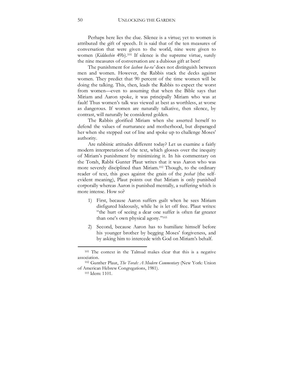Perhaps here lies the clue. Silence is a virtue; yet to women is attributed the gift of speech. It is said that of the ten measures of conversation that were given to the world, nine were given to women (*Kiddushin* 49b).<sup>101</sup> If silence is the supreme virtue, surely the nine measures of conversation are a dubious gift at best!

The punishment for *lashon ha-ra'* does not distinguish between men and women. However, the Rabbis stack the decks against women. They predict that 90 percent of the time women will be doing the talking. This, then, leads the Rabbis to expect the worst from women—even to assuming that when the Bible says that Miriam and Aaron spoke, it was principally Miriam who was at fault! Thus women's talk was viewed at best as worthless, at worse as dangerous. If women are naturally talkative, then silence, by contrast, will naturally be considered golden.

The Rabbis glorified Miriam when she asserted herself to defend the values of nurturance and motherhood, but disparaged her when she stepped out of line and spoke up to challenge Moses' authority.

Are rabbinic attitudes different today? Let us examine a fairly modern interpretation of the text, which glosses over the inequity of Miriam's punishment by minimizing it. In his commentary on the Torah, Rabbi Gunter Plaut writes that it was Aaron who was more severely disciplined than Miriam.102 Though, to the ordinary reader of text, this goes against the grain of the *peshat* (the selfevident meaning), Plaut points out that Miriam is only punished corporally whereas Aaron is punished mentally, a suffering which is more intense. How so?

- 1) First, because Aaron suffers guilt when he sees Miriam disfigured hideously, while he is let off free. Plaut writes: "the hurt of seeing a dear one suffer is often far greater than one's own physical agony."103
- 2) Second, because Aaron has to humiliate himself before his younger brother by begging Moses' forgiveness, and by asking him to intercede with God on Miriam's behalf.

<sup>101</sup> The context in the Talmud makes clear that this is a negative association. 102 Gunther Plaut, *The Torah: A Modern Commentary* (New York: Union

of American Hebrew Congregations, 1981). 103 Idem: 1101.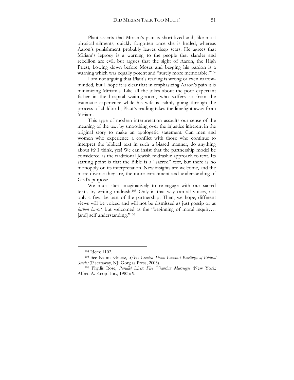Plaut asserts that Miriam's pain is short-lived and, like most physical ailments, quickly forgotten once she is healed, whereas Aaron's punishment probably leaves deep scars. He agrees that Miriam's leprosy is a warning to the people that slander and rebellion are evil, but argues that the sight of Aaron, the High Priest, bowing down before Moses and begging his pardon is a warning which was equally potent and "surely more memorable."<sup>104</sup>

I am not arguing that Plaut's reading is wrong or even narrowminded, but I hope it is clear that in emphasizing Aaron's pain it is minimizing Miriam's. Like all the jokes about the poor expectant father in the hospital waiting-room, who suffers so from the traumatic experience while his wife is calmly going through the process of childbirth, Plaut's reading takes the limelight away from Miriam.

This type of modern interpretation assaults our sense of the meaning of the text by smoothing over the injustice inherent in the original story to make an apologetic statement. Can men and women who experience a conflict with those who continue to interpret the biblical text in such a biased manner, do anything about it? I think, yes! We can insist that the partnership model be considered as the traditional Jewish midrashic approach to text. Its starting point is that the Bible is a "sacred" text, but there is no monopoly on its interpretation. New insights are welcome, and the more diverse they are, the more enrichment and understanding of God's purpose.

We must start imaginatively to re-engage with our sacred texts, by writing midrash.105 Only in that way can all voices, not only a few, be part of the partnership. Then, we hope, different views will be voiced and will not be dismissed as just gossip or as *lashon ha-ra'*, but welcomed as the "beginning of moral inquiry… [and] self understanding."106

<sup>&</sup>lt;sup>104</sup> Idem: 1102.<br><sup>105</sup> See Naomi Graetz, *S/He Created Them: Feminist Retellings of Biblical Stories* (Piscataway, NJ: Gorgias Press, 2003).

<sup>106</sup> Phyllis Rose, *Parallel Lives: Five Victorian Marriages* (New York: Alfred A. Knopf Inc., 1983): 9.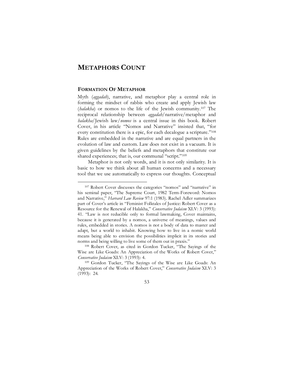### **METAPHORS COUNT**

#### **FORMATION OF METAPHOR**

 $\overline{a}$ 

Myth (*aggadah*), narrative, and metaphor play a central role in forming the mindset of rabbis who create and apply Jewish law (*halakha*) or nomos to the life of the Jewish community.107 The reciprocal relationship between *aggadah*/narrative/metaphor and *halakha*/Jewish law/*nomos* is a central issue in this book. Robert Cover, in his article "Nomos and Narrative" insisted that, "for every constitution there is a epic, for each decalogue a scripture."108 Rules are embedded in the narrative and are equal partners in the evolution of law and custom. Law does not exist in a vacuum. It is given guidelines by the beliefs and metaphors that constitute our shared experiences; that is, our communal "script."<sup>109</sup>

Metaphor is not only words, and it is not only similarity. It is basic to how we think about all human concerns and a necessary tool that we use automatically to express our thoughts. Conceptual

<sup>107</sup> Robert Cover discusses the categories "nomos" and "narrative" in his seminal paper, "The Supreme Court, 1982 Term-Foreword: Nomos and Narrative," *Harvard Law Review* 97:1 (1983). Rachel Adler summarizes part of Cover's article in "Feminist Folktales of Justice: Robert Cover as a Resource for the Renewal of Halakha," *Conservative Judaism* XLV: 3 (1993): 41. "Law is not reducible only to formal lawmaking, Cover maintains, because it is generated by a nomos, a universe of meanings, values and rules, embedded in stories. A nomos is not a body of data to master and adapt, but a world to inhabit. Knowing how to live in a nomic world means being able to envision the possibilities implicit in its stories and norms and being willing to live some of them out in praxis." 108 Robert Cover, as cited in Gordon Tucker, "The Sayings of the

Wise are Like Goads: An Appreciation of the Works of Robert Cover," *Conservative Judaism* XLV: 3 (1993): 4. 109 Gordon Tucker, "The Sayings of the Wise are Like Goads: An

Appreciation of the Works of Robert Cover," *Conservative Judaism* XLV: 3 (1993): 24.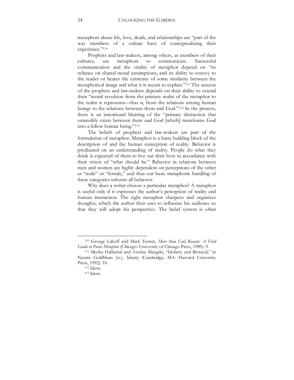metaphors about life, love, death, and relationships are "part of the way members of a culture have of conceptualizing their experience."110

Prophets and law-makers, among others, as members of their cultures, use metaphors to communicate. Successful communication and the vitality of metaphor depend on "its reliance on shared moral assumptions, and its ability to convey to the reader or hearer the existence of some similarity between the metaphorical image and what it is meant to explain."111 The success of the prophets and law-makers depends on their ability to extend their "moral revulsion from the primary realm of the metaphor to the realm it represents—that is, from the relations among human beings to the relations between them and God."112 In the process, there is an intentional blurring of the "primary distinction that ostensibly exists between them and God [which] transforms God into a fellow human being."113

The beliefs of prophets and law-makers are part of the formulation of metaphor. Metaphor is a basic building block of the description of and the human conception of reality. Behavior is predicated on an understanding of reality. People do what they think is expected of them to live out their lives in accordance with their vision of "what should be." Behavior in relations between men and women are highly dependent on perceptions of the other as "male" or "female," and thus our basic metaphoric handling of these categories informs all behavior.

Why does a writer choose a particular metaphor? A metaphor is useful only if it expresses the author's perception of reality and human interaction. The right metaphor sharpens and organizes thoughts, which the author then uses to influence his audience so that they will adopt his perspective. The belief system is often

<sup>110</sup> George Lakoff and Mark Turner, *More than Cool Reason: A Field Guide to Poetic Metaphor* (Chicago: University of Chicago Press, 1989): 9. 111 Moshe Halbertal and Avishai Margalit, "Idolatry and Betrayal," in

Naomi Goldblum (tr.), *Idolatry* (Cambridge, MA: Harvard University Press, 1992): 10.<br><sup>112</sup> Idem.<br><sup>113</sup> Idem.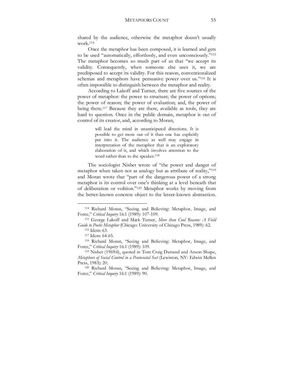shared by the audience, otherwise the metaphor doesn't usually work.114

Once the metaphor has been composed, it is learned and gets to be used "automatically, effortlessly, and even unconsciously."115 The metaphor becomes so much part of us that "we accept its validity. Consequently, when someone else uses it, we are predisposed to accept its validity. For this reason, conventionalized schemas and metaphors have persuasive power over us."116 It is often impossible to distinguish between the metaphor and reality.

According to Lakoff and Turner, there are five sources of the power of metaphor: the power to structure; the power of options; the power of reason; the power of evaluation; and, the power of being there.117 Because they are there, available as tools, they are hard to question. Once in the public domain, metaphor is out of control of its creator, and, according to Moran,

> will lead the mind in unanticipated directions. It is possible to get more out of it than one has explicitly put into it. The audience as well may engage in interpretation of the metaphor that is an exploratory elaboration of it, and which involves attention to the word rather than to the speaker.<sup>118</sup>

The sociologist Nisbet wrote of "the power and danger of metaphor when taken not as analogy but as attribute of reality,"119 and Moran wrote that "part of the dangerous power of a strong metaphor is its control over one's thinking at a level beneath that of deliberation or volition."120 Metaphor works by moving from the better-known concrete object to the lesser-known abstraction.

<sup>114</sup> Richard Moran, "Seeing and Believing: Metaphor, Image, and Force," *Critical Inquiry* 16:1 (1989): 107-109. 115 George Lakoff and Mark Turner, *More than Cool Reason: A Field* 

*Guide to Poetic Metaphor* (Chicago: University of Chicago Press, 1989): 62.<br><sup>116</sup> Idem: 63.<br><sup>117</sup> Idem: 64-65.<br><sup>118</sup> Richard Moran, "Seeing and Believing: Metaphor, Image, and

Force," *Critical Inquiry* 16:1 (1989): 109.<br><sup>119</sup> Nisbet (1969:6), quoted in Tom Craig Darrand and Anson Shupe,

*Metaphors of Social Control in a Pentecostal Sect* (Lewiston, NY: Edwin Mellen Press, 1983): 20.<br><sup>120</sup> Richard Moran, "Seeing and Believing: Metaphor, Image, and

Force," *Critical Inquiry* 16:1 (1989): 90.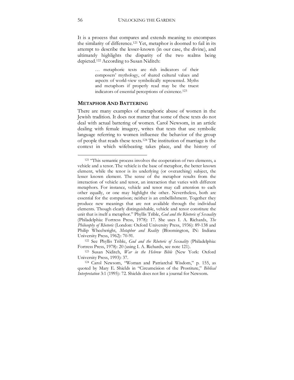It is a process that compares and extends meaning to encompass the similarity of difference.121 Yet, metaphor is doomed to fail in its attempt to describe the lesser-known (in our case, the divine), and ultimately highlights the disparity of the two realms being depicted.122 According to Susan Niditch:

> … metaphoric texts are rich indicators of their composers' mythology, of shared cultural values and aspects of world-view symbolically represented. Myths and metaphors if properly read may be the truest indicators of essential perceptions of existence.123

#### **METAPHOR AND BATTERING**

There are many examples of metaphoric abuse of women in the Jewish tradition. It does not matter that some of these texts do not deal with actual battering of women. Carol Newsom, in an article dealing with female imagery, writes that texts that use symbolic language referring to women influence the behavior of the group of people that reads these texts.124 The institution of marriage is the context in which wifebeating takes place, and the history of

<sup>&</sup>lt;sup>121</sup> "This semantic process involves the cooperation of two elements, a vehicle and a tenor. The vehicle is the base of metaphor, the better known element, while the tenor is its underlying (or overarching) subject, the lesser known element. The sense of the metaphor results from the interaction of vehicle and tenor, an interaction that varies with different metaphors. For instance, vehicle and tenor may call attention to each other equally, or one may highlight the other. Nevertheless, both are essential for the comparison; neither is an embellishment. Together they produce new meanings that are not available through the individual elements. Though clearly distinguishable, vehicle and tenor constitute the unit that is itself a metaphor." Phyllis Trible, *God and the Rhetoric of Sexuality* (Philadelphia: Fortress Press, 1978): 17. She uses I. A. Richards, *The Philosophy of Rhetoric* (London: Oxford University Press, 1936): 89-138 and Philip Wheelwright, *Metaphor and Reality* (Bloomington, IN: Indiana University Press, 1962): 70-91. 122 See Phyllis Trible, *God and the Rhetoric of Sexuality* (Philadelphia:

Fortress Press, 1978): 20 (using I. A. Richards, see note 121). 123 Susan Niditch, *War in the Hebrew Bible* (New York: Oxford

University Press, 1993): 37. 124 Carol Newsom, "Woman and Patriarchal Wisdom," p. 155, as

quoted by Mary E. Shields in "Circumcision of the Prostitute," *Biblical Interpretation* 3:1 (1995): 72. Shields does not list a journal for Newsom.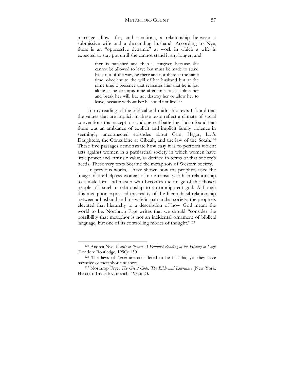marriage allows for, and sanctions, a relationship between a submissive wife and a demanding husband. According to Nye, there is an "oppressive dynamic" at work in which a wife is expected to stay put until she cannot stand it any longer, and

> then is punished and then is forgiven because she cannot be allowed to leave but must be made to stand back out of the way, be there and not there at the same time, obedient to the will of her husband but at the same time a presence that reassures him that he is not alone as he attempts time after time to discipline her and break her will, but not destroy her or allow her to leave, because without her he could not live.125

In my reading of the biblical and midrashic texts I found that the values that are implicit in these texts reflect a climate of social conventions that accept or condone real battering. I also found that there was an ambiance of explicit and implicit family violence in seemingly unconnected episodes about Cain, Hagar, Lot's Daughters, the Concubine at Gibeah, and the law of the Sotah.126 These five passages demonstrate how easy it is to perform violent acts against women in a patriarchal society in which women have little power and intrinsic value, as defined in terms of that society's needs. These very texts became the metaphors of Western society.

In previous works, I have shown how the prophets used the image of the helpless woman of no intrinsic worth in relationship to a male lord and master who becomes the image of the chosen people of Israel in relationship to an omnipotent god. Although this metaphor expressed the reality of the hierarchical relationship between a husband and his wife in patriarchal society, the prophets elevated that hierarchy to a description of how God meant the world to be. Northrop Frye writes that we should "consider the possibility that metaphor is not an incidental ornament of biblical language, but one of its controlling modes of thought."<sup>127</sup>

<sup>125</sup> Andrea Nye, *Words of Power: A Feminist Reading of the History of Logic*  (London: Routledge, 1990): 150. 126 The laws of *Sotah* are considered to be halakha, yet they have

narrative or metaphoric nuances. 127 Northrop Frye, *The Great Code: The Bible and Literature* (New York:

Harcourt Brace Jovanovich, 1982): 23.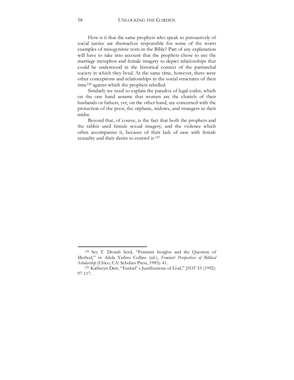How is it that the same prophets who speak so persuasively of social justice are themselves responsible for some of the worst examples of misogynistic texts in the Bible? Part of any explanation will have to take into account that the prophets chose to use the marriage metaphor and female imagery to depict relationships that could be understood in the historical context of the patriarchal society in which they lived. At the same time, however, there were other conceptions and relationships in the social structures of their time<sup>128</sup> against which the prophets rebelled.

Similarly we need to explain the paradox of legal codes, which on the one hand assume that women are the chattels of their husbands or fathers, yet, on the other hand, are concerned with the protection of the poor, the orphans, widows, and strangers in their midst.

Beyond that, of course, is the fact that both the prophets and the rabbis used female sexual imagery, and the violence which often accompanies it, because of their lack of ease with female sexuality and their desire to control it.<sup>129</sup>

<sup>128</sup> See T. Drorah Setel, "Feminist Insights and the Question of Method," in Adela Yarbro Collins (ed.), *Feminist Perspectives of Biblical Scholarship* (Chico, CA: Scholars Press, 1985): 41. 129 Katheryn Darr, "Ezekiel' s Justifications of God," *JSOT* 55 (1992):

<sup>97-117.</sup>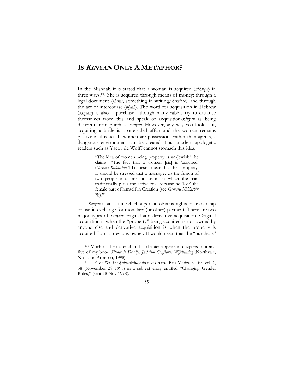# **IS <sup>K</sup>INYAN ONLY A METAPHOR?**

In the Mishnah it is stated that a woman is acquired (*nikneyt*) in three ways.130 She is acquired through means of money; through a legal document (*shetar*, something in writing/*ketubah*), and through the act of intercourse (*biyah*). The word for acquisition in Hebrew (*kinyan*) is also a purchase although many rabbis try to distance themselves from this and speak of acquisition-*kinyan* as being different from purchase-*kinyan*. However, any way you look at it, acquiring a bride is a one-sided affair and the woman remains passive in this act. If women are possessions rather than agents, a dangerous environment can be created. Thus modern apologetic readers such as Yacov de Wolff cannot stomach this idea:

> "The idea of women being property is un-Jewish," he claims. "The fact that a women [sic] is 'acquired' (*Mishna Kiddushin* 1:1) doesn't mean that she's property! It should be stressed that a marriage…is the fusion of two people into one—a fusion in which the man traditionally plays the active role because he 'lost' the female part of himself in Creation (see *Gemara Kiddushin* 2b)."131

*Kinyan* is an act in which a person obtains rights of ownership or use in exchange for monetary (or other) payment. There are two major types of *kinyan*: original and derivative acquisition. Original acquisition is when the "property" being acquired is not owned by anyone else and derivative acquisition is when the property is acquired from a previous owner. It would seem that the "purchase"

<sup>130</sup> Much of the material in this chapter appears in chapters four and five of my book *Silence is Deadly: Judaism Confronts Wifebeating* (Northvale, NJ: Jason Aronson, 1998).<br><sup>131</sup> J. F. de Wolff <jfdwolff@dds.nl> on the Bais-Medrash List, vol. 1,

<sup>58 (</sup>November 29 1998) in a subject entry entitled "Changing Gender Roles," (sent 18 Nov 1998).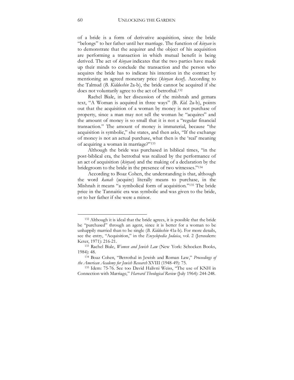of a bride is a form of derivative acquisition, since the bride "belongs" to her father until her marriage. The function of *kinyan* is to demonstrate that the acquirer and the object of his acquisition are performing a transaction in which mutual benefit is being derived. The act of *kinyan* indicates that the two parties have made up their minds to conclude the transaction and the person who acquires the bride has to indicate his intention in the contract by mentioning an agreed monetary price (*kinyan kesef*). According to the Talmud (*B. Kiddushin* 2a-b), the bride cannot be acquired if she does not voluntarily agree to the act of betrothal.132

Rachel Biale, in her discussion of the mishnah and gemara text, "A Woman is acquired in three ways" (B. *Kid.* 2a-b), points out that the acquisition of a woman by money is not purchase of property, since a man may not sell the woman he "acquires" and the amount of money is so small that it is not a "regular financial transaction." The amount of money is immaterial, because "the acquisition is symbolic," she states, and then asks, "If the exchange of money is not an actual purchase, what then is the 'real' meaning of acquiring a woman in marriage?"133

Although the bride was purchased in biblical times, "in the post-biblical era, the betrothal was realized by the performance of an act of acquisition (*kinyan*) and the making of a declaration by the bridegroom to the bride in the presence of two witnesses."134

According to Boaz Cohen, the understanding is that, although the word *kanah* (acquire) literally means to purchase, in the Mishnah it means "a symbolical form of acquisition."135 The bride price in the Tannaitic era was symbolic and was given to the bride, or to her father if she were a minor.

<sup>132</sup> Although it is ideal that the bride agrees, it is possible that the bride be "purchased" through an agent, since it is better for a woman to be unhappily married than to be single (*B. Kiddushin* 41a-b). For more details, see the entry, "Acquisition," in the *Encyclopedia Judaica*, vol. 2 (Jerusalem: Keter, 1971): 216-21. 133 Rachel Biale, *Women and Jewish Law* (New York: Schocken Books,

<sup>1984): 48. 134</sup> Boaz Cohen, "Betrothal in Jewish and Roman Law," *Proceedings of the American Academy for Jewish Research* XVIII (1948-49): 75. 135 Idem: 75-76. See too David Halivni Weiss, "The use of KNH in

Connection with Marriage," *Harvard Theological Review* (July 1964): 244-248.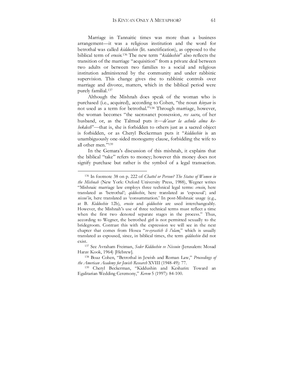Marriage in Tannaitic times was more than a business arrangement—it was a religious institution and the word for betrothal was called *kiddushin* (lit. sanctification), as opposed to the biblical term of *erusin*. <sup>136</sup> The new term "*kiddushin*" also reflects the transition of the marriage "acquisition" from a private deal between two adults or between two families to a social and religious institution administered by the community and under rabbinic supervision. This change gives rise to rabbinic controls over marriage and divorce, matters, which in the biblical period were purely familial.137

Although the Mishnah does speak of the woman who is purchased (i.e., acquired), according to Cohen, "the noun *kinyan* is not used as a term for betrothal."138 Through marriage, however, the woman becomes "the sacrosanct possession, *res sacra*, of her husband, or, as the Talmud puts it—*de'asar la achula alma kehekdesh*"—that is, she is forbidden to others just as a sacred object is forbidden, or as Cheryl Beckerman puts it "*kiddushin* is an unambiguously one-sided monogamy clause, forbidding the wife to all other men."139

In the Gemara's discussion of this mishnah, it explains that the biblical "take" refers to money; however this money does not signify purchase but rather is the symbol of a legal transaction.

<sup>136</sup> In footnote 38 on p. 222 of *Chattel or Person? The Status of Women in the Mishnah* (New York: Oxford University Press, 1988), Wegner writes "Mishnaic marriage law employs three technical legal terms: *erusin*, here translated as 'betrothal'; *qiddushin*, here translated as 'espousal'; and *nissui'in*, here translated as 'consummation.' In post-Mishnaic usage (e.g., at B. *Kiddushin* 12b), *erusin* and *qiddushin* are used interchangeably. However, the Mishnah's use of three technical terms must reflect a time when the first two denoted separate stages in the process." Thus, according to Wegner, the betrothed girl is not permitted sexually to the bridegroom. Contrast this with the expression we will see in the next chapter that comes from Hosea "*ve-eyrastich li l'olam*," which is usually translated as espoused, since, in biblical times, the term *qiddushin* did not exist. 137 See Avraham Freiman, *Seder Kiddushin ve Nissuin* (Jerusalem: Mosad

Harav Kook, 1964) [Hebrew]. 138 Boaz Cohen, "Betrothal in Jewish and Roman Law," *Proceedings of* 

*the American Academy for Jewish Research* XVIII (1948-49): 77. 139 Cheryl Beckerman, "Kiddushin and Kesharin: Toward an

Egalitarian Wedding Ceremony," *Kerem* 5 (1997): 84-100.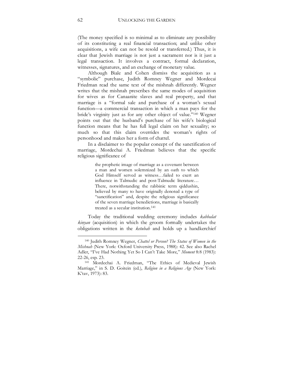(The money specified is so minimal as to eliminate any possibility of its constituting a real financial transaction; and unlike other acquisitions, a wife can not be resold or transferred.) Thus, it is clear that Jewish marriage is not just a sacrament nor is it just a legal transaction. It involves a contract, formal declaration, witnesses, signatures, and an exchange of monetary value.

Although Biale and Cohen dismiss the acquisition as a "symbolic" purchase, Judith Romney Wegner and Mordecai Friedman read the same text of the mishnah differently. Wegner writes that the mishnah prescribes the same modes of acquisition for wives as for Canaanite slaves and real property, and that marriage is a "formal sale and purchase of a woman's sexual function—a commercial transaction in which a man pays for the bride's virginity just as for any other object of value."140 Wegner points out that the husband's purchase of his wife's biological function means that he has full legal claim on her sexuality; so much so that this claim overrides the woman's rights of personhood and makes her a form of chattel.

In a disclaimer to the popular concept of the sanctification of marriage, Mordechai A. Friedman believes that the specific religious significance of

> the prophetic image of marriage as a covenant between a man and women solemnized by an oath to which God Himself served as witness…failed to exert an influence in Talmudic and post-Talmudic literature… There, notwithstanding the rabbinic term qiddushin, believed by many to have originally denoted a type of "sanctification" and, despite the religious significance of the seven marriage benedictions, marriage is basically treated as a secular institution.141

Today the traditional wedding ceremony includes *kabbalat kinyan* (acquisition) in which the groom formally undertakes the obligations written in the *ketubah* and holds up a handkerchief

<sup>140</sup> Judith Romney Wegner, *Chattel or Person? The Status of Women in the Mishnah* (New York: Oxford University Press, 1988): 42. See also Rachel Adler, "I've Had Nothing Yet So I Can't Take More," *Moment* 8:8 (1983): 22-26, esp. 23. 141 Mordechai A. Friedman, "The Ethics of Medieval Jewish

Marriage," in S. D. Goitein (ed.), *Religion in a Religious Age* (New York: K'tav, 1973): 83.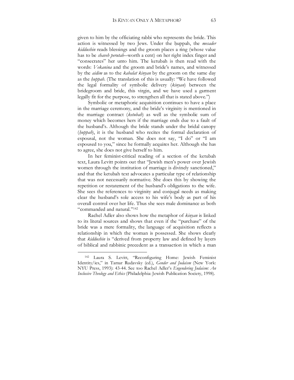given to him by the officiating rabbi who represents the bride. This action is witnessed by two Jews. Under the huppah, the *mesader kiddushin* reads blessings and the groom places a ring (whose value has to be *shaveh perutah*―worth a cent) on her right index finger and "consecrates" her unto him. The ketubah is then read with the words: *Vekanina* and the groom and bride's names, and witnessed by the *aidim* as to the *kabalat kinyan* by the groom on the same day as the *ḥuppah*. (The translation of this is usually: "We have followed the legal formality of symbolic delivery (*kinyan*) between the bridegroom and bride, this virgin, and we have used a garment legally fit for the purpose, to strengthen all that is stated above.")

Symbolic or metaphoric acquisition continues to have a place in the marriage ceremony, and the bride's virginity is mentioned in the marriage contract (*ketubah*) as well as the symbolic sum of money which becomes hers if the marriage ends due to a fault of the husband's. Although the bride stands under the bridal canopy (*ḥuppah*), it is the husband who recites the formal declaration of espousal, not the woman. She does not say, "I do" or "I am espoused to you," since he formally acquires her. Although she has to agree, she does not give herself to him.

In her feminist-critical reading of a section of the ketubah text, Laura Levitt points out that "Jewish men's power over Jewish women through the institution of marriage is divinely sanctioned," and that the ketubah text advocates a particular type of relationship that was not necessarily normative. She does this by showing the repetition or restatement of the husband's obligations to the wife. She sees the references to virginity and conjugal needs as making clear the husband's sole access to his wife's body as part of his overall control over her life. Thus she sees male dominance as both "commanded and natural."142

Rachel Adler also shows how the metaphor of *kinyan* is linked to its literal sources and shows that even if the "purchase" of the bride was a mere formality, the language of acquisition reflects a relationship in which the woman is possessed. She shows clearly that *kiddushin* is "derived from property law and defined by layers of biblical and rabbinic precedent as a transaction in which a man

<sup>142</sup> Laura S. Levitt, "Reconfiguring Home: Jewish Feminist Identity/ies," in Tamar Rudavsky (ed.), *Gender and Judaism* (New York: NYU Press, 1993): 43-44. See too Rachel Adler's *Engendering Judaism: An Inclusive Theology and Ethics* (Philadelphia: Jewish Publication Society, 1998).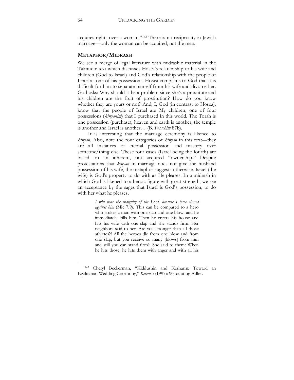acquires rights over a woman."143 There is no reciprocity in Jewish marriage—only the woman can be acquired, not the man.

# **METAPHOR/MIDRASH**

We see a merge of legal literature with midrashic material in the Talmudic text which discusses Hosea's relationship to his wife and children (God to Israel) and God's relationship with the people of Israel as one of his possessions. Hosea complains to God that it is difficult for him to separate himself from his wife and divorce her. God asks: Why should it be a problem since she's a prostitute and his children are the fruit of prostitution? How do you know whether they are yours or not? And, I, God (in contrast to Hosea), know that the people of Israel are My children, one of four possessions (*kinyanim*) that I purchased in this world. The Torah is one possession (purchase), heaven and earth is another, the temple is another and Israel is another… (B. *Pesachim* 87b).

It is interesting that the marriage ceremony is likened to *kinyan*. Also, note the four categories of *kinyan* in this text—they are all instances of eternal possession and mastery over someone/thing else. These four cases (Israel being the fourth) are based on an inherent, not acquired "ownership." Despite protestations that *kinyan* in marriage does not give the husband possession of his wife, the metaphor suggests otherwise. Israel (the wife) is God's property to do with as He pleases. In a midrash in which God is likened to a heroic figure with great strength, we see an acceptance by the sages that Israel is God's possession, to do with her what he pleases.

> *I will bear the indignity of the Lord, because I have sinned against him* (Mic 7.9). This can be compared to a hero who strikes a man with one slap and one blow, and he immediately kills him. Then he enters his house and hits his wife with one slap and she stands firm. Her neighbors said to her: Are you stronger than all those athletes?! All the heroes die from one blow and from one slap, but you receive so many [blows] from him and still you can stand firm?! She said to them: When he hits those, he hits them with anger and with all his

<sup>143</sup> Cheryl Beckerman, "Kiddushin and Kesharin: Toward an Egalitarian Wedding Ceremony," *Kerem* 5 (1997): 90, quoting Adler.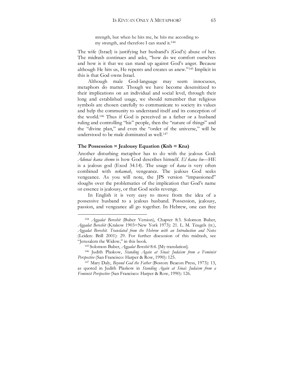strength, but when he hits me, he hits me according to my strength, and therefore I can stand it.144

The wife (Israel) is justifying her husband's (God's) abuse of her. The midrash continues and asks, "how do we comfort ourselves and how is it that we can stand up against God's anger. Because although He hits us, He repents and creates us anew."145 Implicit in this is that God owns Israel.

Although male God-language may seem innocuous, metaphors do matter. Though we have become desensitized to their implications on an individual and social level, through their long and established usage, we should remember that religious symbols are chosen carefully to communicate to society its values and help the community to understand itself and its conception of the world.146 Thus if God is perceived as a father or a husband ruling and controlling "his" people, then the "nature of things" and the "divine plan," and even the "order of the universe," will be understood to be male dominated as well.147

## **The Possession = Jealousy Equation (Knh = Kna)**

Another disturbing metaphor has to do with the jealous God: *Adonai kana shemo* is how God describes himself. *El kana hu*—HE is a jealous god (Exod 34.14). The usage of *kana* is very often combined with *nekamah*, vengeance. The jealous God seeks vengeance. As you will note, the JPS version "impassioned" sloughs over the problematics of the implication that God's name or essence is jealousy, or that God seeks revenge.

In English it is very easy to move from the idea of a possessive husband to a jealous husband. Possession, jealousy, passion, and vengeance all go together. In Hebrew, one can free

<sup>144</sup> *Aggadat Bereshit* (Buber Version), Chapter 8:3. Solomon Buber, *Aggadat Bereshit* (Krakow 1903=New York 1973): 21. L. M. Teugels (tr.), *Aggadat Bereshit. Translated from the Hebrew with an Introduction and Notes*  (Leiden: Brill 2001): 29. For further discussion of this midrash, see "Jerusalem the Widow," in this book. 145 Solomon Buber, *Aggadat Bereshit* 8:4. [My translation]. 146 Judith Plaskow, *Standing Again at Sinai: Judaism from a Feminist* 

*Perspective* (San Francisco: Harper & Row, 1990): 125.<br><sup>147</sup> Mary Daly, *Beyond God the Father* (Boston: Beacon Press, 1973): 13,

as quoted in Judith Plaskow in *Standing Again at Sinai: Judaism from a Feminist Perspective* (San Francisco: Harper & Row, 1990): 126.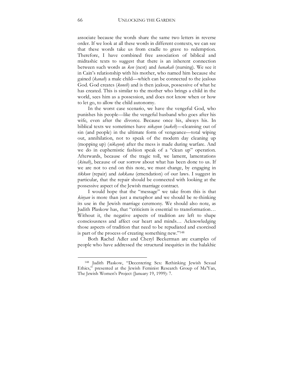associate because the words share the same two letters in reverse order. If we look at all these words in different contexts, we can see that these words take us from cradle to grave to redemption. Therefore, I have combined free association of biblical and midrashic texts to suggest that there is an inherent connection between such words as *ken* (nest) and *hanakah* (nursing). We see it in Cain's relationship with his mother, who named him because she gained (*kanah*) a male child—which can be connected to the jealous God. God creates (*koneh*) and is then jealous, possessive of what he has created. This is similar to the mother who brings a child in the world, sees him as a possession, and does not know when or how to let go, to allow the child autonomy.

In the worst case scenario, we have the vengeful God, who punishes his people—like the vengeful husband who goes after his wife, even after the divorce. Because once his, always his. In biblical texts we sometimes have *nikayon* (*nakeh*)—cleansing out of sin (and people) in the ultimate form of vengeance—total wiping out, annihilation, not to speak of the modern day cleaning up (mopping up) (*nikayon*) after the mess is made during warfare. And we do in euphemistic fashion speak of a "clean up" operation. Afterwards, because of the tragic toll, we lament, lamentations (*kinah*), because of our sorrow about what has been done to us. If we are not to end on this note, we must change, by engaging in *tikkun* (repair) and *takkana* (emendation) of our laws. I suggest in particular, that the repair should be connected with looking at the possessive aspect of the Jewish marriage contract.

I would hope that the "message" we take from this is that *kinyan* is more than just a metaphor and we should be re-thinking its use in the Jewish marriage ceremony. We should also note, as Judith Plaskow has, that "criticism is essential to transformation… Without it, the negative aspects of tradition are left to shape consciousness and affect our heart and minds… Acknowledging those aspects of tradition that need to be repudiated and exorcised is part of the process of creating something new."148

Both Rachel Adler and Cheryl Beckerman are examples of people who have addressed the structural inequities in the halakhic

<sup>148</sup> Judith Plaskow, "Decentering Sex: Rethinking Jewish Sexual Ethics," presented at the Jewish Feminist Research Group of Ma'Yan, The Jewish Women's Project (January 19, 1999): 7.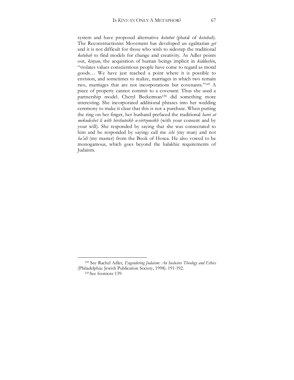system and have proposed alternative *ketubot* (plural of *ketubah*). The Reconstructionist Movement has developed an egalitarian *get* and it is not difficult for those who wish to sidestep the traditional *ketubah* to find models for change and creativity. As Adler points out, *kinyan*, the acquisition of human beings implicit in *kiddushin*, "violates values conscientious people have come to regard as moral goods… We have just reached a point where it is possible to envision, and sometimes to realize, marriages in which two remain two, marriages that are not incorporations but covenants."149 A piece of property cannot commit to a covenant. Thus she used a partnership model. Cheryl Beckerman150 did something more interesting. She incorporated additional phrases into her wedding ceremony to make it clear that this is not a purchase. When putting the ring on her finger, her husband prefaced the traditional *harei at mekudeshet li with birshuteikh u-virtzoneikh* (with your consent and by your will). She responded by saying that she was consecrated to him and he responded by saying: call me *ishi* (my man) and not *ba'ali* (my master) from the Book of Hosea. He also vowed to be monogamous, which goes beyond the halakhic requirements of Judaism.

149 See Rachel Adler, *Engendering Judaism: An Inclusive Theology and Ethics* (Philadelphia: Jewish Publication Society, 1998): 191-192. 150 See footnote 139.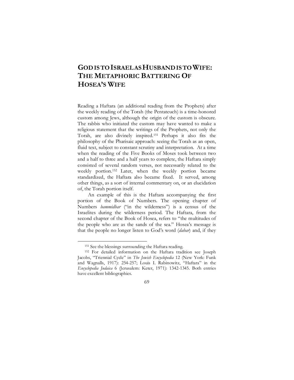# **GODISTOISRAELASHUSBANDISTOWIFE: THE METAPHORIC BATTERING OF HOSEA'S WIFE**

Reading a Haftara (an additional reading from the Prophets) after the weekly reading of the Torah (the Pentateuch) is a time-honored custom among Jews, although the origin of the custom is obscure. The rabbis who initiated the custom may have wanted to make a religious statement that the writings of the Prophets, not only the Torah, are also divinely inspired.151 Perhaps it also fits the philosophy of the Pharisaic approach: seeing the Torah as an open, fluid text, subject to constant scrutiny and interpretation. At a time when the reading of the Five Books of Moses took between two and a half to three and a half years to complete, the Haftara simply consisted of several random verses, not necessarily related to the weekly portion.152 Later, when the weekly portion became standardized, the Haftara also became fixed. It served, among other things, as a sort of internal commentary on, or an elucidation of, the Torah portion itself.

An example of this is the Haftara accompanying the first portion of the Book of Numbers. The opening chapter of Numbers *bammidbar* ("in the wilderness") is a census of the Israelites during the wilderness period. The Haftara, from the second chapter of the Book of Hosea, refers to "the multitudes of the people who are as the sands of the sea." Hosea's message is that the people no longer listen to God's word (*dabar*) and, if they

<sup>&</sup>lt;sup>151</sup> See the blessings surrounding the Haftara reading.<br><sup>152</sup> For detailed information on the Haftara tradition see Joseph Jacobs, "Triennial Cycle" in *The Jewish Encyclopedia* 12 (New York: Funk and Wagnalls, 1917): 254-257; Louis I. Rabinowitz, "Haftara" in the *Encyclopedia Judaica* 6 (Jerusalem: Keter, 1971): 1342-1345. Both entries have excellent bibliographies.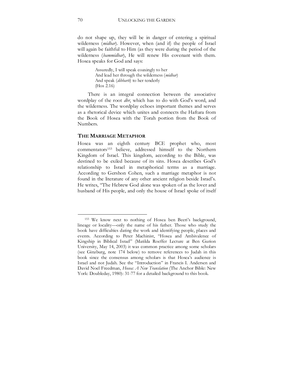do not shape up, they will be in danger of entering a spiritual wilderness (*midbar*). However, when (and if) the people of Israel will again be faithful to Him (as they were during the period of the wilderness (*bammidbar*), He will renew His covenant with them. Hosea speaks for God and says:

> Assuredly, I will speak coaxingly to her And lead her through the wilderness (*midbar*) And speak (*dibbarti*) to her tenderly (Hos 2.16)

There is an integral connection between the associative wordplay of the root *dbr*, which has to do with God's word, and the wilderness. The wordplay echoes important themes and serves as a rhetorical device which unites and connects the Haftara from the Book of Hosea with the Torah portion from the Book of Numbers.

# **THE MARRIAGE METAPHOR**

Hosea was an eighth century BCE prophet who, most commentators153 believe, addressed himself to the Northern Kingdom of Israel. This kingdom, according to the Bible, was destined to be exiled because of its sins. Hosea describes God's relationship to Israel in metaphorical terms as a marriage. According to Gershon Cohen, such a marriage metaphor is not found in the literature of any other ancient religion beside Israel's. He writes, "The Hebrew God alone was spoken of as the lover and husband of His people, and only the house of Israel spoke of itself

<sup>153</sup> We know next to nothing of Hosea ben Beeri's background, lineage or locality—only the name of his father. Those who study the book have difficulties dating the work and identifying people, places and events. According to Peter Machinist, "Hosea and Ambivalence of Kingship in Biblical Israel" (Matilda Roeffer Lecture at Ben Gurion University, May 14, 2003) it was common practice among some scholars (see Ginzburg, note 174 below) to remove references to Judah in this book since the consensus among scholars is that Hosea's audience is Israel and not Judah. See the "Introduction" in Francis I. Andersen and David Noel Freedman, *Hosea: A New Translation* (The Anchor Bible: New York: Doubleday, 1980): 31-77 for a detailed background to this book.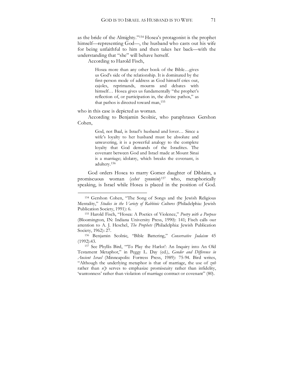as the bride of the Almighty."154 Hosea's protagonist is the prophet himself—representing God—, the husband who casts out his wife for being unfaithful to him and then takes her back—with the understanding that "she" will behave herself.

According to Harold Fisch,

Hosea more than any other book of the Bible…gives us God's side of the relationship. It is dominated by the first-person mode of address as God himself cries out, cajoles, reprimands, mourns and debates with himself... Hosea gives us fundamentally "the prophet's reflection of, or participation in, the divine pathos," as that pathos is directed toward man,155

who in this case is depicted as woman.

 $\overline{a}$ 

According to Benjamin Scolnic, who paraphrases Gershon Cohen,

> God, not Baal, is Israel's husband and lover… Since a wife's loyalty to her husband must be absolute and unwavering, it is a powerful analogy to the complete loyalty that God demands of the Israelites. The covenant between God and Israel made at Mount Sinai is a marriage; idolatry, which breaks the covenant, is adultery.156

God orders Hosea to marry Gomer daughter of Diblaim, a promiscuous woman (*eshet zenunim*)157 who, metaphorically speaking, is Israel while Hosea is placed in the position of God.

<sup>154</sup> Gershon Cohen, "The Song of Songs and the Jewish Religious Mentality," *Studies in the Variety of Rabbinic Cultures* (Philadelphia: Jewish Publication Society, 1991): 6. 155 Harold Fisch, "Hosea: A Poetics of Violence," *Poetry with a Purpose*

<sup>(</sup>Bloomington, IN: Indiana University Press, 1990): 141; Fisch calls our attention to A. J. Heschel, *The Prophets* (Philadelphia: Jewish Publication Society, 1962): 27. 156 Benjamin Scolnic, "Bible Battering," *Conservative Judaism*<sup>45</sup>

<sup>(1992):43. 157</sup> See Phyllis Bird, "'To Play the Harlot': An Inquiry into An Old

Testament Metaphor," in Peggy L. Day (ed.), *Gender and Difference in Ancient Israel* (Minneapolis: Fortress Press, 1989): 75-94. Bird writes, "Although the underlying metaphor is that of marriage, the use of *znh* rather than  $n'p$  serves to emphasize promiscuity rather than infidelity, 'wantonness' rather than violation of marriage contract or covenant" (80).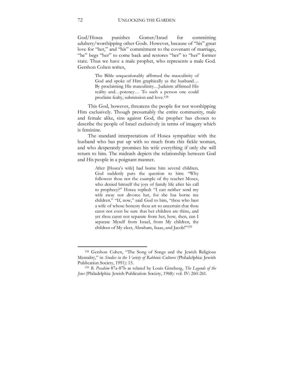God/Hosea punishes Gomer/Israel for committing adultery/worshipping other Gods. However, because of "his" great love for "her," and "his" commitment to the covenant of marriage, "he" begs "her" to come back and restores "her" to "her" former state. Thus we have a male prophet, who represents a male God. Gershon Cohen writes,

> The Bible unquestionably affirmed the masculinity of God and spoke of Him graphically as the husband… By proclaiming His masculinity…Judaism affirmed His reality and…potency… To such a person one could proclaim fealty, submission and love.158

This God, however, threatens the people for not worshipping Him exclusively. Though presumably the entire community, male and female alike, sins against God, the prophet has chosen to describe the people of Israel exclusively in terms of imagery which is feminine.

The standard interpretations of Hosea sympathize with the husband who has put up with so much from this fickle woman, and who desperately promises his wife everything if only she will return to him. The midrash depicts the relationship between God and His people in a poignant manner.

> After [Hosea's wife] had borne him several children, God suddenly puts the question to him: "Why followest thou not the example of thy teacher Moses, who denied himself the joys of family life after his call to prophecy?" Hosea replied: "I can neither send my wife away nor divorce her, for she has borne me children." "If, now," said God to him, "thou who hast a wife of whose honesty thou art so uncertain that thou canst not even be sure that her children are thine, and yet thou canst not separate from her, how, then, can I separate Myself from Israel, from My children, the children of My elect, Abraham, Isaac, and Jacob!"159

<sup>158</sup> Gershon Cohen, "The Song of Songs and the Jewish Religious Mentality," in *Studies in the Variety of Rabbinic Cultures* (Philadelphia: Jewish Publication Society, 1991): 15. 159 *B. Pesahim* 87a-87b as related by Louis Ginzberg, *The Legends of the* 

*Jews* (Philadelphia: Jewish Publication Society, 1968): vol. IV: 260-261.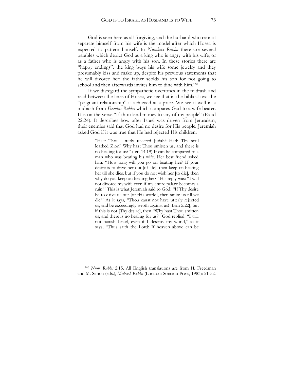God is seen here as all-forgiving, and the husband who cannot separate himself from his wife is the model after which Hosea is expected to pattern himself. In *Numbers Rabba* there are several parables which depict God as a king who is angry with his wife, or as a father who is angry with his son. In these stories there are "happy endings": the king buys his wife some jewelry and they presumably kiss and make up, despite his previous statements that he will divorce her; the father scolds his son for not going to school and then afterwards invites him to dine with him.160

If we disregard the sympathetic overtones in the midrash and read between the lines of Hosea, we see that in the biblical text the "poignant relationship" is achieved at a price. We see it well in a midrash from *Exodus Rabba* which compares God to a wife-beater. It is on the verse "If thou lend money to any of my people" (Exod 22.24). It describes how after Israel was driven from Jerusalem, their enemies said that God had no desire for His people. Jeremiah asked God if it was true that He had rejected His children:

> "Hast Thou Utterly rejected Judah? Hath Thy soul loathed Zion? Why hast Thou smitten us, and there is no healing for us?" (Jer. 14.19) It can be compared to a man who was beating his wife. Her best friend asked him: "How long will you go on beating her? If your desire is to drive her out [of life], then keep on beating her till she dies; but if you do not wish her [to die], then why do you keep on beating her?" His reply was: "I will not divorce my wife even if my entire palace becomes a ruin." This is what Jeremiah said to God: "If Thy desire be to drive us out [of this world], then smite us till we die." As it says, "Thou canst not have utterly rejected us, and be exceedingly wroth against us! [Lam 5.22], but if this is not [Thy desire], then "Why hast Thou smitten us, and there is no healing for us?" God replied: "I will not banish Israel, even if I destroy my world," as it says, "Thus saith the Lord: If heaven above can be

<sup>160</sup> *Num. Rabba* 2:15. All English translations are from H. Freedman and M. Simon (eds.), *Midrash Rabba* (London: Soncino Press, 1983): 51-52.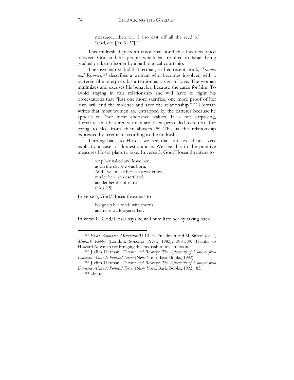measured…then will I also cast off all the seed of Israel, etc. [Jer. 31.37].161

This midrash depicts an emotional bond that has developed between God and his people which has resulted in Israel being gradually taken prisoner by a pathological courtship.

The psychiatrist Judith Herman, in her recent book, *Trauma and Recovery*, 162 describes a woman who becomes involved with a batterer. She interprets his attention as a sign of love. The woman minimizes and excuses his behavior, because she cares for him. To avoid staying in this relationship she will have to fight his protestations that "just one more sacrifice, one more proof of her love, will end the violence and save the relationship."163 Herman writes that most women are entrapped by the batterer because he appeals to "her most cherished values. It is not surprising, therefore, that battered women are often persuaded to return after trying to flee from their abusers."164 This is the relationship expressed by Jeremiah according to the midrash.

Turning back to Hosea, we see that our text details very explicitly a case of domestic abuse. We see this in the punitive measures Hosea plans to take. In verse 5, God/Hosea threatens to

> strip her naked and leave her as on the day she was born; And I will make her like a wilderness, render her like desert land, and let her die of thirst (Hos 2.5).

In verse 8, God/Hosea threatens to

hedge up her roads with thorns and raise walls against her.

In verse 11 God/Hosea says he will humiliate her by taking back

<sup>161</sup> *Exod. Rabba* on *Mishpatim* 31:10. H. Freedman and M. Simon (eds.), *Midrash Rabba* (London: Soncino Press, 1983): 388-389. Thanks to

Howard Adelman for bringing this midrash to my attention. 162 Judith Herman, *Trauma and Recovery: The Aftermath of Violence from Domestic Abuse to Political Terror* (New York: Basic Books, 1992). 163 Judith Herman, *Trauma and Recovery: The Aftermath of Violence from* 

*Domestic Abuse to Political Terror* (New York: Basic Books, 1992): 83.<br><sup>164</sup> Idem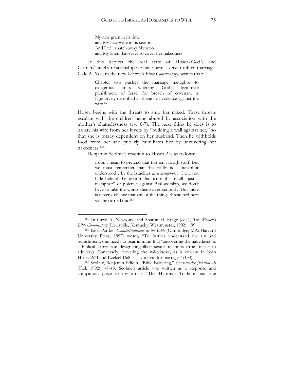My new grain in its time and My new wine in its season, And I will snatch away My wool and My linen that serve to cover her nakedness.

If this depicts the real state of Hosea/God's and Gomer/Israel's relationship we have here a very troubled marriage. Gale A. Yee, in the new *Women's Bible Commentary*, writes that:

> Chapter two pushes the marriage metaphor to dangerous limits, whereby [God's] legitimate punishment of Israel for breach of covenant is figuratively described as threats of violence against the wife.<sup>165</sup>

Hosea begins with the threats to strip her naked. These threats escalate with the children being abused by association with the mother's shamelessness (vv. 6-7). The next thing he does is to isolate his wife from her lovers by "building a wall against her," so that she is totally dependent on her husband. Then he withholds food from her and publicly humiliates her by uncovering her nakedness.166

Benjamin Scolnic's reaction to Hosea 2 is as follows:

I don't mean to pretend that this isn't rough stuff. But we must remember that this really is a metaphor understood…by the Israelites *as a metaphor*… I will not hide behind the notion that since this is all "just a metaphor" or polemic against Baal-worship, we don't have to take the words themselves seriously. But there is never a chance that any of the things threatened here will be carried out.<sup>167</sup>

<sup>165</sup> In Carol A. Newsome and Sharon H. Ringe (eds.), *The Women's Bible Commentary* (Louisville, Kentucky: Westminster, 1992): 199. 166 Ilana Pardes, *Countertraditions in the Bible* (Cambridge, MA: Harvard

University Press, 1992) writes, "To further understand the sin and punishment, one needs to bear in mind that 'uncovering the nakedness' is a biblical expression designating illicit sexual relations (from incest to adultery). Conversely, 'covering the nakedness', as is evident in both Hosea 2:11 and Ezekiel 16:8 is a synonym for marriage" (134). 167 Scolnic, Benjamin Edidin. "Bible Battering," *Conservative Judaism*<sup>45</sup>

<sup>(</sup>Fall, 1992): 47-48. Scolnic's article was written as a response and companion piece to my article "The Haftorah Tradition and the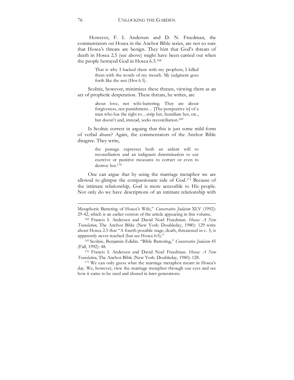However, F. I. Andersen and D. N. Freedman, the commentators on Hosea in the Anchor Bible series, are not so sure that Hosea's threats are benign. They hint that God's threats of death in Hosea 2.5 (see above) might have been carried out when the people betrayed God in Hosea 6.5.168

> That is why I hacked them with my prophets; I killed them with the words of my mouth. My judgment goes forth like the sun (Hos 6.5).

Scolnic, however, minimizes these threats, viewing them as an act of prophetic desperation. These threats, he writes, are

> about love, not wife-battering. They are about forgiveness, not punishment… [The perspective is] of a man who has the right to…strip her, humiliate her, etc., but doesn't and, instead, seeks reconciliation.<sup>169</sup>

Is Scolnic correct in arguing that this is just some mild form of verbal abuse? Again, the commentators of the Anchor Bible disagree. They write,

> the passage expresses both an ardent will to reconciliation and an indignant determination to use coercive or punitive measures to correct or even to destroy her.170

One can argue that by using the marriage metaphor we are allowed to glimpse the compassionate side of God.171 Because of the intimate relationship, God is more accessible to His people. Not only do we have descriptions of an intimate relationship with

Metaphoric Battering of Hosea's Wife," *Conservative Judaism* XLV (1992):

<sup>29-42,</sup> which is an earlier version of the article appearing in this volume. 168 Francis I. Andersen and David Noel Freedman. *Hosea: A New Translation*, The Anchor Bible (New York: Doubleday, 1980): 129 write about Hosea 2.5 that "A fourth possible stage, death, threatened in v. 5, is apparently never reached (but see Hosea 6:5)." 169 Scolnic, Benjamin Edidin. "Bible Battering," *Conservative Judaism*<sup>45</sup>

<sup>(</sup>Fall, 1992): 48. 170 Francis I. Andersen and David Noel Freedman. *Hosea: A New* 

*Translation*, The Anchor Bible (New York: Doubleday, 1980): 128.<br><sup>171</sup> We can only guess what the marriage metaphor meant in Hosea's

day. We, however, view the marriage metaphor through our eyes and see how it came to be used and abused in later generations.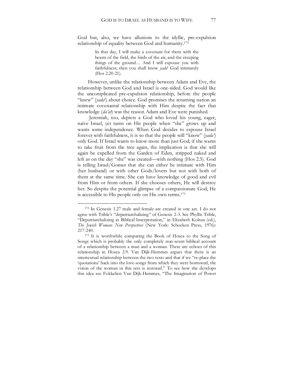God but, also, we have allusions to the idyllic, pre-expulsion relationship of equality between God and humanity.172

> In that day, I will make a covenant for them with the beasts of the field, the birds of the air, and the creeping things of the ground… And I will espouse you with faithfulness; then you shall know *yada*' God intimately (Hos 2.20-21).

However, unlike the relationship between Adam and Eve, the relationship between God and Israel is one-sided. God would like the uncomplicated pre-expulsion relationship, before the people "knew" (*yada*') about choice. God promises the returning nation an intimate covenantal relationship with Him despite the fact that knowledge (*da'at*) was the reason Adam and Eve were punished.

 Jeremiah, too, depicts a God who loved his young, eager, naïve Israel, yet turns on His people when "she" grows up and wants some independence. When God decides to espouse Israel forever with faithfulness, it is so that the people will "know" (*yada'*) only God. If Israel wants to know more than just God, if she wants to take fruit from the tree again, the implication is that she will again be expelled from the Garden of Eden, stripped naked and left as on the day "she" was created—with nothing (Hos 2.5). God is telling Israel/Gomer that she can either be intimate with Him (her husband) or with other Gods/lovers but not with both of them at the same time. She can have knowledge of good and evil from Him or from others. If she chooses others, He will destroy her. So despite the potential glimpse of a compassionate God, He is accessible to His people only on His own terms.173

<sup>172</sup> In Genesis 1.27 male and female are created in one act. I do not agree with Trible's "depatriarchalizing" of Genesis 2-3. See Phyllis Trible, "Depatriarchalizing in Biblical Interpretation," in Elizabeth Koltun (ed.), *The Jewish Woman: New Perspectives* (New York: Schocken Press, 1976): 217-240. 173 It is worthwhile comparing the Book of Hosea to the Song of

Songs which is probably the only completely non-sexist biblical account of a relationship between a man and a woman. There are echoes of this relationship in Hosea 2.9. Van Dijk-Hemmes argues that there is an intertextual relationship between the two texts and that if we "re-place the 'quotations' back into the love-songs from which they were borrowed, the vision of the woman in this text is restored." To see how she develops this idea see Fokkelien Van Dijk-Hemmes, "The Imagination of Power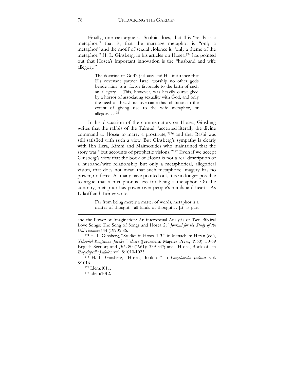Finally, one can argue as Scolnic does, that this "really is a metaphor," that is, that the marriage metaphor is "only a metaphor" and the motif of sexual violence is "only a theme of the metaphor." H. L. Ginsberg, in his articles on Hosea,<sup>174</sup> has pointed out that Hosea's important innovation is the "husband and wife allegory."

> The doctrine of God's jealousy and His insistence that His covenant partner Israel worship no other gods beside Him [is a] factor favorable to the birth of such an allegory… This, however, was heavily outweighed by a horror of associating sexuality with God, and only the need of the…hour overcame this inhibition to the extent of giving rise to the wife metaphor, or allegory…175

In his discussion of the commentators on Hosea, Ginsberg writes that the rabbis of the Talmud "accepted literally the divine command to Hosea to marry a prostitute,"176 and that Rashi was still satisfied with such a view. But Ginsberg's sympathy is clearly with Ibn Ezra, Kimhi and Maimonides who maintained that the story was "but accounts of prophetic visions."177 Even if we accept Ginsberg's view that the book of Hosea is not a real description of a husband/wife relationship but only a metaphorical, allegorical vision, that does not mean that such metaphoric imagery has no power, no force. As many have pointed out, it is no longer possible to argue that a metaphor is less for being a metaphor. On the contrary, metaphor has power over people's minds and hearts. As Lakoff and Turner write,

> Far from being merely a matter of words, metaphor is a matter of thought—all kinds of thought… [It] is part

and the Power of Imagination: An intertextual Analysis of Two Biblical Love Songs: The Song of Songs and Hosea 2," *Journal for the Study of the Old Testament* 44 (1990): 86.<br><sup>174</sup> H. L. Ginsberg, "Studies in Hosea 1-3," in Menachem Haran (ed.),

*Yehezkel Kaufmann Jubilee Volume* (Jerusalem: Magnes Press, 1960): 50-69 English Section; and *JBL* 80 (1961): 339-347; and "Hosea, Book of" in *Encyclopedia Judaica*, vol. 8:1010-1025. 175 H. L. Ginsberg, "Hosea, Book of" in *Encyclopedia Judaica*, vol.

<sup>8:1016.&</sup>lt;br><sup>176</sup> Idem:1011.<br><sup>177</sup> Idem:1012.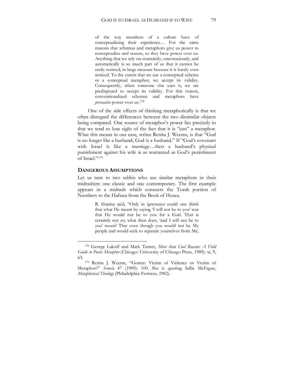of the way members of a culture have of conceptualizing their experience… For the same reasons that schemas and metaphors give us power to conceptualize and reason, so they have power over us. Anything that we rely on constantly, unconsciously, and automatically is so much part of us that it cannot be easily resisted, in large measure because it is barely even noticed. To the extent that we use a conceptual schema or a conceptual metaphor, we accept its validity. Consequently, when someone else uses it, we are predisposed to accept its validity. For this reason, conventionalized schemas and metaphors have *persuasive* power over us.178

One of the side effects of thinking metaphorically is that we often disregard the differences between the two dissimilar objects being compared. One source of metaphor's power lies precisely in that we tend to lose sight of the fact that it is "just" a metaphor. What this means in our case, writes Renita J. Weems, is that "God is no longer like a husband; God is a husband." If "God's covenant with Israel is like a marriage…then a husband's physical punishment against his wife is as warranted as God's punishment of Israel."179

#### **DANGEROUS ASSUMPTIONS**

 $\overline{a}$ 

Let us turn to two rabbis who use similar metaphors in their midrashim: one classic and one contemporary. The first example appears in a midrash which connects the Torah portion of Numbers to the Haftara from the Book of Hosea.

> R. Ḥanina said, "Only in ignorance could one think that what He meant by saying 'I will not be to you' was that He would not be to you for a God. That is certainly not so; what then does, 'and I will not be to you' mean? That even though you would not be My people and would seek to separate yourselves from Me,

<sup>178</sup> George Lakoff and Mark Turner, *More than Cool Reason: A Field Guide to Poetic Metaphor* (Chicago: University of Chicago Press, 1989): xi, 9,

<sup>63. 179</sup> Renita J. Weems, "Gomer: Victim of Violence or Victim of Metaphor?" *Semeia* 47 (1989): 100. She is quoting Sallie McFague, *Metaphorical Theology* (Philadelphia: Fortress, 1982).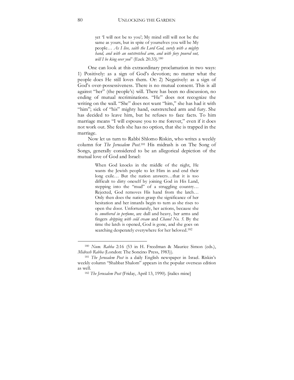yet 'I will not be to you'; My mind still will not be the same as yours, but in spite of yourselves you will be My people… *As I live, saith the Lord God, surely with a mighty hand, and with an outstretched arm, and with fury poured out, will I be king over you*" (Ezek 20.33).180

One can look at this extraordinary proclamation in two ways: 1) Positively: as a sign of God's devotion; no matter what the people does He still loves them. Or: 2) Negatively: as a sign of God's over-possessiveness. There is no mutual consent. This is all against "her" (the people's) will. There has been no discussion, no ending of mutual recriminations. "He" does not recognize the writing on the wall. "She" does not want "him," she has had it with "him"; sick of "his" mighty hand, outstretched arm and fury. She has decided to leave him, but he refuses to face facts. To him marriage means "I will espouse you to me forever," even if it does not work out. She feels she has no option, that she is trapped in the marriage.

Now let us turn to Rabbi Shlomo Riskin, who writes a weekly column for *The Jerusalem Post*. 181 His midrash is on The Song of Songs, generally considered to be an allegorical depiction of the mutual love of God and Israel:

> When God knocks in the middle of the night, He wants the Jewish people to let Him in and end their long exile… But the nation answers…that it is too difficult to dirty oneself by joining God in His Land, stepping into the "mud" of a struggling country… Rejected, God removes His hand from the latch… Only then does the nation grasp the significance of her hesitation and her innards begin to turn as she rises to open the door. Unfortunately, her actions, because she is *smothered in perfume*, are dull and heavy, her arms and fingers *dripping with cold cream* and *Chanel No. 5*. By the time the latch is opened, God is gone, and she goes on searching desperately everywhere for her beloved.182

<sup>180</sup> *Num. Rabba* 2:16 (53 in H. Freedman & Maurice Simon (eds.), *Midrash Rabba* (London: The Soncino Press, 1983)). 181 *The Jerusalem Post* is a daily English newspaper in Israel. Riskin's

weekly column "Shabbat Shalom" appears in the popular overseas edition as well. 182 *The Jerusalem Post* (Friday, April 13, 1990). [italics mine]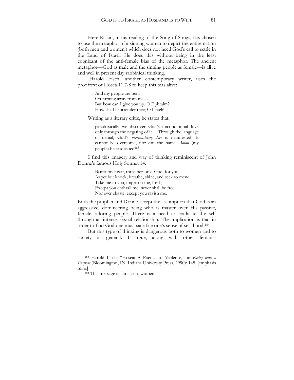Here Riskin, in his reading of the Song of Songs, has chosen to use the metaphor of a sinning woman to depict the entire nation (both men and women!) which does not heed God's call to settle in the Land of Israel. He does this without being in the least cognizant of the anti-female bias of the metaphor. The ancient metaphor—God as male and the sinning people as female—is alive and well in present day rabbinical thinking.

 Harold Fisch, another contemporary writer, uses the prooftext of Hosea 11.7-8 to keep this bias alive:

> And my people are bent On turning away from me… But how can I give you up, O Ephraim? How shall I surrender thee, O Israel?

Writing as a literary critic, he states that:

paradoxically we discover God's unconditional love only through the negating of it… Through the language of denial, God's *overmastering love* is manifested. It cannot be overcome, nor can the name *Ammi* (my people) be eradicated<sup>183</sup>

I find this imagery and way of thinking reminiscent of John Donne's famous Holy Sonnet 14.

> Batter my heart, three person'd God; for you As yet but knock, breathe, shine, and seek to mend. Take me to you, imprison me, for I, Except you enthrall me, never shall be free, Nor ever chaste, except you ravish me.

Both the prophet and Donne accept the assumption that God is an aggressive, domineering being who is master over His passive, female, adoring people. There is a need to eradicate the self through an intense sexual relationship. The implication is that in order to find God one must sacrifice one's sense of self-hood.184

But this type of thinking is dangerous both to women and to society in general. I argue, along with other feminist

<sup>183</sup> Harold Fisch, "Hosea: A Poetics of Violence," in *Poetry with a Purpose* (Bloomington, IN: Indiana University Press, 1990): 145. [emphasis mine]<br><sup>184</sup> This message is familiar to women.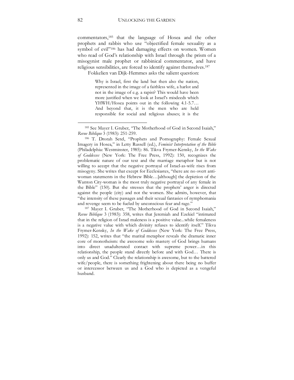commentators,185 that the language of Hosea and the other prophets and rabbis who use "objectified female sexuality as a symbol of evil"186 has had damaging effects on women. Women who read of God's relationship with Israel through the prism of a misogynist male prophet or rabbinical commentator, and have religious sensibilities, are forced to identify against themselves.187

Fokkelien van Dijk-Hemmes asks the salient question:

Why is Israel, first the land but then also the nation, represented in the image of a faithless wife, a harlot and not in the image of e.g. a rapist? This would have been more justified when we look at Israel's misdeeds which YHWH/Hosea points out in the following 4.1-5.7… And beyond that, it is the men who are held responsible for social and religious abuses; it is the

Imagery in Hosea," in Letty Russell (ed.), *Feminist Interpretation of the Bible* (Philadelphia: Westminster, 1985): 86. Tikva Frymer-Kensky, *In the Wake of Goddesses* (New York: The Free Press, 1992): 150, recognizes the problematic nature of our text and the marriage metaphor but is not willing to accept that the negative portrayal of Israel-as-wife rises from misogyny. She writes that except for Ecclesiastes, "there are no overt antiwoman statements in the Hebrew Bible…[although] the depiction of the Wanton City-woman is the most truly negative portrayal of any female in the Bible" (150). But she stresses that the prophets' anger is directed against the people (city) and not the women. She admits, however, that "the intensity of these passages and their sexual fantasies of nymphomania and revenge seem to be fueled by unconscious fear and rage." 187 Mayer I. Gruber, "The Motherhood of God in Second Isaiah,"

*Revue Biblique* 3 (1983): 358, writes that Jeremiah and Ezekiel "intimated that in the religion of Israel maleness is a positive value...while femaleness is a negative value with which divinity refuses to identify itself." Tikva Frymer-Kensky, *In the Wake of Goddesses* (New York: The Free Press, 1992): 152, writes that "the marital metaphor reveals the dramatic inner core of monotheism: the awesome solo mastery of God brings humans into direct unadulterated contact with supreme power…in this relationship, the people stand directly before and with God… There is only us and God." Clearly the relationship is awesome, but to the battered wife/people, there is something frightening about there being no buffer or intercessor between us and a God who is depicted as a vengeful husband.

<sup>185</sup> See Mayer I. Gruber, "The Motherhood of God in Second Isaiah," *Revue Biblique* 3 (1983): 251-259.<br><sup>186</sup> T. Drorah Setel, "Prophets and Pornography: Female Sexual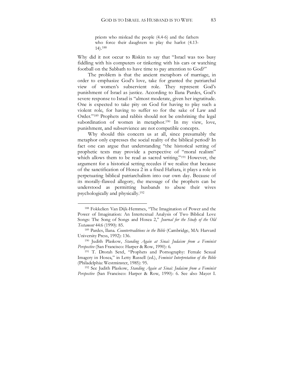priests who mislead the people (4.4-6) and the fathers who force their daughters to play the harlot (4.13- 14).188

Why did it not occur to Riskin to say that "Israel was too busy fiddling with his computers or tinkering with his cars or watching football on the Sabbath to have time to pay attention to God?"

The problem is that the ancient metaphors of marriage, in order to emphasize God's love, take for granted the patriarchal view of women's subservient role. They represent God's punishment of Israel as justice. According to Ilana Pardes, God's severe response to Israel is "almost moderate, given her ingratitude. One is expected to take pity on God for having to play such a violent role, for having to suffer so for the sake of Law and Order."189 Prophets and rabbis should not be enshrining the legal subordination of women in metaphor.<sup>190</sup> In my view, love, punishment, and subservience are not compatible concepts.

Why should this concern us at all, since presumably the metaphor only expresses the social reality of the biblical period? In fact one can argue that understanding "the historical setting of prophetic texts may provide a perspective of "moral realism" which allows them to be read as sacred writing."<sup>191</sup> However, the argument for a historical setting recedes if we realize that because of the sanctification of Hosea 2 in a fixed Haftara, it plays a role in perpetuating biblical patriarchalism into our own day. Because of its morally-flawed allegory, the message of the prophets can be understood as permitting husbands to abuse their wives psychologically and physically.192

<sup>188</sup> Fokkelien Van Dijk-Hemmes, "The Imagination of Power and the Power of Imagination: An Intertextual Analysis of Two Biblical Love Songs: The Song of Songs and Hosea 2," *Journal for the Study of the Old Testament* 44:6 (1990): 85. 189 Pardes, Ilana. *Countertraditions in the Bible* (Cambridge, MA: Harvard

University Press, 1992): 136.<br><sup>190</sup> Judith Plaskow, *Standing Again at Sinai: Judaism from a Feminist* 

*Perspective* (San Francisco: Harper & Row, 1990): 6. <sup>191</sup> T. Drorah Setel, "Prophets and Pornography: Female Sexual

Imagery in Hosea," in Letty Russell (ed.), *Feminist Interpretation of the Bible* (Philadelphia: Westminster, 1985): 95. 192 See Judith Plaskow, *Standing Again at Sinai: Judaism from a Feminist* 

*Perspective* (San Francisco: Harper & Row, 1990): 6. See also Mayer I.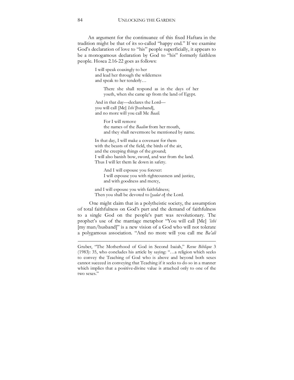An argument for the continuance of this fixed Haftara in the tradition might be that of its so-called "happy end." If we examine God's declaration of love to "his" people superficially, it appears to be a monogamous declaration by God to "his" formerly faithless people. Hosea 2.16-22 goes as follows:

> I will speak coaxingly to her and lead her through the wilderness and speak to her tenderly…

> > There she shall respond as in the days of her youth, when she came up from the land of Egypt.

And in that day—declares the Lord you will call [Me] *Ishi* [husband], and no more will you call Me *Baali*.

> For I will remove the names of the *Baalim* from her mouth, and they shall nevermore be mentioned by name.

In that day, I will make a covenant for them with the beasts of the field, the birds of the air, and the creeping things of the ground; I will also banish bow, sword, and war from the land. Thus I will let them lie down in safety.

And I will espouse you forever: I will espouse you with righteousness and justice, and with goodness and mercy,

and I will espouse you with faithfulness; Then you shall be devoted to [*yadat et*] the Lord.

 One might claim that in a polytheistic society, the assumption of total faithfulness on God's part and the demand of faithfulness to a single God on the people's part was revolutionary. The prophet's use of the marriage metaphor "You will call [Me] *'ishi* [my man/husband]" is a new vision of a God who will not tolerate a polygamous association. "And no more will you call me *Ba'ali*

Gruber, "The Motherhood of God in Second Isaiah," *Revue Biblique* 3 (1983): 35, who concludes his article by saying: "…a religion which seeks to convey the Teaching of God who is above and beyond both sexes cannot succeed in conveying that Teaching if it seeks to do so in a manner which implies that a positive-divine value is attached only to one of the two sexes."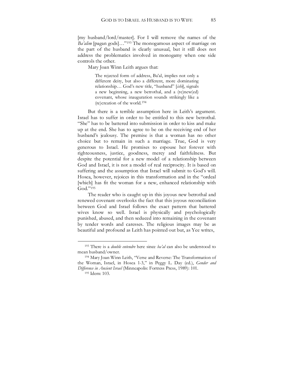[my husband/lord/master]. For I will remove the names of the *Ba'alim* [pagan gods]…"193 The monogamous aspect of marriage on the part of the husband is clearly unusual, but it still does not address the problematics involved in monogamy when one side controls the other.

Mary Joan Winn Leith argues that:

The rejected form of address, Ba'al, implies not only a different deity, but also a different, more dominating relationship… God's new title, "husband" [*ishi*], signals a new beginning, a new betrothal, and a (re)new(ed) covenant, whose inauguration sounds strikingly like a (re)creation of the world.194

But there is a terrible assumption here in Leith's argument. Israel has to suffer in order to be entitled to this new betrothal. "She" has to be battered into submission in order to kiss and make up at the end. She has to agree to be on the receiving end of her husband's jealousy. The premise is that a woman has no other choice but to remain in such a marriage. True, God is very generous to Israel. He promises to espouse her forever with righteousness, justice, goodness, mercy and faithfulness. But despite the potential for a new model of a relationship between God and Israel, it is not a model of real reciprocity. It is based on suffering and the assumption that Israel will submit to God's will. Hosea, however, rejoices in this transformation and in the "ordeal [which] has fit the woman for a new, enhanced relationship with God."195

The reader who is caught up in this joyous new betrothal and renewed covenant overlooks the fact that this joyous reconciliation between God and Israel follows the exact pattern that battered wives know so well. Israel is physically and psychologically punished, abused, and then seduced into remaining in the covenant by tender words and caresses. The religious images may be as beautiful and profound as Leith has pointed out but, as Yee writes,

<sup>193</sup> There is a *double entendre* here since *ba'al* can also be understood to mean husband/owner. 194 Mary Joan Winn Leith, "Verse and Reverse: The Transformation of

the Woman, Israel, in Hosea 1-3," in Peggy L. Day (ed.), *Gender and Difference in Ancient Israel* (Minneapolis: Fortress Press, 1989): 101.<br><sup>195</sup> Idem: 103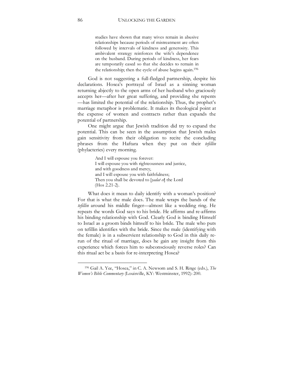studies have shown that many wives remain in abusive relationships because periods of mistreatment are often followed by intervals of kindness and generosity. This ambivalent strategy reinforces the wife's dependence on the husband. During periods of kindness, her fears are temporarily eased so that she decides to remain in the relationship; then the cycle of abuse begins again.196

God is not suggesting a full-fledged partnership, despite his declarations. Hosea's portrayal of Israel as a sinning woman returning abjectly to the open arms of her husband who graciously accepts her—after her great suffering, and providing she repents —has limited the potential of the relationship. Thus, the prophet's marriage metaphor is problematic. It makes its theological point at the expense of women and contracts rather than expands the potential of partnership.

One might argue that Jewish tradition did try to expand the potential. This can be seen in the assumption that Jewish males gain sensitivity from their obligation to recite the concluding phrases from the Haftara when they put on their *tefillin* (phylacteries) every morning.

> And I will espouse you forever: I will espouse you with righteousness and justice, and with goodness and mercy, and I will espouse you with faithfulness; Then you shall be devoted to [*yadat et*] the Lord (Hos 2.21-2).

What does it mean to daily identify with a woman's position? For that is what the male does. The male wraps the bands of the *tefillin* around his middle finger—almost like a wedding ring. He repeats the words God says to his bride. He affirms and re-affirms his binding relationship with God. Clearly God is binding Himself to Israel as a groom binds himself to his bride. The male who puts on tefillin identifies with the bride. Since the male (identifying with the female) is in a subservient relationship to God in this daily rerun of the ritual of marriage, does he gain any insight from this experience which forces him to subconsciously reverse roles? Can this ritual act be a basis for re-interpreting Hosea?

<sup>196</sup> Gail A. Yee, "Hosea," in C. A. Newsom and S. H. Ringe (eds.), *The Women's Bible Commentary* (Louisville, KY: Westminster, 1992): 200.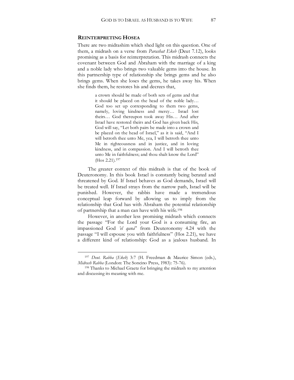#### **REINTERPRETING HOSEA**

There are two midrashim which shed light on this question. One of them, a midrash on a verse from *Parashat Ekeb* (Deut 7.12), looks promising as a basis for reinterpretation. This midrash connects the covenant between God and Abraham with the marriage of a king and a noble lady who brings two valuable gems into the house. In this partnership type of relationship she brings gems and he also brings gems. When she loses the gems, he takes away his. When she finds them, he restores his and decrees that,

> a crown should be made of both sets of gems and that it should be placed on the head of the noble lady… God too set up corresponding to them two gems, namely, loving kindness and mercy… Israel lost theirs… God thereupon took away His… And after Israel have restored theirs and God has given back His, God will say, "Let both pairs be made into a crown and be placed on the head of Israel," as it is said, "And I will betroth thee unto Me, yea, I will betroth thee unto Me in righteousness and in justice, and in loving kindness, and in compassion. And I will betroth thee unto Me in faithfulness; and thou shalt know the Lord" (Hos 2.21).197

The greater context of this midrash is that of the book of Deuteronomy. In this book Israel is constantly being berated and threatened by God. If Israel behaves as God demands, Israel will be treated well. If Israel strays from the narrow path, Israel will be punished. However, the rabbis have made a tremendous conceptual leap forward by allowing us to imply from the relationship that God has with Abraham the potential relationship of partnership that a man can have with his wife.198

However, in another less promising midrash which connects the passage "For the Lord your God is a consuming fire, an impassioned God *'el qana*" from Deuteronomy 4.24 with the passage "I will espouse you with faithfulness" (Hos 2.21), we have a different kind of relationship: God as a jealous husband. In

<sup>197</sup> *Deut. Rabba* (*Ekeb*) 3:7 (H. Freedman & Maurice Simon (eds.), *Midrash Rabba* (London: The Soncino Press, 1983): 75-76). 198 Thanks to Michael Graetz for bringing the midrash to my attention

and discussing its meaning with me.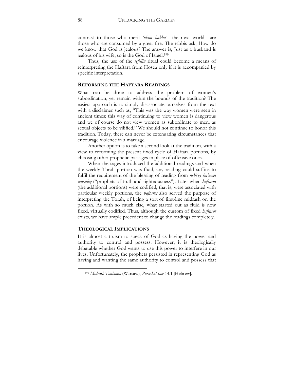contrast to those who merit *'olam habba'*—the next world—are those who are consumed by a great fire. The rabbis ask, How do we know that God is jealous? The answer is, Just as a husband is jealous of his wife, so is the God of Israel.199

Thus, the use of the *tefillin* ritual could become a means of reinterpreting the Haftara from Hosea only if it is accompanied by specific interpretation.

## **REFORMING THE HAFTARA READINGS**

What can be done to address the problem of women's subordination, yet remain within the bounds of the tradition? The easiest approach is to simply disassociate ourselves from the text with a disclaimer such as, "This was the way women were seen in ancient times; this way of continuing to view women is dangerous and we of course do not view women as subordinate to men, as sexual objects to be vilified." We should not continue to honor this tradition. Today, there can never be extenuating circumstances that encourage violence in a marriage.

Another option is to take a second look at the tradition, with a view to reforming the present fixed cycle of Haftara portions, by choosing other prophetic passages in place of offensive ones.

When the sages introduced the additional readings and when the weekly Torah portion was fluid, any reading could suffice to fulfil the requirement of the blessing of reading from *nebi'ey ha'emet wasedeq* ("prophets of truth and righteousness"). Later when *haftarot*  (the additional portions) were codified, that is, were associated with particular weekly portions, the *haftarot* also served the purpose of interpreting the Torah, of being a sort of first-line midrash on the portion. As with so much else, what started out as fluid is now fixed, virtually codified. Thus, although the custom of fixed *haftarot* exists, we have ample precedent to change the readings completely.

### **THEOLOGICAL IMPLICATIONS**

 $\overline{a}$ 

It is almost a truism to speak of God as having the power and authority to control and possess. However, it is theologically debatable whether God wants to use this power to interfere in our lives. Unfortunately, the prophets persisted in representing God as having and wanting the same authority to control and possess that

<sup>199</sup> *Midrash Tanhuma* (Warsaw), *Parashat saw* 14.1 [Hebrew].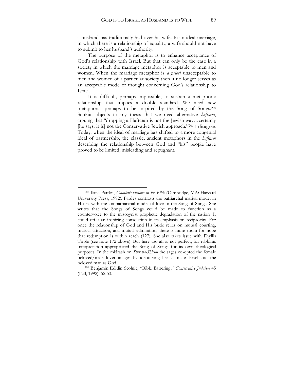a husband has traditionally had over his wife. In an ideal marriage, in which there is a relationship of equality, a wife should not have to submit to her husband's authority.

The purpose of the metaphor is to enhance acceptance of God's relationship with Israel. But that can only be the case in a society in which the marriage metaphor is acceptable to men and women. When the marriage metaphor is *a priori* unacceptable to men and women of a particular society then it no longer serves as an acceptable mode of thought concerning God's relationship to Israel.

It is difficult, perhaps impossible, to sustain a metaphoric relationship that implies a double standard. We need new metaphors—perhaps to be inspired by the Song of Songs.200 Scolnic objects to my thesis that we need alternative *haftarot*, arguing that "dropping a Haftarah is not the Jewish way…certainly [he says, it is] not the Conservative Jewish approach."<sup>201</sup> I disagree. Today, when the ideal of marriage has shifted to a more congenial ideal of partnership, the classic, ancient metaphors in the *haftarot* describing the relationship between God and "his" people have proved to be limited, misleading and repugnant.

<sup>200</sup> Ilana Pardes, *Countertraditions in the Bible* (Cambridge, MA: Harvard University Press, 1992). Pardes contrasts the patriarchal marital model in Hosea with the antipatriarchal model of love in the Song of Songs. She writes that the Songs of Songs could be made to function as a countervoice to the misogynist prophetic degradation of the nation. It could offer an inspiring consolation in its emphasis on reciprocity. For once the relationship of God and His bride relies on mutual courting, mutual attraction, and mutual admiration, there is more room for hope that redemption is within reach (127). She also takes issue with Phyllis Trible (see note 172 above). But here too all is not perfect, for rabbinic interpretation appropriated the Song of Songs for its own theological purposes. In the midrash on *Shir ha-Shirim* the sages co-opted the female beloved/male lover images by identifying her as male Israel and the beloved man as God. 201 Benjamin Edidin Scolnic, "Bible Battering," *Conservative Judaism*<sup>45</sup>

<sup>(</sup>Fall, 1992): 52-53.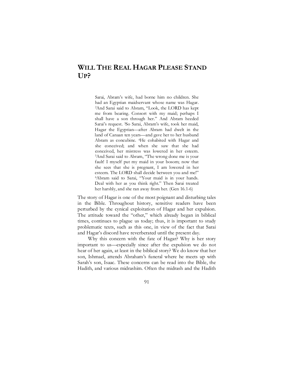## **WILL THE REAL HAGAR PLEASE STAND UP?**

Sarai, Abram's wife, had borne him no children. She had an Egyptian maidservant whose name was Hagar. 2And Sarai said to Abram, "Look, the LORD has kept me from bearing. Consort with my maid; perhaps I shall have a son through her." And Abram heeded Sarai's request. 3So Sarai, Abram's wife, took her maid, Hagar the Egyptian—after Abram had dwelt in the land of Canaan ten years—and gave her to her husband Abram as concubine. 4He cohabited with Hagar and she conceived; and when she saw that she had conceived, her mistress was lowered in her esteem. 5And Sarai said to Abram, "The wrong done me is your fault! I myself put my maid in your bosom; now that she sees that she is pregnant, I am lowered in her esteem. The LORD shall decide between you and me!" 6Abram said to Sarai, "Your maid is in your hands. Deal with her as you think right." Then Sarai treated her harshly, and she ran away from her. (Gen 16.1-6)

The story of Hagar is one of the most poignant and disturbing tales in the Bible. Throughout history, sensitive readers have been perturbed by the cynical exploitation of Hagar and her expulsion. The attitude toward the "other," which already began in biblical times, continues to plague us today; thus, it is important to study problematic texts, such as this one, in view of the fact that Sarai and Hagar's discord have reverberated until the present day.

Why this concern with the fate of Hagar? Why is her story important to us—especially since after the expulsion we do not hear of her again, at least in the biblical story? We do know that her son, Ishmael, attends Abraham's funeral where he meets up with Sarah's son, Isaac. These concerns can be read into the Bible, the Hadith, and various midrashim. Often the midrash and the Hadith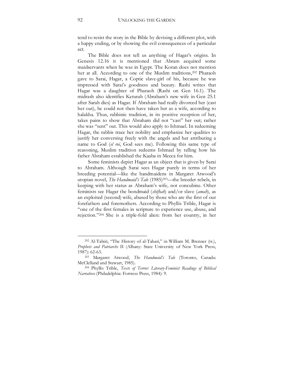tend to resist the story in the Bible by devising a different plot, with a happy ending, or by showing the evil consequences of a particular act.

The Bible does not tell us anything of Hagar's origins. In Genesis 12.16 it is mentioned that Abram acquired some maidservants when he was in Egypt. The Koran does not mention her at all. According to one of the Muslim traditions,<sup>202</sup> Pharaoh gave to Sarai, Hagar, a Coptic slave-girl of his, because he was impressed with Sarai's goodness and beauty. Rashi writes that Hagar was a daughter of Pharaoh (Rashi on Gen 16.1). The midrash also identifies Keturah (Abraham's new wife in Gen 25.1 after Sarah dies) as Hagar. If Abraham had really divorced her (cast her out), he could not then have taken her as a wife, according to halakha. Thus, rabbinic tradition, in its positive reception of her, takes pains to show that Abraham did not "cast" her out; rather she was "sent" out. This would also apply to Ishmael. In redeeming Hagar, the rabbis trace her nobility and emphasize her qualities to justify her conversing freely with the angels and her attributing a name to God (*el roi*, God sees me). Following this same type of reasoning, Muslim tradition redeems Ishmael by telling how his father Abraham established the Kaaba in Mecca for him.

Some feminists depict Hagar as an object that is given by Sarai to Abraham. Although Sarai sees Hagar purely in terms of her breeding potential—like the handmaidens in Margaret Atwood's utopian novel, *The Handmaid's Tale* (1985)<sup>203</sup>—the breeder rebels, in keeping with her status as Abraham's wife, not concubine. Other feminists see Hagar the bondmaid (*shifhah*) and/or slave (*amah*), as an exploited (second) wife, abused by those who are the first of our forefathers and foremothers. According to Phyllis Trible, Hagar is "one of the first females in scripture to experience use, abuse, and rejection."204 She is a triple-fold alien: from her country, in her

<sup>202</sup> Al-Tabiri, "The History of al-Tabari," in William M. Brenner (tr.), *Prophets and Patriarchs* II (Albany: State University of New York Press,

<sup>1987): 62-63. 203</sup> Margaret Atwood, *The Handmaid's Tale* (Toronto, Canada: McClelland and Stewart, 1985).<br><sup>204</sup> Phyllis Trible, *Texts of Terror: Literary-Feminist Readings of Biblical* 

*Narratives* (Philadelphia: Fortress Press, 1984): 9.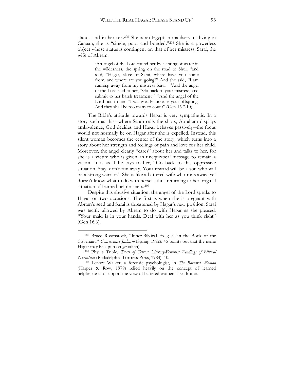status, and in her sex.205 She is an Egyptian maidservant living in Canaan; she is "single, poor and bonded."206 She is a powerless object whose status is contingent on that of her mistress, Sarai, the wife of Abram.

> 7An angel of the Lord found her by a spring of water in the wilderness, the spring on the road to Shur, 8and said, "Hagar, slave of Sarai, where have you come from, and where are you going?" And she said, "I am running away from my mistress Sarai." 9And the angel of the Lord said to her, "Go back to your mistress, and submit to her harsh treatment." <sup>10</sup>And the angel of the Lord said to her, "I will greatly increase your offspring, And they shall be too many to count" (Gen 16.7-10).

The Bible's attitude towards Hagar is very sympathetic. In a story such as this―where Sarah calls the shots, Abraham displays ambivalence, God decides and Hagar behaves passively―the focus would not normally be on Hagar after she is expelled. Instead, this silent woman becomes the center of the story, which turns into a story about her strength and feelings of pain and love for her child. Moreover, the angel clearly "cares" about her and talks to her, for she is a victim who is given an unequivocal message to remain a victim. It is as if he says to her, "Go back to this oppressive situation. Stay, don't run away. Your reward will be a son who will be a strong warrior." She is like a battered wife who runs away, yet doesn't know what to do with herself, thus returning to her original situation of learned helplessness.207

Despite this abusive situation, the angel of the Lord speaks to Hagar on two occasions. The first is when she is pregnant with Abram's seed and Sarai is threatened by Hagar's new position. Sarai was tacitly allowed by Abram to do with Hagar as she pleased. "Your maid is in your hands. Deal with her as you think right" (Gen 16.6).

<sup>205</sup> Bruce Rosenstock, "Inner-Biblical Exegesis in the Book of the Covenant," *Conservative Judaism* (Spring 1992): 45 points out that the name Hagar may be a pun on *ger* (alien). 206 Phyllis Trible, *Texts of Terror: Literary-Feminist Readings of Biblical* 

*Narratives* (Philadelphia: Fortress Press, 1984): 10. 207 Lenore Walker, a forensic psychologist, in *The Battered Woman*

<sup>(</sup>Harper & Row, 1979) relied heavily on the concept of learned helplessness to support the view of battered women's syndrome.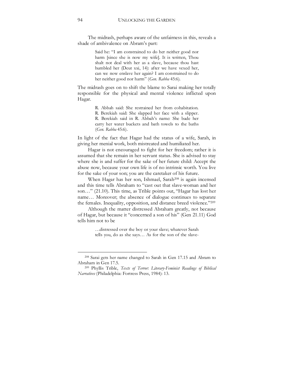The midrash, perhaps aware of the unfairness in this, reveals a shade of ambivalence on Abram's part:

> Said he: "I am constrained to do her neither good nor harm [since she is now my wife]. It is written, Thou shalt not deal with her as a slave, because thou hast humbled her (Deut xxi, 14): after we have vexed her, can we now enslave her again? I am constrained to do her neither good nor harm" (*Gen. Rabba* 45:6).

The midrash goes on to shift the blame to Sarai making her totally responsible for the physical and mental violence inflicted upon Hagar.

> R. Abbah said: She restrained her from cohabitation. R. Berekiah said: She slapped her face with a slipper. R. Berekiah said in R. Abbah's name: She bade her carry her water buckets and bath towels to the baths (*Gen. Rabba* 45:6).

In light of the fact that Hagar had the status of a wife, Sarah, in giving her menial work, both mistreated and humiliated her.

Hagar is not encouraged to fight for her freedom; rather it is assumed that she remain in her servant status. She is advised to stay where she is and suffer for the sake of her future child: Accept the abuse now, because your own life is of no intrinsic worth. You live for the sake of your son; you are the caretaker of his future.

When Hagar has her son, Ishmael, Sarah208 is again incensed and this time tells Abraham to "cast out that slave-woman and her son…" (21.10). This time, as Trible points out, "Hagar has lost her name… Moreover; the absence of dialogue continues to separate the females. Inequality, opposition, and distance breed violence."209

Although the matter distressed Abraham greatly, not because of Hagar, but because it "concerned a son of his" (Gen 21.11) God tells him not to be

> …distressed over the boy or your slave; whatever Sarah tells you, do as she says… As for the son of the slave-

<sup>208</sup> Sarai gets her name changed to Sarah in Gen 17.15 and Abram to Abraham in Gen 17.5. 209 Phyllis Trible, *Texts of Terror: Literary-Feminist Readings of Biblical* 

*Narratives* (Philadelphia: Fortress Press, 1984): 13.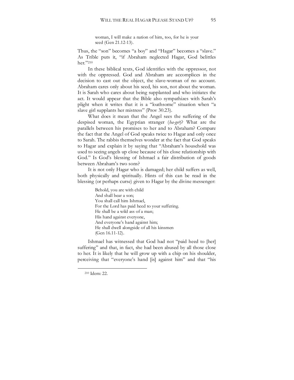woman, I will make a nation of him, too, for he is your seed (Gen 21.12-13).

Thus, the "son" becomes "a boy" and "Hagar" becomes a "slave." As Trible puts it, "if Abraham neglected Hagar, God belittles her."210

In these biblical texts, God identifies with the oppressor, not with the oppressed. God and Abraham are accomplices in the decision to cast out the object, the slave-woman of no account. Abraham cares only about his seed, his son, not about the woman. It is Sarah who cares about being supplanted and who initiates the act. It would appear that the Bible also sympathizes with Sarah's plight when it writes that it is a "loathsome" situation when "a slave girl supplants her mistress" (Prov 30.23).

What does it mean that the Angel sees the suffering of the despised woman, the Egyptian stranger (*ha-ger*)? What are the parallels between his promises to her and to Abraham? Compare the fact that the Angel of God speaks twice to Hagar and only once to Sarah. The rabbis themselves wonder at the fact that God speaks to Hagar and explain it by saying that "Abraham's household was used to seeing angels up close because of his close relationship with God." Is God's blessing of Ishmael a fair distribution of goods between Abraham's two sons?

It is not only Hagar who is damaged; her child suffers as well, both physically and spiritually. Hints of this can be read in the blessing (or perhaps curse) given to Hagar by the divine messenger:

> Behold, you are with child And shall bear a son; You shall call him Ishmael, For the Lord has paid heed to your suffering. He shall be a wild ass of a man; His hand against everyone, And everyone's hand against him; He shall dwell alongside of all his kinsmen (Gen 16.11-12).

Ishmael has witnessed that God had not "paid heed to [her] suffering" and that, in fact, she had been abused by all those close to her. It is likely that he will grow up with a chip on his shoulder, perceiving that "everyone's hand [is] against him" and that "his

<sup>210</sup> Idem: 22.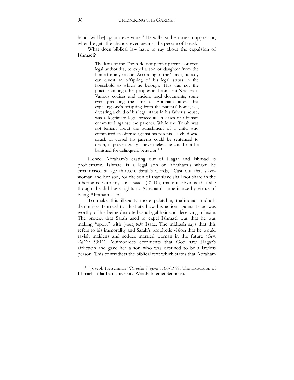hand [will be] against everyone." He will also become an oppressor, when he gets the chance, even against the people of Israel.

What does biblical law have to say about the expulsion of Ishmael?

> The laws of the Torah do not permit parents, or even legal authorities, to expel a son or daughter from the home for any reason. According to the Torah, nobody can divest an offspring of his legal status in the household to which he belongs. This was not the practice among other peoples in the ancient Near East: Various codices and ancient legal documents, some even predating the time of Abraham, attest that expelling one's offspring from the parents' home, i.e., divesting a child of his legal status in his father's house, was a legitimate legal procedure in cases of offenses committed against the parents. While the Torah was not lenient about the punishment of a child who committed an offense against his parents—a child who struck or cursed his parents could be sentenced to death, if proven guilty—nevertheless he could not be banished for delinquent behavior.<sup>211</sup>

Hence, Abraham's casting out of Hagar and Ishmael is problematic. Ishmael is a legal son of Abraham's whom he circumcised at age thirteen. Sarah's words, "Cast out that slavewoman and her son, for the son of that slave shall not share in the inheritance with my son Isaac" (21.10), make it obvious that she thought he did have rights to Abraham's inheritance by virtue of being Abraham's son.

To make this illegality more palatable, traditional midrash demonizes Ishmael to illustrate how his action against Isaac was worthy of his being demoted as a legal heir and deserving of exile. The pretext that Sarah used to expel Ishmael was that he was making "sport" with (*metzahek*) Isaac. The midrash says that this refers to his immorality and Sarah's prophetic vision that he would ravish maidens and seduce married woman in the future (*Gen. Rabba* 53:11). Maimonides comments that God saw Hagar's affliction and gave her a son who was destined to be a lawless person. This contradicts the biblical text which states that Abraham

<sup>211</sup> Joseph Fleischman "*Parashat Vayera* 5760/1999, The Expulsion of Ishmael," (Bar Ilan University, Weekly Internet Sermons).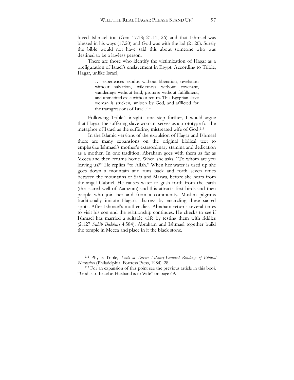loved Ishmael too (Gen 17.18; 21.11, 26) and that Ishmael was blessed in his ways (17.20) and God was with the lad (21.20). Surely the bible would not have said this about someone who was destined to be a lawless person.

There are those who identify the victimization of Hagar as a prefiguration of Israel's enslavement in Egypt. According to Trible, Hagar, unlike Israel,

> … experiences exodus without liberation, revelation without salvation, wilderness without covenant, wanderings without land, promise without fulfillment, and unmerited exile without return. This Egyptian slave woman is stricken, smitten by God, and afflicted for the transgressions of Israel.212

Following Trible's insights one step further, I would argue that Hagar, the suffering slave woman, serves as a prototype for the metaphor of Israel as the suffering, mistreated wife of God.213

In the Islamic versions of the expulsion of Hagar and Ishmael there are many expansions on the original biblical text to emphasize Ishmael's mother's extraordinary stamina and dedication as a mother. In one tradition, Abraham goes with them as far as Mecca and then returns home. When she asks, "To whom are you leaving us?" He replies "to Allah." When her water is used up she goes down a mountain and runs back and forth seven times between the mountains of Safa and Marwa, before she hears from the angel Gabriel. He causes water to gush forth from the earth (the sacred well of Zamzum) and this attracts first birds and then people who join her and form a community. Muslim pilgrims traditionally imitate Hagar's distress by encircling these sacred spots. After Ishmael's mother dies, Abraham returns several times to visit his son and the relationship continues. He checks to see if Ishmael has married a suitable wife by testing them with riddles (2.127 *Sahih Bukhari* 4.584). Abraham and Ishmael together build the temple in Mecca and place in it the black stone.

<sup>212</sup> Phyllis Trible, *Texts of Terror: Literary-Feminist Readings of Biblical Narratives* (Philadelphia: Fortress Press, 1984): 28.<br><sup>213</sup> For an expansion of this point see the previous article in this book

<sup>&</sup>quot;God is to Israel as Husband is to Wife" on page 69.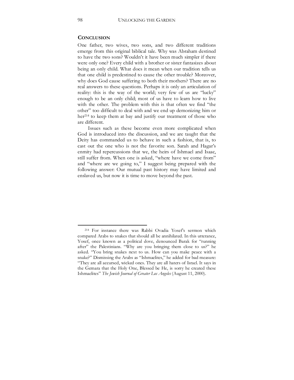## **CONCLUSION**

One father, two wives, two sons, and two different traditions emerge from this original biblical tale. Why was Abraham destined to have the two sons? Wouldn't it have been much simpler if there were only one? Every child with a brother or sister fantasizes about being an only child. What does it mean when our tradition tells us that one child is predestined to cause the other trouble? Moreover, why does God cause suffering to both their mothers? There are no real answers to these questions. Perhaps it is only an articulation of reality: this is the way of the world; very few of us are "lucky" enough to be an only child; most of us have to learn how to live with the other. The problem with this is that often we find "the other" too difficult to deal with and we end up demonizing him or her<sup>214</sup> to keep them at bay and justify our treatment of those who are different.

Issues such as these become even more complicated when God is introduced into the discussion, and we are taught that the Deity has commanded us to behave in such a fashion, that is, to cast out the one who is not the favorite son. Sarah and Hagar's enmity had repercussions that we, the heirs of Ishmael and Isaac, still suffer from. When one is asked, "where have we come from" and "where are we going to," I suggest being prepared with the following answer: Our mutual past history may have limited and enslaved us, but now it is time to move beyond the past.

<sup>214</sup> For instance there was Rabbi Ovadia Yosef's sermon which compared Arabs to snakes that should all be annihilated. In this utterance, Yosef, once known as a political dove, denounced Barak for "running after" the Palestinians. "Why are you bringing them close to us?" he asked. "You bring snakes next to us. How can you make peace with a snake?" Dismissing the Arabs as "Ishmaelites," he added for bad measure: "They are all accursed, wicked ones. They are all haters of Israel. It says in the Gemara that the Holy One, Blessed be He, is sorry he created these Ishmaelites" *The Jewish Journal of Greater Los Angeles* (August 11, 2000).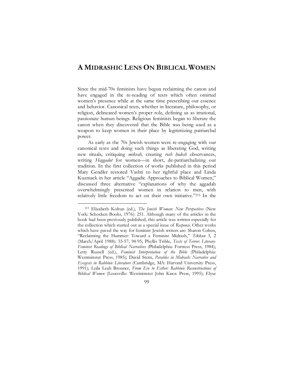## **A MIDRASHIC LENS ON BIBLICAL WOMEN**

Since the mid-70s feminists have begun reclaiming the canon and have engaged in the re-reading of texts which often omitted women's presence while at the same time prescribing our essence and behavior. Canonical texts, whether in literature, philosophy, or religion, delineated women's proper role, defining us as irrational, passionate human beings. Religious feminists began to liberate the canon when they discovered that the Bible was being used as a weapon to keep women in their place by legitimizing patriarchal power.

As early as the 70s Jewish women were re-engaging with our canonical texts and doing such things as liberating God, writing new rituals, critiquing *mikvah*, creating *rosh ḥodesh* observances, writing *Haggadot* for women—in short, de-patriarchalizing our tradition. In the first collection of works published in this period Mary Gendler restored Vashti to her rightful place and Linda Kuzmack in her article "Aggadic Approaches to Biblical Women," discussed three alternative "explanations of why the aggadah overwhelmingly presented women in relation to men, with relatively little freedom to act on their own initiative."215 In the

<sup>215</sup> Elizabeth Koltun (ed.), *The Jewish Woman: New Perspectives* (New York: Schocken Books, 1976): 251. Although many of the articles in the book had been previously published, this article was written especially for the collection which started out as a special issue of *Response*. Other works which have paved the way for feminist Jewish writers are: Sharon Cohen, "Reclaiming the Hammer: Toward a Feminist Midrash," *Tikkun* 3, 2 (March/April 1988): 55-57; 94-95; Phyllis Trible, *Texts of Terror: Literary-Feminist Readings of Biblical Narratives (*Philadelphia: Fortress Press, 1984); Letty Russell (ed.), *Feminist Interpretation of the Bible* (Philadelphia: Westminster Press, 1985); David Stern, *Parables in Midrash: Narrative and Exegesis in Rabbinic Literature* (Cambridge, MA: Harvard University Press, 1991); Leila Leah Bronner, *From Eve to Esther: Rabbinic Reconstructions of Biblical Women* (Louisville: Westminster John Knox Press, 1995); Elyse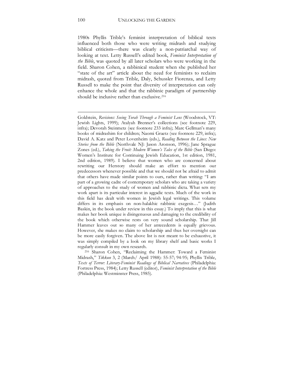1980s Phyllis Trible's feminist interpretation of biblical texts influenced both those who were writing midrash and studying biblical criticism—there was clearly a non-patriarchal way of looking at text. Letty Russell's edited book, *Feminist Interpretation of the Bible*, was quoted by all later scholars who were working in the field. Sharon Cohen, a rabbinical student when she published her "state of the art" article about the need for feminists to reclaim midrash, quoted from Trible, Daly, Schussler Fiorenza, and Letty Russell to make the point that diversity of interpretation can only enhance the whole and that the rabbinic paradigm of partnership should be inclusive rather than exclusive.216

Goldstein, *Revisions: Seeing Torah Through a Feminist Lens* (Woodstock, VT: Jewish Lights, 1999); Atalyah Brenner's collections (see footnote 229, infra); Devorah Steinmetz (see footnote 233 infra); Marc Gellman's many books of midrashim for children; Naomi Graetz (see footnote 229, infra); David A. Katz and Peter Lovenheim (eds.), *Reading Between the Lines: New Stories from the Bible* (Northvale NJ: Jason Aronson, 1996); Jane Sprague Zones (ed.), *Taking the Fruit: Modern Women's Tales of the Bible* (San Diego: Women's Institute for Continuing Jewish Education, 1st edition, 1981, 2nd edition, 1989). I believe that women who are concerned about rewriting our Herstory should make an effort to mention our predecessors whenever possible and that we should not be afraid to admit that others have made similar points to ours, rather than writing: "I am part of a growing cadre of contemporary scholars who are taking a variety of approaches to the study of women and rabbinic dicta. What sets my work apart is its particular interest in aggadic texts. Much of the work in this field has dealt with women in Jewish legal writings. This volume differs in its emphasis on non-halakhic rabbinic exegesis…" (Judith Baskin, in the book under review in this essay.) To imply that this is what makes her book unique is disingenuous and damaging to the credibility of the book which otherwise rests on very sound scholarship. That Jill Hammer leaves out so many of her antecedents is equally grievous. However, she makes no claim to scholarship and thus her oversight can be more easily forgiven. The above list is not meant to be exhaustive, it was simply compiled by a look on my library shelf and basic works I

regularly consult in my own research. 216 Sharon Cohen, "Reclaiming the Hammer: Toward a Feminist Midrash," *Tikkun* 3, 2 (March/ April 1988): 55-57; 94-95; Phyllis Trible, *Texts of Terror: Literary-Feminist Readings of Biblical Narratives* (Philadelphia: Fortress Press, 1984); Letty Russell (editor), *Feminist Interpretation of the Bible* (Philadelphia: Westminster Press, 1985).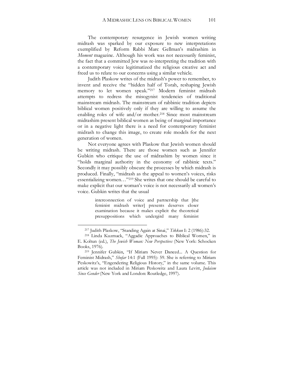The contemporary resurgence in Jewish women writing midrash was sparked by our exposure to new interpretations exemplified by Reform Rabbi Marc Gellman's midrashim in *Moment* magazine. Although his work was not necessarily feminist, the fact that a committed Jew was re-interpreting the tradition with a contemporary voice legitimatized the religious creative act and freed us to relate to our concerns using a similar vehicle.

Judith Plaskow writes of the midrash's power to remember, to invent and receive the "hidden half of Torah, reshaping Jewish memory to let women speak."217 Modern feminist midrash attempts to redress the misogynist tendencies of traditional mainstream midrash. The mainstream of rabbinic tradition depicts biblical women positively only if they are willing to assume the enabling roles of wife and/or mother.<sup>218</sup> Since most mainstream midrashim present biblical women as being of marginal importance or in a negative light there is a need for contemporary feminist midrash to change this image, to create role models for the next generation of women.

Not everyone agrees with Plaskow that Jewish women should be writing midrash. There are those women such as Jennifer Gubkin who critique the use of midrashim by women since it "holds marginal authority in the economy of rabbinic texts." Secondly it may possibly obscure the processes by which midrash is produced. Finally, "midrash as the appeal to women's voices, risks essentializing women…"219 She writes that one should be careful to make explicit that our woman's voice is not necessarily all women's voice. Gubkin writes that the usual

> interconnection of voice and partnership that [the feminist midrash writer] presents deserves closer examination because it makes explicit the theoretical presuppositions which undergird many feminist

<sup>217</sup> Judith Plaskow, "Standing Again at Sinai," *Tikkun* I: 2 (1986):32. 218 Linda Kuzmack, "Aggadic Approaches to Biblical Women," in

E. Koltun (ed.), *The Jewish Woman: New Perspectives* (New York: Schocken Books, 1976). 219 Jennifer Gubkin, "If Miriam Never Danced... A Question for

Feminist Midrash," *Shofar* 14:1 (Fall 1995): 59. She is referring to Miriam Peskowitz's, "Engendering Religious History," in the same volume. This article was not included in Miriam Peskowitz and Laura Levitt, *Judaism Since Gender* (New York and London: Routledge, 1997).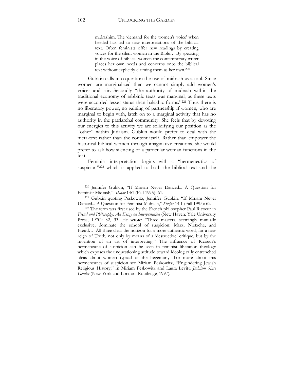midrashim. The 'demand for the women's voice' when heeded has led to new interpretations of the biblical text. Often feminists offer new readings by creating voices for the silent women in the Bible… By speaking in the voice of biblical women the contemporary writer places her own needs and concerns onto the biblical text without explicitly claiming them as her own.220

Gubkin calls into question the use of midrash as a tool. Since women are marginalized then we cannot simply add women's voices and stir. Secondly "the authority of midrash within the traditional economy of rabbinic texts was marginal, as these texts were accorded lesser status than halakhic forms."221 Thus there is no liberatory power, no gaining of partnership if women, who are marginal to begin with, latch on to a marginal activity that has no authority in the patriarchal community. She feels that by devoting our energies to this activity we are solidifying our position as the "other" within Judaism. Gubkin would prefer to deal with the meta-text rather than the content itself. Rather than empower the historical biblical women through imaginative creations, she would prefer to ask how silencing of a particular woman functions in the text.

Feminist interpretation begins with a "hermeneutics of suspicion"222 which is applied to both the biblical text and the

<sup>220</sup> Jennifer Gubkin, "If Miriam Never Danced... A Question for Feminist Midrash," *Shofar* 14:1 (Fall 1995): 61. 221 Gubkin quoting Peskowitz, Jennifer Gubkin, "If Miriam Never

Danced... A Question for Feminist Midrash," *Shofar* 14:1 (Fall 1995): 62.<br><sup>222</sup> The term was first used by the French philosopher Paul Ricoeur in

*Freud and Philosophy: An Essay on Interpretation* (New Haven: Yale University Press, 1970): 32, 33. He wrote: "Three masters, seemingly mutually exclusive, dominate the school of suspicion: Marx, Nietzche, and Freud…. All three clear the horizon for a more authentic word, for a new reign of Truth, not only by means of a 'destructive' critique, but by the invention of an art of interpreting." The influence of Ricoeur's hermeneutic of suspicion can be seen in feminist liberation theology which exposes the unquestioning attitude toward ideologically entrenched ideas about women typical of the hegemony. For more about this hermeneutics of suspicion see Miriam Peskowitz, "Engendering Jewish Religious History," in Miriam Peskowitz and Laura Levitt, *Judaism Since Gender* (New York and London: Routledge, 1997).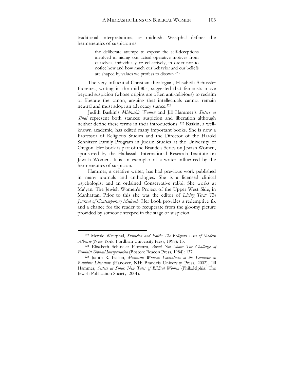traditional interpretations, or midrash. Westphal defines the hermeneutics of suspicion as

> the deliberate attempt to expose the self-deceptions involved in hiding our actual operative motives from ourselves, individually or collectively, in order not to notice how and how much our behavior and our beliefs are shaped by values we profess to disown.223

The very influential Christian theologian, Elisabeth Schussler Fiorenza, writing in the mid-80s, suggested that feminists move beyond suspicion (whose origins are often anti-religious) to reclaim or liberate the canon, arguing that intellectuals cannot remain neutral and must adopt an advocacy stance.224

Judith Baskin's *Midrashic Women* and Jill Hammer's *Sisters at Sinai* represent both stances: suspicion and liberation although neither define these terms in their introductions. 225 Baskin, a wellknown academic, has edited many important books. She is now a Professor of Religious Studies and the Director of the Harold Schnitzer Family Program in Judaic Studies at the University of Oregon. Her book is part of the Brandeis Series on Jewish Women, sponsored by the Hadassah International Research Institute on Jewish Women. It is an exemplar of a writer influenced by the hermeneutics of suspicion.

Hammer, a creative writer, has had previous work published in many journals and anthologies. She is a licensed clinical psychologist and an ordained Conservative rabbi. She works at Ma'yan: The Jewish Women's Project of the Upper West Side, in Manhattan. Prior to this she was the editor of *Living Text: The Journal of Contemporary Midrash*. Her book provides a redemptive fix and a chance for the reader to recuperate from the gloomy picture provided by someone steeped in the stage of suspicion.

<sup>223</sup> Merold Westphal, *Suspicion and Faith: The Religious Uses of Modern* 

*Atheism* (New York: Fordham University Press, 1998): 13. 224 Elisabeth Schussler Fiorenza, *Bread Not Stone: The Challenge of Feminist Biblical Interpretation* (Boston: Beacon Press, 1984): 137. 225 Judith R. Baskin, *Midrashic Women: Formations of the Feminine in* 

*Rabbinic Literature* (Hanover, NH: Brandeis University Press, 2002). Jill Hammer, *Sisters at Sinai: New Tales of Biblical Women* (Philadelphia: The Jewish Publication Society, 2001).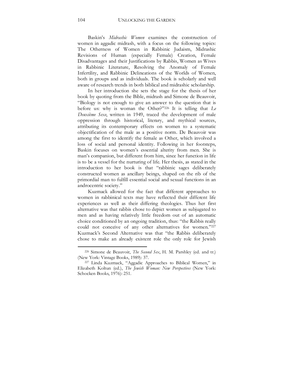Baskin's *Midrashic Women* examines the construction of women in aggadic midrash, with a focus on the following topics: The Otherness of Women in Rabbinic Judaism, Midrashic Revisions of Human (especially Female) Creation, Female Disadvantages and their Justifications by Rabbis, Women as Wives in Rabbinic Literature, Resolving the Anomaly of Female Infertility, and Rabbinic Delineations of the Worlds of Women, both in groups and as individuals. The book is scholarly and well aware of research trends in both biblical and midrashic scholarship.

In her introduction she sets the stage for the thesis of her book by quoting from the Bible, midrash and Simone de Beauvoir, "Biology is not enough to give an answer to the question that is before us: why is woman the Other?"226 It is telling that *Le Deuxième Sexe*, written in 1949, traced the development of male oppression through historical, literary, and mythical sources, attributing its contemporary effects on women to a systematic objectification of the male as a positive norm. De Beauvoir was among the first to identify the female as Other, which involved a loss of social and personal identity. Following in her footsteps, Baskin focuses on women's essential alterity from men. She is man's companion, but different from him, since her function in life is to be a vessel for the nurturing of life. Her thesis, as stated in the introduction to her book is that "rabbinic sages deliberately constructed women as ancillary beings, shaped on the rib of the primordial man to fulfill essential social and sexual functions in an androcentric society."

Kuzmack allowed for the fact that different approaches to women in rabbinical texts may have reflected their different life experiences as well as their differing theologies. Thus her first alternative was that rabbis chose to depict women as subjugated to men and as having relatively little freedom out of an automatic choice conditioned by an ongoing tradition, thus: "the Rabbis really could not conceive of any other alternatives for women."227 Kuzmack's Second Alternative was that "the Rabbis deliberately chose to make an already existent role the only role for Jewish

<sup>226</sup> Simone de Beauvoir, *The Second Sex*, H. M. Parshley (ed. and tr.) (New York: Vintage Books, 1989): 37. 227 Linda Kuzmack, "Aggadic Approaches to Biblical Women," in

Elizabeth Koltun (ed.), *The Jewish Woman: New Perspectives* (New York: Schocken Books, 1976): 251.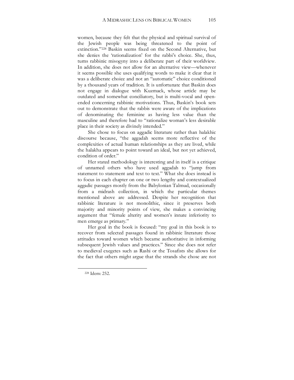women, because they felt that the physical and spiritual survival of the Jewish people was being threatened to the point of extinction."228 Baskin seems fixed on the Second Alternative, but she denies the 'rationalization' for the rabbi's choice. She, thus, turns rabbinic misogyny into a deliberate part of their worldview. In addition, she does not allow for an alternative view—whenever it seems possible she uses qualifying words to make it clear that it was a deliberate choice and not an "automatic" choice conditioned by a thousand years of tradition. It is unfortunate that Baskin does not engage in dialogue with Kuzmack, whose article may be outdated and somewhat conciliatory, but is multi-vocal and openended concerning rabbinic motivations. Thus, Baskin's book sets out to demonstrate that the rabbis were aware of the implications of denominating the feminine as having less value than the masculine and therefore had to "rationalize woman's less desirable place in their society as divinely intended."

She chose to focus on aggadic literature rather than halakhic discourse because, "the aggadah seems more reflective of the complexities of actual human relationships as they are lived, while the halakha appears to point toward an ideal, but not yet achieved, condition of order."

Her stated methodology is interesting and in itself is a critique of unnamed others who have used aggadah to "jump from statement to statement and text to text." What she does instead is to focus in each chapter on one or two lengthy and contextualized aggadic passages mostly from the Babylonian Talmud, occasionally from a midrash collection, in which the particular themes mentioned above are addressed. Despite her recognition that rabbinic literature is not monolithic, since it preserves both majority and minority points of view, she makes a convincing argument that "female alterity and women's innate inferiority to men emerge as primary."

Her goal in the book is focused: "my goal in this book is to recover from selected passages found in rabbinic literature those attitudes toward women which became authoritative in informing subsequent Jewish values and practices." Since she does not refer to medieval exegetes such as Rashi or the Tosafists she allows for the fact that others might argue that the strands she chose are not

<sup>228</sup> Idem: 252.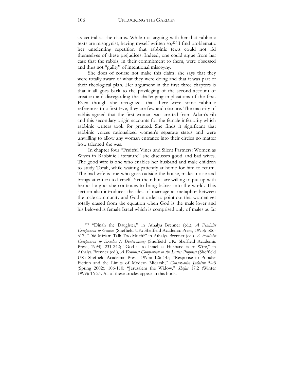as central as she claims. While not arguing with her that rabbinic texts are misogynist, having myself written so,<sup>229</sup> I find problematic her unrelenting repetition that rabbinic texts could not rid themselves of these prejudices. Indeed, one could argue from her case that the rabbis, in their commitment to them, were obsessed and thus not "guilty" of intentional misogyny.

She does of course not make this claim; she says that they were totally aware of what they were doing and that it was part of their theological plan. Her argument in the first three chapters is that it all goes back to the privileging of the second account of creation and disregarding the challenging implications of the first. Even though she recognizes that there were some rabbinic references to a first Eve, they are few and obscure. The majority of rabbis agreed that the first woman was created from Adam's rib and this secondary origin accounts for the female inferiority which rabbinic writers took for granted. She finds it significant that rabbinic voices rationalized women's separate status and were unwilling to allow any woman entrance into their circles no matter how talented she was.

In chapter four "Fruitful Vines and Silent Partners: Women as Wives in Rabbinic Literature" she discusses good and bad wives. The good wife is one who enables her husband and male children to study Torah, while waiting patiently at home for him to return. The bad wife is one who goes outside the house, makes noise and brings attention to herself. Yet the rabbis are willing to put up with her as long as she continues to bring babies into the world. This section also introduces the idea of marriage as metaphor between the male community and God in order to point out that women get totally erased from the equation when God is the male lover and his beloved is female Israel which is comprised only of males as far

<sup>229 &</sup>quot;Dinah the Daughter," in Athalya Brenner (ed.), *A Feminist Companion to Genesis* (Sheffield UK: Sheffield Academic Press, 1993): 306- 317; "Did Miriam Talk Too Much?" in Athalya Brenner (ed.), *A Feminist Companion to Exodus to Deuteronomy* (Sheffield UK: Sheffield Academic Press, 1994): 231-242; "God is to Israel as Husband is to Wife," in Athalya Brenner (ed.), *A Feminist Companion to the Latter Prophets* (Sheffield UK: Sheffield Academic Press, 1995): 126-145; "Response to Popular Fiction and the Limits of Modern Midrash," *Conservative Judaism* 54:3 (Spring 2002): 106-110; "Jerusalem the Widow," *Shofar* 17:2 (Winter 1999): 16-24. All of these articles appear in this book.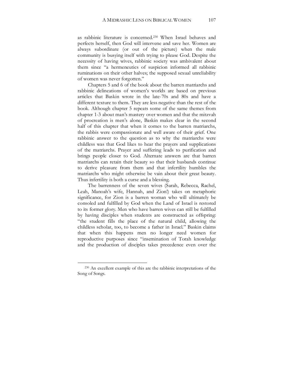as rabbinic literature is concerned.230 When Israel behaves and perfects herself, then God will intervene and save her. Women are always subordinate (or out of the picture) when the male community is busying itself with trying to please God. Despite the necessity of having wives, rabbinic society was ambivalent about them since "a hermeneutics of suspicion informed all rabbinic ruminations on their other halves; the supposed sexual unreliability of women was never forgotten."

Chapters 5 and 6 of the book about the barren matriarchs and rabbinic delineations of women's worlds are based on previous articles that Baskin wrote in the late-70s and 80s and have a different texture to them. They are less negative than the rest of the book. Although chapter 5 repeats some of the same themes from chapter 1-3 about man's mastery over women and that the mitzvah of procreation is men's alone, Baskin makes clear in the second half of this chapter that when it comes to the barren matriarchs, the rabbis were compassionate and well aware of their grief. One rabbinic answer to the question as to why the matriarchs were childless was that God likes to hear the prayers and supplications of the matriarchs. Prayer and suffering leads to purification and brings people closer to God. Alternate answers are that barren matriarchs can retain their beauty so that their husbands continue to derive pleasure from them and that infertility humbles the matriarchs who might otherwise be vain about their great beauty. Thus infertility is both a curse and a blessing.

The barrenness of the seven wives (Sarah, Rebecca, Rachel, Leah, Manoah's wife, Hannah, and Zion!) takes on metaphoric significance, for Zion is a barren woman who will ultimately be consoled and fulfilled by God when the Land of Israel is restored to its former glory. Men who have barren wives can still be fulfilled by having disciples when students are constructed as offspring: "the student fills the place of the natural child, allowing the childless scholar, too, to become a father in Israel." Baskin claims that when this happens men no longer need women for reproductive purposes since "insemination of Torah knowledge and the production of disciples takes precedence even over the

<sup>230</sup> An excellent example of this are the rabbinic interpretations of the Song of Songs.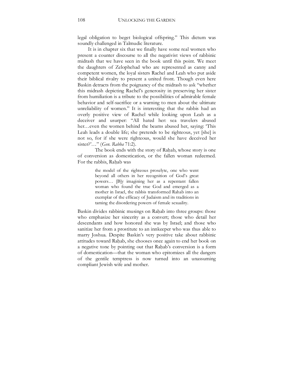legal obligation to beget biological offspring." This dictum was soundly challenged in Talmudic literature.

It is in chapter six that we finally have some real women who present a counter discourse to all the negativist views of rabbinic midrash that we have seen in the book until this point. We meet the daughters of Zelophehad who are represented as canny and competent women, the loyal sisters Rachel and Leah who put aside their biblical rivalry to present a united front. Though even here Baskin detracts from the poignancy of the midrash to ask "whether this midrash depicting Rachel's generosity in preserving her sister from humiliation is a tribute to the possibilities of admirable female behavior and self-sacrifice or a warning to men about the ultimate unreliability of women." It is interesting that the rabbis had an overly positive view of Rachel while looking upon Leah as a deceiver and usurper: "All hated her: sea travelers abused her…even the women behind the beams abused her, saying: 'This Leah leads a double life; she pretends to be righteous, yet [she] is not so, for if she were righteous, would she have deceived her sister?'…" (*Gen. Rabba* 71:2).

The book ends with the story of Raḥab, whose story is one of conversion as domestication, or the fallen woman redeemed. For the rabbis, Rahab was

> the model of the righteous proselyte, one who went beyond all others in her recognition of God's great powers… [B]y imagining her as a repentant fallen woman who found the true God and emerged as a mother in Israel, the rabbis transformed Rahab into an exemplar of the efficacy of Judaism and its traditions in taming the disordering powers of female sexuality.

Baskin divides rabbinic musings on Raḥab into three groups: those who emphasize her sincerity as a convert; those who detail her descendants and how honored she was by Israel; and those who sanitize her from a prostitute to an innkeeper who was thus able to marry Joshua. Despite Baskin's very positive take about rabbinic attitudes toward Raḥab, she chooses once again to end her book on a negative tone by pointing out that Raḥab's conversion is a form of domestication—that the woman who epitomizes all the dangers of the gentile temptress is now turned into an unassuming compliant Jewish wife and mother.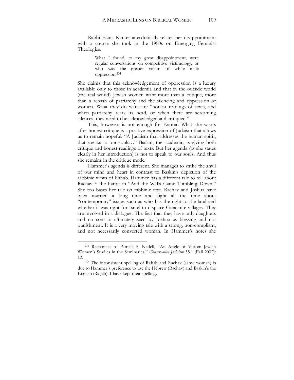Rabbi Elana Kanter anecdotically relates her disappointment with a course she took in the 1980s on Emerging Feminist Theologies.

> What I found, to my great disappointment, were regular conversations on competitive victimology, or who was the greater victim of white male oppression.231

She claims that this acknowledgement of oppression is a luxury available only to those in academia and that in the outside world (the real world) Jewish women want more than a critique, more than a rehash of patriarchy and the silencing and oppression of women. What they do want are "honest readings of texts, and when patriarchy rears its head, or when there are screaming silences, they need to be acknowledged and critiqued."

This, however, is not enough for Kanter. What she wants after honest critique is a positive expression of Judaism that allows us to remain hopeful: "A Judaism that addresses the human spirit, that speaks to our souls…" Baskin, the academic, is giving both critique and honest readings of texts. But her agenda (as she states clearly in her introduction) is not to speak to our souls. And thus she remains in the critique mode.

Hammer's agenda is different. She manages to strike the anvil of our mind and heart in contrast to Baskin's depiction of the rabbinic views of Raḥab. Hammer has a different tale to tell about Rachav<sup>232</sup> the harlot in "And the Walls Came Tumbling Down." She too bases her tale on rabbinic text. Rachav and Joshua have been married a long time and fight all the time about "contemporary" issues such as who has the right to the land and whether it was right for Israel to displace Canaanite villages. They are involved in a dialogue. The fact that they have only daughters and no sons is ultimately seen by Joshua as blessing and not punishment. It is a very moving tale with a strong, non-compliant, and not necessarily converted woman. In Hammer's notes she

<sup>231</sup> Responses to Pamela S. Nadell, "An Angle of Vision: Jewish Women's Studies in the Seminaries," *Conservative Judaism* 55:1 (Fall 2002):

<sup>12. 232</sup> The inconsistent spelling of Raḥab and Rachav (same woman) is due to Hammer's preference to use the Hebrew (Rachav) and Baskin's the English (Raḥab). I have kept their spelling.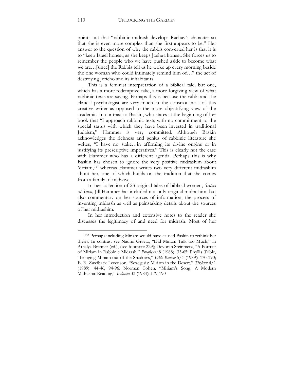points out that "rabbinic midrash develops Rachav's character so that she is even more complex than she first appears to be." Her answer to the question of why the rabbis converted her is that it is to "keep Israel honest, as she keeps Joshua honest. She forces us to remember the people who we have pushed aside to become what we are…[since] the Rabbis tell us he woke up every morning beside the one woman who could intimately remind him of…" the act of destroying Jericho and its inhabitants.

This is a feminist interpretation of a biblical tale, but one, which has a more redemptive take, a more forgiving view of what rabbinic texts are saying. Perhaps this is because the rabbi and the clinical psychologist are very much in the consciousness of this creative writer as opposed to the more objectifying view of the academic. In contrast to Baskin, who states at the beginning of her book that "I approach rabbinic texts with no commitment to the special status with which they have been invested in traditional Judaism," Hammer is very committed. Although Baskin acknowledges the richness and genius of rabbinic literature she writes, "I have no stake…in affirming its divine origins or in justifying its prescriptive imperatives." This is clearly not the case with Hammer who has a different agenda. Perhaps this is why Baskin has chosen to ignore the very positive midrashim about Miriam,233 whereas Hammer writes two very different midrashim about her, one of which builds on the tradition that she comes from a family of midwives.

In her collection of 23 original tales of biblical women, *Sisters at Sinai*, Jill Hammer has included not only original midrashim, but also commentary on her sources of information, the process of inventing midrash as well as painstaking details about the sources of her midrashim.

In her introduction and extensive notes to the reader she discusses the legitimacy of and need for midrash. Most of her

<sup>233</sup> Perhaps including Miriam would have caused Baskin to rethink her thesis. In contrast see Naomi Graetz, "Did Miriam Talk too Much," in Athalya Brenner (ed.), (see footnote 229); Devorah Steinmetz, "A Portrait of Miriam in Rabbinic Midrash," *Prooftexts* 8 (1988): 35-65; Phyllis Trible, "Bringing Miriam out of the Shadows," *Bible Review* 5/1 (1989): 170-190; E. R. Zweiback Levenson, "Sexegesis: Miriam in the Desert," *Tikkun* 4/1 (1989): 44-46, 94-96; Norman Cohen, "Miriam's Song: A Modern Midrashic Reading," *Judaism* 33 (1984): 179-190.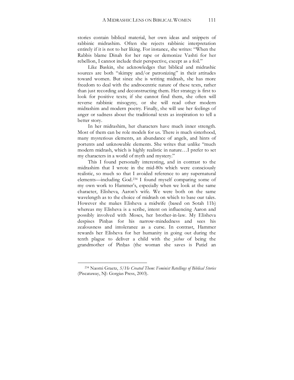stories contain biblical material, her own ideas and snippets of rabbinic midrashim. Often she rejects rabbinic interpretation entirely if it is not to her liking. For instance, she writes: "When the Rabbis blame Dinah for her rape or demonize Vashti for her rebellion, I cannot include their perspective, except as a foil."

Like Baskin, she acknowledges that biblical and midrashic sources are both "skimpy and/or patronizing" in their attitudes toward women. But since she is writing midrash, she has more freedom to deal with the androcentric nature of these texts, rather than just recording and deconstructing them. Her strategy is first to look for positive texts; if she cannot find them, she often will reverse rabbinic misogyny, or she will read other modern midrashim and modern poetry. Finally, she will use her feelings of anger or sadness about the traditional texts as inspiration to tell a better story.

In her midrashim, her characters have much inner strength. Most of them can be role models for us. There is much sisterhood, many mysterious elements, an abundance of angels, and hints of portents and unknowable elements. She writes that unlike "much modern midrash, which is highly realistic in nature…I prefer to set my characters in a world of myth and mystery."

This I found personally interesting, and in contrast to the midrashim that I wrote in the mid-80s which were consciously realistic, so much so that I avoided reference to any supernatural elements—including God.234 I found myself comparing some of my own work to Hammer's, especially when we look at the same character, Elisheva, Aaron's wife. We were both on the same wavelength as to the choice of midrash on which to base our tales. However she makes Elisheva a midwife (based on Sotah 11b) whereas my Elisheva is a scribe, intent on influencing Aaron and possibly involved with Moses, her brother-in-law. My Elisheva despises Pinhas for his narrow-mindedness and sees his zealousness and intolerance as a curse. In contrast, Hammer rewards her Elisheva for her humanity in going out during the tenth plague to deliver a child with the *yichus* of being the grandmother of Pinḥas (the woman she saves is Putiel an

<sup>234</sup> Naomi Graetz, *S/He Created Them: Feminist Retellings of Biblical Stories* (Piscataway, NJ: Gorgias Press, 2003).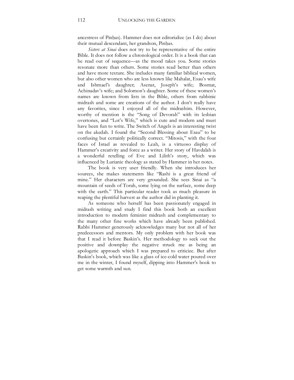ancestress of Pinḥas). Hammer does not editorialize (as I do) about their mutual descendant, her grandson, Pinhas.

*Sisters at Sinai* does not try to be representative of the entire Bible. It does not follow a chronological order. It is a book that can be read out of sequence—as the mood takes you. Some stories resonate more than others. Some stories read better than others and have more texture. She includes many familiar biblical women, but also other women who are less known like Mahalat, Esau's wife and Ishmael's daughter; Asenat, Joseph's wife; Bosmat, Achinadav's wife; and Solomon's daughter. Some of these women's names are known from lists in the Bible, others from rabbinic midrash and some are creations of the author. I don't really have any favorites, since I enjoyed all of the midrashim. However, worthy of mention is the "Song of Devorah" with its lesbian overtones, and "Lot's Wife," which is cute and modern and must have been fun to write. The Switch of Angels is an interesting twist on the akedah. I found the "Second Blessing about Esau" to be confusing but certainly politically correct. "Mitosis," with the four faces of Israel as revealed to Leah, is a virtuoso display of Hammer's creativity and force as a writer. Her story of Havdalah is a wonderful retelling of Eve and Lilith's story, which was influenced by Lurianic theology as stated by Hammer in her notes.

The book is very user friendly. When she introduces her sources, she makes statements like "Rashi is a great friend of mine." Her characters are very grounded. She sees Sinai as "a mountain of seeds of Torah, some lying on the surface, some deep with the earth." This particular reader took as much pleasure in reaping the plentiful harvest as the author did in planting it.

As someone who herself has been passionately engaged in midrash writing and study I find this book both an excellent introduction to modern feminist midrash and complementary to the many other fine works which have already been published. Rabbi Hammer generously acknowledges many but not all of her predecessors and mentors. My only problem with her book was that I read it before Baskin's. Her methodology to seek out the positive and downplay the negative struck me as being an apologetic approach which I was prepared to criticize. But after Baskin's book, which was like a glass of ice-cold water poured over me in the winter, I found myself, dipping into Hammer's book to get some warmth and sun.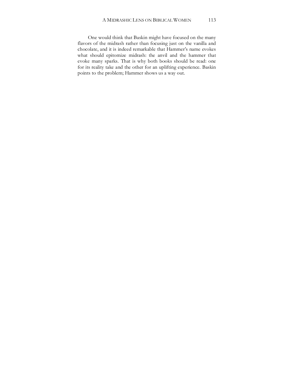One would think that Baskin might have focused on the many flavors of the midrash rather than focusing just on the vanilla and chocolate, and it is indeed remarkable that Hammer's name evokes what should epitomize midrash: the anvil and the hammer that evoke many sparks. That is why both books should be read: one for its reality take and the other for an uplifting experience. Baskin points to the problem; Hammer shows us a way out.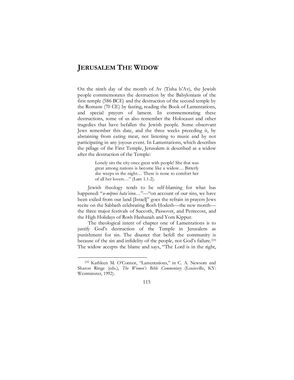## **JERUSALEM THE WIDOW**

On the ninth day of the month of Av (Tisha b'Av), the Jewish people commemorates the destruction by the Babylonians of the first temple (586 BCE) and the destruction of the second temple by the Romans (70 CE) by fasting, reading the Book of Lamentations, and special prayers of lament. In commemorating these destructions, some of us also remember the Holocaust and other tragedies that have befallen the Jewish people. Some observant Jews remember this date, and the three weeks preceding it, by abstaining from eating meat, not listening to music and by not participating in any joyous event. In Lamentations, which describes the pillage of the First Temple, Jerusalem is described as a widow after the destruction of the Temple:

> Lonely sits the city once great with people! She that was great among nations is become like a widow… Bitterly she weeps in the night… There is none to comfort her of all her lovers…" (Lam 1.1-2).

Jewish theology tends to be self-blaming for what has happened: "*u-mipnei hata'einu*..."—"on account of our sins, we have been exiled from our land [Israel]" goes the refrain in prayers Jews recite on the Sabbath celebrating Rosh Ḥodesh—the new month the three major festivals of Succoth, Passover, and Pentecost, and the High Holidays of Rosh Hashanah and Yom Kippur.

The theological intent of chapter one of Lamentations is to justify God's destruction of the Temple in Jerusalem as punishment for sin. The disaster that befell the community is because of the sin and infidelity of the people, not God's failure.235 The widow accepts the blame and says, "The Lord is in the right,

<sup>235</sup> Kathleen M. O'Connor, "Lamentations," in C. A. Newsom and Sharon Ringe (eds.), *The Women's Bible Commentary* (Louisville, KY: Westminster, 1992).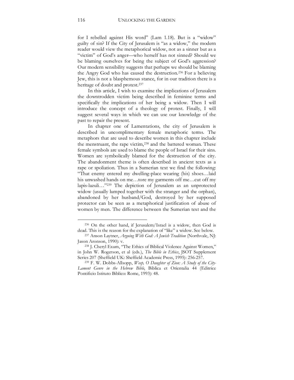for I rebelled against His word" (Lam 1.18). But is a "widow" guilty of sin? If the City of Jerusalem is "as a widow," the modern reader would view the metaphorical widow, not as a sinner but as a "victim" of God's anger—who herself has not sinned? Should we be blaming ourselves for being the subject of God's aggression? Our modern sensibility suggests that perhaps we should be blaming the Angry God who has caused the destruction.236 For a believing Jew, this is not a blasphemous stance, for in our tradition there is a heritage of doubt and protest.237

In this article, I wish to examine the implications of Jerusalem the downtrodden victim being described in feminine terms and specifically the implications of her being a widow. Then I will introduce the concept of a theology of protest. Finally, I will suggest several ways in which we can use our knowledge of the past to repair the present.

In chapter one of Lamentations, the city of Jerusalem is described in uncomplimentary female metaphoric terms. The metaphors that are used to describe women in this chapter include the menstruant, the rape victim,<sup>238</sup> and the battered woman. These female symbols are used to blame the people of Israel for their sins. Women are symbolically blamed for the destruction of the city. The abandonment theme is often described in ancient texts as a rape or spoliation. Thus in a Sumerian text we find the following: "That enemy entered my dwelling-place wearing (his) shoes…laid his unwashed hands on me…tore my garments off me…cut off my lapis-lazuli…"239 The depiction of Jerusalem as an unprotected widow (usually lumped together with the stranger and the orphan), abandoned by her husband/God, destroyed by her supposed protector can be seen as a metaphorical justification of abuse of women by men. The difference between the Sumerian text and the

<sup>236</sup> On the other hand, if Jerusalem/Israel is a widow, then God is dead. This is the reason for the explanation of "like" a widow. See below. 237 Anson Laytner, *Arguing With God: A Jewish Tradition* (Northvale, NJ:

Jason Aronson, 1990): v.<br><sup>238</sup> J. Cheryl Exum, "The Ethics of Biblical Violence Against Women,"

in John W. Rogerson, et al (eds.), *The Bible in Ethics*, JSOT Supplement Series 207 (Sheffield UK: Sheffield Academic Press, 1995): 256-257. 239 F. W. Dobbs-Allsopp, *Weep, O Daughter of Zion: A Study of the City-*

*Lament Genre in the Hebrew Bible*, Biblica et Orientalia 44 (Editrice Pontificio Istituto Biblico: Rome, 1993): 48.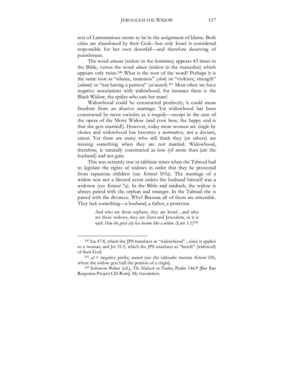text of Lamentations seems to be in the assignment of blame. Both cities are abandoned by their God—but only Israel is considered responsible for her own downfall—and therefore deserving of punishment.

The word *almana* (widow in the feminine) appears 43 times in the Bible, versus the word *alman* (widow in the masculine) which appears only twice.240 What is the root of the word? Perhaps it is the same root as "silence, muteness" (*elem*) or "violence, strength" (*alimut*) or "not having a portion" (*al-maneh*).241 Most often we have negative associations with widowhood, for instance there is the Black Widow, the spider who eats her mate!

Widowhood could be constructed positively; it could mean freedom from an abusive marriage. Yet widowhood has been constructed by most societies as a tragedy—except in the case of the opera of the Merry Widow (and even here, the happy end is that she gets married!). However, today more women are single by choice and widowhood has becomes a normative, not a deviant, status. Yet there are many who still think they (or others) are missing something when they are not married. Widowhood, therefore, is naturally constructed as loss (of more than just the husband) and not gain.

This was certainly true in rabbinic times when the Talmud had to legislate the rights of widows in order that they be protected from rapacious children (see *Ketuvot* 103a). The marriage of a widow was not a blessed event unless the husband himself was a widower (see *Ketuvot* 7a). In the Bible and midrash, the widow is always paired with the orphan and stranger. In the Talmud she is paired with the divorcee. Why? Because all of them are miserable. They lack something—a husband, a father, a protector.

> And who are these orphans, they are Israel…and who are these widows, they are Zion and Jerusalem, as it is said: *How the great city has become like a widow*. (Lam 1.1)<sup>242</sup>

<sup>240</sup> Isa 47.8, which the JPS translates as "widowhood" , since it applies to a woman; and Jer 51.5, which the JPS translates as "bereft" (widowed) of their God. 241 *al* = negative prefix; *manah* (see the talmudic tractate *Ketuvot* 10b,

where the widow gets half the portion of a virgin).<br><sup>242</sup> Solomon Buber (ed.), *The Midrash on Psalms*, Psalm 146.9 [Bar Ilan

Responsa Project CD-Rom]. My translation.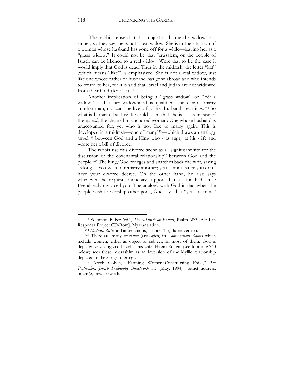The rabbis sense that it is unjust to blame the widow as a sinner, so they say she is not a real widow. She is in the situation of a woman whose husband has gone off for a while—leaving her as a "grass widow." It could not be that Jerusalem, or the people of Israel, can be likened to a real widow. Were that to be the case it would imply that God is dead! Thus in the midrash, the letter "kaf" (which means "like") is emphasized. She is not a real widow, just like one whose father or husband has gone abroad and who intends to return to her, for it is said that Israel and Judah are not widowed from their God (Jer 51.5).243

Another implication of being a "grass widow" or "*like* a widow" is that her widowhood is qualified: she cannot marry another man, nor can she live off of her husband's earnings.244 So what is her actual status? It would seem that she is a classic case of the *agunah*, the chained or anchored woman: One whose husband is unaccounted for, yet who is not free to marry again. This is developed in a midrash—one of many245—which draws an analogy (*mashal*) between God and a King who was angry at his wife and wrote her a bill of divorce.

The rabbis use this divorce scene as a "significant site for the discussion of the covenantal relationship" between God and the people.246 The king/God reneges and snatches back the writ, saying as long as you wish to remarry another; you cannot, since you don't have your divorce decree. On the other hand, he also says whenever she requests monetary support that it's too bad, since I've already divorced you. The analogy with God is that when the people wish to worship other gods, God says that "you are mine"

<sup>243</sup> Solomon Buber (ed.), *The Midrash on Psalms*, Psalm 68:3 [Bar Ilan Responsa Project CD-Rom]. My translation. 244 *Midrash Zuta* on Lamentations, chapter 1.5, Buber version. 245 There are many *meshalim* (analogies) in *Lamentations Rabba* which

include women, either as object or subject. In most of them, God is depicted as a king and Israel as his wife. Hasan-Rokem (see footnote 260 below) sees these midrashim as an inversion of the idyllic relationship depicted in the Songs of Songs. 246 Aryeh Cohen, "Framing Women/Constructing Exile," *The* 

*Postmodern Jewish Philosophy Bitnetwork* 3,1 (May, 1994). [bitnet address: pochs@drew.drew.edu]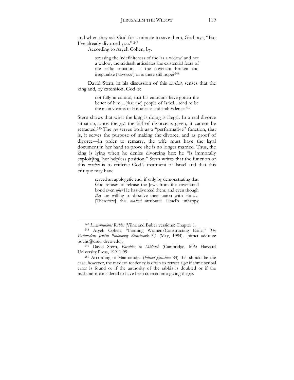and when they ask God for a miracle to save them, God says, "But I've already divorced you." 247

According to Aryeh Cohen, by:

stressing the indefiniteness of the 'as a widow' and not a widow, the midrash articulates the existential fears of the exilic situation. Is the covenant broken and irreparable ('divorce') or is there still hope?248

David Stern, in his discussion of this *mashal*, senses that the king and, by extension, God is:

> not fully in control, that his emotions have gotten the better of him…[that the] people of Israel…tend to be the main victims of His unease and ambivalence.249

Stern shows that what the king is doing is illegal. In a real divorce situation, once the *get*, the bill of divorce is given, it cannot be retracted.250 The *get* serves both as a "performative" function, that is, it serves the purpose of making the divorce, and as proof of divorce—in order to remarry, the wife must have the legal document in her hand to prove she is no longer married. Thus, the king is lying when he denies divorcing her; he "is immorally exploit[ing] her helpless position." Stern writes that the function of this *mashal* is to criticize God's treatment of Israel and that this critique may have

> served an apologetic end, if only by demonstrating that God refuses to release the Jews from the covenantal bond even *after* He has divorced them, and even though *they* are willing to dissolve their union with Him… [Therefore] this *mashal* attributes Israel's unhappy

<sup>247</sup> *Lamentations Rabba* (Vilna and Buber versions) Chapter 1. 248 Aryeh Cohen, "Framing Women/Constructing Exile," *The Postmodern Jewish Philosophy Bitnetwork* 3,1 (May, 1994). [bitnet address: pochs@drew.drew.edu]. 249 David Stern, *Parables in Midrash* (Cambridge, MA: Harvard

University Press, 1991): 99. 250 According to Maimonides (*hilchot gerushim* 84) this should be the

case; however, the modern tendency is often to retract a *get* if some scribal error is found or if the authority of the rabbis is doubted or if the husband is considered to have been coerced into giving the *get*.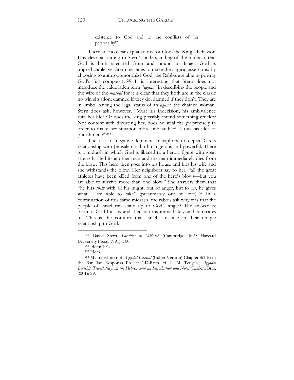existence to God and to the conflicts of his personality!251

There are no clear explanations for God/the King's behavior. It is clear, according to Stern's understanding of the midrash, that God is both alienated from and bound to Israel. God is unpredictable, yet Stern hesitates to make theological assertions. By choosing to anthropomorphize God, the Rabbis are able to portray God's full complexity.252 It is interesting that Stern does not introduce the value laden term "*aguna*" in describing the people and the wife of the *mashal* for it is clear that they both are in the classic no win situation: damned if they do, damned if they don't. They are in limbo, having the legal status of an *aguna*, the chained woman. Stern does ask, however, "Must his indecision, his ambivalence ruin her life? Or does the king possibly intend something crueler? Not content with divorcing her, does he steal the *get* precisely in order to make her situation more unbearable? Is this his idea of punishment?"253

The use of negative feminine metaphors to depict God's relationship with Jerusalem is both dangerous and powerful. There is a midrash in which God is likened to a heroic figure with great strength. He hits another man and the man immediately dies from the blow. This hero then goes into his house and hits his wife and she withstands the blow. Her neighbors say to her, "all the great athletes have been killed from one of the hero's blows—but you are able to survive more than one blow." She answers them that "he hits *them* with all his might, out of anger, but to *me*, he gives what I am able to take" (presumably out of love).254 In a continuation of this same midrash, the rabbis ask why it is that the people of Israel can stand up to God's anger? The answer is: because God hits us and then returns immediately and re-creates us. This is the comfort that Israel can take in their unique relationship to God.

<sup>251</sup> David Stern, *Parables in Midrash* (Cambridge, MA: Harvard University Press, 1991): 100.<br><sup>252</sup> Idem: 101.<br><sup>253</sup> Idem.<br><sup>254</sup> My translation of *Aggadat Bereshit* (Buber Version) Chapter 8:3 from

the Bar Ilan Responsa Project CD-Rom. cf. L. M. Teugels, *Aggadat Bereshit. Translated from the Hebrew with an Introduction and Notes* (Leiden: Brill, 2001): 29.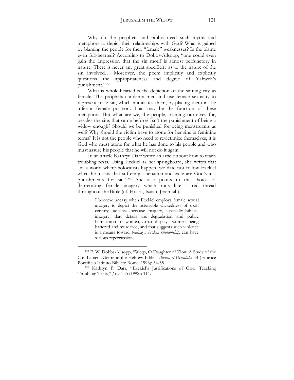Why do the prophets and rabbis need such myths and metaphors to depict their relationships with God? What is gained by blaming the people for their "female" weaknesses? Is the blame even full-hearted? According to Dobbs-Allsopp, "one could even gain the impression that the sin motif is almost perfunctory in nature. There is never any great specificity as to the nature of the sin involved… Moreover, the poem implicitly and explicitly questions the appropriateness and degree of Yahweh's punishment."255

What is whole-hearted is the depiction of the sinning city as female. The prophets condemn men and use female sexuality to represent male sin, which humiliates them, by placing them in the inferior female position. That may be the function of these metaphors. But what are we, the people, blaming ourselves for, besides the sins that came before? Isn't the punishment of being a widow enough? Should we be punished for being menstruants as well? Why should the victim have to atone for her sins in feminine terms? It is not the people who need to revictimize themselves, it is God who must atone for what he has done to his people and who must assure his people that he will not do it again.

In an article Kathryn Darr wrote an article about how to teach troubling texts. Using Ezekiel as her springboard, she writes that "in a world where holocausts happen, we dare not follow Ezekiel when he insists that suffering, alienation and exile are God's just punishments for sin."256 She also points to the choice of deprecating female imagery which runs like a red thread throughout the Bible (cf. Hosea, Isaiah, Jeremiah).

> I become uneasy when Ezekiel employs female sexual imagery to depict the ostensible wickedness of sixth century Judeans…because imagery, especially biblical imagery, that details the degradation and public humiliation of women,…that displays women being battered and murdered, and that suggests such violence is a means toward *healing a broken relationship*, can have serious repercussions.

<sup>255</sup> F. W. Dobbs-Allsopp, "Weep, O Daughter of Zion: A Study of the City-Lament Genre in the Hebrew Bible," *Biblica et Orientalia* 44 (Editrice

Pontificio Istituto Biblico: Rome, 1993): 54-55. 256 Kathryn P. Darr, "Ezekiel's Justifications of God: Teaching Troubling Texts," *JSOT* 55 (1992): 114.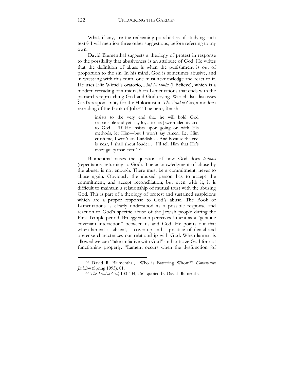What, if any, are the redeeming possibilities of studying such texts? I will mention three other suggestions, before referring to my own.

David Blumenthal suggests a theology of protest in response to the possibility that abusiveness is an attribute of God. He writes that the definition of abuse is when the punishment is out of proportion to the sin. In his mind, God is sometimes abusive, and in wrestling with this truth, one must acknowledge and react to it. He uses Elie Wiesel's oratorio, *Ani Maamin* (I Believe), which is a modern rereading of a midrash on Lamentations that ends with the patriarchs reproaching God and God crying. Wiesel also discusses God's responsibility for the Holocaust in *The Trial of God*, a modern rereading of the Book of Job.257 The hero, Berish

> insists to the very end that he will hold God responsible and yet stay loyal to his Jewish identity and to God… 'If He insists upon going on with His methods, let Him—but I won't say Amen. Let Him crush me, I won't say Kaddish…. And because the end is near, I shall shout louder… I'll tell Him that He's more guilty than ever!'258

Blumenthal raises the question of how God does *teshuva*  (repentance, returning to God). The acknowledgment of abuse by the abuser is not enough. There must be a commitment, never to abuse again. Obviously the abused person has to accept the commitment, and accept reconciliation; but even with it, it is difficult to maintain a relationship of mutual trust with the abusing God. This is part of a theology of protest and sustained suspicions which are a proper response to God's abuse. The Book of Lamentations is clearly understood as a possible response and reaction to God's specific abuse of the Jewish people during the First Temple period. Brueggemann perceives lament as a "genuine covenant interaction" between us and God. He points out that when lament is absent, a cover-up and a practice of denial and pretense characterizes our relationship with God. When lament is allowed we can "take initiative with God" and criticize God for not functioning properly. "Lament occurs when the dysfunction [of

<sup>257</sup> David R. Blumenthal, "Who is Battering Whom?" *Conservative Judaism* (Spring 1993): 81. 258 *The Trial of God*, 133-134, 156, quoted by David Blumenthal.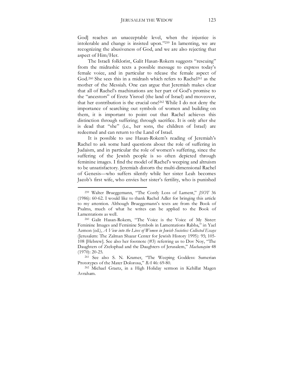God] reaches an unacceptable level, when the injustice is intolerable and change is insisted upon."259 In lamenting, we are recognizing the abusiveness of God, and we are also rejecting that aspect of Him/Her.

The Israeli folklorist, Galit Hasan-Rokem suggests "rescuing" from the midrashic texts a possible message to express today's female voice, and in particular to release the female aspect of God.<sup>260</sup> She sees this in a midrash which refers to Rachel<sup>261</sup> as the mother of the Messiah. One can argue that Jeremiah makes clear that all of Rachel's machinations are her part of God's promise to the "ancestors" of Eretz Yisroel (the land of Israel) and moveover, that her contribution is the crucial one!262 While I do not deny the importance of searching out symbols of women and building on them, it is important to point out that Rachel achieves this distinction through suffering; through sacrifice. It is only after she is dead that "she" (i.e., her sons, the children of Israel) are redeemed and can return to the Land of Israel.

It is possible to use Hasan-Rokem's reading of Jeremiah's Rachel to ask some hard questions about the role of suffering in Judaism, and in particular the role of women's suffering, since the suffering of the Jewish people is so often depicted through feminine images. I find the model of Rachel's weeping and altruism to be unsatisfactory. Jeremiah distorts the multi-dimensional Rachel of Genesis—who suffers silently while her sister Leah becomes Jacob's first wife, who envies her sister's fertility, who is punished

<sup>259</sup> Walter Brueggemann, "The Costly Loss of Lament," *JSOT* 36 (1986): 60-62. I would like to thank Rachel Adler for bringing this article to my attention. Although Brueggemann's texts are from the Book of Psalms, much of what he writes can be applied to the Book of Lamentations as well.<br><sup>260</sup> Galit Hasan-Rokem, "The Voice is the Voice of My Sister:

Feminine Images and Feminine Symbols in Lamentations Rabba," in Yael Azmon (ed.), *A View into the Lives of Women in Jewish Societies: Collected Essays* (Jerusalem: The Zalman Shazar Center for Jewish History 1995): 95; 105- 108 [Hebrew]. See also her footnote (#3) referring us to Dov Noy, "The Daughters of Ztelophad and the Daughters of Jerusalem," *Machanayim* 48 (1970): 20-25. 261 See also S. N. Kramer, "The Weeping Goddess: Sumerian

Prototypes of the Mater Dolorosa," *BA* 46: 69-80.<br><sup>262</sup> Michael Graetz, in a High Holiday sermon in Kehillat Magen

Avraham.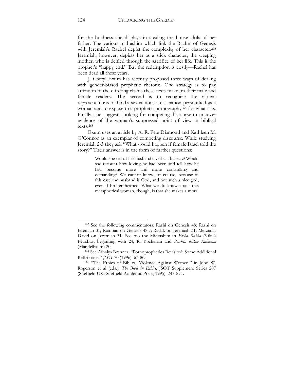for the boldness she displays in stealing the house idols of her father. The various midrashim which link the Rachel of Genesis with Jeremiah's Rachel depict the complexity of her character.<sup>263</sup> Jeremiah, however, depicts her as a stick character, the weeping mother, who is deified through the sacrifice of her life. This is the prophet's "happy end." But the redemption is costly—Rachel has been dead all these years.

J. Cheryl Exum has recently proposed three ways of dealing with gender-biased prophetic rhetoric. One strategy is to pay attention to the differing claims these texts make on their male and female readers. The second is to recognize the violent representations of God's sexual abuse of a nation personified as a woman and to expose this prophetic pornography<sup>264</sup> for what it is. Finally, she suggests looking for competing discourse to uncover evidence of the woman's suppressed point of view in biblical texts.<sup>265</sup>

Exum uses an article by A. R. Pete Diamond and Kathleen M. O'Connor as an exemplar of competing discourse. While studying Jeremiah 2-3 they ask "What would happen if female Israel told the story?" Their answer is in the form of further questions:

> Would she tell of her husband's verbal abuse…? Would she recount how loving he had been and tell how he had become more and more controlling and demanding? We cannot know, of course, because in this case the husband is God, and not such a nice god, even if broken-hearted. What we do know about this metaphorical woman, though, is that she makes a moral

<sup>263</sup> See the following commentators: Rashi on Genesis 48; Rashi on Jeremiah 31; Ramban on Genesis 48.7; Radak on Jeremiah 31; Metzudat David on Jeremiah 31. See too the Midrashim in *Eicha Rabba* (Vilna) Petichtot beginning with 24, R. Yochanan and *Pesikta deRav Kahanna* (Mandelbaum) 20. 264 See Athalya Brenner, "Pornoprophetics Revisited: Some Additional

Reflections," *JSOT* 70 (1996): 63-86.<br><sup>265</sup> "The Ethics of Biblical Violence Against Women," in John W.

Rogerson et al (eds.), *The Bible in Ethics*, JSOT Supplement Series 207 (Sheffield UK: Sheffield Academic Press, 1995): 248-271.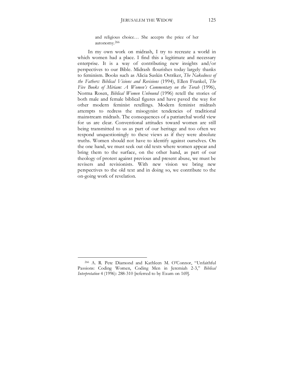and religious choice… She accepts the price of her autonomy.266

In my own work on midrash, I try to recreate a world in which women had a place. I find this a legitimate and necessary enterprise. It is a way of contributing new insights and/or perspectives to our Bible. Midrash flourishes today largely thanks to feminism. Books such as Alicia Suskin Ostriker, *The Nakedness of the Fathers: Biblical Visions and Revisions* (1994), Ellen Frankel, *The*  Five Books of Miriam: A Women's Commentary on the Torah (1996), Norma Rosen, *Biblical Women Unbound* (1996) retell the stories of both male and female biblical figures and have paved the way for other modern feminist retellings. Modern feminist midrash attempts to redress the misogynist tendencies of traditional mainstream midrash. The consequences of a patriarchal world view for us are clear. Conventional attitudes toward women are still being transmitted to us as part of our heritage and too often we respond unquestioningly to these views as if they were absolute truths. Women should not have to identify against ourselves. On the one hand, we must seek out old texts where women appear and bring them to the surface, on the other hand, as part of our theology of protest against previous and present abuse, we must be revisers and revisionists. With new vision we bring new perspectives to the old text and in doing so, we contribute to the on-going work of revelation.

<sup>266</sup> A. R. Pete Diamond and Kathleen M. O'Connor, "Unfaithful Passions: Coding Women, Coding Men in Jeremiah 2-3," *Biblical Interpretation* 4 (1996): 288-310 [referred to by Exum on 169].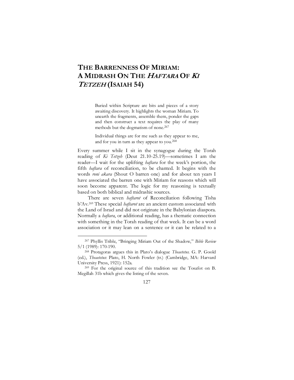# **THE BARRENNESS OF MIRIAM: A MIDRASH ON THE <sup>H</sup>AFTARA OF <sup>K</sup><sup>I</sup> <sup>T</sup>ETZEH (ISAIAH 54)**

Buried within Scripture are bits and pieces of a story awaiting discovery. It highlights the woman Miriam. To unearth the fragments, assemble them, ponder the gaps and then construct a text requires the play of many methods but the dogmatism of none.<sup>267</sup>

Individual things are for me such as they appear to me, and for you in turn as they appear to you.268

Every summer while I sit in the synagogue during the Torah reading of *Ki Tetzeh* (Deut 21.10-25.19)—sometimes I am the reader—I wait for the uplifting *haftara* for the week's portion, the fifth *haftara* of reconciliation, to be chanted. It begins with the words *roni akara* (Shout O barren one) and for about ten years I have associated the barren one with Miriam for reasons which will soon become apparent. The logic for my reasoning is textually based on both biblical and midrashic sources.

There are seven *haftarot* of Reconciliation following Tisha b'Av.269 These special *haftarot* are an ancient custom associated with the Land of Israel and did not originate in the Babylonian diaspora. Normally a *haftara*, or additional reading, has a thematic connection with something in the Torah reading of that week. It can be a word association or it may lean on a sentence or it can be related to a

<sup>267</sup> Phyllis Trible, "Bringing Miriam Out of the Shadow," *Bible Review* 5/1 (1989): 170-190. 268 Protagoras argues this in Plato's dialogue *Theaetetus*. G. P. Goold

<sup>(</sup>ed.), *Theaetetus*: Plato, H. North Fowler (tr.) (Cambridge, MA: Harvard University Press, 1921): 152a.<br><sup>269</sup> For the original source of this tradition see the Tosafot on B.

Megillah 31b which gives the listing of the seven.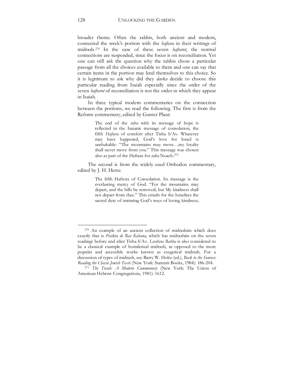broader theme. Often the rabbis, both ancient and modern, connected the week's portion with the *haftara* in their writings of midrash.270 In the case of these seven *haftarot*, the normal connections are suspended, since the focus is on reconciliation. Yet one can still ask the question why the rabbis chose a particular passage from all the choices available to them and one can say that certain items in the portion may lend themselves to this choice. So it is legitimate to ask why did they *davka* decide to choose this particular reading from Isaiah especially since the order of the seven *haftarot* of reconciliation is not the order in which they appear in Isaiah.

In three typical modern commentaries on the connection between the portions, we read the following. The first is from the Reform commentary, edited by Gunter Plaut:

> The end of the *sidra* with its message of hope is reflected in the Isaianic message of consolation, the fifth *Haftara* of comfort after Tisha b'Av. Whatever may have happened, God's love for Israel is unshakable: "The mountains may move…my loyalty shall never move from you." This message was chosen also as part of the Haftara for *sidra* Noach.271

The second is from the widely used Orthodox commentary, edited by J. H. Hertz:

> The fifth Haftora of Consolation. Its message is the everlasting mercy of God. "For the mountains may depart, and the hills be removed; but My kindness shall not depart from thee." This entails for the Israelites the sacred duty of imitating God's ways of loving kindness,

<sup>270</sup> An example of an ancient collection of midrashim which does exactly that is *Pesikta de Rav Kahana*, which has midrashim on the seven readings before and after Tisha b'Av. *Leviticus Rabba* is also considered to be a classical example of homiletical midrash, as opposed to the more popular and accessible works known as exegetical midrash. For a discussion of types of midrash, see Barry W. Holtz (ed.), *Back to the Sources: Reading the Classic Jewish Texts* (New York: Summit Books, 1984): 186-204. 271 *The Torah: A Modern Commentary* (New York: The Union of

American Hebrew Congregations, 1981): 1612.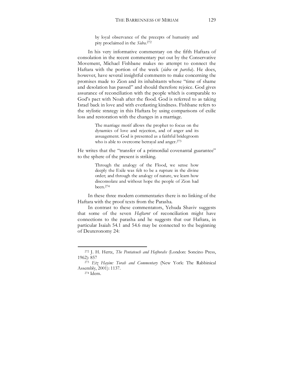by loyal observance of the precepts of humanity and pity proclaimed in the *Sidra*. 272

In his very informative commentary on the fifth Haftara of consolation in the recent commentary put out by the Conservative Movement, Michael Fishbane makes no attempt to connect the Haftara with the portion of the week (*sidra* or *parsha*). He does, however, have several insightful comments to make concerning the promises made to Zion and its inhabitants whose "time of shame and desolation has passed" and should therefore rejoice. God gives assurance of reconciliation with the people which is comparable to God's pact with Noah after the flood. God is referred to as taking Israel back in love and with everlasting kindness. Fishbane refers to the stylistic strategy in this Haftara by using comparisons of exilic loss and restoration with the changes in a marriage.

> The marriage motif allows the prophet to focus on the dynamics of love and rejection, and of anger and its assuagement. God is presented as a faithful bridegroom who is able to overcome betrayal and anger.<sup>273</sup>

He writes that the "transfer of a primordial covenantal guarantee" to the sphere of the present is striking.

> Through the analogy of the Flood, we sense how deeply the Exile was felt to be a rupture in the divine order; and through the analogy of nature, we learn how disconsolate and without hope the people of Zion had been.274

In these three modern commentaries there is no linking of the Haftara with the proof texts from the Parasha.

In contrast to these commentators, Yehuda Shaviv suggests that some of the seven *Haftarot* of reconciliation might have connections to the parasha and he suggests that our Haftara, in particular Isaiah 54.1 and 54.6 may be connected to the beginning of Deuteronomy 24:

<sup>272</sup> J. H. Hertz, *The Pentateuch and Haftorahs* (London: Soncino Press, 1962): 857 273 *Etz Hayim: Torah and Commentary* (New York: The Rabbinical

Assembly, 2001): 1137.<br><sup>274</sup> Idem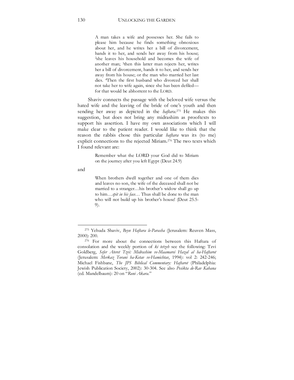A man takes a wife and possesses her. She fails to please him because he finds something obnoxious about her, and he writes her a bill of divorcement, hands it to her, and sends her away from his house; <sup>2</sup>she leaves his household and becomes the wife of another man; 3then this latter man rejects her, writes her a bill of divorcement, hands it to her, and sends her away from his house; or the man who married her last dies. 4Then the first husband who divorced her shall not take her to wife again, since she has been defiled for that would be abhorrent to the LORD.

Shaviv connects the passage with the beloved wife versus the hated wife and the leaving of the bride of one's youth and then sending her away as depicted in the *haftara*. 275 He makes this suggestion, but does not bring any midrashim as prooftexts to support his assertion. I have my own associations which I will make clear to the patient reader. I would like to think that the reason the rabbis chose this particular *haftara* was its (to me) explicit connections to the rejected Miriam.276 The two texts which I found relevant are:

> Remember what the LORD your God did to Miriam on the journey after you left Egypt (Deut 24.9)

and

 $\overline{a}$ 

When brothers dwell together and one of them dies and leaves no son, the wife of the deceased shall not be married to a stranger…his brother's widow shall go up to him…*spit in his face*… Thus shall be done to the man who will not build up his brother's house! (Deut 25.5- 9).

<sup>275</sup> Yehuda Shaviv, *Beyn Haftara le-Parasha* (Jerusalem: Reuven Mass, 2000): 200.<br><sup>276</sup> For more about the connections between this Haftara of

consolation and the weekly portion of *ki tetzeh* see the following: Tzvi Goldberg, *Sefer Ateret Tzvi: Midrashim ve-Maamarei Hazal al ha-Haftarot* (Jerusalem: *Merkaz Torani ha-Ketav ve-Hamichtav*, 1994): vol 2: 242-246; Michael Fishbane, *The JPS Biblical Commentary: Haftarot* (Philadelphia: Jewish Publication Society, 2002): 30-304. See also *Pesikta de-Rav Kahana* (ed. Mandelbaum): 20 on "*Roni Akara.*"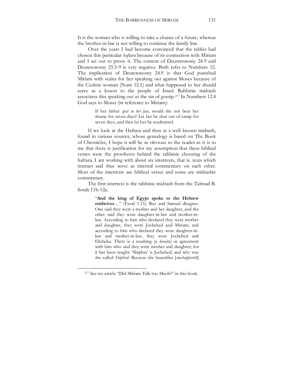It is the woman who is willing to take a chance of a future, whereas the brother-in-law is not willing to continue the family line.

Over the years I had become convinced that the rabbis had chosen this particular *haftara* because of its connection with Miriam and I set out to prove it. The context of Deuteronomy 24.9 and Deuteronomy 25.5-9 is very negative. Both refer to Numbers 12. The implication of Deuteronomy 24.9 is that God punished Miriam with scales for her speaking out against Moses because of the Cushite woman (Num 12.1) and what happened to her should serve as a lesson to the people of Israel. Rabbinic midrash associates this speaking out as the sin of gossip.277 In Numbers 12.4 God says to Moses (in reference to Miriam):

> If her father *spat in her face*, would she not bear her shame for seven days? Let her be shut out of camp for seven days, and then let her be readmitted.

If we look at the Haftara and then at a well known midrash, found in various sources, whose genealogy is based on The Book of Chronicles, I hope it will be as obvious to the reader as it is to me that there is justification for my assumption that these biblical verses were the prooftexts behind the rabbinic choosing of the haftara. I am working with about six intertexts, that is. texts which interact and thus serve as internal commentary on each other. Most of the intertexts are biblical verses and some are midrashic commentary.

The first intertext is the rabbinic midrash from the Talmud B. Sotah 11b-12a:

> "**And the king of Egypt spoke to the Hebrew midwives**…" (Exod 1.15). Rav and Samuel disagree. One said they were a mother and her daughter, and the other said they were daughter-in-law and mother-inlaw. According to him who declared they were mother and daughter, they were Jochebed and Miriam; and according to him who declared they were daughter-inlaw and mother-in-law, they were Jochebed and Elisheba. There is a teaching (a *beraita*) in agreement with him who said they were mother and daughter; for it has been taught: 'Shiphra' is Jochebed; and why was she called *Shiphra*? Because she beautifies [*meshappereth*]

<sup>277</sup> See my article "Did Miriam Talk too Much?" in this book.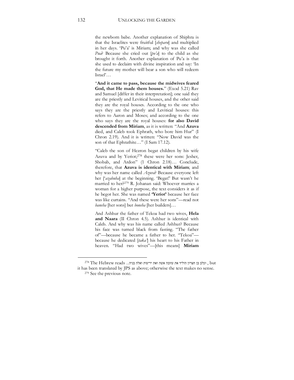the newborn babe. Another explanation of Shiphra is that the Israelites were fruitful [*sheparu*] and multiplied in her days. 'Pu'a' is Miriam; and why was she called *Pua*? Because she cried out [*po'a*] to the child as she brought it forth. Another explanation of Pu'a is that she used to declaim with divine inspiration and say: 'In the future my mother will bear a son who will redeem Israel'…

"**And it came to pass, because the midwives feared God, that He made them houses.**" (Exod 5.21) Rav and Samuel [differ in their interpretation]; one said they are the priestly and Levitical houses, and the other said they are the royal houses. According to the one who says they are the priestly and Levitical houses: this refers to Aaron and Moses; and according to the one who says they are the royal houses: **for also David descended from Miriam**, as it is written: "And **Azuva**  died, and Caleb took Ephrath, who bore him Hur" (I Chron 2.19). And it is written: "Now David was the son of that Ephrathite…" (I Sam 17.12).

"Caleb the son of Hezron begat children by his wife Azuva and by Yeriot;<sup>278</sup> these were her sons: Jesher, Shobab, and Ardon" (1 Chron 2.18)… Conclude, therefore, that **Azuva is identical with Miriam**; and why was her name called *Azuva*? Because everyone left her ['*azabuha*] at the beginning. 'Begat!' But wasn't he married to her?279 R. Johanan said: Whoever marries a woman for a higher purpose, the text considers it as if he begot her. She was named **'Yeriot'** because her face was like curtains. "And these were her sons"—read not *baneha* [her sons] but *boneha* [her builders]…

And Ashhur the father of Tekoa had two wives, **Hela and Naara** (II Chron 4.5). Ashhur is identical with Caleb. And why was his name called Ashhur? Because his face was turned black from fasting. "The father of"—because he became a father to her. "Tekoa" because he dedicated [*taka'*] his heart to his Father in heaven. "Had two wives"—[this means] **Miriam** 

 $^{278}$  The Hebrew reads ...בניה... reads את עזובה אשה ואת יריעות ואלה בניה.. it has been translated by JPS as above; otherwise the text makes no sense. 279 See the previous note.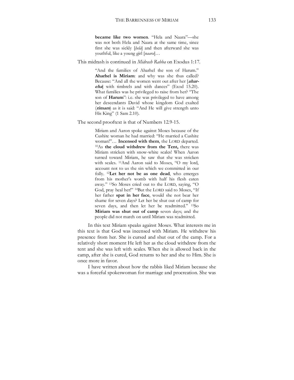**became like two women**. "Hela and Naara"—she was not both Hela and Naara at the same time, since first she was sickly [*ḥela*] and then afterward she was youthful, like a young girl [*naara*]…

This midrash is continued in *Midrash Rabba* on Exodus 1:17.

"And the families of Aharhel the son of Harum." **Aharhel is Miriam**: and why was she thus called? Because: "And all the women went out after her [**ahareha**] with timbrels and with dances" (Exod 15.20). What families was he privileged to raise from her? "The son of **Harum**": i.e. she was privileged to have among her descendants David whose kingdom God exalted (**rimam**) as it is said: "And He will give strength unto His King" (1 Sam 2.10).

The second prooftext is that of Numbers 12.9-15.

Miriam and Aaron spoke against Moses because of the Cushite woman he had married: "He married a Cushite woman!"… **Incensed with them**, the LORD departed. 10As **the cloud withdrew from the Tent,** there was Miriam stricken with snow-white scales! When Aaron turned toward Miriam, he saw that she was stricken with scales. 11And Aaron said to Moses, "O my lord, account not to us the sin which we committed in our folly. 12**Let her not be as one dead**, who emerges from his mother's womb with half his flesh eaten away." 13So Moses cried out to the LORD, saying, "O God, pray heal her!" 14But the LORD said to Moses, "If her father **spat in her face**, would she not bear her shame for seven days? Let her be shut out of camp for seven days, and then let her be readmitted." 15So **Miriam was shut out of camp** seven days; and the people did not march on until Miriam was readmitted.

In this text Miriam speaks against Moses. What interests me in this text is that God was incensed with Miriam. He withdrew his presence from her. She is cursed and shut out of the camp. For a relatively short moment He left her as the cloud withdrew from the tent and she was left with scales. When she is allowed back in the camp, after she is cured, God returns to her and she to Him. She is once more in favor.

I have written about how the rabbis liked Miriam because she was a forceful spokeswoman for marriage and procreation. She was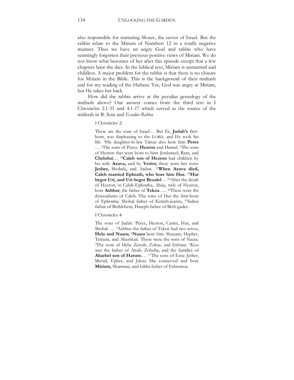also responsible for nurturing Moses, the savior of Israel. But the rabbis relate to the Miriam of Numbers 12 in a totally negative manner. Thus we have an angry God and rabbis who have seemingly forgotten their previous positive views of Miriam. We do not know what becomes of her after this episode except that a few chapters later she dies. In the biblical text, Miriam is unmarried and childless. A major problem for the rabbis is that there is no closure for Miriam in the Bible. This is the background of their midrash and for my reading of the Haftara: Yes, God was angry at Miriam, but He takes her back.

How did the rabbis arrive at the peculiar genealogy of the midrash above? Our answer comes from the third text in I Chronicles 2.1-51 and 4.1-17 which served as the source of the midrash in B. Sota and *Exodus Rabba*.

I Chronicles 2:

These are the sons of Israel… But Er, **Judah's** firstborn, was displeasing to the LORD, and He took his life. 4His daughter-in-law Tamar also bore him **Perez** … 5The sons of Perez: **Hezron** and Hamul. 9The sons of Hezron that were born to him: Jerahmeel, Ram, and **Chelubai**… 18**Caleb son of Hezron** had children by his wife **Azuva,** and by **Yeriot;** these were her sons: **Jesher,** Shobab**,** and Ardon. 19**When Azuva died, Caleb married Ephrath, who bore him Hur.** <sup>20</sup>**Hur begot Uri, and Uri begot Bezalel**… 24After the death of Hezron, in Caleb-Ephratha, Abija, wife of Hezron, bore **Ashhur**, the father of **Tekoa**….. 50These were the descendants of Caleb. The sons of Hur the first-born of Ephratha: Shobal father of Kiriath-jearim, 51Salma father of Bethlehem, Hareph father of Beth-gader.

I Chronicles 4:

The sons of Judah: Perez, Hezron, Carmi, Hur, and Shobal. … 5Ashhur the father of Tekoa had two wives, **Hela and Naara;** <sup>6</sup>**Naara** bore him Ahuzam, Hepher, Temeni, and Ahashtari. These were the sons of Naara. 7The sons of Hela: Zereth, Zohar, and Ethnan. 8Koz was the father of Anub, Zobeba, and the families of **Aharhel son of Harum**.… 17The sons of Ezra: Jether, Mered, Epher, and Jalon. She conceived and bore **Miriam,** Shammai, and Ishba father of Eshtemoa.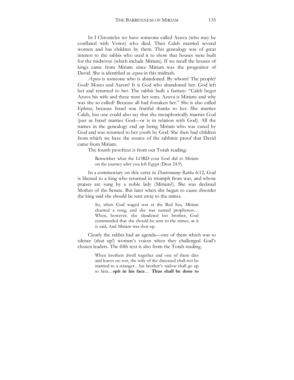In I Chronicles we have someone called Azuva (who may be conflated with Yeriot) who died. Then Caleb married several women and has children by them. This genealogy was of great interest to the rabbis who used it to show that houses were built for the midwives (which include Miriam). If we recall the houses of kings came from Miriam since Miriam was the progenitor of David. She is identified as *azuva* in this midrash.

*Azuva* is someone who is abandoned. By whom? The people? God? Moses and Aaron? It is God who abandoned her. God left her and returned to her. The rabbis built a fantasy: "Caleb begot Azuva his wife and these were her sons. Azuva is Miriam: and why was she so called? Because all had forsaken her." She is also called Ephrat, because Israel was fruitful thanks to her. She marries Caleb, but one could also say that she metaphorically marries God (just as Israel marries God—or is in relation with God). All the names in the genealogy end up being Miriam who was cured by God and was returned to her youth by God. She then had children from which we have the source of the rabbinic proof that David came from Miriam.

The fourth prooftext is from our Torah reading:

Remember what the LORD your God did to Miriam on the journey after you left Egypt (Deut 24.9).

In a commentary on this verse in *Deuteronomy Rabba* 6:12, God is likened to a king who returned in triumph from war, and whose praises are sung by a noble lady (Miriam?). She was declared Mother of the Senate. But later when she began to cause disorder the king said she should be sent away to the mines.

> So, when God waged war at the Red Sea, Miriam chanted a song, and she was named prophetess… When, however, she slandered her brother, God commanded that she should be sent to the mines, as it is said, And Miriam was shut up.

Clearly the rabbis had an agenda—one of them which was to silence (shut up!) women's voices when they challenged God's chosen leaders. The fifth text is also from the Torah reading.

> When brothers dwell together and one of them dies and leaves no son, the wife of the deceased shall not be married to a stranger…his brother's widow shall go up to him…**spit in his face**… **Thus shall be done to**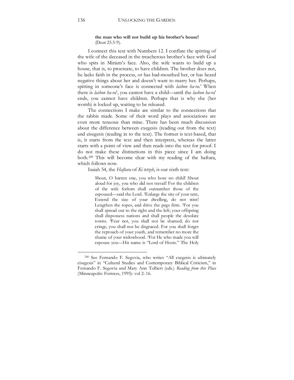#### **the man who will not build up his brother's house!** (Deut 25.5-9).

I connect this text with Numbers 12. I conflate the spitting of the wife of the deceased in the treacherous brother's face with God who spits in Miriam's face. Also, the wife wants to build up a house, that is, to procreate, to have children. The brother does not, he lacks faith in the process, or has bad-mouthed her, or has heard negative things about her and doesn't want to marry her. Perhaps, spitting in someone's face is connected with *lashon ha-ra*.' When there is *lashon ha-ra*', you cannot have a child—until the *lashon ha-ra*' ends, you cannot have children. Perhaps that is why she (her womb) is locked up, waiting to be released.

The connections I make are similar to the connections that the rabbis made. Some of their word plays and associations are even more tenuous than mine. There has been much discussion about the difference between exegesis (reading out from the text) and eisegesis (reading in to the text). The former is text-based, that is, it starts from the text and then interprets, whereas the latter starts with a point of view and then reads into the text for proof. I do not make these distinctions in this piece since I am doing both.280 This will become clear with my reading of the haftara, which follows now.

Isaiah 54, the *Haftara* of *Ki tetzeh*, is our sixth text:

Shout, O barren one, you who bore no child! Shout aloud for joy, you who did not travail! For the children of the wife forlorn shall outnumber those of the espoused—said the Lord. 2Enlarge the site of your tent, Extend the size of your dwelling, do not stint! Lengthen the ropes, and drive the pegs firm. 3For you shall spread out to the right and the left; your offspring shall dispossess nations and shall people the desolate towns. 4Fear not, you shall not be shamed; do not cringe, you shall not be disgraced. For you shall forget the reproach of your youth, and remember no more the shame of your widowhood. 5For He who made you will espouse you—His name is "Lord of Hosts." The Holy

<sup>280</sup> See Fernando F. Segovia, who writes "All exegesis is ultimately eisegesis" in "Cultural Studies and Contemporary Biblical Criticism," in Fernando F. Segovia and Mary Ann Tolbert (eds.) *Reading from this Place* (Minneapolis: Fortress, 1995): vol 2: 16.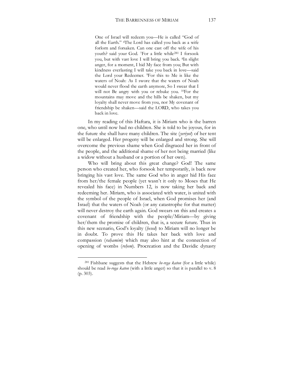One of Israel will redeem you—He is called "God of all the Earth." 6The Lord has called you back as a wife forlorn and forsaken. Can one cast off the wife of his youth? said your God. 7For a little while281 I forsook you, but with vast love I will bring you back. 8In slight anger, for a moment, I hid My face from you; But with kindness everlasting I will take you back in love—said the Lord your Redeemer. 9For this to Me is like the waters of Noah: As I swore that the waters of Noah would never flood the earth anymore, So I swear that I will not Be angry with you or rebuke you. <sup>10</sup>For the mountains may move and the hills be shaken, but my loyalty shall never move from you, nor My covenant of friendship be shaken—said the LORD, who takes you back in love.

In my reading of this Haftara, it is Miriam who is the barren one, who until now had no children. She is told to be joyous, for in the future she shall have many children. The site (*yeriyot*) of her tent will be enlarged. Her progeny will be enlarged and strong. She will overcome the previous shame when God disgraced her in front of the people, and the additional shame of her not being married (like a widow without a husband or a portion of her own).

Who will bring about this great change? God! The same person who created her, who forsook her temporarily, is back now bringing his vast love. The same God who in anger hid His face from her/the female people (yet wasn't it only to Moses that He revealed his face) in Numbers 12, is now taking her back and redeeming her. Miriam, who is associated with water, is united with the symbol of the people of Israel, when God promises her (and Israel) that the waters of Noah (or any catastrophe for that matter) will never destroy the earth again. God swears on this and creates a covenant of friendship with the people/Miriam—by giving her/them the promise of children, that is, a secure future. Thus in this new scenario, God's loyalty (*ḥesed*) to Miriam will no longer be in doubt. To prove this He takes her back with love and compassion (*raḥamim*) which may also hint at the connection of opening of wombs (*reḥem*). Procreation and the Davidic dynasty

<sup>281</sup> Fishbane suggests that the Hebrew *be-rega katon* (for a little while) should be read *be-roga katon* (with a little anger) so that it is parallel to v. 8 (p. 303).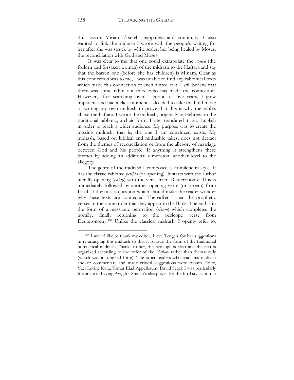thus assure Miriam's/Israel's happiness and continuity. I also wanted to link the midrash I wrote with the people's waiting for her after she was struck by white scales, her being healed by Moses, the reconciliation with God and Moses.

It was clear to me that one could extrapolate the *azuva* (the forlorn and forsaken woman) of the midrash to the Haftara and say that the barren one (before she has children) is Miriam. Clear as this connection was to me, I was unable to find any rabbinical texts which made this connection or even hinted at it. I still believe that there was some rabbi out there who has made the connection. However, after searching over a period of five years, I grew impatient and had a click moment. I decided to take the bold move of writing my own midrash to prove that this is why the rabbis chose the haftara. I wrote the midrash, originally in Hebrew, in the traditional rabbinic, archaic form. I later translated it into English in order to reach a wider audience. My purpose was to create the missing midrash, that is, the one I am convinced exists. My midrash, based on biblical and midrashic takes, does not detract from the themes of reconciliation or from the allegory of marriage between God and his people. If anything it strengthens these themes by adding an additional dimension, another level to the allegory.

The genre of the midrash I composed is homiletic in style. It has the classic rabbinic *petiḥta* (or opening). It starts with the author literally opening (*pataḥ*) with the verse from Deuteronomy. This is immediately followed by another opening verse (or proem) from Isaiah. I then ask a question which should make the reader wonder why these texts are connected. Thereafter I treat the prophetic verses in the same order that they appear in the Bible. The end is in the form of a messianic peroration (*siyum*) which completes the homily, finally returning to the pericope verse from Deuteronomy.282 Unlike the classical midrash, I openly refer to,

<sup>282</sup> I would like to thank my editor, Lieve Teugels for her suggestions in re-arranging this midrash so that it follows the form of the traditional homiletical midrash. Thanks to her, the pericope is clear and the text is organized according to the order of the *Haftara* rather than thematically (which was its original form). The other readers who read this midrash and/or commentary and made critical suggestions were Avram Holtz, Yael Levine Katz, Tamar Elad Appelbaum, David Segal. I was particularly fortunate in having Avigdor Shinan's sharp eyes for the final stylization in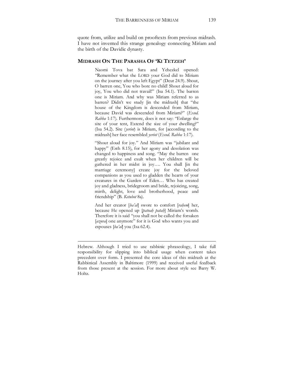quote from, utilize and build on prooftexts from previous midrash. I have not invented this strange genealogy connecting Miriam and the birth of the Davidic dynasty.

### **MIDRASH ON THE PARASHA OF 'KI TETZEH'**

Naomi Tova bat Sara and Yehezkel opened: "Remember what the LORD your God did to Miriam on the journey after you left Egypt" (Deut 24.9). Shout, O barren one, You who bore no child! Shout aloud for joy, You who did not travail!" (Isa 54.1). The barren one is Miriam. And why was Miriam referred to as barren? Didn't we study [in the midrash] that "the house of the Kingdom is descended from Miriam, because David was descended from Miriam?" (*Exod. Rabba* 1:17). Furthermore, does it not say: "Enlarge the site of your tent, Extend the size of your dwelling?" (Isa 54.2). Site (*yeriot*) is Miriam, for [according to the midrash] her face resembled *yeriot* (*Exod. Rabba* 1:17).

"Shout aloud for joy." And Miriam was "jubilant and happy" (Esth 8.15), for her agony and desolation was changed to happiness and song. "May the barren one greatly rejoice and exult when her children will be gathered in her midst in joy…. You shall [in the marriage ceremony] create joy for the beloved companions as you used to gladden the hearts of your creatures in the Garden of Eden… Who has created joy and gladness, bridegroom and bride, rejoicing, song, mirth, delight, love and brotherhood, peace and friendship" (B. *Ketubot* 8a).

And her creator [*ba'al*] swore to comfort [*raḥem*] her, because He opened up [*patoaḥ pataḥ*] Miriam's womb. Therefore it is said "you shall not be called the forsaken [azuva] one anymore" for it is God who wants you and espouses [*ba'al*] you (Isa 62.4).

Hebrew. Although I tried to use rabbinic phraseology, I take full responsibility for slipping into biblical usage when content takes precedent over form. I presented the core ideas of this midrash at the Rabbinical Assembly in Baltimore (1999) and received useful feedback from those present at the session. For more about style see Barry W. Holtz.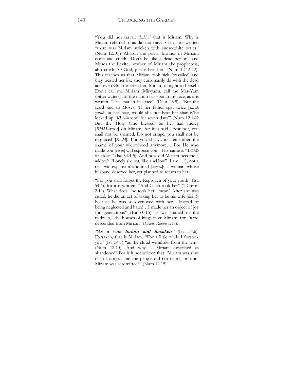"You did not travail [*ḥala*]," that is Miriam. Why is Miriam referred to as did not travail? Is it not written "there was Miriam stricken with snow-white scales" (Num 12.10)? Aharon the priest, brother of Miriam, came and cried: "Don't be like a dead person" and Moses the Levite, brother of Miriam the prophetess, also cried: "O God, please heal her" (Num 12.12-12). This teaches us that Miriam took sick (travailed) and they treated her like they customarily do with the dead and even God deserted her. Miriam thought to herself: Don't call me Miriam (Mir-yam), call me Mar-Yam (bitter waters) for the nation has spat in my face, as it is written, "she spat in his face" (Deut 25.9). "But the Lord said to Moses, 'If her father spat twice [*yarok yarak*] in her face, would she not bear her shame/be locked up [*KLM*=root] for seven days'" (Num 12.14)? But the Holy One blessed be he, had mercy [*RHM*=root] on Miriam, for it is said "Fear not, you shall not be shamed, Do not cringe, you shall not be disgraced [*KLM*]. For you shall…not remember the shame of your widowhood anymore… For He who made you [*ba'al*] will espouse you—His name is "LORD of Hosts" (Isa 54.4-5). And how did Miriam become a widow? "Lonely she sat, like a widow" (Lam 1.1); not a real widow; just abandoned [*azuva*]: a woman whose husband deserted her, yet planned to return to her.

"For you shall forget the Reproach of your youth" (Isa 54.4), for it is written, "And Caleb took her" (1 Chron 2.19). What does "he took her" mean? After she was cured, he did an act of taking her to be his wife [*lakaḥ*] because he was so overjoyed with her. "Instead of being neglected and hated…I made her an object of joy for generations" (Isa 60.15) as we studied in the midrash, "the houses of kings from Miriam, for David descended from Miriam" (*Exod. Rabba* 1:17).

**"As a wife forlorn and forsaken"** (Isa 54.6). Forsaken, that is Miriam. "For a little while I forsook you" (Isa 54.7) "as the cloud withdrew from the tent" (Num 12.10). And why is Miriam described as abandoned? For is it not written that "Miriam was shut out of camp…and the people did not march on until Miriam was readmitted?" (Num 12.15).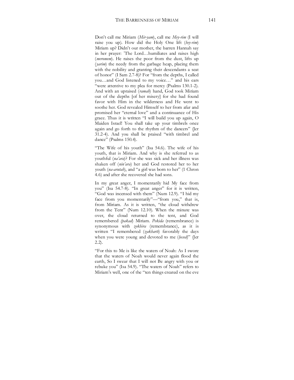Don't call me Miriam (*Mir-yam*), call me *Mey-rim* (I will raise you up). How did the Holy One lift (*hey-rim*) Miriam up? Didn't our mother, the barren Hannah say in her prayer: "The Lord…humiliates and raises high (*meromem*). He raises the poor from the dust, lifts up (*yarim*) the needy from the garbage heap, placing them with the nobility and granting their descendants a seat of honor" (I Sam 2.7-8)? For "from the depths, I called you…and God listened to my voice…" and his ears "were attentive to my plea for mercy (Psalms 130.1-2). And with an upraised (*ramah*) hand, God took Miriam out of the depths [of her misery] for she had found favor with Him in the wilderness and He went to soothe her. God revealed Himself to her from afar and promised her "eternal love" and a continuance of His grace. Thus it is written "I will build you up again, O Maiden Israel! You shall take up your timbrels once again and go forth to the rhythm of the dancers" (Jer 31.2-4). And you shall be praised "with timbrel and dance" (Psalms 150.4).

"The Wife of his youth" (Isa 54.6). The wife of his youth, that is Miriam. And why is she referred to as youthful (*na'ara*)? For she was sick and her illness was shaken off (*nin'ara*) her and God restored her to her youth (*na-arutah*), and "a girl was born to her" (1 Chron 4.6) and after she recovered she had sons.

In my great anger, I momentarily hid My face from you" (Isa 54.7-8). "In great anger" for it is written, "God was incensed with them" (Num 12.9). "I hid my face from you momentarily"—"from you," that is, from Miriam. As it is written, "the cloud withdrew from the Tent" (Num 12.10). When the minute was over, the cloud returned to the tent, and God remembered *(pakad*) Miriam. *Pekida* (remembrance) is synonymous with *zekhira* (remembrance), as it is written "I remembered (*zakharti*) favorably the days when you were young and devoted to me (*ḥesed*)" (Jer 2.2).

"For this to Me is like the waters of Noah: As I swore that the waters of Noah would never again flood the earth, So I swear that I will not Be angry with you or rebuke you" (Isa 54.9). "The waters of Noah" refers to Miriam's well, one of the "ten things created on the eve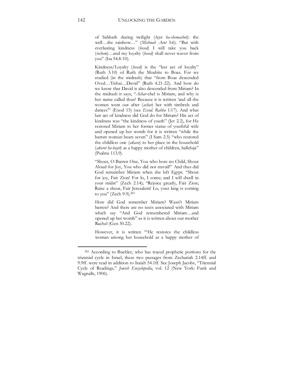of Sabbath during twilight (*beyn ha-shemashot*): the well…the rainbow…" (*Mishnah Avot* 5:6). "But with everlasting kindness (*hesed*) I will take you back (*rechem*)…and my loyalty (*hesed*) shall never waver from you" (Isa 54.8-10).

Kindness/Loyalty (*hesed*) is the "last act of loyalty" (Ruth 3.10) of Ruth the Moabite to Boaz. For we studied (in the midrash) that "from Boaz descended Oved…Yishai…David" (Ruth 4.21-22). And how do we know that David is also descended from Miriam? In the midrash it says, "*Achar*-chel is Miriam, and why is her name called thus? Because it is written 'and all the women went out after (*achar*) her with timbrels and dances'" (Exod 15) (see *Exod. Rabba* 1:17). And what last act of kindness did God do for Miriam? His act of kindness was "the kindness of youth" (Jer 2.2), for He restored Miriam to her former status of youthful wife and opened up her womb for it is written "while the barren woman bears seven" (I Sam 2.5) "who restored the childless one (*akara*) to her place in the household (*akeret ha-bayit*) as a happy mother of children, halleluja" (Psalms 113.9).

"Shout, O Barren One, You who bore no Child, Shout Aloud for Joy, You who did not travail!" And thus did God remember Miriam when she left Egypt. "Shout for joy, Fair Zion! For lo, I come; and I will dwell in your midst" (Zech 2.14); "Rejoice greatly, Fair Zion; Raise a shout, Fair Jerusalem! Lo, your king is coming to you" (Zech 9.9).283

How did God remember Miriam? Wasn't Miriam barren? And there are no texts associated with Miriam which say "And God remembered Miriam…and opened up her womb" as it is written about our mother Rachel (Gen 30.22).

However, it is written '"He restores the childless woman among her household as a happy mother of

<sup>283</sup> According to Buchler, who has traced prophetic portions for the triennial cycle in Israel, these two passages from Zechariah 2.14ff. and 9.9ff. were read in addition to Isaiah 54.1ff. See Joseph Jacobs, "Triennial Cycle of Readings," *Jewish Encyclopedia*, vol. 12 (New York: Funk and Wagnalls, 1906).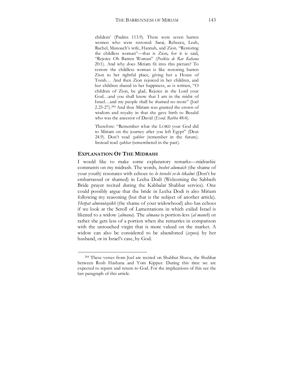children' (Psalms 113.9). There were seven barren women who were restored: Sarai, Rebecca, Leah, Rachel, Manoach's wife, Hannah, and Zion. "Restoring the childless woman"—that is Zion, for it is said, "Rejoice Oh Barren Woman" (*Pesikta de Rav Kahana* 20:1). And why does Miriam fit into this picture? To restore the childless woman is like restoring barren Zion to her rightful place, giving her a House of Torah… And then Zion rejoiced in her children, and her children shared in her happiness, as is written, "O children of Zion, be glad, Rejoice in the Lord your God…and you shall know that I am in the midst of Israel…and my people shall be shamed no more" (Joel 2.23-27).284 And thus Miriam was granted the crown of wisdom and royalty in that she gave birth to Bezalel who was the ancestor of David (*Exod. Rabba* 48:4).

Therefore: "Remember what the LORD your God did to Miriam on the journey after you left Egypt" (Deut 24.9). Don't read *zakhor* (remember in the future). Instead read *zakhar* (remembered in the past).

### **EXPLANATION OF THE MIDRASH**

 $\overline{a}$ 

I would like to make some explanatory remarks—midrashic comments on my midrash. The words, *boshet alumaich* (the shame of your youth) resonates with echoes to *lo tevoshi ve-lo tikalmi* (Don't be embarrassed or shamed) in Lecha Dodi (Welcoming the Sabbath Bride prayer recited during the Kabbalat Shabbat service). One could possibly argue that the bride in Lecha Dodi is also Miriam following my reasoning (but that is the subject of another article). *Herpat almenutayikh* (the shame of your widowhood) also has echoes if we look at the Scroll of Lamentations in which exiled Israel is likened to a widow (*almana*). The *almana* is portion-less (*al maneh*) or rather she gets less of a portion when she remarries in comparison with the untouched virgin that is more valued on the market. A widow can also be considered to be abandoned (*azuva*) by her husband, or in Israel's case, by God.

<sup>284</sup> These verses from Joel are recited on Shabbat Shuva, the Shabbat between Rosh Hashana and Yom Kippur. During this time we are expected to repent and return to God. For the implications of this see the last paragraph of this article.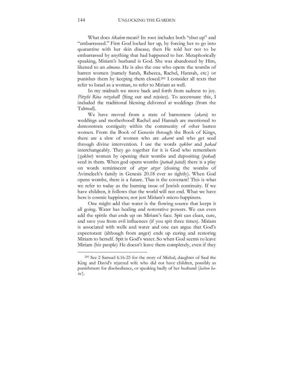What does *tikalem* mean? Its root includes both "shut up" and "embarrassed." First God locked her up, by forcing her to go into quarantine with her skin disease; then He told her not to be embarrassed by anything that had happened to her. Metaphorically speaking, Miriam's husband is God. She was abandoned by Him, likened to an *almana*. He is also the one who opens the wombs of barren women (namely Sarah, Rebecca, Rachel, Hannah, etc.) or punishes them by keeping them closed.285 I consider all texts that refer to Israel as a woman, to refer to Miriam as well.

In my midrash we move back and forth from sadness to joy. *Pitzchi Rina vetzahali*! (Sing out and rejoice). To accentuate this, I included the traditional blessing delivered at weddings (from the Talmud).

We have moved from a state of barrenness (*akara*) to weddings and motherhood! Rachel and Hannah are mentioned to demonstrate contiguity within the community of other barren women. From the Book of Genesis through the Book of Kings, there are a slew of women who are *akarot* and who get seed through divine intervention. I use the words *zakhor* and *pakad* interchangeably. They go together for it is God who remembers (*zakhor*) women by opening their wombs and depositing (*pakad*) seed in them. When god opens wombs (*patoaḥ pataḥ*) there is a play on words reminiscent of *atzor atzar* (closing the wombs of Avimelech's family in Genesis 20.18 ever so tightly). When God opens wombs, there is a future. That is the covenant! This is what we refer to today as the burning issue of Jewish continuity. If we have children, it follows that the world will not end. What we have here is cosmic happiness; not just Miriam's micro-happiness.

One might add that water is the flowing source that keeps it all going. Water has healing and restorative powers. We can even add the spittle that ends up on Miriam's face. Spit can clean, cure, and save you from evil influences (if you spit three times). Miriam is associated with wells and water and one can argue that God's expectorant (although from anger) ends up curing and restoring Miriam to herself. Spit is God's water. So when God seems to leave Miriam (his people) He doesn't leave them completely, even if they

<sup>285</sup> See 2 Samuel 6.16-23 for the story of Michal, daughter of Saul the King and David's rejected wife who did not have children, possibly as punishment for disobedience, or speaking badly of her husband (*lashon hara'*).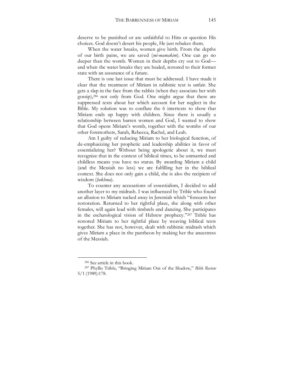deserve to be punished or are unfaithful to Him or question His choices. God doesn't desert his people, He just rebukes them.

When the water breaks, women give birth. From the depths of our birth pains, we are saved (*mi-mamakim*). One can go no deeper than the womb. Women in their depths cry out to God and when the water breaks they are healed, restored to their former state with an assurance of a future.

There is one last issue that must be addressed. I have made it clear that the treatment of Miriam in rabbinic text is unfair. She gets a slap in the face from the rabbis (when they associate her with gossip),286 not only from God. One might argue that there are suppressed texts about her which account for her neglect in the Bible. My solution was to conflate the 6 intertexts to show that Miriam ends up happy with children. Since there is usually a relationship between barren women and God, I wanted to show that God opens Miriam's womb, together with the wombs of our other foremothers, Sarah, Rebecca, Rachel, and Leah.

Am I guilty of reducing Miriam to her biological function, of de-emphasizing her prophetic and leadership abilities in favor of essentializing her? Without being apologetic about it, we must recognize that in the context of biblical times, to be unmarried and childless means you have no status. By awarding Miriam a child (and the Messiah no less) we are fulfilling her in the biblical context. She does not only gain a child, she is also the recipient of wisdom (*ḥokhma*).

To counter any accusations of essentialism, I decided to add another layer to my midrash. I was influenced by Trible who found an allusion to Miriam tucked away in Jeremiah which "forecasts her restoration. Returned to her rightful place, she along with other females, will again lead with timbrels and dancing. She participates in the eschatological vision of Hebrew prophecy."287 Trible has restored Miriam to her rightful place by weaving biblical texts together. She has not, however, dealt with rabbinic midrash which gives Miriam a place in the pantheon by making her the ancestress of the Messiah.

<sup>286</sup> See article in this book. 287 Phyllis Trible, "Bringing Miriam Out of the Shadow," *Bible Review* 5/1 (1989):178.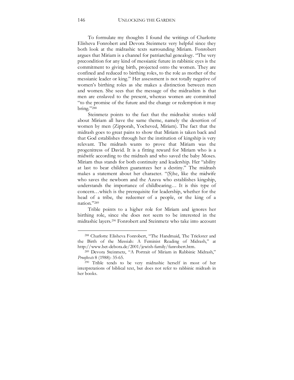To formulate my thoughts I found the writings of Charlotte Elisheva Fonrobert and Devora Steinmetz very helpful since they both look at the midrashic texts surrounding Miriam. Fonrobert argues that Miriam is a channel for patriarchal genealogy. "The very precondition for any kind of messianic future in rabbinic eyes is the commitment to giving birth, projected onto the women. They are confined and reduced to birthing roles, to the role as mother of the messianic leader or king." Her assessment is not totally negative of women's birthing roles as she makes a distinction between men and women. She sees that the message of the midrashim is that men are enslaved to the present, whereas women are committed "to the promise of the future and the change or redemption it may bring."288

Steinmetz points to the fact that the midrashic stories told about Miriam all have the same theme, namely the desertion of women by men (Zipporah, Yocheved, Miriam). The fact that the midrash goes to great pains to show that Miriam is taken back and that God establishes through her the institution of kingship is very relevant. The midrash wants to prove that Miriam was the progenitress of David. It is a fitting reward for Miriam who is a midwife according to the midrash and who saved the baby Moses. Miriam thus stands for both continuity and leadership. Her "ability at last to bear children guarantees her a destiny." The midrash makes a statement about her character. "(S)he, like the midwife who saves the newborn and the Azuva who establishes kingship, understands the importance of childbearing… It is this type of concern…which is the prerequisite for leadership, whether for the head of a tribe, the redeemer of a people, or the king of a nation."289

Trible points to a higher role for Miriam and ignores her birthing role, since she does not seem to be interested in the midrashic layers.290 Fonrobert and Steinmetz who take into account

<sup>288</sup> Charlotte Elisheva Fonrobert, "The Handmaid, The Trickster and the Birth of the Messiah: A Feminist Reading of Midrash," at http://www.bet-debora.de/2001/jewish-family/fanrobert.htm. 289 Devora Steinmetz, "A Portrait of Miriam in Rabbinic Midrash,"

*Prooftexts* 8 (1988): 35-65. 290 Trible tends to be very midrashic herself in most of her

interpretations of biblical text, but does not refer to rabbinic midrash in her books.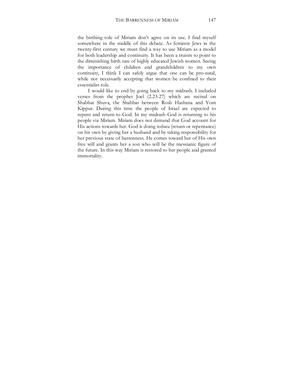the birthing role of Miriam don't agree on its use. I find myself somewhere in the middle of this debate. As feminist Jews in the twenty-first century we must find a way to use Miriam as a model for both leadership and continuity. It has been a truism to point to the diminishing birth rate of highly educated Jewish women. Seeing the importance of children and grandchildren to my own continuity, I think I can safely argue that one can be pro-natal, while not necessarily accepting that women be confined to their essentialist role.

I would like to end by going back to my midrash. I included verses from the prophet Joel (2.23-27) which are recited on Shabbat Shuva, the Shabbat between Rosh Hashana and Yom Kippur. During this time the people of Israel are expected to repent and return to God. In my midrash God is returning to his people via Miriam. Miriam does not demand that God account for His actions towards her. God is doing *teshuva* (return or repentance) on his own by giving her a husband and by taking responsibility for her previous state of barrenness. He comes toward her of His own free will and grants her a son who will be the messianic figure of the future. In this way Miriam is restored to her people and granted immortality.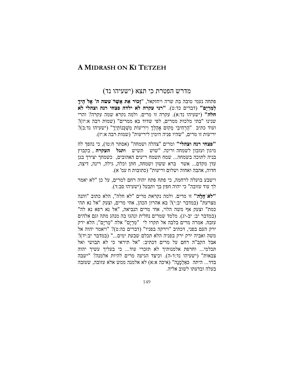## **A MIDRASH ON KI TETZEH**

### מדרש הפטרת כי תצא (ישעיהו נד )

פתחה נעמי טובה בת שרה ויחזקאל, "**זָכוֹר אֵ ת אֲ שֿׁ ֶ רֿעשה ה' אֱ לֹה ָ ֶיך ְלמִ רְיָם"** (דברים כד:ט). **"רני עקרה לא ילדה פצחי רנה וצהלי לא חלה"** (ישעיהו נד:א). עקרה זו מרים. ולמה נקרא שמה עקרה? והרי שנינו "בתי מלכות ממרים, לפי שדוד בא ממרים" (שמות רבה א:יז)? ועוד כתיב "הַרְחִיבִי מְקוֹם אָהְלְֵך וִירִיעוֹת מִשְׁ כְּנוֹתַיְִך" (ישעיהו נד:ב)? יריעות זו מרים, "שהיו פניה דומין ליריעות" (שמות רבה א:יז).

**"פצחי רנה וצהלי"** ומרים "צהלה ושמחה" (אסתר ח:טו), כי נהפך לה מיגון ועזבון לשמחה ורינה. "שוש תשיש **ותגל העקרה** , בקבוץ בניה לתוכה בשמחה... שמח תשמח ריעים האהובים, כשמחך יצירך בגן עדן מקדם... אשר ברא ששון ושמחה, חתן וכלה, גילה, רינה, דיצה, חדוה, אהבה ואחוה ושלום וריעות" (כתובות ח עמ' א).

וישבע בועלה לרחמה, כי פתח פתח יהוה רחם למרים, על כן "לא יאמר לך עוד עזובה" כי יהוה חפץ בך ותבעל (ישעיהו סב:ד).

**" ֿלאֿחָ לָה"** זו מרים. ולמה נקראת מרים "לא חלה", הלא כתוב "והנה מצרעת" (במדבר יב:י)? בא אהרון הכהן, אחי מרים, וצעק "אל נא תהי כמת" וצעק אף משה הלוי, אחי מרים הנביאה, "אל נא רפא נא לה" (במדבר יב: יב-יג). מלמד שמרים נחלית ונהגו בה מנהג מתה וגם אלהים עזבהּ. אמרה מרים בלבה אל תקרו לי "מִרְיָם" אלה "מַריָם"; הלא ירק ירק העם בפני, דכתיב "וירקה בפניו" (דברים כה:ט)? "ויאמר יהוה אל משה ואביה ירק ירק בפניה הלא תכלם שבעת ימים..." (במדבר יב:יד)? אבל הקב"ה רחם על מרים דכתיב: "אל תיראי כי לא תבושי ואל תכלמי... וחרפת אלמנותיך לא תזכרי עוד... כי בעליך עשיך יהוה צבאות" (ישעיהו נד:ד-ה). וכיצד הגיעה מרים להיות אלמנה? "ישבה בדד... היתה כּאַלְמָנָה" (איכה א:א) לא אלמנה ממש אלא עזובה, שעזבה בעלה ובדעתו לשוב אליה.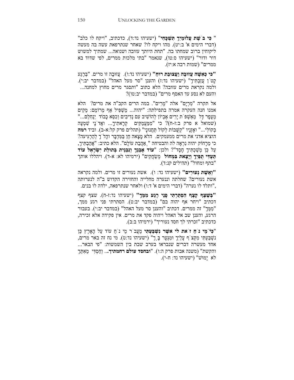" **כִּי בֹשֶׁ ת עֲ לוּמַ יְִך תִּ שְׁ כָּחִי**" (ישעיהו נד:ד), כדכתיב, "ויקח לו כלב" (דברי הימים א' ב:יט). מהו ויקח לו? שאחר שנתרפאת עשה בה מעשה ליקוחין ברוב שמחתו בה. "תחת היותך עזובה ושנואה... שמתיך למשוש דור ודור" (ישעיהו ס:טו), שנאמר "בתי מלכות ממרים, לפי שדוד בא ממרים" (שמות רבה א:יז).

**"כּי כְאִ שָׁ ה עֲזוּבָה וַעֲ צוּבַת ַ רוּח"** (ישעיהו נד:ו). עֲזוּבָה זו מרים. "בְֶּרגַע קָטֹן עֲזַבְתּ ְ ִיך" (ישעיהו נד:ז) והענן "סר מעל האהל" (במדבר יב:י). ולמה נקראת מרים עזובה? הלא כתוב "ותסגר מרים מחוץ למחנה... והעם לא נסע עד האסף מרים" (במדבר יב:טו)?

אל תקרה "מִרְיָם" אלה "מֵרִים". במה הרים הקב"ה את מרים? הלא אמנו חנה העקרה אמרה בתפילתה: "יהוה... מַשְׁ פִּיל אַף מְרוֹמֵם: מֵקִים מֵעָפָר דָּל מֵאַשְׁ פֹּת יָרִים אֶבְיוֹן לְהוֹשִׁ יב עִם נְדִיבִים וְכִסֵּא כָבוֹד יַנְחִלֵם..." (שמואל א פרק ב:ז-ח)? כי "מִמַּעֲמַקִּים קְרָאתְיךָ... ואֲד<sup>ְי</sup>נָי שִׁמְעָה) בְקוֹלִי..." ואָזְנֶיו "קַשֻּׁ בוֹת לְקוֹל תַּחֲנוּנָי" (תהלים פרק קל:א-ב). וביד **רמה** הוציא אדני את מרים ממעמקים. הלא מָצָאה חֵן בַּמִּדְבָּר וה ְ ָלֹך לְהַרְגִּיעה? כי מֵרָחוֹק יהוה נִרְאָה לה והבטיחה "ְאַהֲבַת עוֹלָם". הלא כתיב: "אֲהַבְתּ ְ ִיך, עַל כֵּן מְשַׁ כְתּ ְ ִיך חָסֶד"? ולכן: "**עוֹד אְֶ בנְֵך וְנִבְנֵית בְּתוּלַת יִשְׂ רָאֵ ל עוֹד תַּ עְ דִּי תֻ פַּיְִך וְיָצָ את בִּמְ חוֹל** מְשַׂ חֲקִים" (ירמיהו לא: א-ד). ויהללו אותך "בתף ומחול" (תהילים קנ:ד).

**"וְאֵ שֶׁ ת נְעוּרִים"** (ישעיהו נד: ו). אשת נעורים זו מרים. ולמה נקראה אשת נעורים? שחלתה וננערה מחלייה והחזירה הקדוש ב"ה לנערותה ,"ותלד לו נערה" (דברי הימים א' ד:ו) ולאחר שנתרפאה, ילדה לו בנים.

**"בְּשֶׁ צֶ ף קֶצֶ ף הִ סְתַּ רְתִּ י פָנַי רֶגַע מִ מְֵּ ך"** (ישעיהו נד:ז-ח). שצף קצף דכתיב "ויחר אף יהוה בם" (במדבר יב:ט). הסתרתי פני רגע ממך, "מִמְֵּך" זה ממרים. דכתיב "והענן סר מעל האהל" (במדבר יב:י). בעבור הרגע, והענן שב אל האהל ויהוה פקד את מרים. אין פקידה אלא זכירה, כדכתיב "זכרתי לך חסד נעוריך" (ירמיהו ב:ב).

"**כִּיֿֿמֵ י ַ נֹח זֹאת לי אשֶׁ ר נִשְׁ בַּעְ תִּ י** מֵעֲבֹר מֵי ַ נֹח עוֹד עַל הָאָרֶץ כֵּן נשְׁ בַּעְתִּי מִקְּצֹף עָלַיְִך וּמִגְּעָר בּ ְָֽך" (ישעיהו נד:ט). מי נח זה באר מרים, אחד מעשרה דברים שנבראו בערב שבת בין השמשות: "פי הבאר... והקשת" (משנה אבות פרק ה:ו). "**ובחסד עולם רחמתיך**..**.** וְחַסְדִּי מֵאִתְֵּך לא יָמוּשׁ" (ישעיהו נד: ח-י).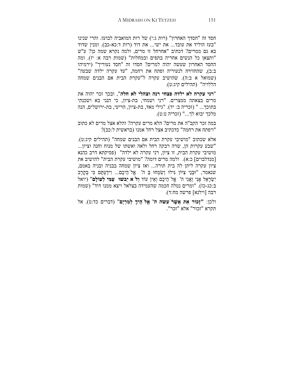חסד זה "חסדך האחרון" (רות ג:י) של רות המואביה לבועז. והרי שנינו "בעז הוליד את עובד... את ישי... את דוד (רות ד:כא-כב). ומנין שדוד בא גם ממרים? דכתיב "אחרחל זו מרים, ולמה נקרא שמה כן? ע"ש "ותצאן כל הנשים אחריה בתפים ובמחלות" (שמות רבה א: יז). ומה החסד האחרון שעשה יהוה למרים? חסדו זה "חסד נעוריך" (ירמיהו ב:ב), שהחזירּהּ לנעוריה ופתח את רחמה, "עד עקרה ילדה שבעה" (שמואל א ב:ה). שהושיב עקרה ל"עקרת הבית אם הבנים שמחה הללויה" (תהילים קיג:ט).

"**רני עקרה לא ילדה פצחי רנה וצהלי לא חלה**", ובכך זכר יהוה את מרים בצאתה ממצרים. "רני ושמחי, בת-ציון, כי הנני בא ושכנתי בתוכך... " (זכריה ב: יד). "גילי מאד, בת-ציון, הריעי, בת-ירושלים, הנה מלכך יבוא לך..." (זכריה ט:ט).

במה זכר הקב"ה את מרים? הלא מרים עקרה? והלא אצל מרים לא כתוב "ויפתח את רחמה" כדכתיב אצל רחל אמנו (בראשית ל:כב)?

אלא שכתוב "מושיבי עקרת הבית אם הבנים שמחה" (תהילים קיג:ט). "שבע עקרות הן, שרה רבקה רחל ולאה ואשתו של מנוח וחנה וציון... מושיבי עקרת הבית, זו ציון, רני עקרה לא ילדה" (פסיקתא דרב כהנא [מנדלבוים] כ:א). ולמה מרים דומה? "מושיבי עקרת הבית" להושיב את ציון עקרה ליתן לה בית תורה... ואז ציון שמחה בבניה ובניה באמם, שנאמר, "וּבְנֵי צִיּוֹן גִּילוּ וְשִׂ מְחוּ ַבּ ה' אֱלֹהֵיכֶם... וִידַעְתֶּם כִּי בְקֶרֶב יִשְׂ רָאֵל אָנִי וַאֲנִי ה' אֱלֹהֵיכֶם וְאֵין עוֹד **וְלֹא יֵבשׁוּ עַ מִּ י לְעוֹלָם**" (יואל ב:כג-כז). "ומרים נטלה חכמה שהעמידה בצלאל ויצא ממנו דוד" (שמות רבה [וילנא] פרשה מח:ד).

ולכן: **"זָכוֹר אֵ ת אֲ שֿׁ ֶ רֿעשה ה' אֱ לֹה ָ ֶיך לְמִ רְיָם**" (דברים כד:ט). אל תקרא "זכור" אלא "זכר".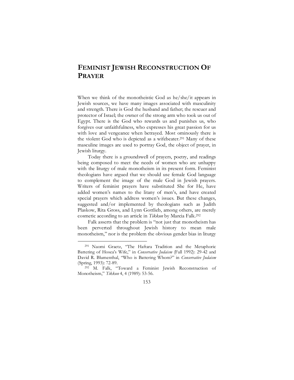## **FEMINIST JEWISH RECONSTRUCTION OF PRAYER**

When we think of the monotheistic God as he/she/it appears in Jewish sources, we have many images associated with masculinity and strength. There is God the husband and father; the rescuer and protector of Israel; the owner of the strong arm who took us out of Egypt. There is the God who rewards us and punishes us, who forgives our unfaithfulness, who expresses his great passion for us with love and vengeance when betrayed. Most ominously there is the violent God who is depicted as a wifebeater.291 Many of these masculine images are used to portray God, the object of prayer, in Jewish liturgy.

Today there is a groundswell of prayers, poetry, and readings being composed to meet the needs of women who are unhappy with the liturgy of male monotheism in its present form. Feminist theologians have argued that we should use female God language to complement the image of the male God in Jewish prayers. Writers of feminist prayers have substituted She for He, have added women's names to the litany of men's, and have created special prayers which address women's issues. But these changes, suggested and/or implemented by theologians such as Judith Plaskow, Rita Gross, and Lynn Gottlieb, among others, are merely cosmetic according to an article in *Tikkun* by Marcia Falk.292

Falk asserts that the problem is "not just that monotheism has been perverted throughout Jewish history to mean male monotheism," nor is the problem the obvious gender bias in liturgy

<sup>291</sup> Naomi Graetz, "The Haftara Tradition and the Metaphoric Battering of Hosea's Wife," in *Conservative Judaism* (Fall 1992): 29-42 and David R. Blumenthal, "Who is Battering Whom?" in *Conservative Judaism* (Spring, 1993): 72-89.<br><sup>292</sup> M. Falk, "Toward a Feminist Jewish Reconstruction of

Monotheism," *Tikkun* 4, 4 (1989): 53-56.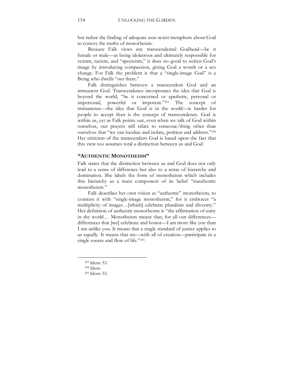but rather the finding of adequate non-sexist metaphors about God to convey the truths of monotheism.

Because Falk views any transcendental Godhead—be it female or male—as being idolatrous and ultimately responsible for sexism, racism, and "specieism," it does no good to soften God's image by introducing compassion, giving God a womb or a sex change. For Falk the problem is that a "single-image God" is a Being who dwells "out there."

Falk distinguishes between a transcendent God and an immanent God. Transcendence incorporates the idea that God is beyond the world, "be it concerned or apathetic, personal or impersonal, powerful or impotent."293 The concept of immanence—the idea that God is in the world—is harder for people to accept than is the concept of transcendence. God is within us, yet as Falk points out, even when we talk of God within ourselves, our prayers still relate to someone/thing other than ourselves that "we can localize and isolate, petition and address."294 Her criticism of the transcendent God is based upon the fact that this view too assumes total a distinction between us and God.

### **"AUTHENTIC MONOTHEISM"**

Falk states that the distinction between us and God does not only lead to a sense of difference but also to a sense of hierarchy and domination. She labels the form of monotheism which includes this hierarchy as a main component of its belief "inauthentic monotheism."

Falk describes her own vision as "authentic" monotheism, to contrast it with "single-image monotheism," for it embraces "a multiplicity of images…[which] celebrate pluralism and diversity." Her definition of authentic monotheism is "the affirmation of unity in the world… Monotheism means that, for all our differences differences that [we] celebrate and honor—I am more like you than I am unlike you. It means that a single standard of justice applies to us equally. It means that we—with all of creation—participate in a single source and flow of life."295

 $^{293}$  Idem: 53.<br> $^{294}$  Idem.<br> $^{295}$  Idem: 55.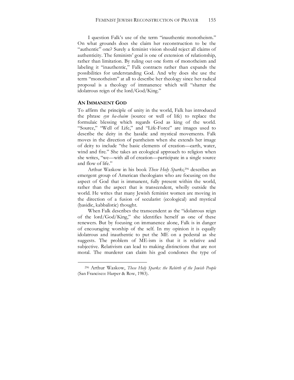I question Falk's use of the term "inauthentic monotheism." On what grounds does she claim her reconstruction to be the "authentic" one? Surely a feminist vision should reject all claims of authenticity. The feminists' goal is one of extension of relationship, rather than limitation. By ruling out one form of monotheism and labeling it "inauthentic," Falk contracts rather than expands the possibilities for understanding God. And why does she use the term "monotheism" at all to describe her theology since her radical proposal is a theology of immanence which will "shatter the idolatrous reign of the lord/God/King."

### **AN IMMANENT GOD**

 $\overline{a}$ 

To affirm the principle of unity in the world, Falk has introduced the phrase *eyn ha-chaim* (source or well of life) to replace the formulaic blessing which regards God as king of the world. "Source," "Well of Life," and "Life-Force" are images used to describe the deity in the ḥasidic and mystical movements. Falk moves in the direction of pantheism when she extends her image of deity to include "the basic elements of creation—earth, water, wind and fire." She takes an ecological approach to religion when she writes, "we—with all of creation—participate in a single source and flow of life."

Arthur Waskow in his book *These Holy Sparks*, 296 describes an emergent group of American theologians who are focusing on the aspect of God that is immanent, fully present within the world, rather than the aspect that is transcendent, wholly outside the world. He writes that many Jewish feminist women are moving in the direction of a fusion of secularist (ecological) and mystical (ḥasidic, kabbalistic) thought.

When Falk describes the transcendent as the "idolatrous reign of the lord/God/King," she identifies herself as one of these renewers. But by focusing on immanence alone, Falk is in danger of encouraging worship of the self. In my opinion it is equally idolatrous and inauthentic to put the ME on a pedestal as she suggests. The problem of ME-ism is that it is relative and subjective. Relativism can lead to making distinctions that are not moral. The murderer can claim his god condones the type of

<sup>296</sup> Arthur Waskow, *These Holy Sparks: the Rebirth of the Jewish People* (San Francisco: Harper & Row, 1983).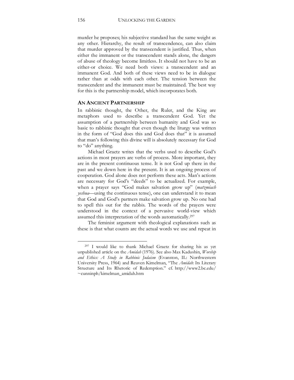murder he proposes; his subjective standard has the same weight as any other. Hierarchy, the result of transcendence, can also claim that murder approved by the transcendent is justified. Thus, when either the immanent or the transcendent stands alone, the dangers of abuse of theology become limitless. It should not have to be an either-or choice. We need both views: a transcendent and an immanent God. And both of these views need to be in dialogue rather than at odds with each other. The tension between the transcendent and the immanent must be maintained. The best way for this is the partnership model, which incorporates both.

### **AN ANCIENT PARTNERSHIP**

In rabbinic thought, the Other, the Ruler, and the King are metaphors used to describe a transcendent God. Yet the assumption of a partnership between humanity and God was so basic to rabbinic thought that even though the liturgy was written in the form of "God does this and God does that" it is assumed that man's following this divine will is absolutely necessary for God to "do" anything.

Michael Graetz writes that the verbs used to describe God's actions in most prayers are verbs of process. More important, they are in the present continuous tense. It is not God up there in the past and we down here in the present. It is an ongoing process of cooperation. God alone does not perform these acts. Man's actions are necessary for God's "deeds" to be actualized. For example, when a prayer says "God makes salvation grow up" (*matzmiach yeshua*—using the continuous tense), one can understand it to mean that God and God's partners make salvation grow up. No one had to spell this out for the rabbis. The words of the prayers were understood in the context of a pervasive world-view which assumed this interpretation of the words automatically.297

The feminist argument with theological explanations such as these is that what counts are the actual words we use and repeat in

<sup>297</sup> I would like to thank Michael Graetz for sharing his as yet unpublished article on the *Amidah* (1976). See also Max Kadushin, *Worship and Ethics: A Study in Rabbinic Judaism* (Evanston, IL: Northwestern University Press, 1964) and Reuven Kimelman, "The *Amidah*: Its Literary Structure and Its Rhetoric of Redemption." cf. http://www2.bc.edu/ ~cunninph/kimelman\_amidah.htm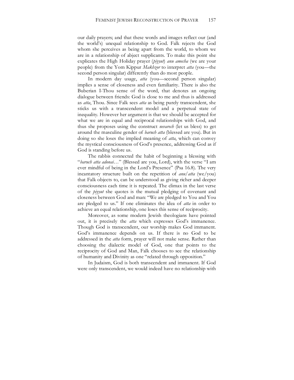our daily prayers; and that these words and images reflect our (and the world's) unequal relationship to God. Falk rejects the God whom she perceives as being apart from the world, to whom we are in a relationship of abject supplicants. To make this point she explicates the High Holiday prayer (*piyyut*) *anu amecha* (we are your people) from the Yom Kippur *Makhzor* to interpret *atta* (you—the second person singular) differently than do most people.

In modern day usage, *atta* (you—second person singular) implies a sense of closeness and even familiarity. There is also the Buberian I-Thou sense of the word, that denotes an ongoing dialogue between friends: God is close to me and thus is addressed as *atta*, Thou. Since Falk sees *atta* as being purely transcendent, she sticks us with a transcendent model and a perpetual state of inequality. However her argument is that we should be accepted for what we are in equal and reciprocal relationships with God, and thus she proposes using the construct *nevarech* (let us bless) to get around the masculine gender of *baruch atta* (blessed are you). But in doing so she loses the implied meaning of *atta*, which can convey the mystical consciousness of God's presence, addressing God as if God is standing before us.

The rabbis connected the habit of beginning a blessing with "*baruch atta adonai*…" (Blessed are you, Lord), with the verse "I am ever mindful of being in the Lord's Presence" (Psa 16.8). The very incantatory structure built on the repetition of *anu*/*atta* (we/you) that Falk objects to, can be understood as giving richer and deeper consciousness each time it is repeated. The climax in the last verse of the *piyyut* she quotes is the mutual pledging of covenant and closeness between God and man: "We are pledged to You and You are pledged to us." If one eliminates the idea of *atta* in order to achieve an equal relationship, one loses this sense of reciprocity.

Moreover, as some modern Jewish theologians have pointed out, it is precisely the *atta* which expresses God's immanence. Though God is transcendent, our worship makes God immanent. God's immanence depends on us. If there is no God to be addressed in the *atta* form, prayer will not make sense. Rather than choosing the dialectic model of God, one that points to the reciprocity of God and Man, Falk chooses to see the relationship of humanity and Divinity as one "related through opposition."

In Judaism, God is both transcendent and immanent. If God were only transcendent, we would indeed have no relationship with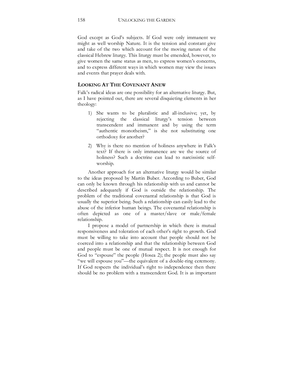God except as God's subjects. If God were only immanent we might as well worship Nature. It is the tension and constant give and take of the two which account for the moving nature of the classical Hebrew liturgy. This liturgy must be emended, however, to give women the same status as men, to express women's concerns, and to express different ways in which women may view the issues and events that prayer deals with.

### **LOOKING AT THE COVENANT ANEW**

Falk's radical ideas are one possibility for an alternative liturgy. But, as I have pointed out, there are several disquieting elements in her theology:

- 1) She wants to be pluralistic and all-inclusive; yet, by rejecting the classical liturgy's tension between transcendent and immanent and by using the term "authentic monotheism," is she not substituting one orthodoxy for another?
- 2) Why is there no mention of holiness anywhere in Falk's text? If there is only immanence are we the source of holiness? Such a doctrine can lead to narcissistic selfworship.

Another approach for an alternative liturgy would be similar to the ideas proposed by Martin Buber. According to Buber, God can only be known through his relationship with us and cannot be described adequately if God is outside the relationship. The problem of the traditional covenantal relationship is that God is usually the superior being. Such a relationship can easily lead to the abuse of the inferior human beings. The covenantal relationship is often depicted as one of a master/slave or male/female relationship.

I propose a model of partnership in which there is mutual responsiveness and toleration of each other's right to growth. God must be willing to take into account that people should not be coerced into a relationship and that the relationship between God and people must be one of mutual respect. It is not enough for God to "espouse" the people (Hosea 2); the people must also say "we will espouse you"—the equivalent of a double-ring ceremony. If God respects the individual's right to independence then there should be no problem with a transcendent God. It is as important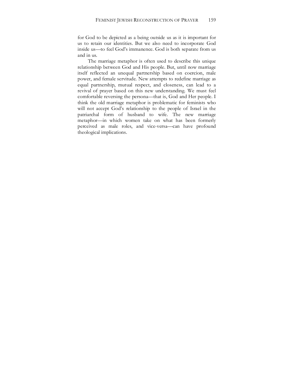for God to be depicted as a being outside us as it is important for us to retain our identities. But we also need to incorporate God inside us—to feel God's immanence. God is both separate from us and in us.

The marriage metaphor is often used to describe this unique relationship between God and His people. But, until now marriage itself reflected an unequal partnership based on coercion, male power, and female servitude. New attempts to redefine marriage as equal partnership, mutual respect, and closeness, can lead to a revival of prayer based on this new understanding. We must feel comfortable reversing the persona—that is, God and Her people. I think the old marriage metaphor is problematic for feminists who will not accept God's relationship to the people of Israel in the patriarchal form of husband to wife. The new marriage metaphor—in which women take on what has been formerly perceived as male roles, and vice-versa—can have profound theological implications.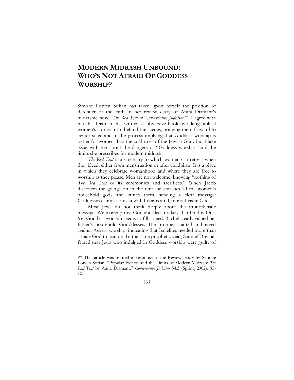# **MODERN MIDRASH UNBOUND: WHO'S NOT AFRAID OF GODDESS WORSHIP?**

Simone Lotven Sofian has taken upon herself the position of defender of the faith in her review essay of Anita Diamant's midrashic novel *The Red Tent* in *Conservative Judaism*. 298 I agree with her that Diamant has written a subversive book by taking biblical women's stories from behind the scenes, bringing them forward to center stage and in the process implying that Goddess worship is better for women than the cold rules of the Jewish God. But I take issue with her about the dangers of "Goddess worship" and the limits she prescribes for modern midrash.

*The Red Tent* is a sanctuary to which women can retreat when they bleed, either from menstruation or after childbirth. It is a place in which they celebrate womanhood and where they are free to worship as they please. Men are not welcome, knowing "nothing of *The Red Tent* or its ceremonies and sacrifices." When Jacob discovers the goings on in the tent, he smashes all the women's household gods and buries them, sending a clear message: Goddesses cannot co-exist with his ancestral, monotheistic God.

Most Jews do not think deeply about the monotheistic message. We worship one God and declare daily that God is One. Yet Goddess worship seems to fill a need. Rachel clearly valued her father's household God/desses. The prophets ranted and raved against Ashera worship, indicating that Israelites needed more than a male God to lean on. In the same prophetic vein, Samuel Dresner feared that Jews who indulged in Goddess worship were guilty of

<sup>298</sup> This article was printed in response to the Review Essay by Simone Lotven Sofian, "Popular Fiction and the Limits of Modern Midrash: *The Red Tent* by Anita Diamant," *Conservative Judaism* 54:3 (Spring 2002): 95- 105.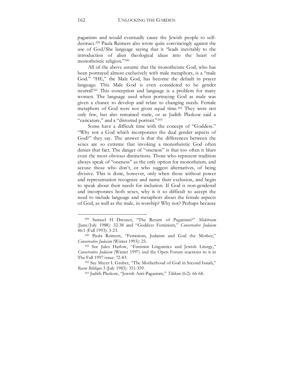paganism and would eventually cause the Jewish people to selfdestruct.299 Paula Reimers also wrote quite convincingly against the use of God/She language saying that it "leads inevitably to the introduction of alien theological ideas into the heart of monotheistic religion."300

All of the above assume that the monotheistic God, who has been portrayed almost exclusively with male metaphors, is a "male God." "HE," the Male God, has become the default in prayer language. This Male God is even considered to be gender neutral!301 This conception and language is a problem for many women. The language used when portraying God as male was given a chance to develop and relate to changing needs. Female metaphors of God were not given equal time.302 They were not only few, but also remained static, or as Judith Plaskow said a "caricature," and a "distorted portrait."303

Some have a difficult time with the concept of "Goddess." "Why not a God which incorporates the dual gender aspects of God?" they say. The answer is that the differences between the sexes are so extreme that invoking a monotheistic God often denies that fact. The danger of "oneness" is that too often it blurs even the most obvious distinctions. Those who represent tradition always speak of "oneness" as the only option for monotheism, and accuse those who don't, or who suggest alternatives, of being divisive. This is done, however, only when those without power and representation recognize and name their exclusion, and begin to speak about their needs for inclusion. If God is non-gendered and incorporates both sexes, why is it so difficult to accept the need to include language and metaphors about the female aspects of God, as well as the male, in worship? Why not? Perhaps because

<sup>299</sup> Samuel H Dresner, "The Return of Paganism?" *Midstream* (June/July 1988): 32-38 and "Goddess Feminism," *Conservative Judaism* 46:1 (Fall 1993): 3-23. 300 Paula Reimers, "Feminism, Judaism and God the Mother,"

*Conservative Judaism* (Winter 1993): 25. 301 See Jules Harlow, "Feminist Linguistics and Jewish Liturgy,"

*Conservative Judaism* (Winter 1997) and the Open Forum reactions to it in The Fall 1997 issue: 72-83. 302 See Mayer I. Gruber, "The Motherhood of God in Second Isaiah,"

*Revue Biblique* 3 (July 1983): 351-359. 303 Judith Plaskow, "Jewish Anti-Paganism," *Tikkun* (6:2): 66-68.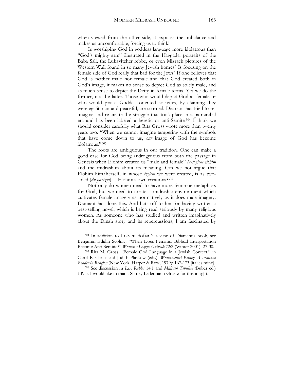when viewed from the other side, it exposes the imbalance and makes us uncomfortable, forcing us to think!

Is worshiping God in goddess language more idolatrous than "God's mighty arm" illustrated in the Haggada, portraits of the Baba Sali, the Lubavitcher rebbe, or even Mizrach pictures of the Western Wall found in so many Jewish homes? Is focusing on the female side of God really that bad for the Jews? If one believes that God is neither male nor female and that God created both in God's image, it makes no sense to depict God as solely male, and as much sense to depict the Deity in female terms. Yet we do the former, not the latter. Those who would depict God as female or who would praise Goddess-oriented societies, by claiming they were egalitarian and peaceful, are scorned. Diamant has tried to reimagine and re-create the struggle that took place in a patriarchal era and has been labeled a heretic or anti-Semite.304 I think we should consider carefully what Rita Gross wrote more than twenty years ago: "When we cannot imagine tampering with the symbols that have come down to us, *our* image of God has become idolatrous."305

The roots are ambiguous in our tradition. One can make a good case for God being androgynous from both the passage in Genesis when Elohim created us "male and female" *be-tzelem elohim* and the midrashim about its meaning. Can we not argue that Elohim him/herself, in whose *tzelem* we were created, is as twosided (*du partzuf*) as Elohim's own creations?<sup>306</sup>

Not only do women need to have more feminine metaphors for God, but we need to create a midrashic environment which cultivates female imagery as normatively as it does male imagery. Diamant has done this. And hats off to her for having written a best-selling novel, which is being read seriously by many religious women. As someone who has studied and written imaginatively about the Dinah story and its repercussions, I am fascinated by

<sup>304</sup> In addition to Lotven Sofian's review of Diamant's book, see Benjamin Edidin Scolnic, "When Does Feminist Biblical Interpretation Become Anti-Semitic?" *Women's League Outlook* 72:2 (Winter 2001): 27-30. 305 Rita M. Gross, "Female God Language in a Jewish Context," in

Carol P. Christ and Judith Plaskow (eds.), *Womanspirit Rising: A Feminist Reader in Religion* (New York: Harper & Row, 1979): 167-173 [italics mine]. 306 See discussion in *Lev. Rabba* 14:1 and *Midrash Tehillim* (Buber ed.)

<sup>139:5.</sup> I would like to thank Shirley Ledermann Graetz for this insight.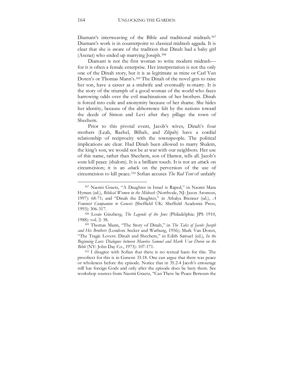Diamant's interweaving of the Bible and traditional midrash.307 Diamant's work is in counterpoint to classical midrash aggada. It is clear that she is aware of the tradition that Dinah had a baby girl (Asenat) who ended up marrying Joseph.308

Diamant is not the first woman to write modern midrash for it is often a female enterprise. Her interpretation is not the only one of the Dinah story, but it is as legitimate as mine or Carl Van Doren's or Thomas Mann's.309 The Dinah of the novel gets to raise her son, have a career as a midwife and eventually re-marry. It is the story of the triumph of a good woman of the world who faces harrowing odds over the evil machinations of her brothers. Dinah is forced into exile and anonymity because of her shame. She hides her identity, because of the abhorrence felt by the nations toward the deeds of Simon and Levi after they pillage the town of Shechem.

Prior to this pivotal event, Jacob's wives, Dinah's four mothers (Leah, Rachel, Bilhah, and Zilpah) have a cordial relationship of reciprocity with the townspeople. The political implications are clear. Had Dinah been allowed to marry Shalem, the king's son, we would not be at war with our neighbors. Her use of this name, rather than Shechem, son of Ḥamor, tells all. Jacob's sons kill peace (shalom). It is a brilliant touch. It is not an *atta*ck on circumcision; it is an *atta*ck on the perversion of the use of circumcision to kill peace.310 Sofian accuses *The Red Tent* of unfairly

<sup>307</sup> Naomi Graetz, "A Daughter in Israel is Raped," in Naomi Mara Hyman (ed.), *Biblical Women in the Midrash* (Northvale, NJ: Jason Aronson, 1997): 68-71; and "Dinah the Daughter," in Athalya Brenner (ed.), *A Feminist Companion to Genesis* (Sheffield UK: Sheffield Academic Press, 1993): 306-317. 308 Louis Ginzberg, *The Legends of the Jews* (Philadelphia: JPS 1910,

<sup>1988):</sup> vol. 2: 38. 309 Thomas Mann, "The Story of Dinah," in *The Tales of Jacob: Joseph* 

*and His Brothers* (London: Secker and Warburg, 1956); Mark Van Doren, "The Tragic Lovers: Dinah and Shechem," in Edith Samuel (ed.), *In the Beginning Love: Dialogues between Maurice Samuel and Mark Van Doren on the Bible* (NY: John Day Co., 1973): 107-171.

<sup>310</sup> I disagree with Sofian that there is no textual basis for this. The prooftext for this is in Genesis 33.18. One can argue that there was peace or wholeness before the episode. Notice that in 35.2-4 Jacob's entourage still has foreign Gods and only after the episode does he bury them. See workshop sources from Naomi Graetz, "Can There be Peace Between the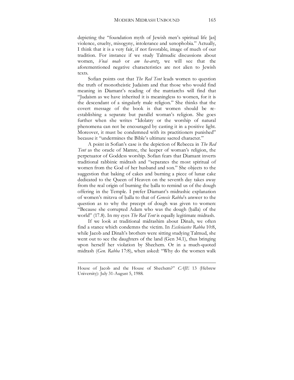depicting the "foundation myth of Jewish men's spiritual life [as] violence, cruelty, misogyny, intolerance and xenophobia." Actually, I think that it is a very fair, if not favorable, image of much of our tradition. For instance if we study Talmudic discussions about women, *b'nai noah* or *am ha-aretz*, we will see that the aforementioned negative characteristics are not alien to Jewish texts.

Sofian points out that *The Red Tent* leads women to question the truth of monotheistic Judaism and that those who would find meaning in Diamant's reading of the matriarchs will find that "Judaism as we have inherited it is meaningless to women, for it is the descendant of a singularly male religion." She thinks that the covert message of the book is that women should be reestablishing a separate but parallel woman's religion. She goes further when she writes "Idolatry or the worship of natural phenomena can not be encouraged by casting it in a positive light. Moreover, it must be condemned with its practitioners punished" because it "undermines the Bible's ultimate sacred character."

A point in Sofian's case is the depiction of Rebecca in *The Red Tent* as the oracle of Mamre, the keeper of woman's religion, the perpetuator of Goddess worship. Sofian fears that Diamant inverts traditional rabbinic midrash and "separates the most spiritual of women from the God of her husband and son." She objects to the suggestion that baking of cakes and burning a piece of lunar cake dedicated to the Queen of Heaven on the seventh day takes away from the real origin of burning the ḥalla to remind us of the dough offering in the Temple. I prefer Diamant's midrashic explanation of women's mitzva of ḥalla to that of *Genesis Rabba*'s answer to the question as to why the precept of dough was given to women: "Because she corrupted Adam who was the dough (ḥalla) of the world" (17.8). In my eyes *The Red Tent* is equally legitimate midrash.

If we look at traditional midrashim about Dinah, we often find a stance which condemns the victim. In *Ecclesiastes Rabba* 10:8, while Jacob and Dinah's brothers were sitting studying Talmud, she went out to see the daughters of the land (Gen 34.1), thus bringing upon herself her violation by Shechem. Or in a much-quoted midrash (*Gen. Rabba* 17:8), when asked: "Why do the women walk

House of Jacob and the House of Shechem?" *CAJE* 13 (Hebrew University): July 31-August 5, 1988.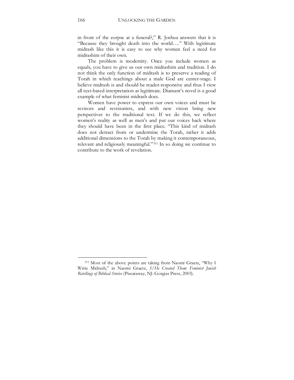in front of the corpse at a funeral?," R. Joshua answers that it is "Because they brought death into the world…." With legitimate midrash like this it is easy to see why women feel a need for midrashim of their own.

The problem is modernity. Once you include women as equals, you have to give us our own midrashim and tradition. I do not think the only function of midrash is to preserve a reading of Torah in which teachings about a male God are center-stage. I believe midrash is and should be reader-responsive and thus I view all text-based interpretation as legitimate. Diamant's novel is a good example of what feminist midrash does.

Women have power to express our own voices and must be revisors and revisionists, and with new vision bring new perspectives to the traditional text. If we do this, we reflect women's reality as well as men's and put our voices back where they should have been in the first place. "This kind of midrash does not detract from or undermine the Torah, rather it adds additional dimensions to the Torah by making it contemporaneous, relevant and religiously meaningful."311 In so doing we continue to contribute to the work of revelation.

<sup>311</sup> Most of the above points are taking from Naomi Graetz, "Why I Write Midrash," in Naomi Graetz, *S/He Created Them: Feminist Jewish Retellings of Biblical Stories* (Piscataway, NJ: Gorgias Press, 2003).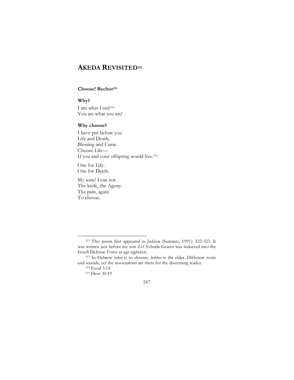## **AKEDA REVISITED312**

#### **Choose! Bechor313**

### **Why?**

I am what I am!314 You are what you are!

#### **Why choose?**

I have put before you Life and Death, Blessing and Curse. Choose Life— If you and your offspring would live.<sup>315</sup>

One for Life. One for Death.

My sons! I can not. The knife, the Agony. The pain, again To choose.

<sup>312</sup> This poem first appeared in *Judaism* (Summer, 1991): 322-323. It was written just before my son Zvi Yehuda Graetz was inducted into the Israeli Defense Force at age eighteen. 313 In Hebrew *beḥor* is to choose; *bekhor* is the elder. Different roots

and sounds, yet the associations are there for the discerning reader.<br><sup>314</sup> Exod 3.14<br><sup>315</sup> Deut 30.19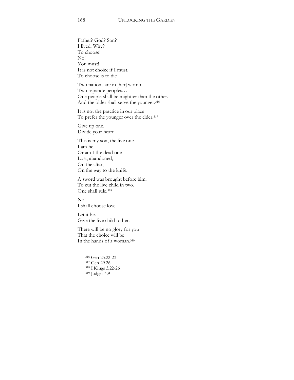Father? God? Son? I lived. Why? To choose! No! You must! It is not choice if I must. To choose is to die.

Two nations are in [her] womb. Two separate peoples… One people shall be mightier than the other. And the older shall serve the younger.<sup>316</sup>

It is not the practice in our place To prefer the younger over the elder.317

Give up one. Divide your heart.

This is my son, the live one. I am he. Or am I the dead one— Lost, abandoned, On the altar, On the way to the knife.

A sword was brought before him. To cut the live child in two. One shall rule.318

No! I shall choose love.

Let it be. Give the live child to her.

There will be no glory for you That the choice will be In the hands of a woman.319

- 316 Gen 25.22-23 317 Gen 29.26 318 I Kings 3.22-26 319 Judges 4.9
-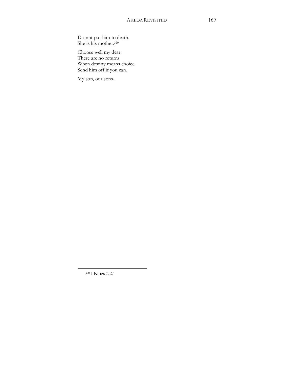Do not put him to death. She is his mother.320

Choose well my dear. There are no returns When destiny means choice. Send him off if you can.

My son, our sons**.**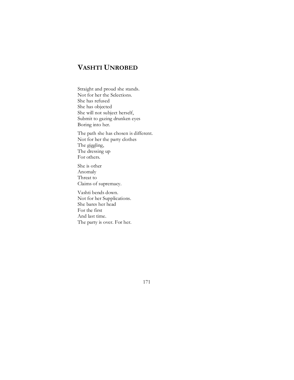# **VASHTI UNROBED**

Straight and proud she stands. Not for her the Selections. She has refused She has objected She will not subject herself, Submit to gazing drunken eyes Boring into her.

The path she has chosen is different. Not for her the party clothes The giggling, The dressing up For others.

She is other Anomaly Threat to Claims of supremacy.

Vashti bends down. Not for her Supplications. She bares her head For the first And last time. The party is over. For her.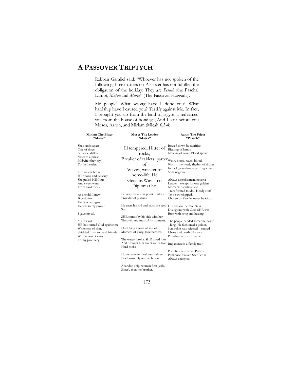# **A PASSOVER TRIPTYCH**

Rabban Gamliel said: "Whoever has not spoken of the following three matters on Passover has not fulfilled the obligation of the holiday: They are *Pesach* (the Paschal Lamb), *Matza* and *Maror*" (The Passover Haggada).

My people! What wrong have I done you? What hardship have I caused you? Testify against Me. In fact, I brought you up from the land of Egypt, I redeemed you from the house of bondage, And I sent before you Moses, Aaron, and Miriam (Micah 6.3-4).

| <b>Miriam The Bitter</b><br>"Maror"                                                                                              | <b>Moses The Leader</b><br>"Matza"                                                                              | <b>Aaron The Priest</b><br>"Pesach"                                                                                       |
|----------------------------------------------------------------------------------------------------------------------------------|-----------------------------------------------------------------------------------------------------------------|---------------------------------------------------------------------------------------------------------------------------|
| She stands apart.<br>One of three.<br>Separate, different,                                                                       | Ill tempered, Hitter of                                                                                         | Bowed down by sacrifice,<br>Bleating of lambs,<br>Mewing of cows, Blood spewed.                                           |
| Sister to a priest.<br>Midwife (they say)<br>To the Leader.                                                                      | rocks,<br>Breaker of tablets, $\text{partner}_{\text{Wash, blood, wash, blood}}$<br>of                          | Washthe heady rhythm of drums                                                                                             |
| The waters broke.<br>With song and delicacy                                                                                      | Waves, wrecker of<br>home-life. He                                                                              | In background—prayer forgotten,<br>Sons neglected.                                                                        |
| She pulled HIM out<br>And sweet water<br>From hard rocks.                                                                        | Gets his Way—no<br>Diplomat he.                                                                                 | Always a spokesman, never a<br>Leader—except for one golden<br>Moment. Sacrificial calf                                   |
| As a child I knew<br>Blood, fear                                                                                                 | Leprosy makes his point. Pitiless<br>Provider of plagues.                                                       | Transformed to idol. Heady stuff<br>To be worshipped,<br>Chosen by People, never by God.                                  |
| Endless crying—<br>He was in my power.<br>I gave my all.                                                                         | He casts his rod and parts the reed HE was on the mountain<br>Sea.                                              | Dialoguing with God; SHE was<br>Busy with song and healing.                                                               |
| My reward:                                                                                                                       | SHE stands by his side with her<br>Timbrels and musical instruments.                                            | The people needed someone, some                                                                                           |
| HE has turned God against me.<br>Whiteness of skin,<br>Shielded from sun and friends<br>With no one to listen<br>To my prophecy. | Duet: Sing a song of sea, oh!<br>Moment of glory, togetherness.                                                 | Thing. He fashioned a golden<br>Symbol; it was rejected—caused<br>Chaos and death. His sons!<br>Punishment for arrogance. |
|                                                                                                                                  | The waters broke. SHE saved him<br>And brought him sweet water from Impatience is a family trait<br>Hard rocks. |                                                                                                                           |
|                                                                                                                                  | Home-wrecker: jealousy---three<br>Leaders—only one is chosen.                                                   | Pontifical remnants: Priests,<br>Penitence, Prayer. Sacrifice is<br>Always accepted.                                      |
|                                                                                                                                  | Abandon ship: women first (wife,<br>Sister), then the brother.                                                  |                                                                                                                           |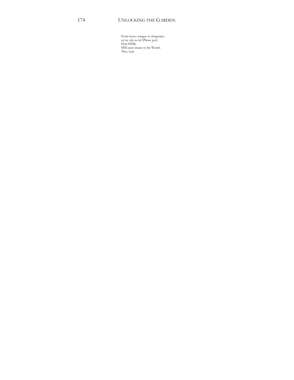### 174 UNLOCKING THE GARDEN

From heavy tongue to eloquence:<br>*eyl na, refa na lah* (Please god,<br>Heal HER).<br>SHE puts music to his Words.<br>They wait.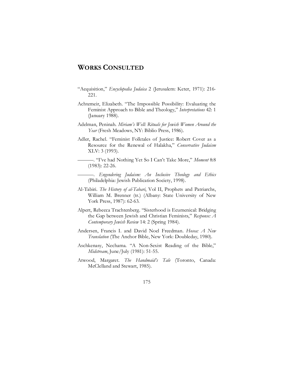### **WORKS CONSULTED**

- "Acquisition," *Encyclopedia Judaica* 2 (Jerusalem: Keter, 1971): 216- 221.
- Achtemeir, Elizabeth. "The Impossible Possibility: Evaluating the Feminist Approach to Bible and Theology," *Interpretations* 42: 1 (January 1988).
- Adelman, Peninah. *Miriam's Well: Rituals for Jewish Women Around the Year* (Fresh Meadows, NY: Biblio Press, 1986).
- Adler, Rachel. "Feminist Folktales of Justice: Robert Cover as a Resource for the Renewal of Halakha," *Conservative Judaism* XLV: 3 (1993).

———. "I've had Nothing Yet So I Can't Take More," *Moment* 8:8 (1983): 22-26.

———. *Engendering Judaism: An Inclusive Theology and Ethics* (Philadelphia: Jewish Publication Society, 1998).

- Al-Tabiri. *The History of al-Tabari*, Vol II, Prophets and Patriarchs, William M. Brenner (tr.) (Albany: State University of New York Press, 1987): 62-63.
- Alpert, Rebecca Trachtenberg. "Sisterhood is Ecumenical: Bridging the Gap between Jewish and Christian Feminists," *Response: A Contemporary Jewish Review* 14: 2 (Spring 1984).
- Andersen, Francis I. and David Noel Freedman. *Hosea: A New Translation* (The Anchor Bible, New York: Doubleday, 1980).
- Aschkenasy, Nechama. "A Non-Sexist Reading of the Bible," *Midstream*, June/July (1981): 51-55.
- Atwood, Margaret. *The Handmaid's Tale* (Toronto, Canada: McClelland and Stewart, 1985).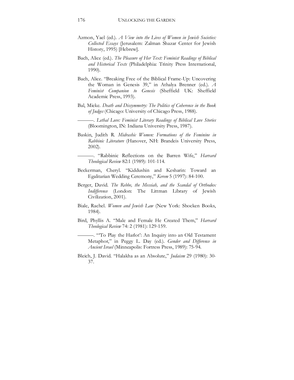- Azmon, Yael (ed.). *A View into the Lives of Women in Jewish Societies: Collected Essays* (Jerusalem: Zalman Shazar Center for Jewish History, 1995) [Hebrew].
- Bach, Alice (ed.). *The Pleasure of Her Text: Feminist Readings of Biblical and Historical Texts* (Philadelphia: Trinity Press International, 1990).
- Bach, Alice. "Breaking Free of the Biblical Frame-Up: Uncovering the Woman in Genesis 39," in Athalya Brenner (ed.). *A Feminist Companion to Genesis* (Sheffield UK: Sheffield Academic Press, 1993).
- Bal, Mieke. *Death and Dissymmetry: The Politics of Coherence in the Book of Judges* (Chicago: University of Chicago Press, 1988).

———. *Lethal Love: Feminist Literary Readings of Biblical Love Stories* (Bloomington, IN: Indiana University Press, 1987).

Baskin, Judith R. *Midrashic Women: Formations of the Feminine in Rabbinic Literature* (Hanover, NH: Brandeis University Press, 2002).

———. "Rabbinic Reflections on the Barren Wife," *Harvard Theological Review* 82:1 (1989): 101-114.

- Beckerman, Cheryl. "Kiddushin and Kesharin: Toward an Egalitarian Wedding Ceremony," *Kerem* 5 (1997): 84-100.
- Berger, David. *The Rebbe, the Messiah, and the Scandal of Orthodox Indifference* (London: The Littman Library of Jewish Civilization, 2001).
- Biale, Rachel. *Women and Jewish Law* (New York: Shocken Books, 1984).
- Bird, Phyllis A. "Male and Female He Created Them," *Harvard Theological Review* 74: 2 (1981): 129-159.

———. "'To Play the Harlot': An Inquiry into an Old Testament Metaphor," in Peggy L. Day (ed.). *Gender and Difference in Ancient Israel* (Minneapolis: Fortress Press, 1989): 75-94.

Bleich, J. David. "Halakha as an Absolute," *Judaism* 29 (1980): 30- 37.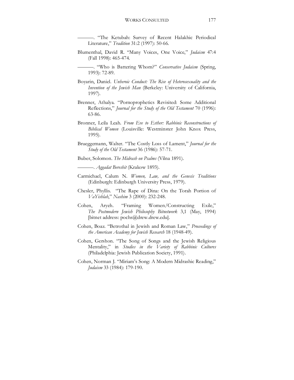———. "The Ketubah: Survey of Recent Halakhic Periodical Literature," *Tradition* 31:2 (1997): 50-66.

Blumenthal, David R. "Many Voices, One Voice," *Judaism* 47:4 (Fall 1998): 465-474.

———. "Who is Battering Whom?" *Conservative Judaism* (Spring, 1993): 72-89.

- Boyarin, Daniel. *Unheroic Conduct: The Rise of Heterosexuality and the Invention of the Jewish Man* (Berkeley: University of California, 1997).
- Brenner, Athalya. "Pornoprophetics Revisited: Some Additional Reflections," *Journal for the Study of the Old Testament* 70 (1996): 63-86.
- Bronner, Leila Leah. *From Eve to Esther: Rabbinic Reconstructions of Biblical Women* (Louisville: Westminster John Knox Press, 1995).
- Brueggemann, Walter. "The Costly Loss of Lament," *Journal for the Study of the Old Testament* 36 (1986): 57-71.

Buber, Solomon. *The Midrash on Psalms* (Vilna 1891).

———. *Aggadat Bereshit* (Krakow 1893).

- Carmichael, Calum N. *Women, Law, and the Genesis Traditions* (Edinburgh: Edinburgh University Press, 1979).
- Chesler, Phyllis. "The Rape of Dina: On the Torah Portion of *VaYishlah*," *Nashim* 3 (2000): 232-248.
- Cohen, Aryeh. "Framing Women/Constructing Exile," *The Postmodern Jewish Philosophy Bitnetwork* 3,1 (May, 1994) [bitnet address: pochs@drew.drew.edu].
- Cohen, Boaz. "Betrothal in Jewish and Roman Law," *Proceedings of the American Academy for Jewish Research* 18 (1948-49).
- Cohen, Gershon. "The Song of Songs and the Jewish Religious Mentality," in *Studies in the Variety of Rabbinic Cultures*  (Philadelphia: Jewish Publication Society, 1991).
- Cohen, Norman J. "Miriam's Song: A Modern Midrashic Reading," *Judaism* 33 (1984): 179-190.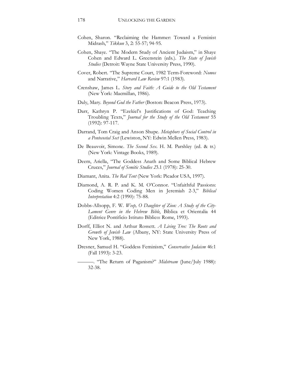- Cohen, Sharon. "Reclaiming the Hammer: Toward a Feminist Midrash," *Tikkun* 3, 2: 55-57; 94-95.
- Cohen, Shaye. "The Modern Study of Ancient Judaism," in Shaye Cohen and Edward L. Greenstein (eds.). *The State of Jewish Studies* (Detroit: Wayne State University Press, 1990).
- Cover, Robert. "The Supreme Court, 1982 Term-Foreword: *Nomos* and Narrative," *Harvard Law Review* 97:1 (1983).
- Crenshaw, James L. *Story and Faith: A Guide to the Old Testament*  (New York: Macmillan, 1986).
- Daly, Mary. *Beyond God the Father* (Boston: Beacon Press, 1973).
- Darr, Kathryn P. "Ezekiel's Justifications of God: Teaching Troubling Texts," *Journal for the Study of the Old Testament* 55 (1992): 97-117.
- Darrand, Tom Craig and Anson Shupe. *Metaphors of Social Control in a Pentecostal Sect* (Lewiston, NY: Edwin Mellen Press, 1983).
- De Beauvoir, Simone. *The Second Sex*. H. M. Parshley (ed. & tr.) (New York: Vintage Books, 1989).
- Deem, Ariella, "The Goddess Anath and Some Biblical Hebrew Cruces," *Journal of Semitic Studies 2*3.1 (1978): 25-30.
- Diamant, Anita. *The Red Tent* (New York: Picador USA, 1997).
- Diamond, A. R. P. and K. M. O'Connor. "Unfaithful Passions: Coding Women Coding Men in Jeremiah 2-3," *Biblical Interpretation* 4:2 (1990): 75-88.
- Dobbs-Allsopp, F. W. *Weep, O Daughter of Zion: A Study of the City-Lament Genre in the Hebrew Bible*, Biblica et Orientalia 44 (Editrice Pontificio Istituto Biblico: Rome, 1993).
- Dorff, Elliot N. and Arthur Rossett. *A Living Tree: The Roots and Growth of Jewish Law* (Albany, NY: State University Press of New York, 1988).
- Dresner, Samuel H. "Goddess Feminism," *Conservative Judaism* 46:1 (Fall 1993): 3-23.
- ———*.* "The Return of Paganism?" *Midstream* (June/July 1988): 32-38.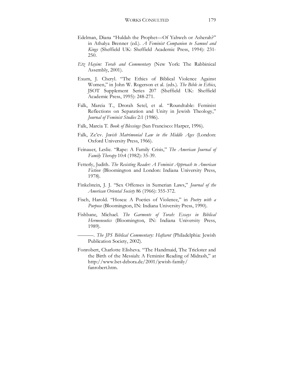- Edelman, Diana "Huldah the Prophet—Of Yahweh or Asherah?" in Athalya Brenner (ed.). *A Feminist Companion to Samuel and Kings* (Sheffield UK: Sheffield Academic Press, 1994): 231- 250.
- *Etz Hayim: Torah and Commentary* (New York: The Rabbinical Assembly, 2001).
- Exum, J. Cheryl. "The Ethics of Biblical Violence Against Women," in John W. Rogerson et al. (eds.). *The Bible in Ethics*, JSOT Supplement Series 207 (Sheffield UK: Sheffield Academic Press, 1995): 248-271.
- Falk, Marcia T., Drorah Setel, et al. "Roundtable: Feminist Reflections on Separation and Unity in Jewish Theology," *Journal of Feminist Studies* 2:1 (1986).
- Falk, Marcia T. *Book of Blessings* (San Francisco: Harper, 1996).
- Falk, Ze'ev. *Jewish Matrimonial Law in the Middle Ages* (London: Oxford University Press, 1966).
- Feinauer, Leslie. "Rape: A Family Crisis," *The American Journal of Family Therapy* 10:4 (1982): 35-39.
- Fetterly, Judith. *The Resisting Reader: A Feminist Approach to American Fiction* (Bloomington and London: Indiana University Press, 1978).
- Finkelstein, J. J. "Sex Offenses in Sumerian Laws," *Journal of the American Oriental Society* 86 (1966): 355-372.
- Fisch, Harold. "Hosea: A Poetics of Violence," in *Poetry with a Purpose* (Bloomington, IN: Indiana University Press, 1990).
- Fishbane, Michael. *The Garments of Torah: Essays in Biblical Hermeneutics* (Bloomington, IN: Indiana University Press, 1989).

———. *The JPS Biblical Commentary: Haftarot* (Philadelphia: Jewish Publication Society, 2002).

Fonrobert, Charlotte Elisheva. "The Handmaid, The Trickster and the Birth of the Messiah: A Feminist Reading of Midrash," at http://www.bet-debora.de/2001/jewish-family/ fanrobert.htm.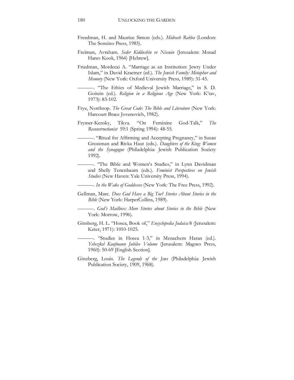- Freedman, H. and Maurice Simon (eds.). *Midrash Rabba* (London: The Soncino Press, 1983).
- Freiman, Avraham. *Seder Kiddushin ve Nissuin* (Jerusalem: Mosad Harav Kook, 1964) [Hebrew].
- Friedman, Mordecai A. "Marriage as an Institution: Jewry Under Islam," in David Kraemer (ed.). *The Jewish Family: Metaphor and Memory* (New York: Oxford University Press, 1989): 31-45.
	- ———. "The Ethics of Medieval Jewish Marriage," in S. D. Goitein (ed.). *Religion in a Religious Age* (New York: K'tav, 1973): 83-102.
- Frye, Northrop. *The Great Code: The Bible and Literature* (New York: Harcourt Brace Jovanovich, 1982).
- Frymer-Kensky, Tikva. "On Feminine God-Talk," *The Reconstructionist* 59:1 (Spring 1994): 48-55.

———. "Ritual for Affirming and Accepting Pregnancy," in Susan Grossman and Rivka Haut (eds.). *Daughters of the King: Women and the Synagogue* (Philadelphia: Jewish Publication Society 1992).

———. "The Bible and Women's Studies," in Lynn Davidman and Shelly Tenenbaum (eds.). *Feminist Perspectives on Jewish Studies* (New Haven: Yale University Press, 1994).

———. *In the Wake of Goddesses* (New York: The Free Press, 1992).

Gellman, Marc. *Does God Have a Big Toe? Stories About Stories in the Bible* (New York: HarperCollins, 1989).

———. *God's Mailbox: More Stories about Stories in the Bible* (New York: Morrow, 1996).

Ginsberg, H. L. "Hosea, Book of," *Encyclopedia Judaica* 8 (Jerusalem: Keter, 1971): 1010-1025.

———. "Studies in Hosea 1-3," in Menachem Haran (ed.). *Yehezkel Kaufmann Jubilee Volume* (Jerusalem: Magnes Press, 1960): 50-69 [English Section].

Ginzberg, Louis. *The Legends of the Jews* (Philadelphia: Jewish Publication Society, 1909, 1968).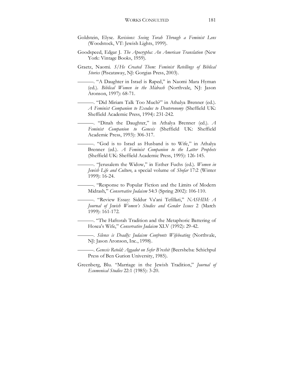Goldstein, Elyse. *Revisions: Seeing Torah Through a Feminist Lens*  (Woodstock, VT: Jewish Lights, 1999).

Goodspeed, Edgar J. *The Apocrypha: An American Translation* (New York: Vintage Books, 1959).

Graetz, Naomi. *S/He Created Them: Feminist Retellings of Biblical Stories* (Piscataway, NJ: Gorgias Press, 2003).

———. "A Daughter in Israel is Raped," in Naomi Mara Hyman (ed.). *Biblical Women in the Midrash* (Northvale, NJ: Jason Aronson, 1997): 68-71.

———. "Did Miriam Talk Too Much?" in Athalya Brenner (ed.). *A Feminist Companion to Exodus to Deuteronomy* (Sheffield UK: Sheffield Academic Press, 1994): 231-242.

———. "Dinah the Daughter," in Athalya Brenner (ed.). *A Feminist Companion to Genesis* (Sheffield UK: Sheffield Academic Press, 1993): 306-317.

———. "God is to Israel as Husband is to Wife," in Athalya Brenner (ed.). *A Feminist Companion to the Latter Prophets* (Sheffield UK: Sheffield Academic Press, 1995): 126-145.

———. "Jerusalem the Widow," in Esther Fuchs (ed.). *Women in Jewish Life and Culture*, a special volume of *Shofar* 17:2 (Winter 1999): 16-24.

———. "Response to Popular Fiction and the Limits of Modern Midrash," *Conservative Judaism* 54:3 (Spring 2002): 106-110.

———. "Review Essay: Siddur Va'ani Tefillati," *NASHIM: A Journal of Jewish Women's Studies and Gender Issues* 2 (March 1999): 161-172.

———. "The Haftorah Tradition and the Metaphoric Battering of Hosea's Wife," *Conservative Judaism* XLV (1992): 29-42.

———. *Silence is Deadly: Judaism Confronts Wifebeating* (Northvale, NJ: Jason Aronson, Inc., 1998).

———. *Genesis Retold: Aggadot on Sefer B'reshit* (Beersheba: Schichpul Press of Ben Gurion University, 1985).

Greenberg, Blu. "Marriage in the Jewish Tradition," *Journal of Ecumenical Studies* 22:1 (1985): 3-20.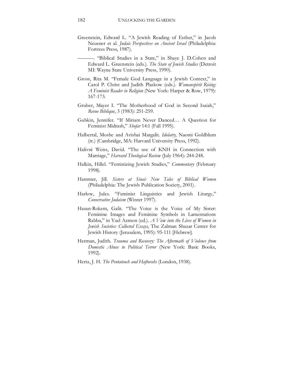Greenstein, Edward L. "A Jewish Reading of Esther," in Jacob Neusner et al. *Judaic Perspectives on Ancient Israel* (Philadelphia: Fortress Press, 1987).

———. "Biblical Studies in a State," in Shaye J. D.Cohen and Edward L. Greenstein (eds.). *The State of Jewish Studies* (Detroit MI: Wayne State University Press, 1990).

- Gross, Rita M. "Female God Language in a Jewish Context," in Carol P. Christ and Judith Plaskow (eds.). *Womanspirit Rising: A Feminist Reader in Religion* (New York: Harper & Row, 1979): 167-173.
- Gruber, Mayer I. "The Motherhood of God in Second Isaiah," *Revue Biblique*, 3 (1983): 251-259.
- Gubkin, Jennifer. "If Miriam Never Danced… A Question for Feminist Midrash," *Shofar* 14:1 (Fall 1995).
- Halbertal, Moshe and Avishai Margalit. *Idolatry*, Naomi Goldblum (tr.) (Cambridge, MA: Harvard University Press, 1992).
- Halivni Weiss, David. "The use of KNH in Connection with Marriage," *Harvard Theological Review* (July 1964): 244-248.
- Halkin, Hillel. "Feminizing Jewish Studies," *Commentary* (February 1998).
- Hammer, Jill. *Sisters at Sinai: New Tales of Biblical Women*  (Philadelphia: The Jewish Publication Society, 2001).
- Harlow, Jules. "Feminist Linguistics and Jewish Liturgy," *Conservative Judaism* (Winter 1997).
- Hasan-Rokem, Galit. "The Voice is the Voice of My Sister: Feminine Images and Feminine Symbols in Lamentations Rabba," in Yael Azmon (ed.). *A View into the Lives of Women in Jewish Societies: Collected Essays*, The Zalman Shazar Center for Jewish History (Jerusalem, 1995): 95-111 [Hebrew].
- Herman, Judith. *Trauma and Recovery: The Aftermath of Violence from Domestic Abuse to Political Terror* (New York: Basic Books, 1992).
- Hertz, J. H. *The Pentateuch and Haftorahs* (London, 1938).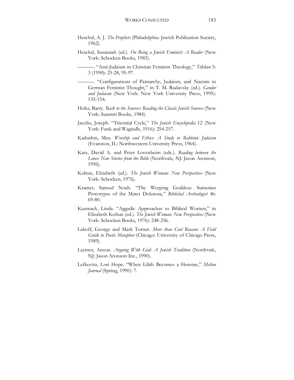- Heschel, A. J. *The Prophets* (Philadelphia: Jewish Publication Society, 1962).
- Heschel, Susannah (ed.). *On Being a Jewish Feminist: A Reader* (New York: Schocken Books, 1983).

———. "Anti-Judaism in Christian Feminist Theology," *Tikkun* 5: 3 (1990): 25-28, 95-97.

- ———. "Configurations of Patriarchy, Judaism, and Nazism in German Feminist Thought," in T. M. Rudavsky (ed.). *Gender and Judaism* (New York: New York University Press, 1995): 135-154.
- Holtz, Barry. *Back to the Sources: Reading the Classic Jewish Sources* (New York: Summit Books, 1984).
- Jacobs, Joseph. "Triennial Cycle," *The Jewish Encyclopedia* 12 (New York: Funk and Wagnalls, 1916): 254-257.
- Kadushin, Max. *Worship and Ethics: A Study in Rabbinic Judaism* (Evanston, IL: Northwestern University Press, 1964).
- Katz, David A. and Peter Lovenheim (eds.). *Reading between the Lines: New Stories from the Bible* (Northvale, NJ: Jason Aronson, 1996).
- Koltun, Elizabeth (ed.). *The Jewish Woman: New Perspectives* (New York: Schocken, 1976).
- Kramer, Samuel Noah. "The Weeping Goddess: Sumerian Prototypes of the Mater Dolorosa," *Biblichal Archeologist* 46: 69-80.
- Kuzmack, Linda. "Aggadic Approaches to Biblical Women," in Elizabeth Koltun (ed.). *The Jewish Woman: New Perspectives* (New York: Schocken Books, 1976): 248-256.
- Lakoff, George and Mark Turner. *More than Cool Reason: A Field Guide to Poetic Metaphor* (Chicago: University of Chicago Press, 1989).
- Laytner, Anson. *Arguing With God: A Jewish Tradition* (Northvale, NJ: Jason Aronson Inc., 1990).
- Lefkovitz, Lori Hope. "When Lilith Becomes a Heroine," *Melton Journal* (Spring, 1990): 7.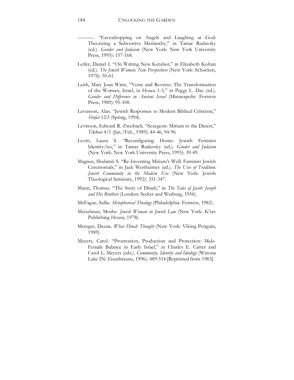———. "Eavesdropping on Angels and Laughing at God: Theorizing a Subversive Matriarchy," in Tamar Rudavsky (ed.). *Gender and Judaism* (New York: New York University Press, 1995): 157-168.

- Leifer, Daniel I. "On Writing New Ketubot," in Elizabeth Koltun (ed.). *The Jewish Woman: New Perspectives* (New York: Schocken, 1976): 50-61.
- Leith, Mary Joan Winn, "Verse and Reverse: The Transformation of the Woman, Israel, in Hosea 1-3," in Peggy L. Day (ed.). *Gender and Difference in Ancient Israel* (Minneapolis: Fortress Press, 1989): 95-108.
- Levenson, Alan. "Jewish Responses to Modern Biblical Criticism," *Shofar* 12:3 (Spring, 1994).
- Levinson, Edward R. Zweiback. "Sexegesis: Miriam in the Desert," *Tikkun* 4/1 (Jan./Feb., 1989): 44-46, 94-96.
- Levitt, Laura S. "Reconfiguring Home: Jewish Feminist Identity/ies," in Tamar Rudavsky (ed.). *Gender and Judaism* (New York: New York University Press, 1995): 39-49.
- Magnus, Shulamit S. "Re-Inventing Miriam's Well: Feminist Jewish Ceremonials," in Jack Wertheimer (ed.). *The Uses of Tradition: Jewish Community in the Modern Era* (New York: Jewish Theological Seminary, 1992): 331-347.
- Mann, Thomas. "The Story of Dinah," in *The Tales of Jacob: Joseph and His Brothers* (London: Secker and Warburg, 1956).
- McFague, Sallie. *Metaphorical Theology* (Philadelphia: Fortress, 1982).
- Meiselman, Moshe. *Jewish Woman in Jewish Law* (New York: K'tav Publishing House, 1978).
- Metzger, Deena. *What Dinah Thought* (New York: Viking Penguin, 1989).
- Meyers, Carol. "Procreation, Production and Protection: Male-Female Balance in Early Israel," in Charles E. Carter and Carol L. Meyers (eds.). *Community, Identity and Ideology* (Winona Lake IN: Eisenbrauns, 1996): 489-514 [Reprinted from 1983].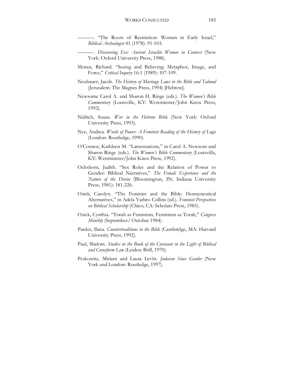———. "The Roots of Restriction: Women in Early Israel," *Biblical Archeologist* 41 (1978): 91-103.

———. *Discovering Eve: Ancient Israelite Women in Context* (New York: Oxford University Press, 1988).

- Moran, Richard. "Seeing and Believing: Metaphor, Image, and Force," *Critical Inquiry* 16:1 (1989): 107-109.
- Neubauer, Jacob. *The History of Marriage Laws in the Bible and Talmud* (Jerusalem: The Magnes Press, 1994) [Hebrew].
- Newsome Carol A. and Sharon H. Ringe (eds.). *The Women's Bible Commentary* (Louisville, KY: Westminster/John Knox Press, 1992).
- Niditch, Susan. *War in the Hebrew Bible* (New York: Oxford University Press, 1993).
- Nye, Andrea. *Words of Power: A Feminist Reading of the History of Logic* (London: Routledge, 1990).
- O'Connor, Kathleen M. "Lamentations," in Carol A. Newsom and Sharon Ringe (eds.). *The Women's Bible Commentary* (Louisville, KY: Westminster/John Knox Press, 1992).
- Ochshorn, Judith. "Sex Roles and the Relation of Power to Gender: Biblical Narratives," *The Female Experience and the Nature of the Divine* (Bloomington, IN: Indiana University Press, 1981): 181-226.
- Osiek, Carolyn. "The Feminist and the Bible: Hermeneutical Alternatives," in Adela Yarbro Collins (ed.). *Feminist Perspectives on Biblical Scholarship* (Chico, CA: Scholars Press, 1985).
- Ozick, Cynthia. "Torah as Feminism, Feminism as Torah," *Congress Monthly* (September/ October 1984).
- Pardes, Ilana. *Countertraditions in the Bible* (Cambridge, MA: Harvard University Press, 1992).
- Paul, Shalom. *Studies in the Book of the Covenant in the Light of Biblical and Cuneiform Law* (Leiden: Brill, 1970).
- Peskowitz, Miriam and Laura Levitt. *Judaism Since Gender* (New York and London: Routledge, 1997).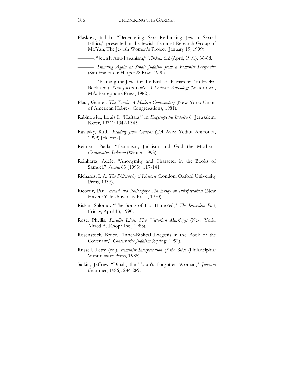Plaskow, Judith. "Decentering Sex: Rethinking Jewish Sexual Ethics," presented at the Jewish Feminist Research Group of Ma'Yan, The Jewish Women's Project (January 19, 1999).

———. "Jewish Anti-Paganism," *Tikkun* 6:2 (April, 1991): 66-68.

———. *Standing Again at Sinai: Judaism from a Feminist Perspective* (San Francisco: Harper & Row, 1990).

———.. "Blaming the Jews for the Birth of Patriarchy," in Evelyn Beck (ed.). *Nice Jewish Girls: A Lesbian Anthology* (Watertown, MA: Persephone Press, 1982).

- Plaut, Gunter. *The Torah: A Modern Commentary* (New York: Union of American Hebrew Congregations, 1981).
- Rabinowitz, Louis I. "Haftara," in *Encyclopedia Judaica* 6 (Jerusalem: Keter, 1971): 1342-1345.
- Ravitsky, Ruth. *Reading from Genesis* (Tel Aviv: Yediot Aharonot, 1999) [Hebrew].
- Reimers, Paula. "Feminism, Judaism and God the Mother," *Conservative Judaism* (Winter, 1993).
- Reinhartz, Adele. "Anonymity and Character in the Books of Samuel," *Semeia* 63 (1993): 117-141.
- Richards, I. A. *The Philosophy of Rhetoric* (London: Oxford University Press, 1936).
- Ricoeur, Paul. *Freud and Philosophy: An Essay on Interpretation* (New Haven: Yale University Press, 1970).
- Riskin, Shlomo. "The Song of Hol Hamo'ed," *The Jerusalem Post*, Friday, April 13, 1990.
- Rose, Phyllis. *Parallel Lives: Five Victorian Marriages* (New York: Alfred A. Knopf Inc., 1983).
- Rosenstock, Bruce. "Inner-Biblical Exegesis in the Book of the Covenant," *Conservative Judaism* (Spring, 1992).
- Russell, Letty (ed.). *Feminist Interpretation of the Bible* (Philadelphia: Westminster Press, 1985).
- Salkin, Jeffrey. "Dinah, the Torah's Forgotten Woman," *Judaism* (Summer, 1986): 284-289.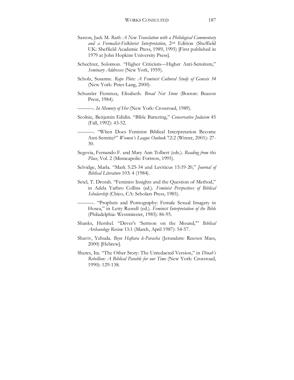- Sasson, Jack M. *Ruth: A New Translation with a Philological Commentary and a Formalist-Folklorist Interpretation*, 2nd Edition (Sheffield UK: Sheffield Academic Press, 1989, 1995) [First published in 1979 at John Hopkins University Press].
- Schechter, Solomon. "Higher Criticism—Higher Anti-Semitism," *Seminary Addresses* (New York, 1959).
- Scholz, Susanne. *Rape Plots: A Feminist Cultural Study of Genesis 34* (New York: Peter Lang, 2000).
- Schussler Fiorenza, Elisabeth. *Bread Not Stone* (Boston: Beacon Press, 1984).

———. *In Memory of Her* (New York: Crossroad, 1989).

Scolnic, Benjamin Edidin. "Bible Battering," *Conservative Judaism* 45 (Fall, 1992): 43-52.

———. "When Does Feminist Biblical Interpretation Become Anti-Semitic?" *Women's League Outlook* 72:2 (Winter, 2001): 27- 30.

- Segovia, Fernando F. and Mary Ann Tolbert (eds.). *Reading from this Place*, Vol. 2 (Minneapolis: Fortress, 1995).
- Selvidge, Marla. "Mark 5:25-34 and Leviticus 15:19-20," *Journal of Biblical Literature* 103: 4 (1984).
- Setel, T. Drorah. "Feminist Insights and the Question of Method," in Adela Yarbro Collins (ed.). *Feminist Perspectives of Biblical Scholarship* (Chico, CA: Scholars Press, 1985).

———. "Prophets and Pornography: Female Sexual Imagery in Hosea," in Letty Russell (ed.). *Feminist Interpretation of the Bible* (Philadelphia: Westminster, 1985): 86-95.

- Shanks, Hershel. "Dever's 'Sermon on the Mound,'" *Biblical Archaeology Review* 13:1 (March, April 1987): 54-57.
- Shaviv, Yehuda. *Beyn Haftara le-Parasha* (Jerusalem: Reuven Mass, 2000) [Hebrew].
- Sheres, Ita. "The Other Story: The Unredacted Version," in *Dinah's Rebellion: A Biblical Parable for our Time* (New York: Crossroad, 1990): 129-138.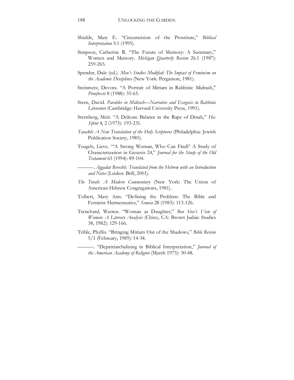- Shields, Mary E. "Circumcision of the Prostitute," *Biblical Interpretation* 3:1 (1995).
- Simpson, Catherine R. "The Future of Memory: A Summary," Women and Memory. *Michigan Quarterly Review* 26.1 (1987): 259-265.
- Spender, Dale (ed.). *Men's Studies Modified: The Impact of Feminism on the Academic Disciplines* (New York: Pergamon, 1981).
- Steinmetz, Devora. "A Portrait of Miriam in Rabbinic Midrash," *Prooftexts* 8 (1988): 35-65.
- Stern, David. *Parables in Midrash—Narrative and Exegesis in Rabbinic Literature* (Cambridge: Harvard University Press, 1991).
- Sternberg, Meir. "A Delicate Balance in the Rape of Dinah," *Ha-Sifrut* 4, 2 (1973): 193-231.
- *Tanakh: A New Translation of the Holy Scriptures* (Philadelphia: Jewish Publication Society, 1985).
- Teugels, Lieve. "'A Strong Woman, Who Can Find?' A Study of Characterization in Genesis 24," *Journal for the Study of the Old Testament* 63 (1994): 89-104.

———. *Aggadat Bereshit. Translated from the Hebrew with an Introduction and Notes* (Leiden: Brill, 2001).

- *The Torah: A Modern Commentary* (New York: The Union of American Hebrew Congregations, 1981).
- Tolbert, Mary Ann. "Defining the Problem: The Bible and Feminist Hermeneutics," *Semeia* 28 (1983): 113-126.
- Trenchard, Warren. "Woman as Daughter," *Ben Sira's View of Women: A Literary Analysis* (Chico, CA: Brown Judaic Studies 38, 1982): 129-166.
- Trible, Phyllis. "Bringing Miriam Out of the Shadows," *Bible Review* 5/1 (February, 1989): 14-34.

———. "Depatriarchalizing in Biblical Interpretation," *Journal of the American Academy of Religion* (March 1973): 30-48.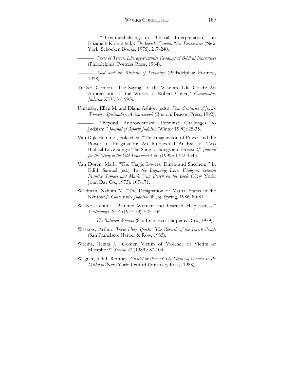———. "Depatriarchalizing in Biblical Interpretation," in Elizabeth Koltun (ed.). *The Jewish Woman: New Perspectives* (New York: Schocken Books, 1976): 217-240.

———. *Texts of Terror: Literary-Feminist Readings of Biblical Narratives*  (Philadelphia: Fortress Press, 1984).

———. *God and the Rhetoric of Sexuality* (Philadelphia: Fortress, 1978).

- Tucker, Gordon. "The Sayings of the Wise are Like Goads: An Appreciation of the Works of Robert Cover," *Conservative Judaism* XLV: 3 (1993).
- Umansky, Ellen M. and Diane Ashton (eds.). *Four Centuries of Jewish Women's Spirituality: A Sourcebook* (Boston: Beacon Press, 1992).

"Beyond Androcentrism: Feminist Challenges to Judaism," *Journal of Reform Judaism* (Winter 1990): 25-35.

- Van Dijk-Hemmes, Fokkelien. "The Imagination of Power and the Power of Imagination: An Intertextual Analysis of Two Biblical Love Songs: The Song of Songs and Hosea 2," *Journal for the Study of the Old Testament* 44:6 (1990): 1342-1345.
- Van Doren, Mark. "The Tragic Lovers: Dinah and Shechem," in Edith Samuel (ed.). In *the Beginning Love: Dialogues between Maurice Samuel and Mark Van Doren on the Bible* (New York: John Day Co., 1973): 107-171.
- Waldman, Nahum M. "The Designation of Marital Status in the Ketubah," *Conservative Judaism* 38 (3), Spring, 1986: 80-81.
- Walker, Lenore. "Battered Women and Learned Helplessness," *Victimology* 2:3-4 (1977-78): 525-534.
	- ———. *The Battered Woman* (San Francisco: Harper & Row, 1979).
- Waskow, Arthur. *These Holy Sparks: The Rebirth of the Jewish People* (San Francisco: Harper & Row, 1983).
- Weems, Renita J. "Gomer: Victim of Violence or Victim of Metaphor?" *Semeia* 47 (1989): 87-104.
- Wegner, Judith Romney. *Chattel or Person? The Status of Women in the Mishnah* (New York: Oxford University Press, 1988).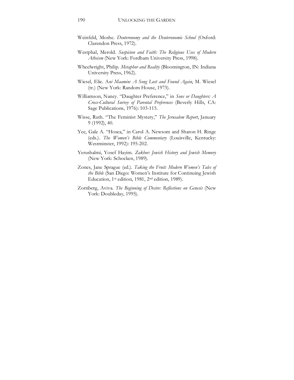- Weinfeld, Moshe. *Deuteronomy and the Deuteronomic School* (Oxford: Clarendon Press, 1972).
- Westphal, Merold. *Suspicion and Faith: The Religious Uses of Modern Atheism* (New York: Fordham University Press, 1998).
- Wheelwright, Philip. *Metaphor and Reality* (Bloomington, IN: Indiana University Press, 1962).
- Wiesel, Elie. A*ni Maamin: A Song Lost and Found Again*, M. Wiesel (tr.) (New York: Random House, 1973).
- Williamson, Nancy. "Daughter Preference," in *Sons or Daughters: A Cross-Cultural Survey of Parental Preferences* (Beverly Hills, CA: Sage Publications, 1976): 103-115.
- Wisse, Ruth. "The Feminist Mystery," *The Jerusalem Report*, January 9 (1992), 40.
- Yee, Gale A. "Hosea," in Carol A. Newsom and Sharon H. Ringe (eds.). *The Women's Bible Commentary* (Louisville, Kentucky: Westminster, 1992): 195-202.
- Yerushalmi, Yosef Hayim. *Zakhor: Jewish History and Jewish Memory* (New York: Schocken, 1989).
- Zones, Jane Sprague (ed.). *Taking the Fruit: Modern Women's Tales of the Bible* (San Diego: Women's Institute for Continuing Jewish Education, 1st edition, 1981, 2nd edition, 1989).
- Zornberg, Aviva. *The Beginning of Desire: Reflections on Genesis* (New York: Doubleday, 1995).